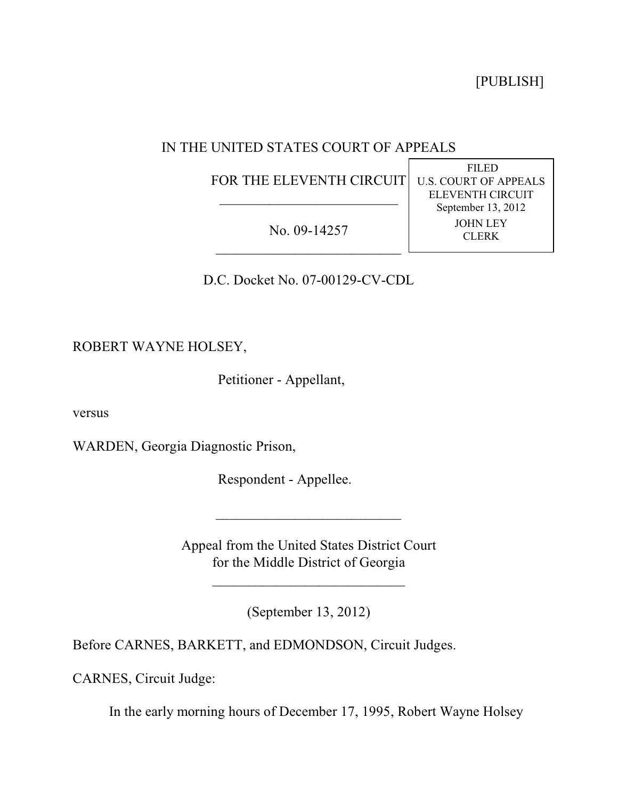[PUBLISH]

FILED U.S. COURT OF APPEALS ELEVENTH CIRCUIT September 13, 2012 JOHN LEY CLERK

# IN THE UNITED STATES COURT OF APPEALS

FOR THE ELEVENTH CIRCUIT  $\mathcal{L}_\text{max}$  , which is a set of the set of the set of the set of the set of the set of the set of the set of the set of the set of the set of the set of the set of the set of the set of the set of the set of the set of

No. 09-14257 \_\_\_\_\_\_\_\_\_\_\_\_\_\_\_\_\_\_\_\_\_\_\_\_\_\_

D.C. Docket No. 07-00129-CV-CDL

ROBERT WAYNE HOLSEY,

Petitioner - Appellant,

versus

WARDEN, Georgia Diagnostic Prison,

Respondent - Appellee.

Appeal from the United States District Court for the Middle District of Georgia

 $\overline{\phantom{a}}$  , where  $\overline{\phantom{a}}$  , where  $\overline{\phantom{a}}$  , where  $\overline{\phantom{a}}$ 

(September 13, 2012)

 $\mathcal{L}_\text{max}$  , which is a set of the set of the set of the set of the set of the set of the set of the set of the set of the set of the set of the set of the set of the set of the set of the set of the set of the set of

Before CARNES, BARKETT, and EDMONDSON, Circuit Judges.

CARNES, Circuit Judge:

In the early morning hours of December 17, 1995, Robert Wayne Holsey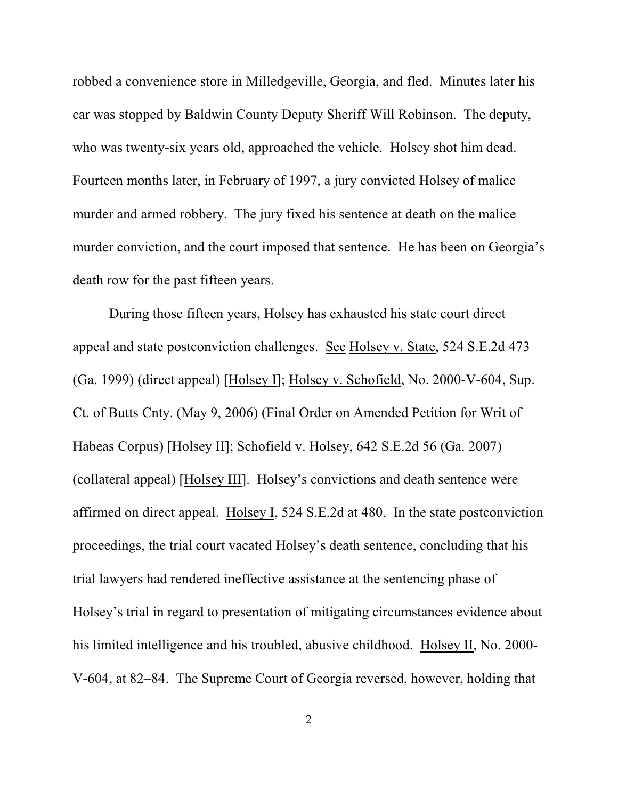robbed a convenience store in Milledgeville, Georgia, and fled. Minutes later his car was stopped by Baldwin County Deputy Sheriff Will Robinson. The deputy, who was twenty-six years old, approached the vehicle. Holsey shot him dead. Fourteen months later, in February of 1997, a jury convicted Holsey of malice murder and armed robbery. The jury fixed his sentence at death on the malice murder conviction, and the court imposed that sentence. He has been on Georgia's death row for the past fifteen years.

During those fifteen years, Holsey has exhausted his state court direct appeal and state postconviction challenges. See Holsey v. State, 524 S.E.2d 473 (Ga. 1999) (direct appeal) [Holsey I]; Holsey v. Schofield, No. 2000-V-604, Sup. Ct. of Butts Cnty. (May 9, 2006) (Final Order on Amended Petition for Writ of Habeas Corpus) [Holsey II]; Schofield v. Holsey, 642 S.E.2d 56 (Ga. 2007) (collateral appeal) [Holsey III]. Holsey's convictions and death sentence were affirmed on direct appeal. Holsey I, 524 S.E.2d at 480. In the state postconviction proceedings, the trial court vacated Holsey's death sentence, concluding that his trial lawyers had rendered ineffective assistance at the sentencing phase of Holsey's trial in regard to presentation of mitigating circumstances evidence about his limited intelligence and his troubled, abusive childhood. Holsey II, No. 2000- V-604, at 82–84. The Supreme Court of Georgia reversed, however, holding that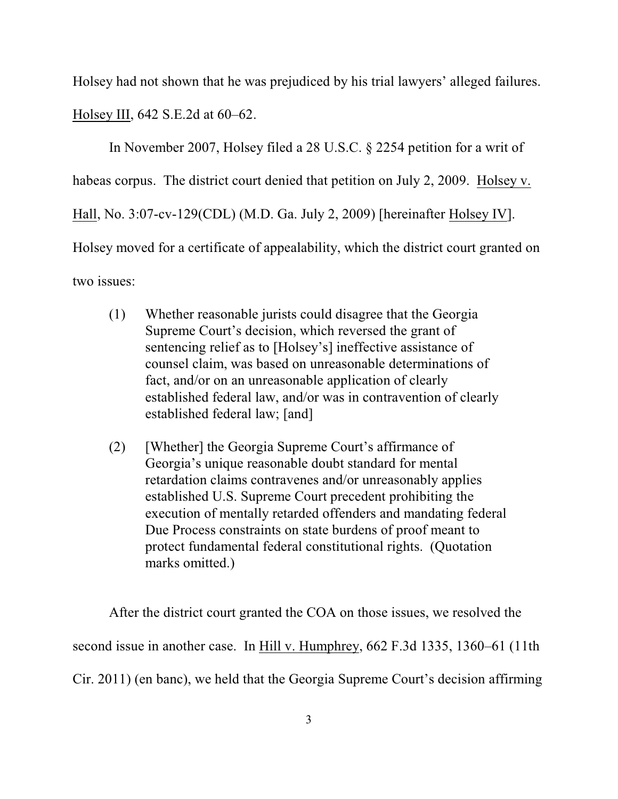Holsey had not shown that he was prejudiced by his trial lawyers' alleged failures. Holsey III, 642 S.E.2d at 60–62.

In November 2007, Holsey filed a 28 U.S.C. § 2254 petition for a writ of habeas corpus. The district court denied that petition on July 2, 2009. Holsey v. Hall, No. 3:07-cv-129(CDL) (M.D. Ga. July 2, 2009) [hereinafter Holsey IV]. Holsey moved for a certificate of appealability, which the district court granted on two issues:

- (1) Whether reasonable jurists could disagree that the Georgia Supreme Court's decision, which reversed the grant of sentencing relief as to [Holsey's] ineffective assistance of counsel claim, was based on unreasonable determinations of fact, and/or on an unreasonable application of clearly established federal law, and/or was in contravention of clearly established federal law; [and]
- (2) [Whether] the Georgia Supreme Court's affirmance of Georgia's unique reasonable doubt standard for mental retardation claims contravenes and/or unreasonably applies established U.S. Supreme Court precedent prohibiting the execution of mentally retarded offenders and mandating federal Due Process constraints on state burdens of proof meant to protect fundamental federal constitutional rights. (Quotation marks omitted.)

After the district court granted the COA on those issues, we resolved the second issue in another case. In Hill v. Humphrey, 662 F.3d 1335, 1360–61 (11th Cir. 2011) (en banc), we held that the Georgia Supreme Court's decision affirming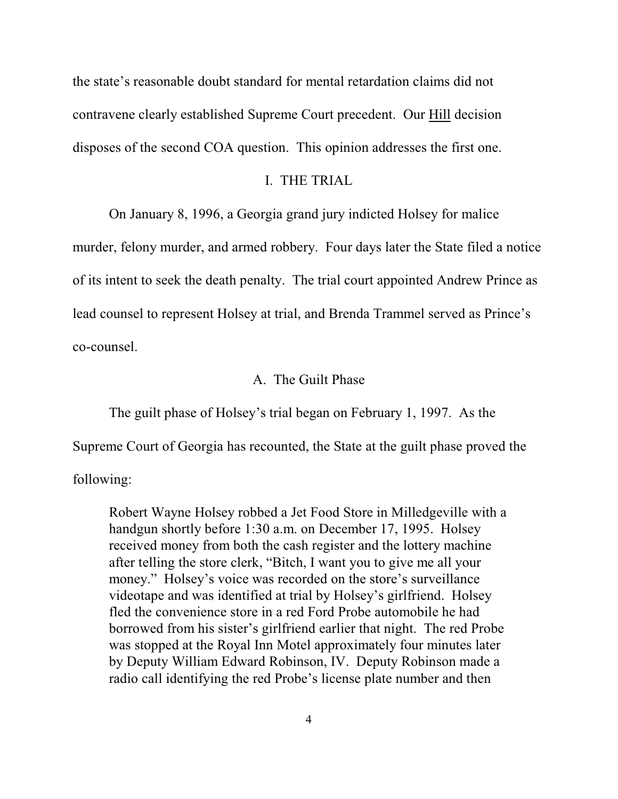the state's reasonable doubt standard for mental retardation claims did not contravene clearly established Supreme Court precedent. Our Hill decision disposes of the second COA question. This opinion addresses the first one.

#### I. THE TRIAL

On January 8, 1996, a Georgia grand jury indicted Holsey for malice

murder, felony murder, and armed robbery. Four days later the State filed a notice of its intent to seek the death penalty. The trial court appointed Andrew Prince as lead counsel to represent Holsey at trial, and Brenda Trammel served as Prince's co-counsel.

### A. The Guilt Phase

The guilt phase of Holsey's trial began on February 1, 1997. As the

Supreme Court of Georgia has recounted, the State at the guilt phase proved the

following:

Robert Wayne Holsey robbed a Jet Food Store in Milledgeville with a handgun shortly before 1:30 a.m. on December 17, 1995. Holsey received money from both the cash register and the lottery machine after telling the store clerk, "Bitch, I want you to give me all your money." Holsey's voice was recorded on the store's surveillance videotape and was identified at trial by Holsey's girlfriend. Holsey fled the convenience store in a red Ford Probe automobile he had borrowed from his sister's girlfriend earlier that night. The red Probe was stopped at the Royal Inn Motel approximately four minutes later by Deputy William Edward Robinson, IV. Deputy Robinson made a radio call identifying the red Probe's license plate number and then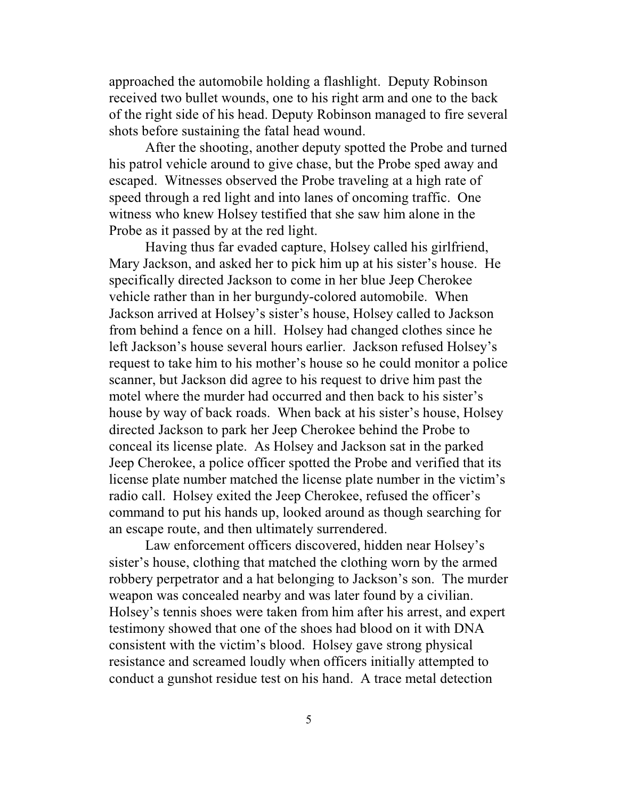approached the automobile holding a flashlight. Deputy Robinson received two bullet wounds, one to his right arm and one to the back of the right side of his head. Deputy Robinson managed to fire several shots before sustaining the fatal head wound.

After the shooting, another deputy spotted the Probe and turned his patrol vehicle around to give chase, but the Probe sped away and escaped. Witnesses observed the Probe traveling at a high rate of speed through a red light and into lanes of oncoming traffic. One witness who knew Holsey testified that she saw him alone in the Probe as it passed by at the red light.

Having thus far evaded capture, Holsey called his girlfriend, Mary Jackson, and asked her to pick him up at his sister's house. He specifically directed Jackson to come in her blue Jeep Cherokee vehicle rather than in her burgundy-colored automobile. When Jackson arrived at Holsey's sister's house, Holsey called to Jackson from behind a fence on a hill. Holsey had changed clothes since he left Jackson's house several hours earlier. Jackson refused Holsey's request to take him to his mother's house so he could monitor a police scanner, but Jackson did agree to his request to drive him past the motel where the murder had occurred and then back to his sister's house by way of back roads. When back at his sister's house, Holsey directed Jackson to park her Jeep Cherokee behind the Probe to conceal its license plate. As Holsey and Jackson sat in the parked Jeep Cherokee, a police officer spotted the Probe and verified that its license plate number matched the license plate number in the victim's radio call. Holsey exited the Jeep Cherokee, refused the officer's command to put his hands up, looked around as though searching for an escape route, and then ultimately surrendered.

Law enforcement officers discovered, hidden near Holsey's sister's house, clothing that matched the clothing worn by the armed robbery perpetrator and a hat belonging to Jackson's son. The murder weapon was concealed nearby and was later found by a civilian. Holsey's tennis shoes were taken from him after his arrest, and expert testimony showed that one of the shoes had blood on it with DNA consistent with the victim's blood. Holsey gave strong physical resistance and screamed loudly when officers initially attempted to conduct a gunshot residue test on his hand. A trace metal detection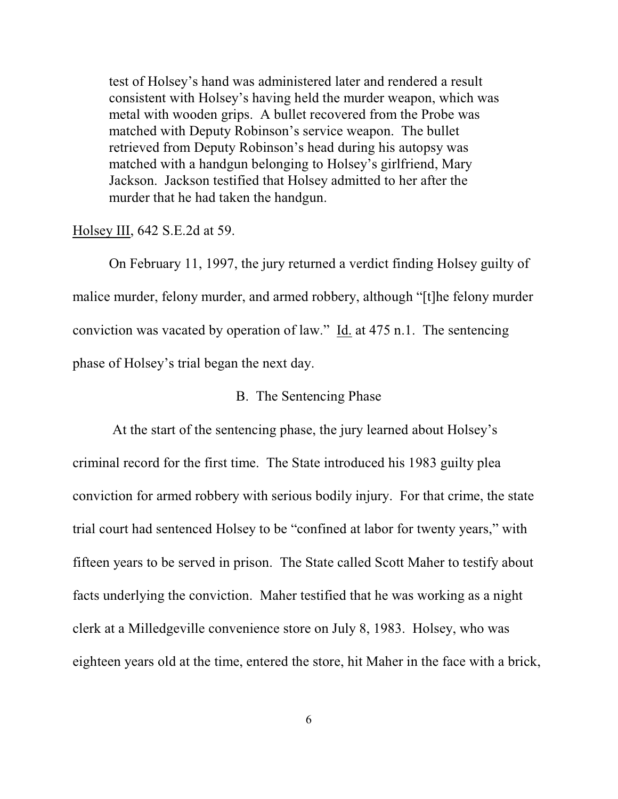test of Holsey's hand was administered later and rendered a result consistent with Holsey's having held the murder weapon, which was metal with wooden grips. A bullet recovered from the Probe was matched with Deputy Robinson's service weapon. The bullet retrieved from Deputy Robinson's head during his autopsy was matched with a handgun belonging to Holsey's girlfriend, Mary Jackson. Jackson testified that Holsey admitted to her after the murder that he had taken the handgun.

#### Holsey III, 642 S.E.2d at 59.

On February 11, 1997, the jury returned a verdict finding Holsey guilty of malice murder, felony murder, and armed robbery, although "[t]he felony murder conviction was vacated by operation of law." Id. at 475 n.1. The sentencing phase of Holsey's trial began the next day.

### B. The Sentencing Phase

 At the start of the sentencing phase, the jury learned about Holsey's criminal record for the first time. The State introduced his 1983 guilty plea conviction for armed robbery with serious bodily injury. For that crime, the state trial court had sentenced Holsey to be "confined at labor for twenty years," with fifteen years to be served in prison. The State called Scott Maher to testify about facts underlying the conviction. Maher testified that he was working as a night clerk at a Milledgeville convenience store on July 8, 1983. Holsey, who was eighteen years old at the time, entered the store, hit Maher in the face with a brick,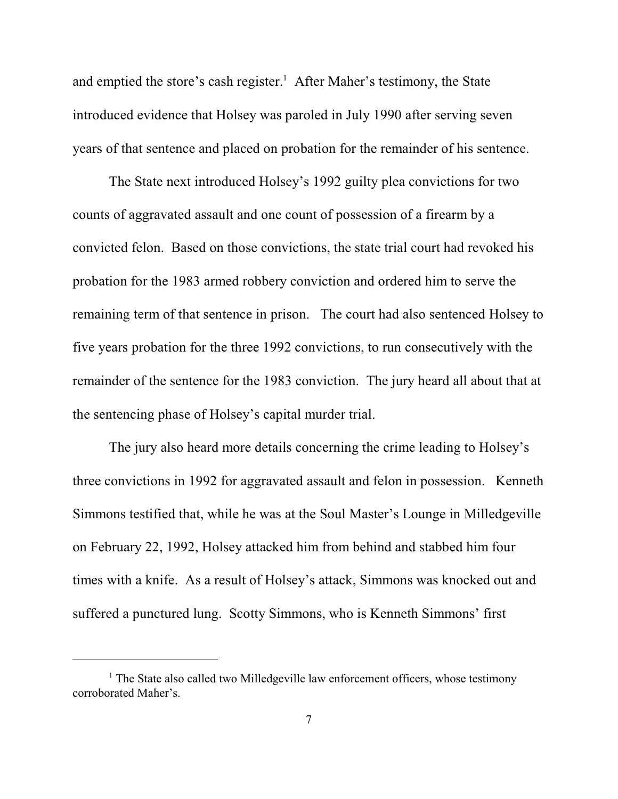and emptied the store's cash register.<sup>1</sup> After Maher's testimony, the State introduced evidence that Holsey was paroled in July 1990 after serving seven years of that sentence and placed on probation for the remainder of his sentence.

The State next introduced Holsey's 1992 guilty plea convictions for two counts of aggravated assault and one count of possession of a firearm by a convicted felon. Based on those convictions, the state trial court had revoked his probation for the 1983 armed robbery conviction and ordered him to serve the remaining term of that sentence in prison. The court had also sentenced Holsey to five years probation for the three 1992 convictions, to run consecutively with the remainder of the sentence for the 1983 conviction. The jury heard all about that at the sentencing phase of Holsey's capital murder trial.

The jury also heard more details concerning the crime leading to Holsey's three convictions in 1992 for aggravated assault and felon in possession. Kenneth Simmons testified that, while he was at the Soul Master's Lounge in Milledgeville on February 22, 1992, Holsey attacked him from behind and stabbed him four times with a knife. As a result of Holsey's attack, Simmons was knocked out and suffered a punctured lung. Scotty Simmons, who is Kenneth Simmons' first

 $<sup>1</sup>$  The State also called two Milledgeville law enforcement officers, whose testimony</sup> corroborated Maher's.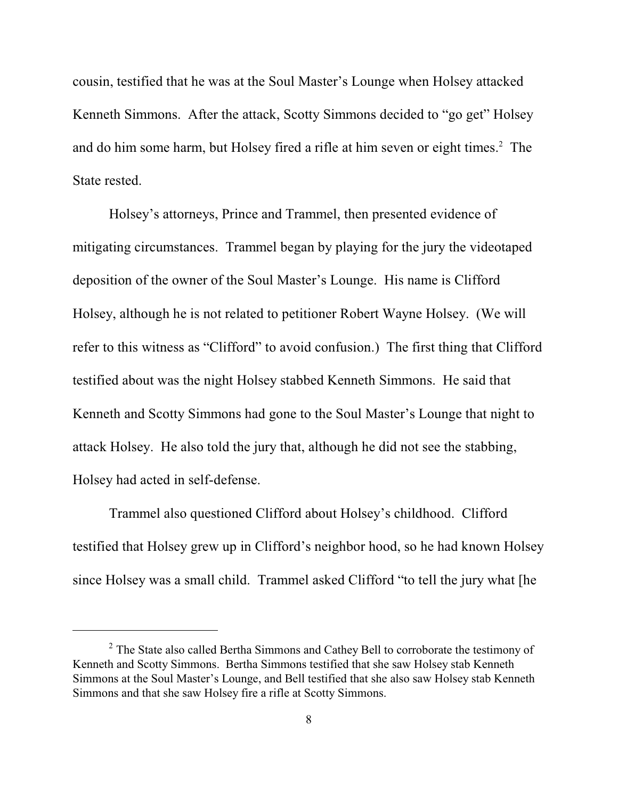cousin, testified that he was at the Soul Master's Lounge when Holsey attacked Kenneth Simmons. After the attack, Scotty Simmons decided to "go get" Holsey and do him some harm, but Holsey fired a rifle at him seven or eight times.<sup>2</sup> The State rested.

Holsey's attorneys, Prince and Trammel, then presented evidence of mitigating circumstances. Trammel began by playing for the jury the videotaped deposition of the owner of the Soul Master's Lounge. His name is Clifford Holsey, although he is not related to petitioner Robert Wayne Holsey. (We will refer to this witness as "Clifford" to avoid confusion.) The first thing that Clifford testified about was the night Holsey stabbed Kenneth Simmons. He said that Kenneth and Scotty Simmons had gone to the Soul Master's Lounge that night to attack Holsey. He also told the jury that, although he did not see the stabbing, Holsey had acted in self-defense.

Trammel also questioned Clifford about Holsey's childhood. Clifford testified that Holsey grew up in Clifford's neighbor hood, so he had known Holsey since Holsey was a small child. Trammel asked Clifford "to tell the jury what [he

 $2^{\circ}$  The State also called Bertha Simmons and Cathey Bell to corroborate the testimony of Kenneth and Scotty Simmons. Bertha Simmons testified that she saw Holsey stab Kenneth Simmons at the Soul Master's Lounge, and Bell testified that she also saw Holsey stab Kenneth Simmons and that she saw Holsey fire a rifle at Scotty Simmons.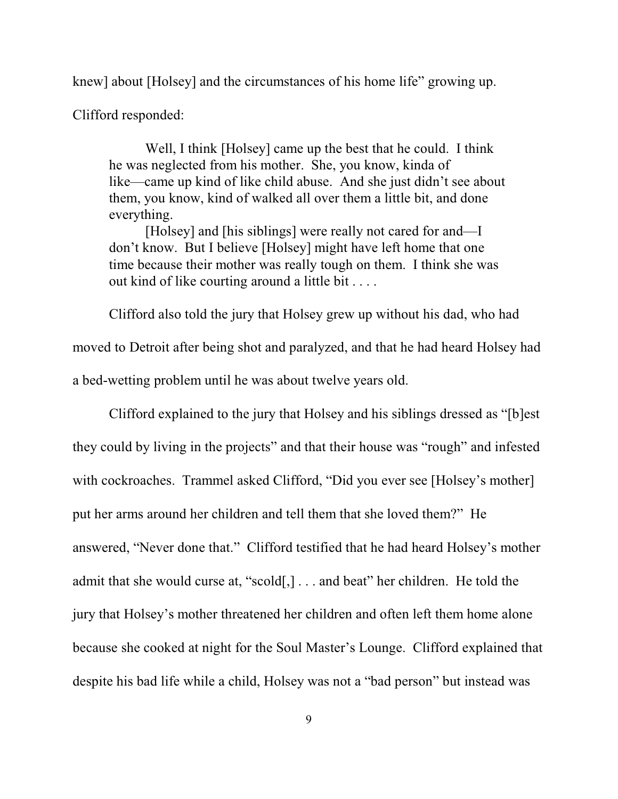knew] about [Holsey] and the circumstances of his home life" growing up.

Clifford responded:

Well, I think [Holsey] came up the best that he could. I think he was neglected from his mother. She, you know, kinda of like—came up kind of like child abuse. And she just didn't see about them, you know, kind of walked all over them a little bit, and done everything.

[Holsey] and [his siblings] were really not cared for and—I don't know. But I believe [Holsey] might have left home that one time because their mother was really tough on them. I think she was out kind of like courting around a little bit . . . .

Clifford also told the jury that Holsey grew up without his dad, who had moved to Detroit after being shot and paralyzed, and that he had heard Holsey had a bed-wetting problem until he was about twelve years old.

Clifford explained to the jury that Holsey and his siblings dressed as "[b]est they could by living in the projects" and that their house was "rough" and infested with cockroaches. Trammel asked Clifford, "Did you ever see [Holsey's mother] put her arms around her children and tell them that she loved them?" He answered, "Never done that." Clifford testified that he had heard Holsey's mother admit that she would curse at, "scold[,] . . . and beat" her children. He told the jury that Holsey's mother threatened her children and often left them home alone because she cooked at night for the Soul Master's Lounge. Clifford explained that despite his bad life while a child, Holsey was not a "bad person" but instead was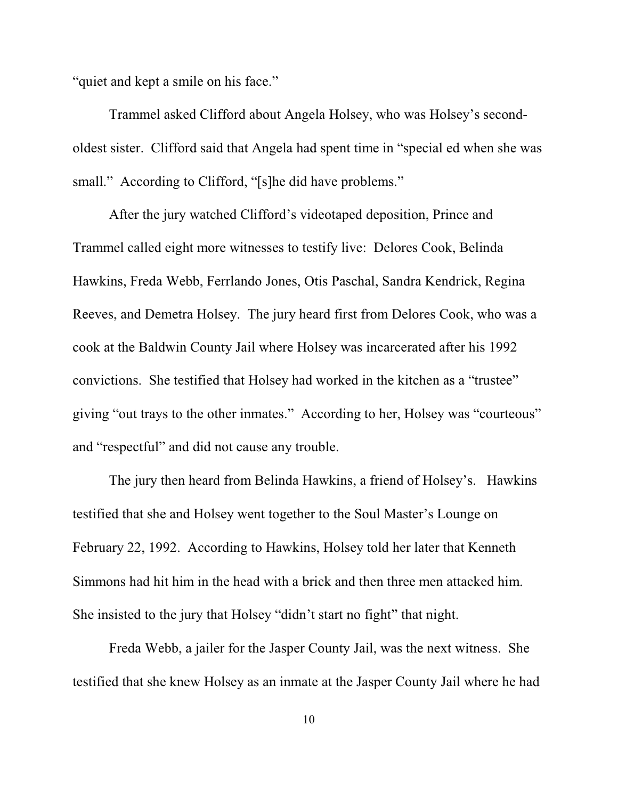"quiet and kept a smile on his face."

Trammel asked Clifford about Angela Holsey, who was Holsey's secondoldest sister. Clifford said that Angela had spent time in "special ed when she was small." According to Clifford, "[s]he did have problems."

After the jury watched Clifford's videotaped deposition, Prince and Trammel called eight more witnesses to testify live: Delores Cook, Belinda Hawkins, Freda Webb, Ferrlando Jones, Otis Paschal, Sandra Kendrick, Regina Reeves, and Demetra Holsey. The jury heard first from Delores Cook, who was a cook at the Baldwin County Jail where Holsey was incarcerated after his 1992 convictions. She testified that Holsey had worked in the kitchen as a "trustee" giving "out trays to the other inmates." According to her, Holsey was "courteous" and "respectful" and did not cause any trouble.

The jury then heard from Belinda Hawkins, a friend of Holsey's. Hawkins testified that she and Holsey went together to the Soul Master's Lounge on February 22, 1992. According to Hawkins, Holsey told her later that Kenneth Simmons had hit him in the head with a brick and then three men attacked him. She insisted to the jury that Holsey "didn't start no fight" that night.

Freda Webb, a jailer for the Jasper County Jail, was the next witness. She testified that she knew Holsey as an inmate at the Jasper County Jail where he had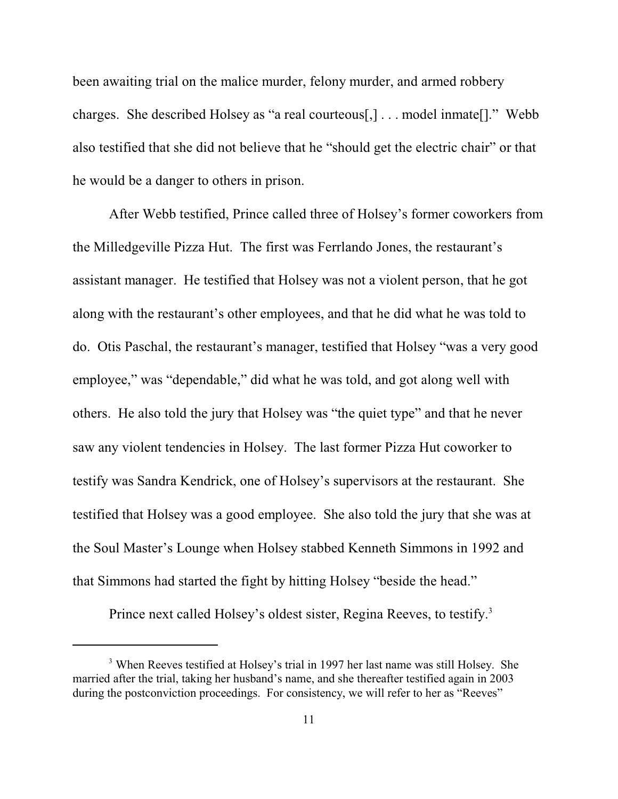been awaiting trial on the malice murder, felony murder, and armed robbery charges. She described Holsey as "a real courteous[,] . . . model inmate[]." Webb also testified that she did not believe that he "should get the electric chair" or that he would be a danger to others in prison.

After Webb testified, Prince called three of Holsey's former coworkers from the Milledgeville Pizza Hut. The first was Ferrlando Jones, the restaurant's assistant manager. He testified that Holsey was not a violent person, that he got along with the restaurant's other employees, and that he did what he was told to do. Otis Paschal, the restaurant's manager, testified that Holsey "was a very good employee," was "dependable," did what he was told, and got along well with others. He also told the jury that Holsey was "the quiet type" and that he never saw any violent tendencies in Holsey. The last former Pizza Hut coworker to testify was Sandra Kendrick, one of Holsey's supervisors at the restaurant. She testified that Holsey was a good employee. She also told the jury that she was at the Soul Master's Lounge when Holsey stabbed Kenneth Simmons in 1992 and that Simmons had started the fight by hitting Holsey "beside the head."

Prince next called Holsey's oldest sister, Regina Reeves, to testify.<sup>3</sup>

<sup>&</sup>lt;sup>3</sup> When Reeves testified at Holsey's trial in 1997 her last name was still Holsey. She married after the trial, taking her husband's name, and she thereafter testified again in 2003 during the postconviction proceedings. For consistency, we will refer to her as "Reeves"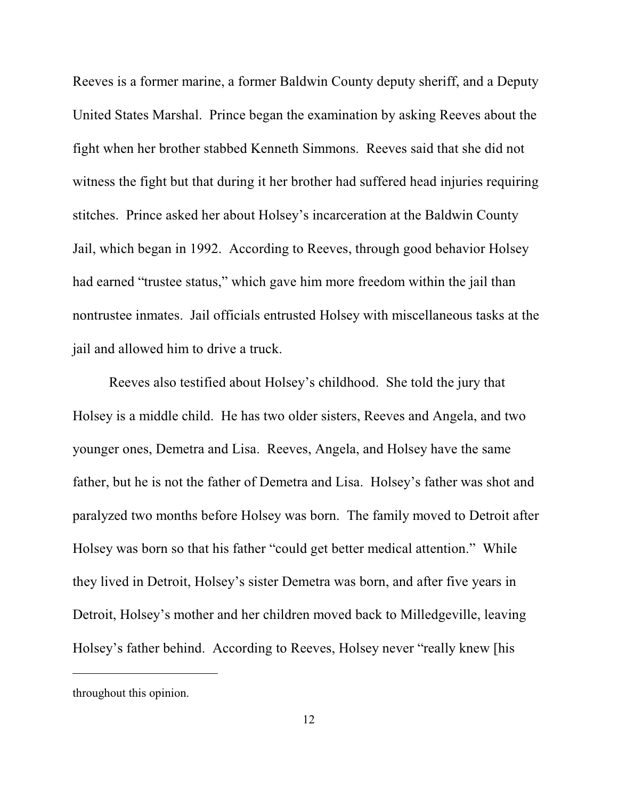Reeves is a former marine, a former Baldwin County deputy sheriff, and a Deputy United States Marshal. Prince began the examination by asking Reeves about the fight when her brother stabbed Kenneth Simmons. Reeves said that she did not witness the fight but that during it her brother had suffered head injuries requiring stitches. Prince asked her about Holsey's incarceration at the Baldwin County Jail, which began in 1992. According to Reeves, through good behavior Holsey had earned "trustee status," which gave him more freedom within the jail than nontrustee inmates. Jail officials entrusted Holsey with miscellaneous tasks at the jail and allowed him to drive a truck.

Reeves also testified about Holsey's childhood. She told the jury that Holsey is a middle child. He has two older sisters, Reeves and Angela, and two younger ones, Demetra and Lisa. Reeves, Angela, and Holsey have the same father, but he is not the father of Demetra and Lisa. Holsey's father was shot and paralyzed two months before Holsey was born. The family moved to Detroit after Holsey was born so that his father "could get better medical attention." While they lived in Detroit, Holsey's sister Demetra was born, and after five years in Detroit, Holsey's mother and her children moved back to Milledgeville, leaving Holsey's father behind. According to Reeves, Holsey never "really knew [his

throughout this opinion.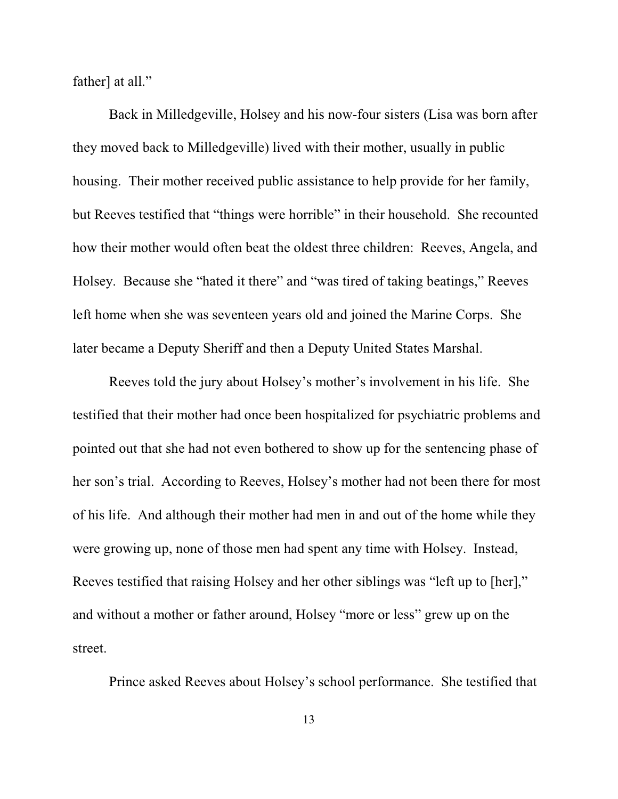father] at all."

Back in Milledgeville, Holsey and his now-four sisters (Lisa was born after they moved back to Milledgeville) lived with their mother, usually in public housing. Their mother received public assistance to help provide for her family, but Reeves testified that "things were horrible" in their household. She recounted how their mother would often beat the oldest three children: Reeves, Angela, and Holsey. Because she "hated it there" and "was tired of taking beatings," Reeves left home when she was seventeen years old and joined the Marine Corps. She later became a Deputy Sheriff and then a Deputy United States Marshal.

Reeves told the jury about Holsey's mother's involvement in his life. She testified that their mother had once been hospitalized for psychiatric problems and pointed out that she had not even bothered to show up for the sentencing phase of her son's trial. According to Reeves, Holsey's mother had not been there for most of his life. And although their mother had men in and out of the home while they were growing up, none of those men had spent any time with Holsey. Instead, Reeves testified that raising Holsey and her other siblings was "left up to [her]," and without a mother or father around, Holsey "more or less" grew up on the street.

Prince asked Reeves about Holsey's school performance. She testified that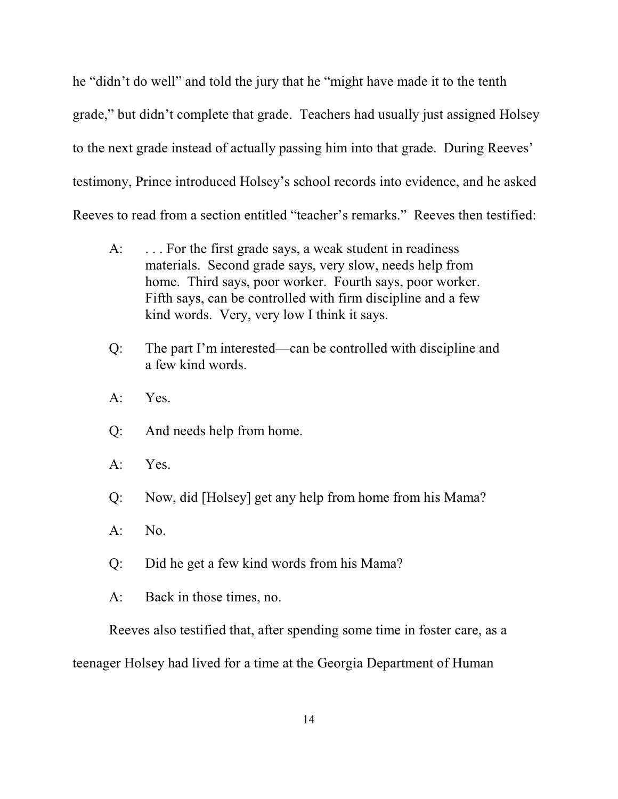he "didn't do well" and told the jury that he "might have made it to the tenth grade," but didn't complete that grade. Teachers had usually just assigned Holsey to the next grade instead of actually passing him into that grade. During Reeves' testimony, Prince introduced Holsey's school records into evidence, and he asked Reeves to read from a section entitled "teacher's remarks." Reeves then testified:

- A: ... For the first grade says, a weak student in readiness materials. Second grade says, very slow, needs help from home. Third says, poor worker. Fourth says, poor worker. Fifth says, can be controlled with firm discipline and a few kind words. Very, very low I think it says.
- Q: The part I'm interested—can be controlled with discipline and a few kind words.
- A: Yes.
- Q: And needs help from home.
- A: Yes.
- Q: Now, did [Holsey] get any help from home from his Mama?
- A: No.
- Q: Did he get a few kind words from his Mama?
- A: Back in those times, no.

Reeves also testified that, after spending some time in foster care, as a

teenager Holsey had lived for a time at the Georgia Department of Human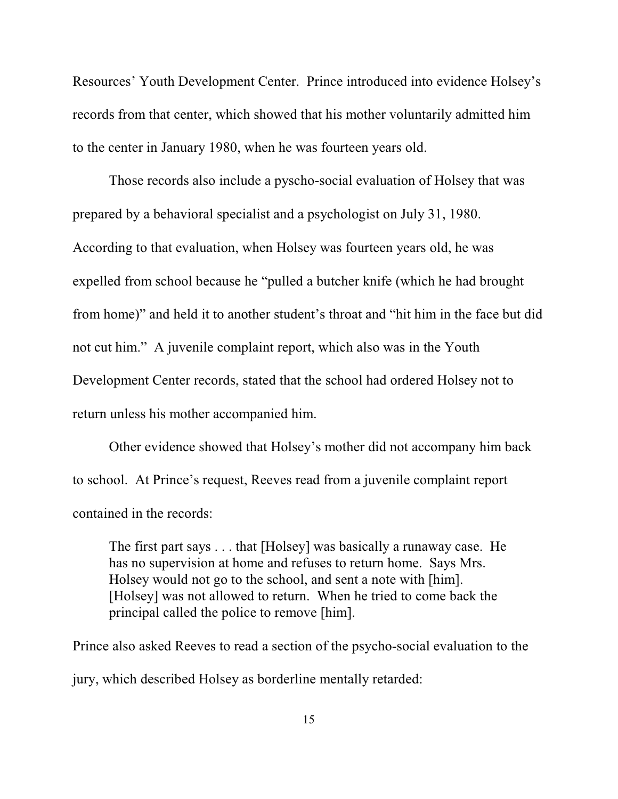Resources' Youth Development Center. Prince introduced into evidence Holsey's records from that center, which showed that his mother voluntarily admitted him to the center in January 1980, when he was fourteen years old.

Those records also include a pyscho-social evaluation of Holsey that was prepared by a behavioral specialist and a psychologist on July 31, 1980. According to that evaluation, when Holsey was fourteen years old, he was expelled from school because he "pulled a butcher knife (which he had brought from home)" and held it to another student's throat and "hit him in the face but did not cut him." A juvenile complaint report, which also was in the Youth Development Center records, stated that the school had ordered Holsey not to return unless his mother accompanied him.

Other evidence showed that Holsey's mother did not accompany him back to school. At Prince's request, Reeves read from a juvenile complaint report contained in the records:

The first part says . . . that [Holsey] was basically a runaway case. He has no supervision at home and refuses to return home. Says Mrs. Holsey would not go to the school, and sent a note with [him]. [Holsey] was not allowed to return. When he tried to come back the principal called the police to remove [him].

Prince also asked Reeves to read a section of the psycho-social evaluation to the jury, which described Holsey as borderline mentally retarded: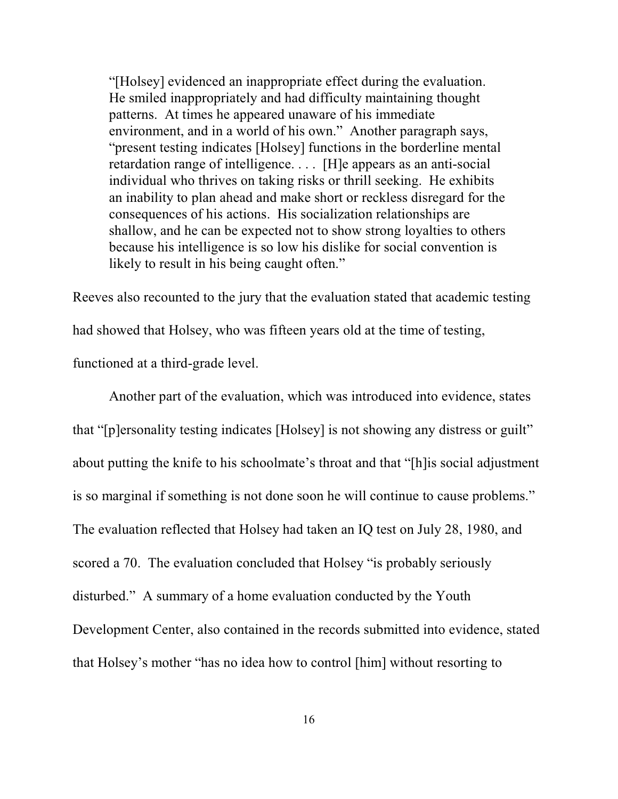"[Holsey] evidenced an inappropriate effect during the evaluation. He smiled inappropriately and had difficulty maintaining thought patterns. At times he appeared unaware of his immediate environment, and in a world of his own." Another paragraph says, "present testing indicates [Holsey] functions in the borderline mental retardation range of intelligence. . . . [H]e appears as an anti-social individual who thrives on taking risks or thrill seeking. He exhibits an inability to plan ahead and make short or reckless disregard for the consequences of his actions. His socialization relationships are shallow, and he can be expected not to show strong loyalties to others because his intelligence is so low his dislike for social convention is likely to result in his being caught often."

Reeves also recounted to the jury that the evaluation stated that academic testing had showed that Holsey, who was fifteen years old at the time of testing, functioned at a third-grade level.

Another part of the evaluation, which was introduced into evidence, states that "[p]ersonality testing indicates [Holsey] is not showing any distress or guilt" about putting the knife to his schoolmate's throat and that "[h]is social adjustment is so marginal if something is not done soon he will continue to cause problems." The evaluation reflected that Holsey had taken an IQ test on July 28, 1980, and scored a 70. The evaluation concluded that Holsey "is probably seriously disturbed." A summary of a home evaluation conducted by the Youth Development Center, also contained in the records submitted into evidence, stated that Holsey's mother "has no idea how to control [him] without resorting to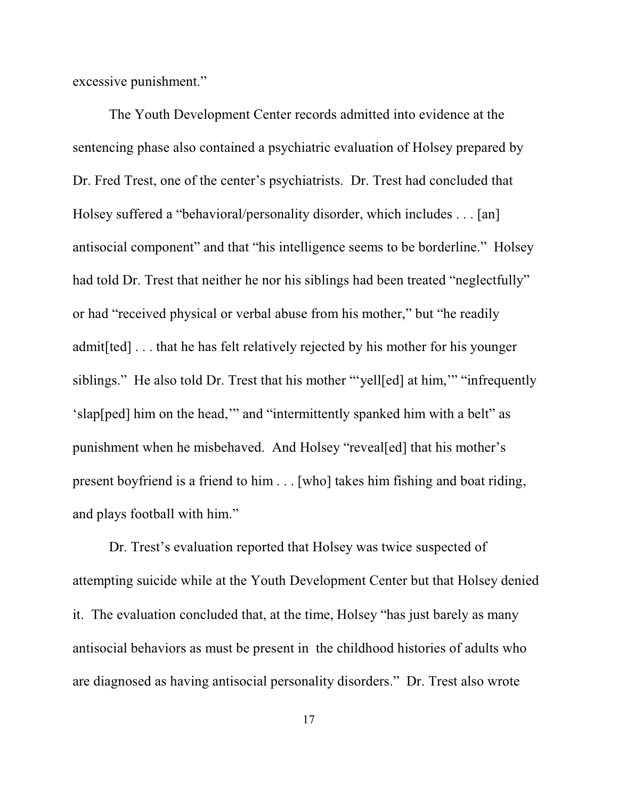excessive punishment."

The Youth Development Center records admitted into evidence at the sentencing phase also contained a psychiatric evaluation of Holsey prepared by Dr. Fred Trest, one of the center's psychiatrists. Dr. Trest had concluded that Holsey suffered a "behavioral/personality disorder, which includes . . . [an] antisocial component" and that "his intelligence seems to be borderline." Holsey had told Dr. Trest that neither he nor his siblings had been treated "neglectfully" or had "received physical or verbal abuse from his mother," but "he readily admit[ted] . . . that he has felt relatively rejected by his mother for his younger siblings." He also told Dr. Trest that his mother "'yell[ed] at him,'" "infrequently 'slap[ped] him on the head,'" and "intermittently spanked him with a belt" as punishment when he misbehaved. And Holsey "reveal[ed] that his mother's present boyfriend is a friend to him . . . [who] takes him fishing and boat riding, and plays football with him."

Dr. Trest's evaluation reported that Holsey was twice suspected of attempting suicide while at the Youth Development Center but that Holsey denied it. The evaluation concluded that, at the time, Holsey "has just barely as many antisocial behaviors as must be present in the childhood histories of adults who are diagnosed as having antisocial personality disorders." Dr. Trest also wrote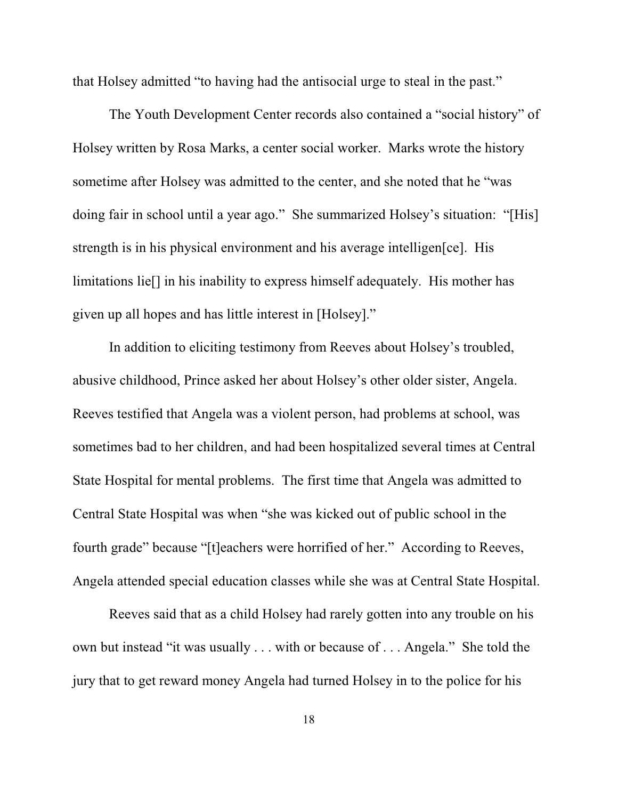that Holsey admitted "to having had the antisocial urge to steal in the past."

The Youth Development Center records also contained a "social history" of Holsey written by Rosa Marks, a center social worker. Marks wrote the history sometime after Holsey was admitted to the center, and she noted that he "was doing fair in school until a year ago." She summarized Holsey's situation: "[His] strength is in his physical environment and his average intelligen[ce]. His limitations lie[] in his inability to express himself adequately. His mother has given up all hopes and has little interest in [Holsey]."

In addition to eliciting testimony from Reeves about Holsey's troubled, abusive childhood, Prince asked her about Holsey's other older sister, Angela. Reeves testified that Angela was a violent person, had problems at school, was sometimes bad to her children, and had been hospitalized several times at Central State Hospital for mental problems. The first time that Angela was admitted to Central State Hospital was when "she was kicked out of public school in the fourth grade" because "[t]eachers were horrified of her." According to Reeves, Angela attended special education classes while she was at Central State Hospital.

Reeves said that as a child Holsey had rarely gotten into any trouble on his own but instead "it was usually . . . with or because of . . . Angela." She told the jury that to get reward money Angela had turned Holsey in to the police for his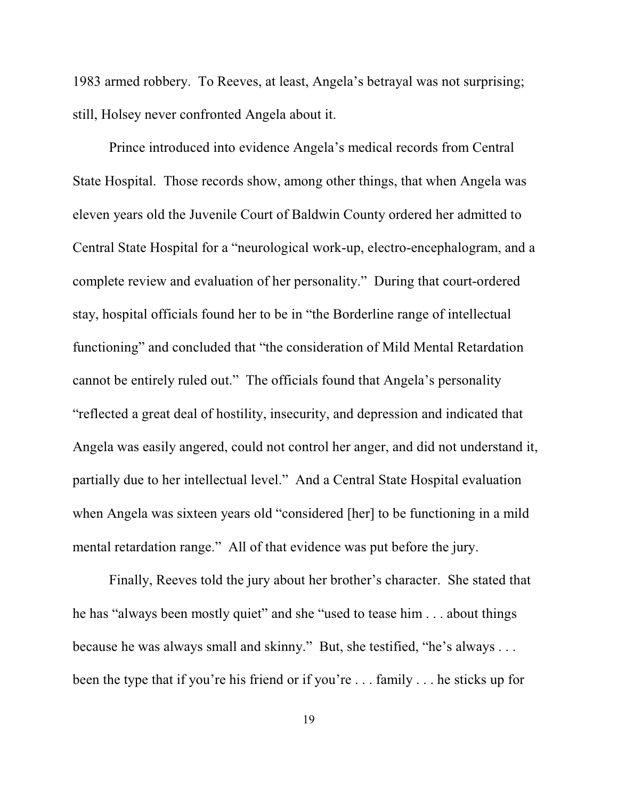1983 armed robbery. To Reeves, at least, Angela's betrayal was not surprising; still, Holsey never confronted Angela about it.

Prince introduced into evidence Angela's medical records from Central State Hospital.Those records show, among other things, that when Angela was eleven years old the Juvenile Court of Baldwin County ordered her admitted to Central State Hospital for a "neurological work-up, electro-encephalogram, and a complete review and evaluation of her personality." During that court-ordered stay, hospital officials found her to be in "the Borderline range of intellectual functioning" and concluded that "the consideration of Mild Mental Retardation cannot be entirely ruled out." The officials found that Angela's personality "reflected a great deal of hostility, insecurity, and depression and indicated that Angela was easily angered, could not control her anger, and did not understand it, partially due to her intellectual level." And a Central State Hospital evaluation when Angela was sixteen years old "considered [her] to be functioning in a mild mental retardation range." All of that evidence was put before the jury.

Finally, Reeves told the jury about her brother's character. She stated that he has "always been mostly quiet" and she "used to tease him . . . about things because he was always small and skinny." But, she testified, "he's always . . . been the type that if you're his friend or if you're . . . family . . . he sticks up for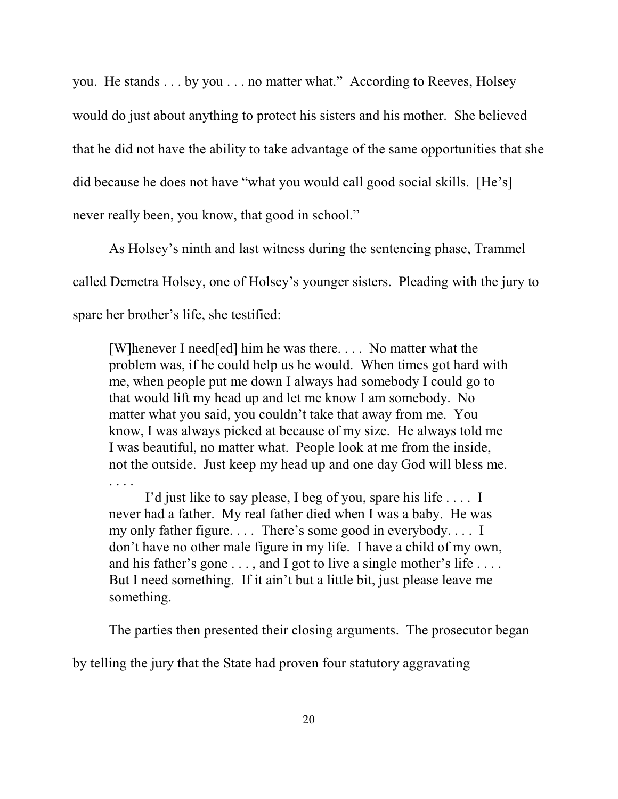you. He stands . . . by you . . . no matter what." According to Reeves, Holsey would do just about anything to protect his sisters and his mother. She believed that he did not have the ability to take advantage of the same opportunities that she did because he does not have "what you would call good social skills. [He's] never really been, you know, that good in school."

As Holsey's ninth and last witness during the sentencing phase, Trammel called Demetra Holsey, one of Holsey's younger sisters. Pleading with the jury to spare her brother's life, she testified:

[W]henever I need[ed] him he was there. . . . No matter what the problem was, if he could help us he would. When times got hard with me, when people put me down I always had somebody I could go to that would lift my head up and let me know I am somebody. No matter what you said, you couldn't take that away from me. You know, I was always picked at because of my size. He always told me I was beautiful, no matter what. People look at me from the inside, not the outside. Just keep my head up and one day God will bless me. . . . .

I'd just like to say please, I beg of you, spare his life . . . . I never had a father. My real father died when I was a baby. He was my only father figure. . . . There's some good in everybody. . . . I don't have no other male figure in my life. I have a child of my own, and his father's gone . . . , and I got to live a single mother's life . . . . But I need something. If it ain't but a little bit, just please leave me something.

The parties then presented their closing arguments. The prosecutor began

by telling the jury that the State had proven four statutory aggravating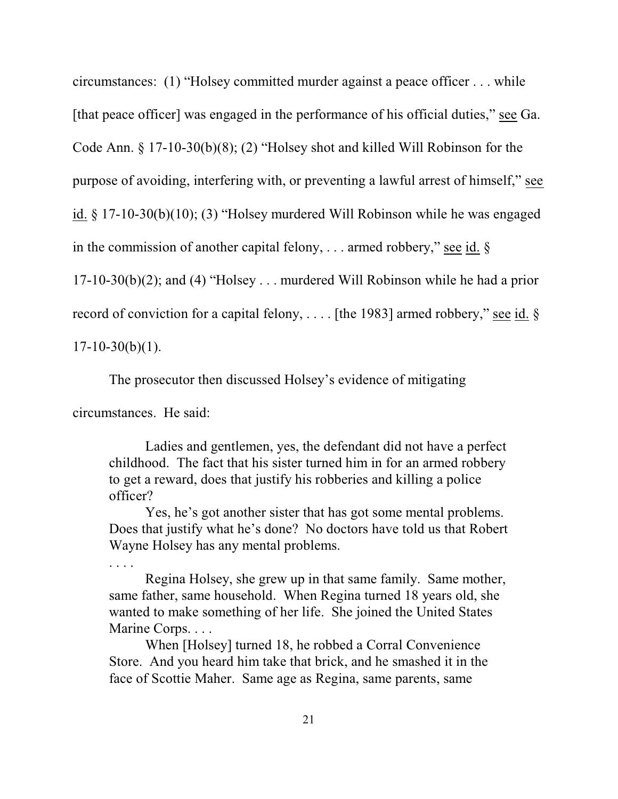circumstances: (1) "Holsey committed murder against a peace officer . . . while

[that peace officer] was engaged in the performance of his official duties," see Ga.

Code Ann. § 17-10-30(b)(8); (2) "Holsey shot and killed Will Robinson for the

purpose of avoiding, interfering with, or preventing a lawful arrest of himself," see

id. § 17-10-30(b)(10); (3) "Holsey murdered Will Robinson while he was engaged

in the commission of another capital felony, ... armed robbery," see id.  $\S$ 

17-10-30(b)(2); and (4) "Holsey . . . murdered Will Robinson while he had a prior

record of conviction for a capital felony, . . . . [the 1983] armed robbery," see id. §

 $17-10-30(b)(1)$ .

. . . .

The prosecutor then discussed Holsey's evidence of mitigating

circumstances. He said:

Ladies and gentlemen, yes, the defendant did not have a perfect childhood. The fact that his sister turned him in for an armed robbery to get a reward, does that justify his robberies and killing a police officer?

Yes, he's got another sister that has got some mental problems. Does that justify what he's done? No doctors have told us that Robert Wayne Holsey has any mental problems.

Regina Holsey, she grew up in that same family. Same mother, same father, same household. When Regina turned 18 years old, she wanted to make something of her life. She joined the United States Marine Corps. . . .

When [Holsey] turned 18, he robbed a Corral Convenience Store. And you heard him take that brick, and he smashed it in the face of Scottie Maher. Same age as Regina, same parents, same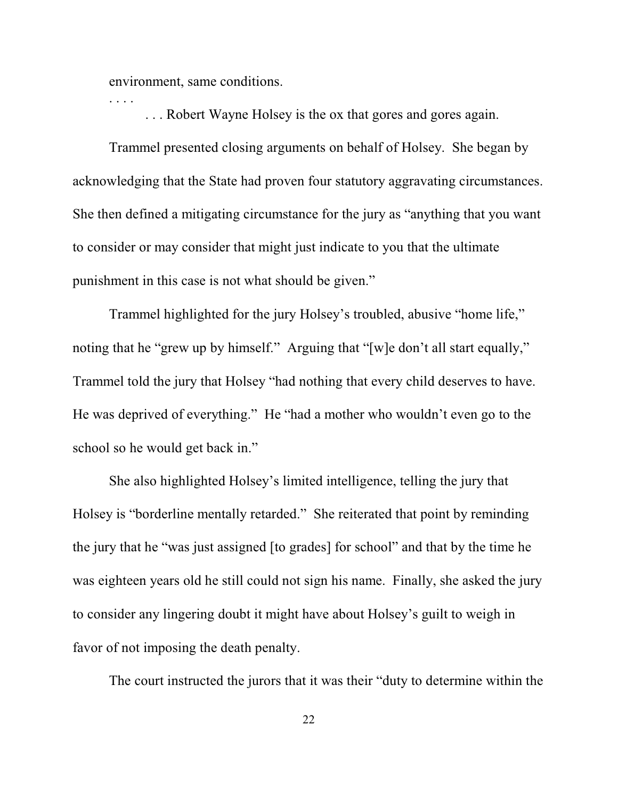environment, same conditions.

. . . .

. . . Robert Wayne Holsey is the ox that gores and gores again.

Trammel presented closing arguments on behalf of Holsey. She began by acknowledging that the State had proven four statutory aggravating circumstances. She then defined a mitigating circumstance for the jury as "anything that you want to consider or may consider that might just indicate to you that the ultimate punishment in this case is not what should be given."

Trammel highlighted for the jury Holsey's troubled, abusive "home life," noting that he "grew up by himself." Arguing that "[w]e don't all start equally," Trammel told the jury that Holsey "had nothing that every child deserves to have. He was deprived of everything." He "had a mother who wouldn't even go to the school so he would get back in."

She also highlighted Holsey's limited intelligence, telling the jury that Holsey is "borderline mentally retarded." She reiterated that point by reminding the jury that he "was just assigned [to grades] for school" and that by the time he was eighteen years old he still could not sign his name. Finally, she asked the jury to consider any lingering doubt it might have about Holsey's guilt to weigh in favor of not imposing the death penalty.

The court instructed the jurors that it was their "duty to determine within the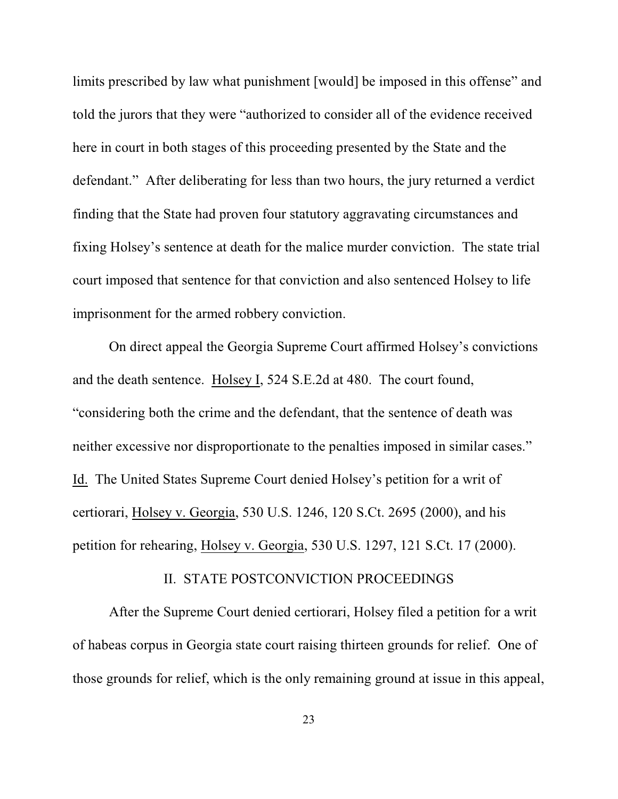limits prescribed by law what punishment [would] be imposed in this offense" and told the jurors that they were "authorized to consider all of the evidence received here in court in both stages of this proceeding presented by the State and the defendant." After deliberating for less than two hours, the jury returned a verdict finding that the State had proven four statutory aggravating circumstances and fixing Holsey's sentence at death for the malice murder conviction. The state trial court imposed that sentence for that conviction and also sentenced Holsey to life imprisonment for the armed robbery conviction.

On direct appeal the Georgia Supreme Court affirmed Holsey's convictions and the death sentence. Holsey I, 524 S.E.2d at 480. The court found, "considering both the crime and the defendant, that the sentence of death was neither excessive nor disproportionate to the penalties imposed in similar cases." Id. The United States Supreme Court denied Holsey's petition for a writ of certiorari, Holsey v. Georgia, 530 U.S. 1246, 120 S.Ct. 2695 (2000), and his petition for rehearing, Holsey v. Georgia, 530 U.S. 1297, 121 S.Ct. 17 (2000).

### II. STATE POSTCONVICTION PROCEEDINGS

After the Supreme Court denied certiorari, Holsey filed a petition for a writ of habeas corpus in Georgia state court raising thirteen grounds for relief. One of those grounds for relief, which is the only remaining ground at issue in this appeal,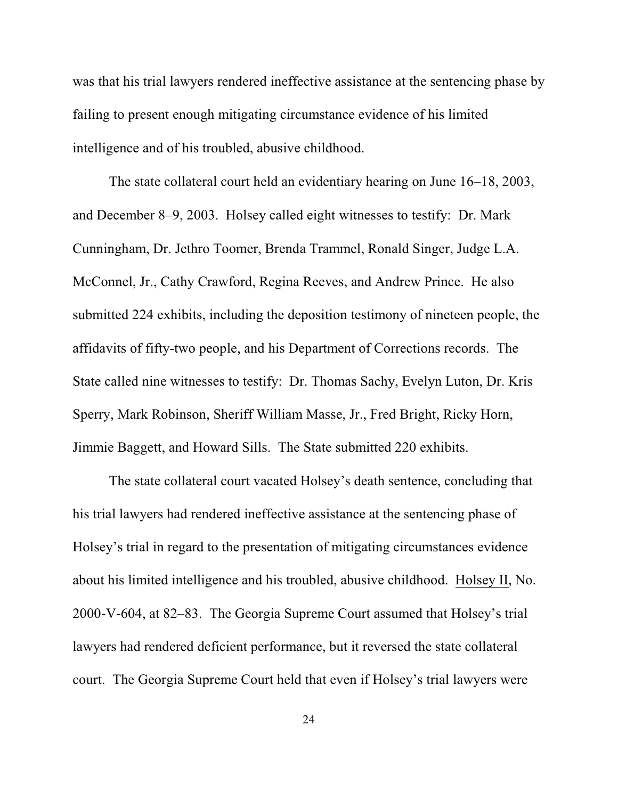was that his trial lawyers rendered ineffective assistance at the sentencing phase by failing to present enough mitigating circumstance evidence of his limited intelligence and of his troubled, abusive childhood.

The state collateral court held an evidentiary hearing on June 16–18, 2003, and December 8–9, 2003. Holsey called eight witnesses to testify: Dr. Mark Cunningham, Dr. Jethro Toomer, Brenda Trammel, Ronald Singer, Judge L.A. McConnel, Jr., Cathy Crawford, Regina Reeves, and Andrew Prince. He also submitted 224 exhibits, including the deposition testimony of nineteen people, the affidavits of fifty-two people, and his Department of Corrections records. The State called nine witnesses to testify: Dr. Thomas Sachy, Evelyn Luton, Dr. Kris Sperry, Mark Robinson, Sheriff William Masse, Jr., Fred Bright, Ricky Horn, Jimmie Baggett, and Howard Sills. The State submitted 220 exhibits.

The state collateral court vacated Holsey's death sentence, concluding that his trial lawyers had rendered ineffective assistance at the sentencing phase of Holsey's trial in regard to the presentation of mitigating circumstances evidence about his limited intelligence and his troubled, abusive childhood. Holsey II, No. 2000-V-604, at 82–83. The Georgia Supreme Court assumed that Holsey's trial lawyers had rendered deficient performance, but it reversed the state collateral court. The Georgia Supreme Court held that even if Holsey's trial lawyers were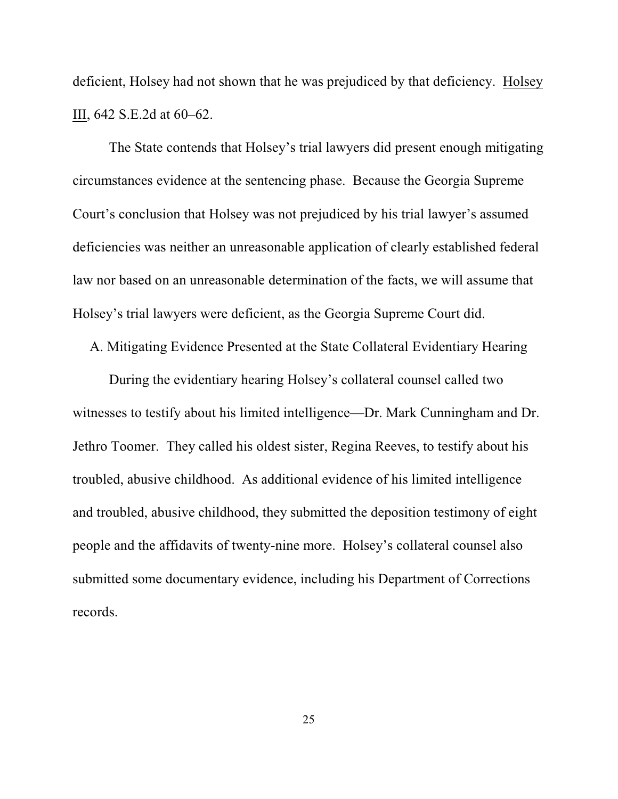deficient, Holsey had not shown that he was prejudiced by that deficiency. Holsey III, 642 S.E.2d at 60–62.

The State contends that Holsey's trial lawyers did present enough mitigating circumstances evidence at the sentencing phase. Because the Georgia Supreme Court's conclusion that Holsey was not prejudiced by his trial lawyer's assumed deficiencies was neither an unreasonable application of clearly established federal law nor based on an unreasonable determination of the facts, we will assume that Holsey's trial lawyers were deficient, as the Georgia Supreme Court did.

A. Mitigating Evidence Presented at the State Collateral Evidentiary Hearing

During the evidentiary hearing Holsey's collateral counsel called two witnesses to testify about his limited intelligence—Dr. Mark Cunningham and Dr. Jethro Toomer. They called his oldest sister, Regina Reeves, to testify about his troubled, abusive childhood. As additional evidence of his limited intelligence and troubled, abusive childhood, they submitted the deposition testimony of eight people and the affidavits of twenty-nine more. Holsey's collateral counsel also submitted some documentary evidence, including his Department of Corrections records.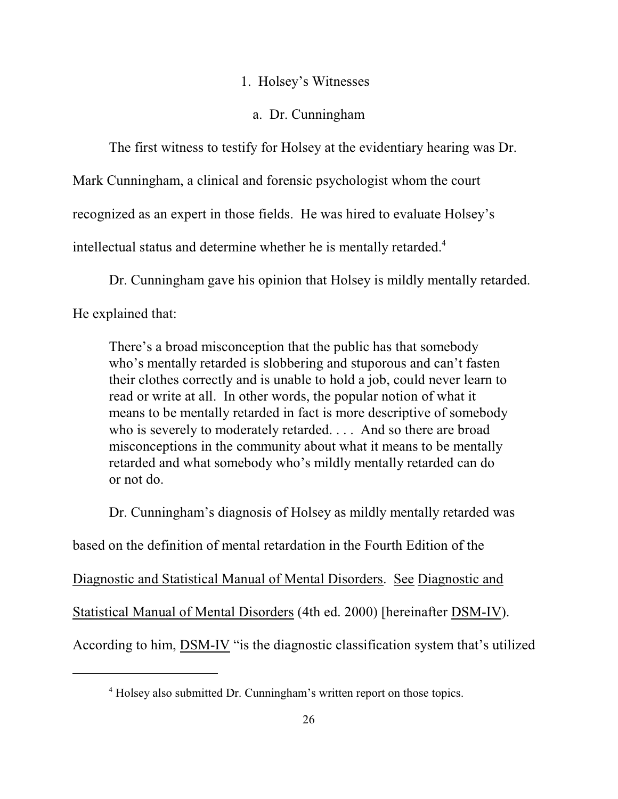### 1. Holsey's Witnesses

# a. Dr. Cunningham

The first witness to testify for Holsey at the evidentiary hearing was Dr.

Mark Cunningham, a clinical and forensic psychologist whom the court

recognized as an expert in those fields. He was hired to evaluate Holsey's

intellectual status and determine whether he is mentally retarded. 4

Dr. Cunningham gave his opinion that Holsey is mildly mentally retarded.

He explained that:

There's a broad misconception that the public has that somebody who's mentally retarded is slobbering and stuporous and can't fasten their clothes correctly and is unable to hold a job, could never learn to read or write at all. In other words, the popular notion of what it means to be mentally retarded in fact is more descriptive of somebody who is severely to moderately retarded. . . . And so there are broad misconceptions in the community about what it means to be mentally retarded and what somebody who's mildly mentally retarded can do or not do.

Dr. Cunningham's diagnosis of Holsey as mildly mentally retarded was

based on the definition of mental retardation in the Fourth Edition of the

Diagnostic and Statistical Manual of Mental Disorders. See Diagnostic and

Statistical Manual of Mental Disorders (4th ed. 2000) [hereinafter DSM-IV).

According to him, DSM-IV "is the diagnostic classification system that's utilized

<sup>&</sup>lt;sup>4</sup> Holsey also submitted Dr. Cunningham's written report on those topics.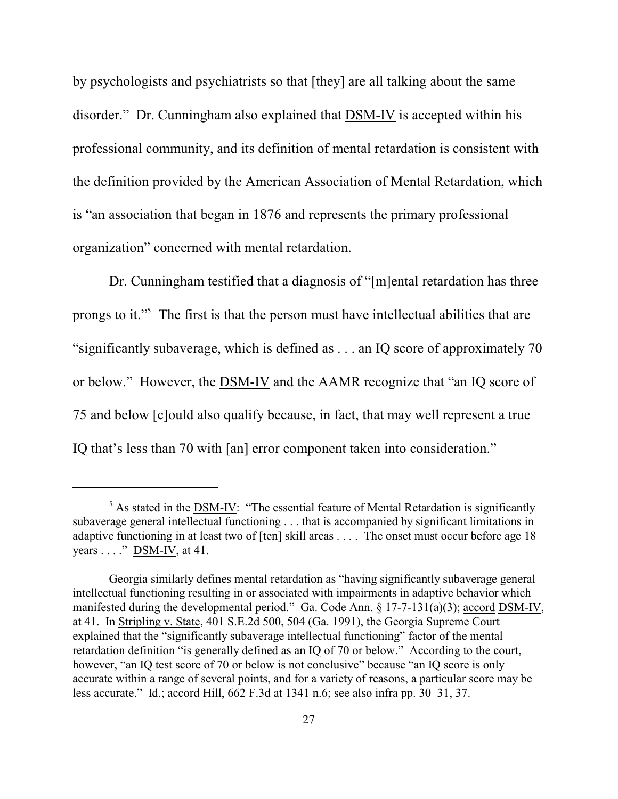by psychologists and psychiatrists so that [they] are all talking about the same disorder." Dr. Cunningham also explained that DSM-IV is accepted within his professional community, and its definition of mental retardation is consistent with the definition provided by the American Association of Mental Retardation, which is "an association that began in 1876 and represents the primary professional organization" concerned with mental retardation.

Dr. Cunningham testified that a diagnosis of "[m]ental retardation has three prongs to it."<sup>5</sup> The first is that the person must have intellectual abilities that are "significantly subaverage, which is defined as . . . an IQ score of approximately 70 or below." However, the DSM-IV and the AAMR recognize that "an IQ score of 75 and below [c]ould also qualify because, in fact, that may well represent a true IQ that's less than 70 with [an] error component taken into consideration."

 $<sup>5</sup>$  As stated in the DSM-IV: "The essential feature of Mental Retardation is significantly</sup> subaverage general intellectual functioning . . . that is accompanied by significant limitations in adaptive functioning in at least two of [ten] skill areas . . . . The onset must occur before age 18 years  $\dots$ ." DSM-IV, at 41.

Georgia similarly defines mental retardation as "having significantly subaverage general intellectual functioning resulting in or associated with impairments in adaptive behavior which manifested during the developmental period." Ga. Code Ann. § 17-7-131(a)(3); accord DSM-IV, at 41. In Stripling v. State, 401 S.E.2d 500, 504 (Ga. 1991), the Georgia Supreme Court explained that the "significantly subaverage intellectual functioning" factor of the mental retardation definition "is generally defined as an IQ of 70 or below." According to the court, however, "an IQ test score of 70 or below is not conclusive" because "an IQ score is only accurate within a range of several points, and for a variety of reasons, a particular score may be less accurate." Id.; accord Hill, 662 F.3d at 1341 n.6; see also infra pp. 30–31, 37.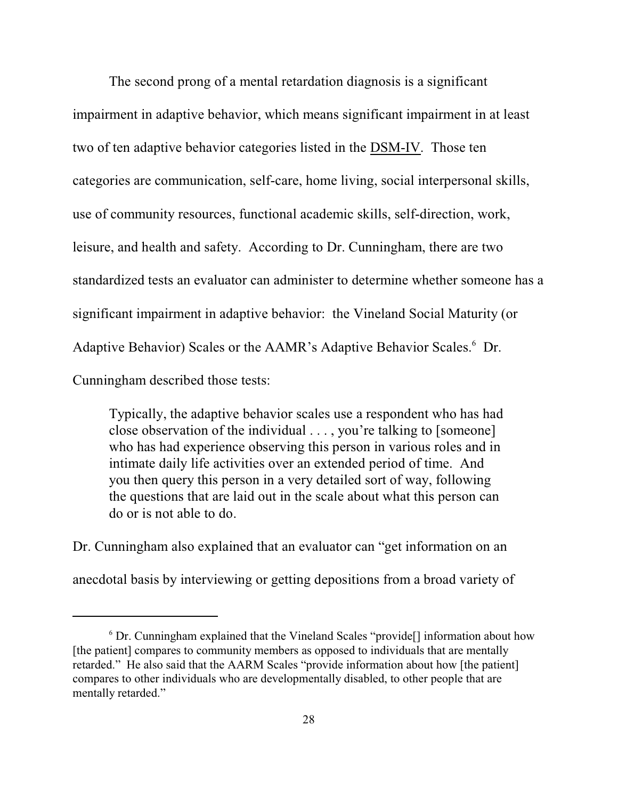The second prong of a mental retardation diagnosis is a significant impairment in adaptive behavior, which means significant impairment in at least two of ten adaptive behavior categories listed in the DSM-IV. Those ten categories are communication, self-care, home living, social interpersonal skills, use of community resources, functional academic skills, self-direction, work, leisure, and health and safety. According to Dr. Cunningham, there are two standardized tests an evaluator can administer to determine whether someone has a significant impairment in adaptive behavior: the Vineland Social Maturity (or Adaptive Behavior) Scales or the AAMR's Adaptive Behavior Scales.<sup>6</sup> Dr. Cunningham described those tests:

Typically, the adaptive behavior scales use a respondent who has had close observation of the individual . . . , you're talking to [someone] who has had experience observing this person in various roles and in intimate daily life activities over an extended period of time. And you then query this person in a very detailed sort of way, following the questions that are laid out in the scale about what this person can do or is not able to do.

Dr. Cunningham also explained that an evaluator can "get information on an anecdotal basis by interviewing or getting depositions from a broad variety of

 $6$  Dr. Cunningham explained that the Vineland Scales "provide<sup>[]</sup> information about how [the patient] compares to community members as opposed to individuals that are mentally retarded." He also said that the AARM Scales "provide information about how [the patient] compares to other individuals who are developmentally disabled, to other people that are mentally retarded."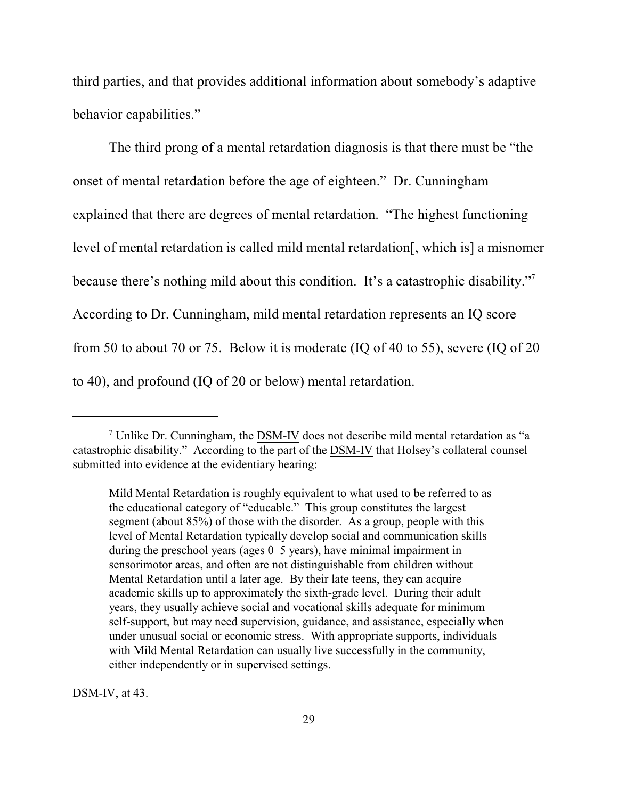third parties, and that provides additional information about somebody's adaptive behavior capabilities."

The third prong of a mental retardation diagnosis is that there must be "the onset of mental retardation before the age of eighteen." Dr. Cunningham explained that there are degrees of mental retardation. "The highest functioning level of mental retardation is called mild mental retardation[, which is] a misnomer because there's nothing mild about this condition. It's a catastrophic disability."<sup>7</sup> According to Dr. Cunningham, mild mental retardation represents an IQ score from 50 to about 70 or 75. Below it is moderate (IQ of 40 to 55), severe (IQ of 20 to 40), and profound (IQ of 20 or below) mental retardation.

DSM-IV, at 43.

Unlike Dr. Cunningham, the  $\overline{DSM-IV}$  does not describe mild mental retardation as "a catastrophic disability." According to the part of the DSM-IV that Holsey's collateral counsel submitted into evidence at the evidentiary hearing:

Mild Mental Retardation is roughly equivalent to what used to be referred to as the educational category of "educable." This group constitutes the largest segment (about 85%) of those with the disorder. As a group, people with this level of Mental Retardation typically develop social and communication skills during the preschool years (ages 0–5 years), have minimal impairment in sensorimotor areas, and often are not distinguishable from children without Mental Retardation until a later age. By their late teens, they can acquire academic skills up to approximately the sixth-grade level. During their adult years, they usually achieve social and vocational skills adequate for minimum self-support, but may need supervision, guidance, and assistance, especially when under unusual social or economic stress. With appropriate supports, individuals with Mild Mental Retardation can usually live successfully in the community, either independently or in supervised settings.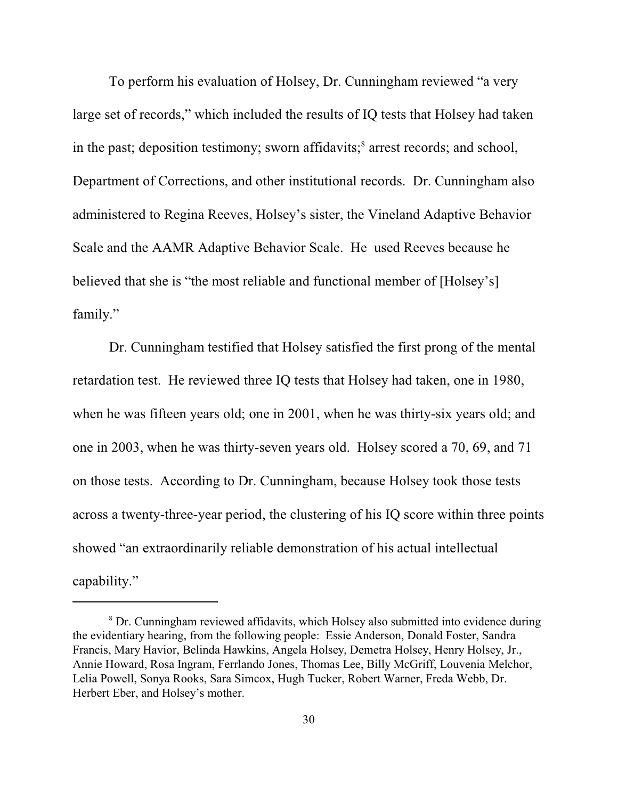To perform his evaluation of Holsey, Dr. Cunningham reviewed "a very large set of records," which included the results of IQ tests that Holsey had taken in the past; deposition testimony; sworn affidavits;<sup>8</sup> arrest records; and school, Department of Corrections, and other institutional records. Dr. Cunningham also administered to Regina Reeves, Holsey's sister, the Vineland Adaptive Behavior Scale and the AAMR Adaptive Behavior Scale. He used Reeves because he believed that she is "the most reliable and functional member of [Holsey's] family."

Dr. Cunningham testified that Holsey satisfied the first prong of the mental retardation test. He reviewed three IQ tests that Holsey had taken, one in 1980, when he was fifteen years old; one in 2001, when he was thirty-six years old; and one in 2003, when he was thirty-seven years old.Holsey scored a 70, 69, and 71 on those tests. According to Dr. Cunningham, because Holsey took those tests across a twenty-three-year period, the clustering of his IQ score within three points showed "an extraordinarily reliable demonstration of his actual intellectual capability."

<sup>&</sup>lt;sup>8</sup> Dr. Cunningham reviewed affidavits, which Holsey also submitted into evidence during the evidentiary hearing, from the following people: Essie Anderson, Donald Foster, Sandra Francis, Mary Havior, Belinda Hawkins, Angela Holsey, Demetra Holsey, Henry Holsey, Jr., Annie Howard, Rosa Ingram, Ferrlando Jones, Thomas Lee, Billy McGriff, Louvenia Melchor, Lelia Powell, Sonya Rooks, Sara Simcox, Hugh Tucker, Robert Warner, Freda Webb, Dr. Herbert Eber, and Holsey's mother.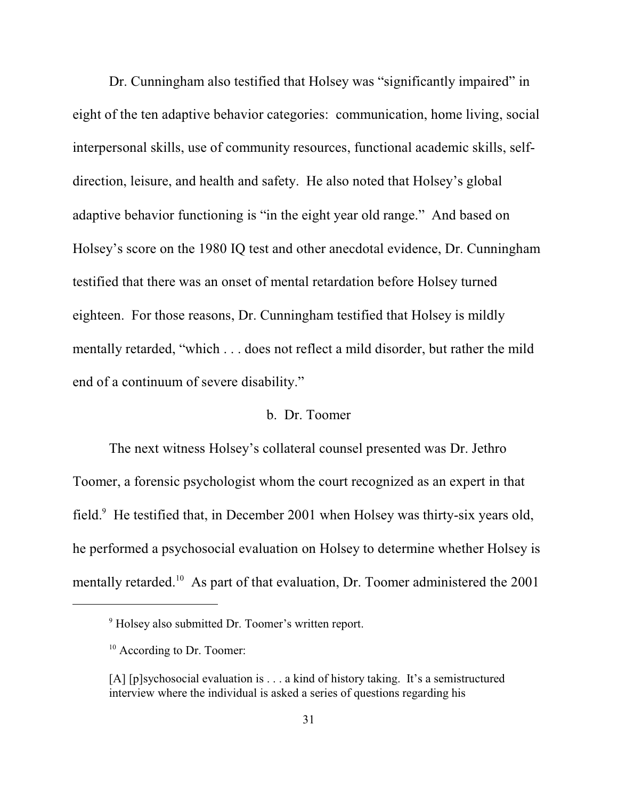Dr. Cunningham also testified that Holsey was "significantly impaired" in eight of the ten adaptive behavior categories: communication, home living, social interpersonal skills, use of community resources, functional academic skills, selfdirection, leisure, and health and safety. He also noted that Holsey's global adaptive behavior functioning is "in the eight year old range." And based on Holsey's score on the 1980 IQ test and other anecdotal evidence, Dr. Cunningham testified that there was an onset of mental retardation before Holsey turned eighteen. For those reasons, Dr. Cunningham testified that Holsey is mildly mentally retarded, "which . . . does not reflect a mild disorder, but rather the mild end of a continuum of severe disability."

### b. Dr. Toomer

The next witness Holsey's collateral counsel presented was Dr. Jethro Toomer, a forensic psychologist whom the court recognized as an expert in that field. $9$  He testified that, in December 2001 when Holsey was thirty-six years old, he performed a psychosocial evaluation on Holsey to determine whether Holsey is mentally retarded.<sup>10</sup> As part of that evaluation, Dr. Toomer administered the  $2001$ 

<sup>&</sup>lt;sup>9</sup> Holsey also submitted Dr. Toomer's written report.

<sup>&</sup>lt;sup>10</sup> According to Dr. Toomer:

<sup>[</sup>A] [p]sychosocial evaluation is . . . a kind of history taking. It's a semistructured interview where the individual is asked a series of questions regarding his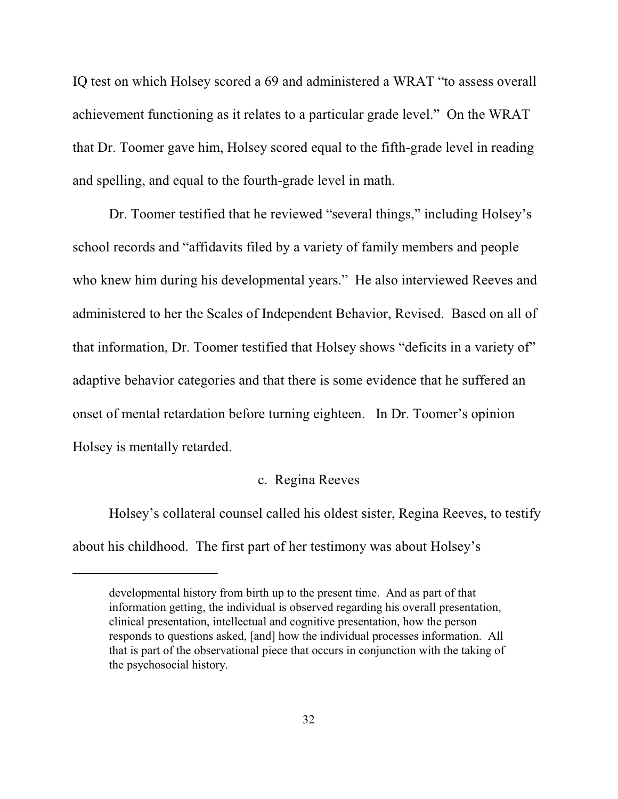IQ test on which Holsey scored a 69 and administered a WRAT "to assess overall achievement functioning as it relates to a particular grade level." On the WRAT that Dr. Toomer gave him, Holsey scored equal to the fifth-grade level in reading and spelling, and equal to the fourth-grade level in math.

Dr. Toomer testified that he reviewed "several things," including Holsey's school records and "affidavits filed by a variety of family members and people who knew him during his developmental years." He also interviewed Reeves and administered to her the Scales of Independent Behavior, Revised. Based on all of that information, Dr. Toomer testified that Holsey shows "deficits in a variety of" adaptive behavior categories and that there is some evidence that he suffered an onset of mental retardation before turning eighteen. In Dr. Toomer's opinion Holsey is mentally retarded.

### c. Regina Reeves

Holsey's collateral counsel called his oldest sister, Regina Reeves, to testify about his childhood. The first part of her testimony was about Holsey's

developmental history from birth up to the present time. And as part of that information getting, the individual is observed regarding his overall presentation, clinical presentation, intellectual and cognitive presentation, how the person responds to questions asked, [and] how the individual processes information. All that is part of the observational piece that occurs in conjunction with the taking of the psychosocial history.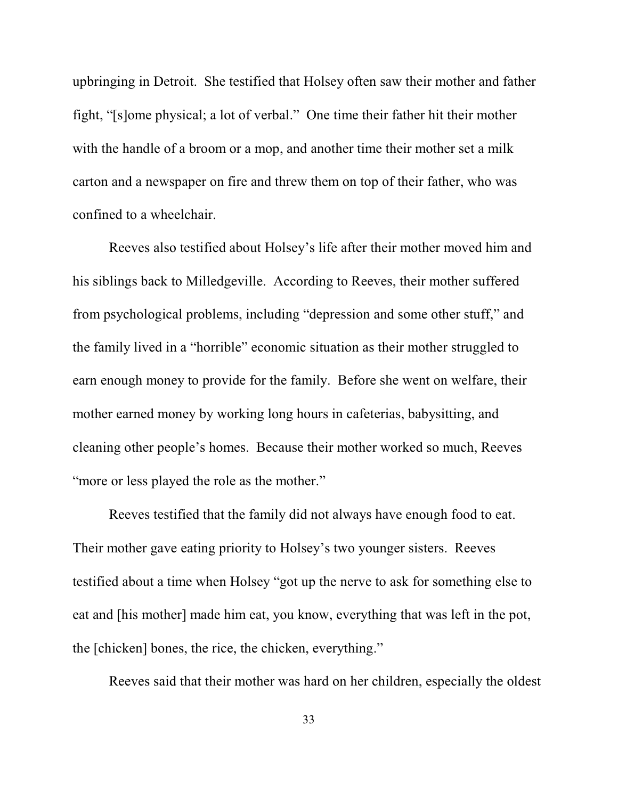upbringing in Detroit. She testified that Holsey often saw their mother and father fight, "[s]ome physical; a lot of verbal." One time their father hit their mother with the handle of a broom or a mop, and another time their mother set a milk carton and a newspaper on fire and threw them on top of their father, who was confined to a wheelchair.

Reeves also testified about Holsey's life after their mother moved him and his siblings back to Milledgeville. According to Reeves, their mother suffered from psychological problems, including "depression and some other stuff," and the family lived in a "horrible" economic situation as their mother struggled to earn enough money to provide for the family. Before she went on welfare, their mother earned money by working long hours in cafeterias, babysitting, and cleaning other people's homes. Because their mother worked so much, Reeves "more or less played the role as the mother."

Reeves testified that the family did not always have enough food to eat. Their mother gave eating priority to Holsey's two younger sisters. Reeves testified about a time when Holsey "got up the nerve to ask for something else to eat and [his mother] made him eat, you know, everything that was left in the pot, the [chicken] bones, the rice, the chicken, everything."

Reeves said that their mother was hard on her children, especially the oldest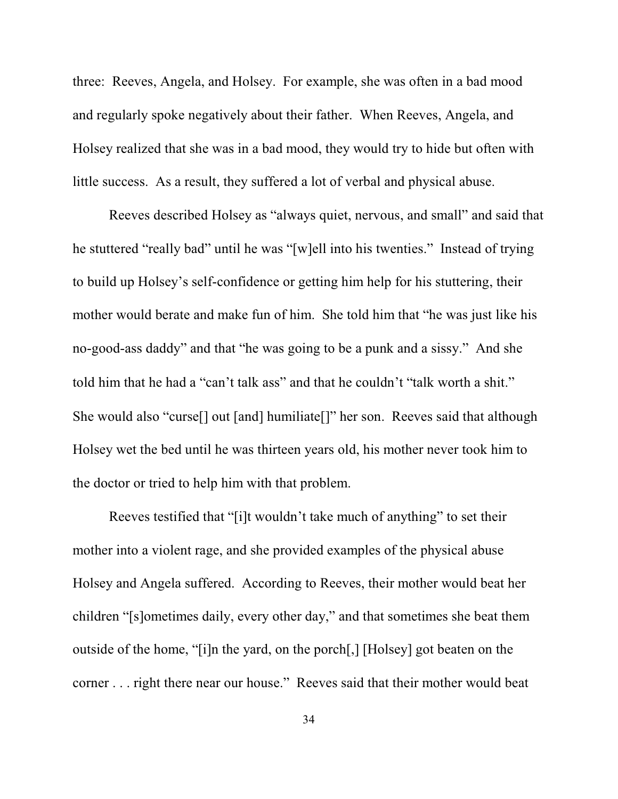three: Reeves, Angela, and Holsey. For example, she was often in a bad mood and regularly spoke negatively about their father.When Reeves, Angela, and Holsey realized that she was in a bad mood, they would try to hide but often with little success. As a result, they suffered a lot of verbal and physical abuse.

Reeves described Holsey as "always quiet, nervous, and small" and said that he stuttered "really bad" until he was "[w]ell into his twenties." Instead of trying to build up Holsey's self-confidence or getting him help for his stuttering, their mother would berate and make fun of him. She told him that "he was just like his no-good-ass daddy" and that "he was going to be a punk and a sissy." And she told him that he had a "can't talk ass" and that he couldn't "talk worth a shit." She would also "curse[] out [and] humiliate[]" her son. Reeves said that although Holsey wet the bed until he was thirteen years old, his mother never took him to the doctor or tried to help him with that problem.

Reeves testified that "[i]t wouldn't take much of anything" to set their mother into a violent rage, and she provided examples of the physical abuse Holsey and Angela suffered. According to Reeves, their mother would beat her children "[s]ometimes daily, every other day," and that sometimes she beat them outside of the home, "[i]n the yard, on the porch[,] [Holsey] got beaten on the corner . . . right there near our house." Reeves said that their mother would beat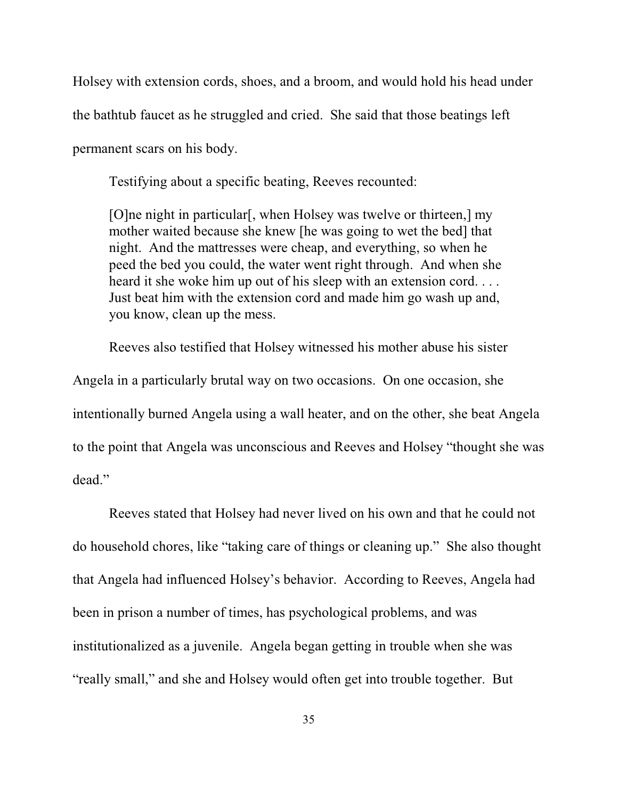Holsey with extension cords, shoes, and a broom, and would hold his head under the bathtub faucet as he struggled and cried. She said that those beatings left permanent scars on his body.

Testifying about a specific beating, Reeves recounted:

[O]ne night in particular[, when Holsey was twelve or thirteen,] my mother waited because she knew [he was going to wet the bed] that night. And the mattresses were cheap, and everything, so when he peed the bed you could, the water went right through. And when she heard it she woke him up out of his sleep with an extension cord.... Just beat him with the extension cord and made him go wash up and, you know, clean up the mess.

Reeves also testified that Holsey witnessed his mother abuse his sister Angela in a particularly brutal way on two occasions. On one occasion, she intentionally burned Angela using a wall heater, and on the other, she beat Angela to the point that Angela was unconscious and Reeves and Holsey "thought she was dead."

Reeves stated that Holsey had never lived on his own and that he could not do household chores, like "taking care of things or cleaning up." She also thought that Angela had influenced Holsey's behavior. According to Reeves, Angela had been in prison a number of times, has psychological problems, and was institutionalized as a juvenile. Angela began getting in trouble when she was "really small," and she and Holsey would often get into trouble together. But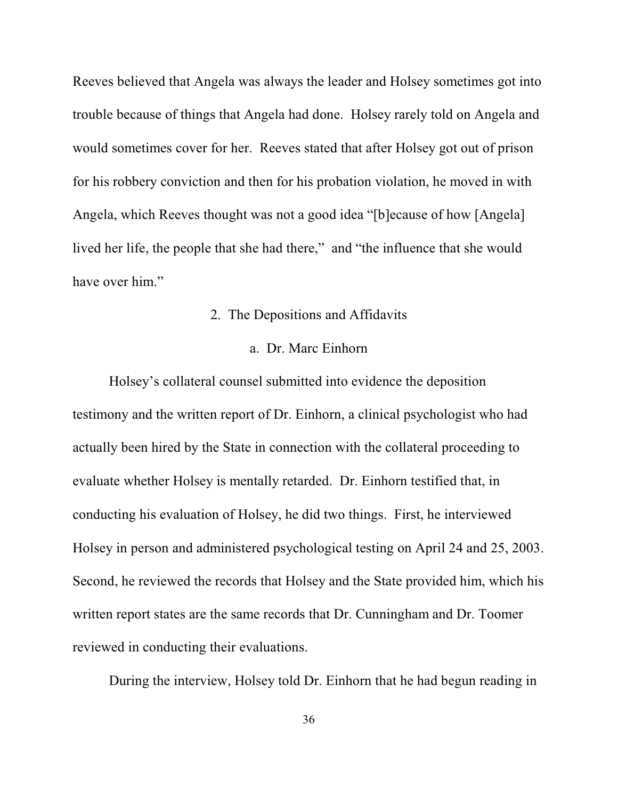Reeves believed that Angela was always the leader and Holsey sometimes got into trouble because of things that Angela had done. Holsey rarely told on Angela and would sometimes cover for her. Reeves stated that after Holsey got out of prison for his robbery conviction and then for his probation violation, he moved in with Angela, which Reeves thought was not a good idea "[b]ecause of how [Angela] lived her life, the people that she had there," and "the influence that she would have over him."

## 2. The Depositions and Affidavits

### a. Dr. Marc Einhorn

Holsey's collateral counsel submitted into evidence the deposition testimony and the written report of Dr. Einhorn, a clinical psychologist who had actually been hired by the State in connection with the collateral proceeding to evaluate whether Holsey is mentally retarded. Dr. Einhorn testified that, in conducting his evaluation of Holsey, he did two things. First, he interviewed Holsey in person and administered psychological testing on April 24 and 25, 2003. Second, he reviewed the records that Holsey and the State provided him, which his written report states are the same records that Dr. Cunningham and Dr. Toomer reviewed in conducting their evaluations.

During the interview, Holsey told Dr. Einhorn that he had begun reading in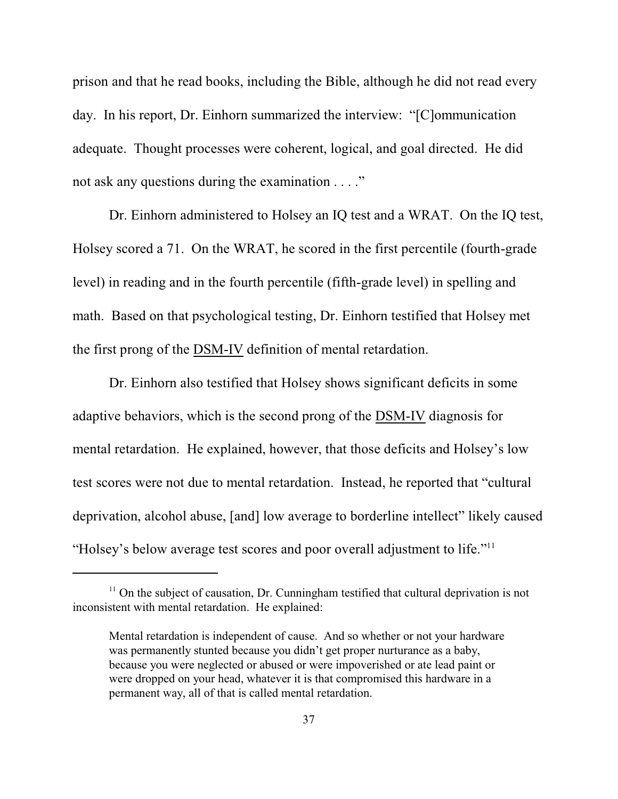prison and that he read books, including the Bible, although he did not read every day. In his report, Dr. Einhorn summarized the interview: "[C]ommunication adequate. Thought processes were coherent, logical, and goal directed. He did not ask any questions during the examination . . . ."

Dr. Einhorn administered to Holsey an IQ test and a WRAT. On the IQ test, Holsey scored a 71. On the WRAT, he scored in the first percentile (fourth-grade level) in reading and in the fourth percentile (fifth-grade level) in spelling and math.Based on that psychological testing, Dr. Einhorn testified that Holsey met the first prong of the DSM-IV definition of mental retardation.

Dr. Einhorn also testified that Holsey shows significant deficits in some adaptive behaviors, which is the second prong of the DSM-IV diagnosis for mental retardation. He explained, however, that those deficits and Holsey's low test scores were not due to mental retardation. Instead, he reported that "cultural deprivation, alcohol abuse, [and] low average to borderline intellect" likely caused "Holsey's below average test scores and poor overall adjustment to life."<sup>11</sup>

 $<sup>11</sup>$  On the subject of causation, Dr. Cunningham testified that cultural deprivation is not</sup> inconsistent with mental retardation. He explained:

Mental retardation is independent of cause. And so whether or not your hardware was permanently stunted because you didn't get proper nurturance as a baby, because you were neglected or abused or were impoverished or ate lead paint or were dropped on your head, whatever it is that compromised this hardware in a permanent way, all of that is called mental retardation.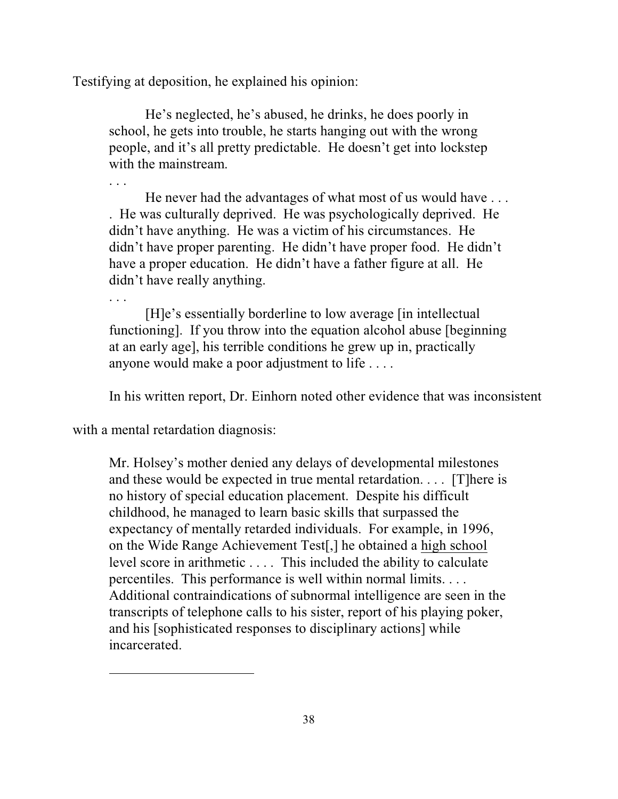Testifying at deposition, he explained his opinion:

He's neglected, he's abused, he drinks, he does poorly in school, he gets into trouble, he starts hanging out with the wrong people, and it's all pretty predictable. He doesn't get into lockstep with the mainstream.

He never had the advantages of what most of us would have . . . . He was culturally deprived. He was psychologically deprived. He didn't have anything. He was a victim of his circumstances. He didn't have proper parenting. He didn't have proper food. He didn't have a proper education. He didn't have a father figure at all. He didn't have really anything.

. . .

. . .

[H]e's essentially borderline to low average [in intellectual functioning]. If you throw into the equation alcohol abuse [beginning at an early age], his terrible conditions he grew up in, practically anyone would make a poor adjustment to life . . . .

In his written report, Dr. Einhorn noted other evidence that was inconsistent

with a mental retardation diagnosis:

Mr. Holsey's mother denied any delays of developmental milestones and these would be expected in true mental retardation. . . . [T]here is no history of special education placement. Despite his difficult childhood, he managed to learn basic skills that surpassed the expectancy of mentally retarded individuals. For example, in 1996, on the Wide Range Achievement Test[,] he obtained a high school level score in arithmetic . . . . This included the ability to calculate percentiles. This performance is well within normal limits. . . . Additional contraindications of subnormal intelligence are seen in the transcripts of telephone calls to his sister, report of his playing poker, and his [sophisticated responses to disciplinary actions] while incarcerated.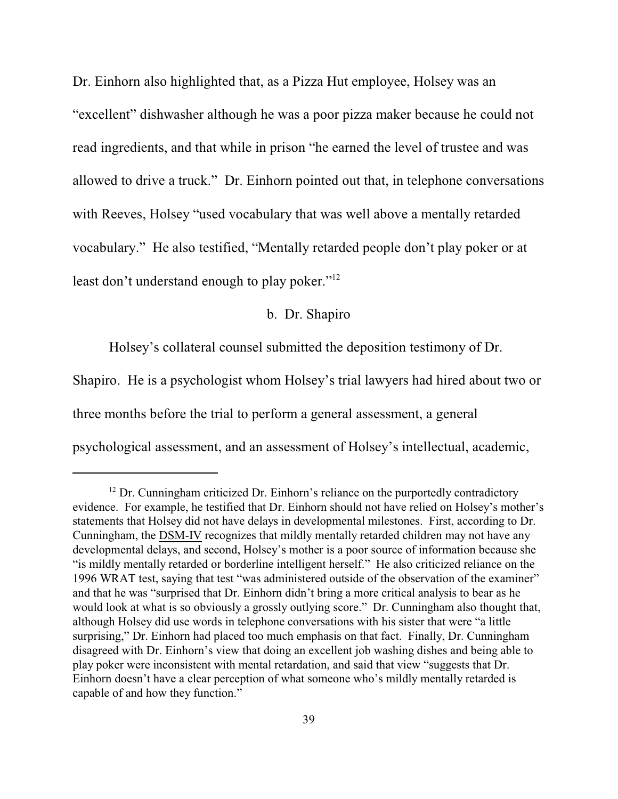Dr. Einhorn also highlighted that, as a Pizza Hut employee, Holsey was an "excellent" dishwasher although he was a poor pizza maker because he could not read ingredients, and that while in prison "he earned the level of trustee and was allowed to drive a truck." Dr. Einhorn pointed out that, in telephone conversations with Reeves, Holsey "used vocabulary that was well above a mentally retarded vocabulary." He also testified, "Mentally retarded people don't play poker or at least don't understand enough to play poker."<sup>12</sup>

# b. Dr. Shapiro

Holsey's collateral counsel submitted the deposition testimony of Dr.

Shapiro. He is a psychologist whom Holsey's trial lawyers had hired about two or

three months before the trial to perform a general assessment, a general

psychological assessment, and an assessment of Holsey's intellectual, academic,

 $12$  Dr. Cunningham criticized Dr. Einhorn's reliance on the purportedly contradictory evidence. For example, he testified that Dr. Einhorn should not have relied on Holsey's mother's statements that Holsey did not have delays in developmental milestones. First, according to Dr. Cunningham, the DSM-IV recognizes that mildly mentally retarded children may not have any developmental delays, and second, Holsey's mother is a poor source of information because she "is mildly mentally retarded or borderline intelligent herself." He also criticized reliance on the 1996 WRAT test, saying that test "was administered outside of the observation of the examiner" and that he was "surprised that Dr. Einhorn didn't bring a more critical analysis to bear as he would look at what is so obviously a grossly outlying score." Dr. Cunningham also thought that, although Holsey did use words in telephone conversations with his sister that were "a little surprising," Dr. Einhorn had placed too much emphasis on that fact. Finally, Dr. Cunningham disagreed with Dr. Einhorn's view that doing an excellent job washing dishes and being able to play poker were inconsistent with mental retardation, and said that view "suggests that Dr. Einhorn doesn't have a clear perception of what someone who's mildly mentally retarded is capable of and how they function."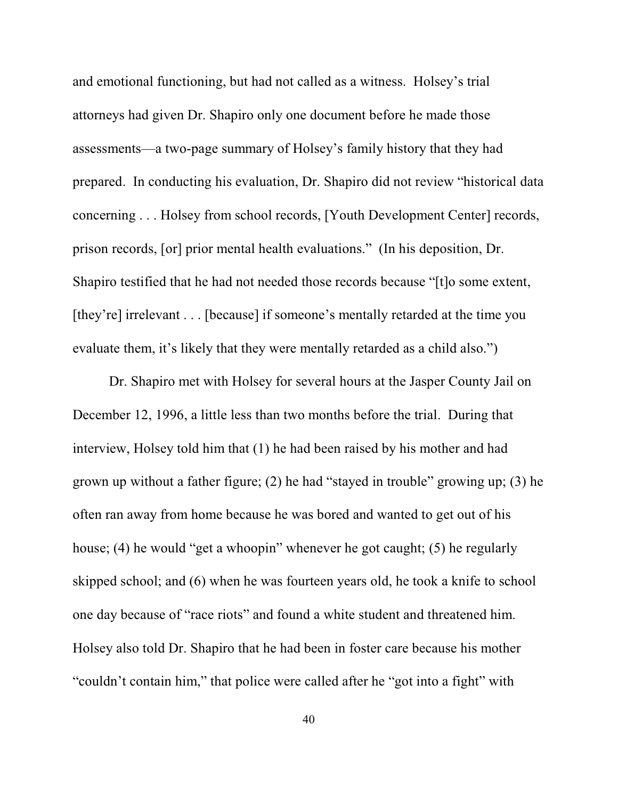and emotional functioning, but had not called as a witness. Holsey's trial attorneys had given Dr. Shapiro only one document before he made those assessments—a two-page summary of Holsey's family history that they had prepared. In conducting his evaluation, Dr. Shapiro did not review "historical data concerning . . . Holsey from school records, [Youth Development Center] records, prison records, [or] prior mental health evaluations." (In his deposition, Dr. Shapiro testified that he had not needed those records because "[t]o some extent, [they're] irrelevant . . . [because] if someone's mentally retarded at the time you evaluate them, it's likely that they were mentally retarded as a child also.")

Dr. Shapiro met with Holsey for several hours at the Jasper County Jail on December 12, 1996, a little less than two months before the trial. During that interview, Holsey told him that (1) he had been raised by his mother and had grown up without a father figure; (2) he had "stayed in trouble" growing up; (3) he often ran away from home because he was bored and wanted to get out of his house; (4) he would "get a whoopin" whenever he got caught; (5) he regularly skipped school; and (6) when he was fourteen years old, he took a knife to school one day because of "race riots" and found a white student and threatened him. Holsey also told Dr. Shapiro that he had been in foster care because his mother "couldn't contain him," that police were called after he "got into a fight" with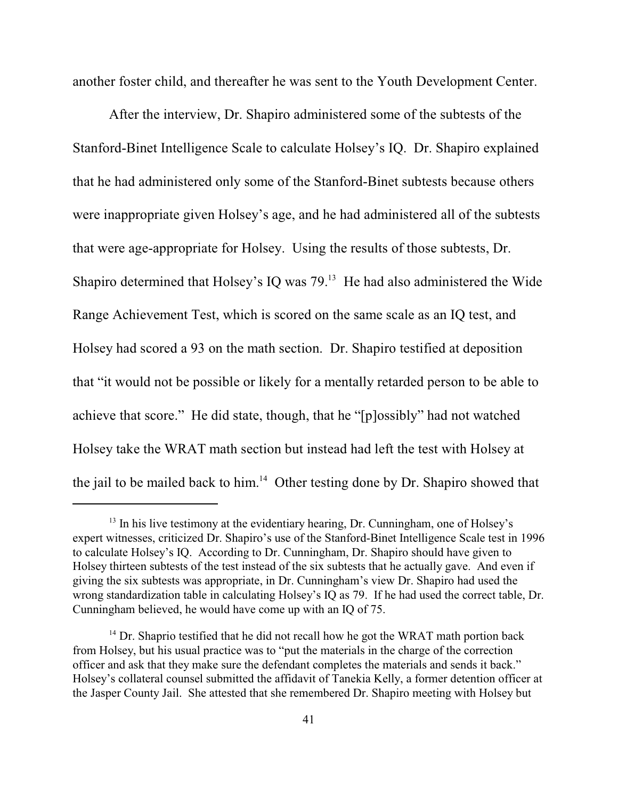another foster child, and thereafter he was sent to the Youth Development Center.

After the interview, Dr. Shapiro administered some of the subtests of the Stanford-Binet Intelligence Scale to calculate Holsey's IQ. Dr. Shapiro explained that he had administered only some of the Stanford-Binet subtests because others were inappropriate given Holsey's age, and he had administered all of the subtests that were age-appropriate for Holsey. Using the results of those subtests, Dr. Shapiro determined that Holsey's IQ was  $79<sup>13</sup>$  He had also administered the Wide Range Achievement Test, which is scored on the same scale as an IQ test, and Holsey had scored a 93 on the math section. Dr. Shapiro testified at deposition that "it would not be possible or likely for a mentally retarded person to be able to achieve that score." He did state, though, that he "[p]ossibly" had not watched Holsey take the WRAT math section but instead had left the test with Holsey at the jail to be mailed back to him. $14$  Other testing done by Dr. Shapiro showed that

 $13$  In his live testimony at the evidentiary hearing, Dr. Cunningham, one of Holsey's expert witnesses, criticized Dr. Shapiro's use of the Stanford-Binet Intelligence Scale test in 1996 to calculate Holsey's IQ. According to Dr. Cunningham, Dr. Shapiro should have given to Holsey thirteen subtests of the test instead of the six subtests that he actually gave. And even if giving the six subtests was appropriate, in Dr. Cunningham's view Dr. Shapiro had used the wrong standardization table in calculating Holsey's IQ as 79. If he had used the correct table, Dr. Cunningham believed, he would have come up with an IQ of 75.

 $14$  Dr. Shaprio testified that he did not recall how he got the WRAT math portion back from Holsey, but his usual practice was to "put the materials in the charge of the correction officer and ask that they make sure the defendant completes the materials and sends it back." Holsey's collateral counsel submitted the affidavit of Tanekia Kelly, a former detention officer at the Jasper County Jail. She attested that she remembered Dr. Shapiro meeting with Holsey but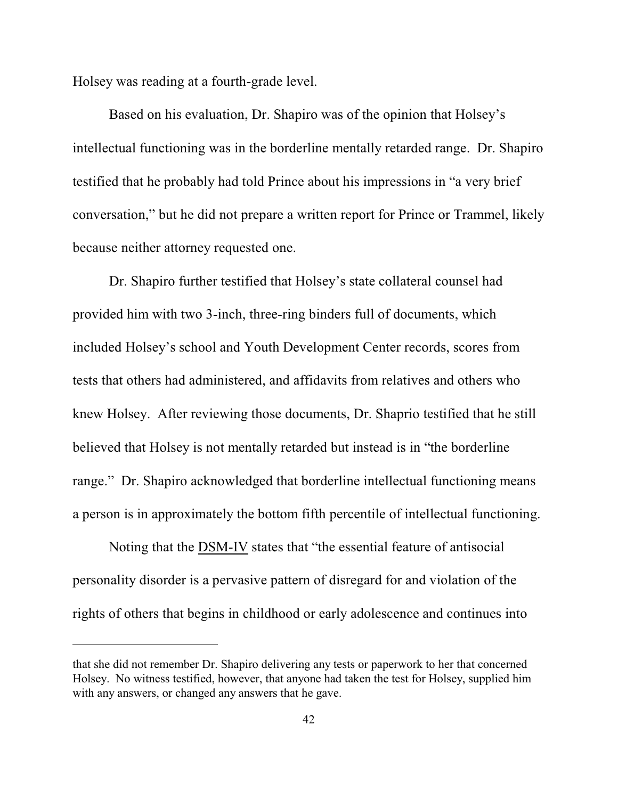Holsey was reading at a fourth-grade level.

Based on his evaluation, Dr. Shapiro was of the opinion that Holsey's intellectual functioning was in the borderline mentally retarded range. Dr. Shapiro testified that he probably had told Prince about his impressions in "a very brief conversation," but he did not prepare a written report for Prince or Trammel, likely because neither attorney requested one.

Dr. Shapiro further testified that Holsey's state collateral counsel had provided him with two 3-inch, three-ring binders full of documents, which included Holsey's school and Youth Development Center records, scores from tests that others had administered, and affidavits from relatives and others who knew Holsey. After reviewing those documents, Dr. Shaprio testified that he still believed that Holsey is not mentally retarded but instead is in "the borderline range." Dr. Shapiro acknowledged that borderline intellectual functioning means a person is in approximately the bottom fifth percentile of intellectual functioning.

Noting that the DSM-IV states that "the essential feature of antisocial personality disorder is a pervasive pattern of disregard for and violation of the rights of others that begins in childhood or early adolescence and continues into

that she did not remember Dr. Shapiro delivering any tests or paperwork to her that concerned Holsey. No witness testified, however, that anyone had taken the test for Holsey, supplied him with any answers, or changed any answers that he gave.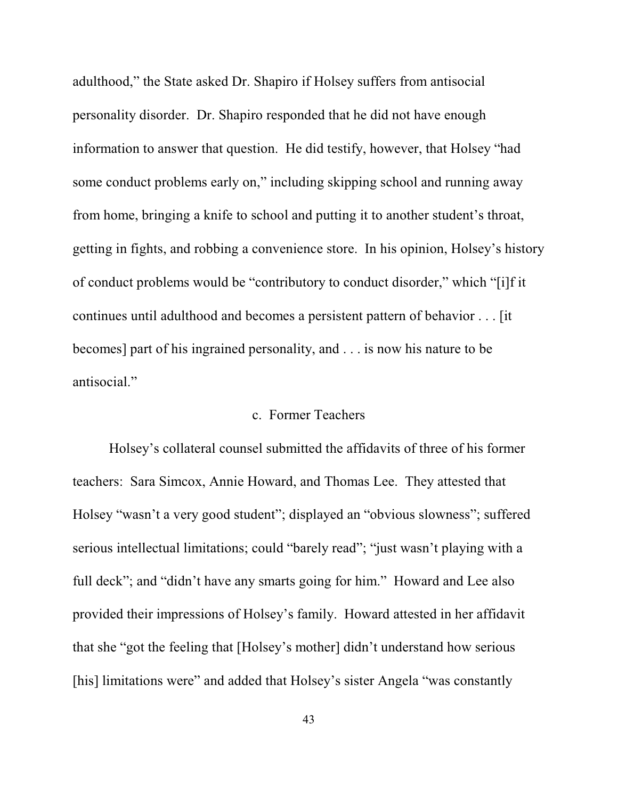adulthood," the State asked Dr. Shapiro if Holsey suffers from antisocial personality disorder. Dr. Shapiro responded that he did not have enough information to answer that question. He did testify, however, that Holsey "had some conduct problems early on," including skipping school and running away from home, bringing a knife to school and putting it to another student's throat, getting in fights, and robbing a convenience store. In his opinion, Holsey's history of conduct problems would be "contributory to conduct disorder," which "[i]f it continues until adulthood and becomes a persistent pattern of behavior . . . [it becomes] part of his ingrained personality, and . . . is now his nature to be antisocial."

# c. Former Teachers

Holsey's collateral counsel submitted the affidavits of three of his former teachers: Sara Simcox, Annie Howard, and Thomas Lee. They attested that Holsey "wasn't a very good student"; displayed an "obvious slowness"; suffered serious intellectual limitations; could "barely read"; "just wasn't playing with a full deck"; and "didn't have any smarts going for him." Howard and Lee also provided their impressions of Holsey's family. Howard attested in her affidavit that she "got the feeling that [Holsey's mother] didn't understand how serious [his] limitations were" and added that Holsey's sister Angela "was constantly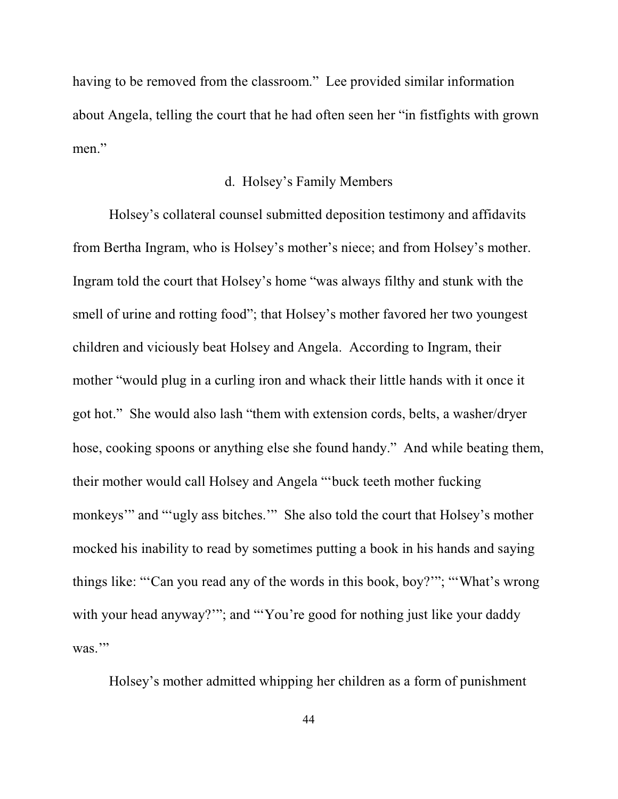having to be removed from the classroom."Lee provided similar information about Angela, telling the court that he had often seen her "in fistfights with grown men."

## d. Holsey's Family Members

Holsey's collateral counsel submitted deposition testimony and affidavits from Bertha Ingram, who is Holsey's mother's niece; and from Holsey's mother. Ingram told the court that Holsey's home "was always filthy and stunk with the smell of urine and rotting food"; that Holsey's mother favored her two youngest children and viciously beat Holsey and Angela. According to Ingram, their mother "would plug in a curling iron and whack their little hands with it once it got hot." She would also lash "them with extension cords, belts, a washer/dryer hose, cooking spoons or anything else she found handy." And while beating them, their mother would call Holsey and Angela "'buck teeth mother fucking monkeys'" and "'ugly ass bitches.'" She also told the court that Holsey's mother mocked his inability to read by sometimes putting a book in his hands and saying things like: "'Can you read any of the words in this book, boy?'"; "'What's wrong with your head anyway?""; and "'You're good for nothing just like your daddy was."

Holsey's mother admitted whipping her children as a form of punishment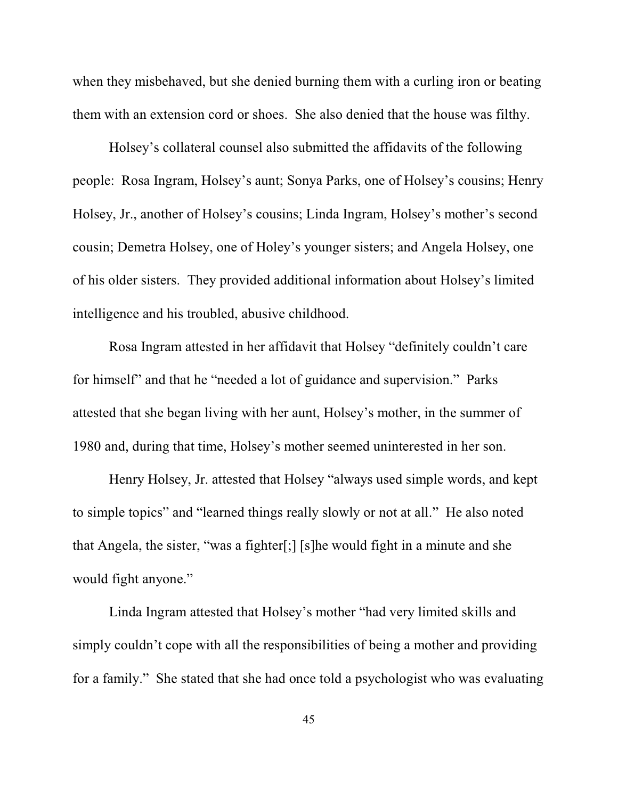when they misbehaved, but she denied burning them with a curling iron or beating them with an extension cord or shoes. She also denied that the house was filthy.

Holsey's collateral counsel also submitted the affidavits of the following people: Rosa Ingram, Holsey's aunt; Sonya Parks, one of Holsey's cousins; Henry Holsey, Jr., another of Holsey's cousins; Linda Ingram, Holsey's mother's second cousin; Demetra Holsey, one of Holey's younger sisters; and Angela Holsey, one of his older sisters. They provided additional information about Holsey's limited intelligence and his troubled, abusive childhood.

Rosa Ingram attested in her affidavit that Holsey "definitely couldn't care for himself" and that he "needed a lot of guidance and supervision." Parks attested that she began living with her aunt, Holsey's mother, in the summer of 1980 and, during that time, Holsey's mother seemed uninterested in her son.

Henry Holsey, Jr. attested that Holsey "always used simple words, and kept to simple topics" and "learned things really slowly or not at all." He also noted that Angela, the sister, "was a fighter[;] [s]he would fight in a minute and she would fight anyone."

Linda Ingram attested that Holsey's mother "had very limited skills and simply couldn't cope with all the responsibilities of being a mother and providing for a family." She stated that she had once told a psychologist who was evaluating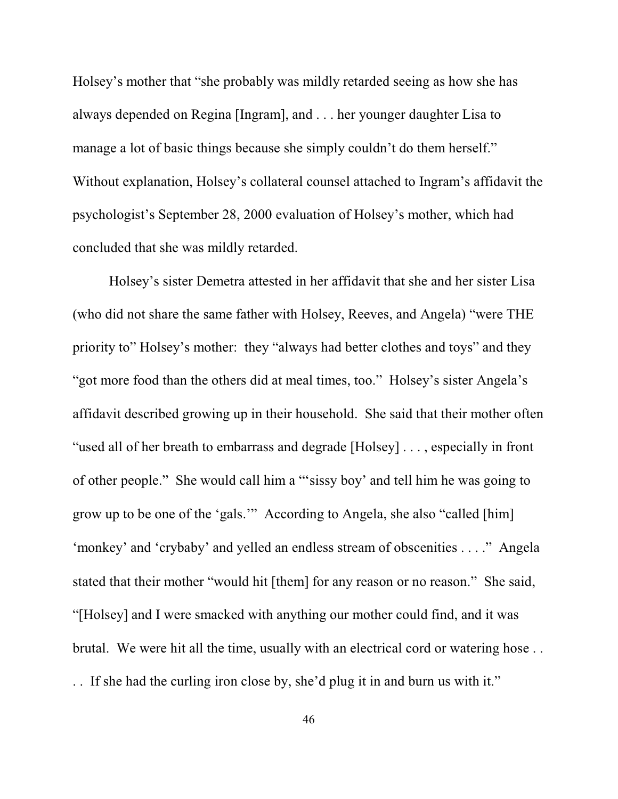Holsey's mother that "she probably was mildly retarded seeing as how she has always depended on Regina [Ingram], and . . . her younger daughter Lisa to manage a lot of basic things because she simply couldn't do them herself." Without explanation, Holsey's collateral counsel attached to Ingram's affidavit the psychologist's September 28, 2000 evaluation of Holsey's mother, which had concluded that she was mildly retarded.

Holsey's sister Demetra attested in her affidavit that she and her sister Lisa (who did not share the same father with Holsey, Reeves, and Angela) "were THE priority to" Holsey's mother: they "always had better clothes and toys" and they "got more food than the others did at meal times, too." Holsey's sister Angela's affidavit described growing up in their household. She said that their mother often "used all of her breath to embarrass and degrade [Holsey] . . . , especially in front of other people." She would call him a "'sissy boy' and tell him he was going to grow up to be one of the 'gals.'" According to Angela, she also "called [him] 'monkey' and 'crybaby' and yelled an endless stream of obscenities . . . ." Angela stated that their mother "would hit [them] for any reason or no reason." She said, "[Holsey] and I were smacked with anything our mother could find, and it was brutal. We were hit all the time, usually with an electrical cord or watering hose . . . . If she had the curling iron close by, she'd plug it in and burn us with it."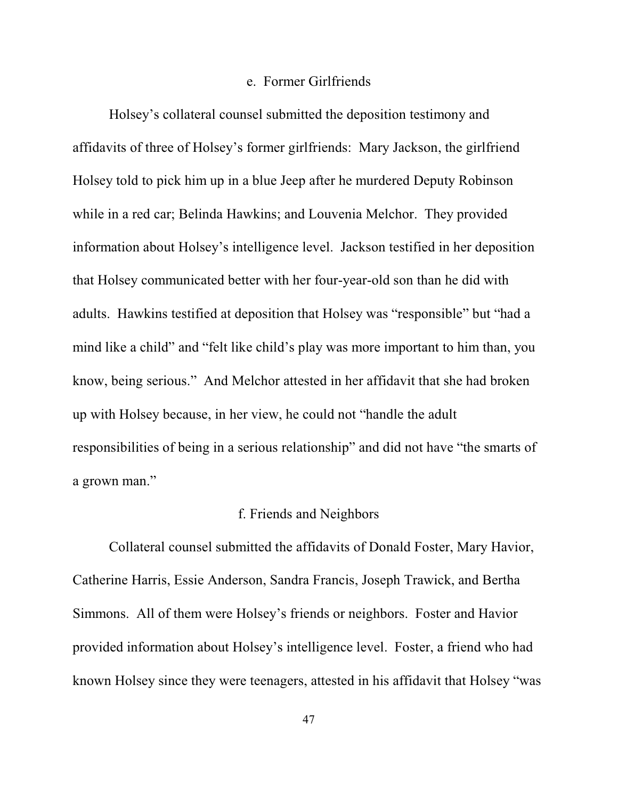## e. Former Girlfriends

Holsey's collateral counsel submitted the deposition testimony and affidavits of three of Holsey's former girlfriends: Mary Jackson, the girlfriend Holsey told to pick him up in a blue Jeep after he murdered Deputy Robinson while in a red car; Belinda Hawkins; and Louvenia Melchor. They provided information about Holsey's intelligence level. Jackson testified in her deposition that Holsey communicated better with her four-year-old son than he did with adults. Hawkins testified at deposition that Holsey was "responsible" but "had a mind like a child" and "felt like child's play was more important to him than, you know, being serious." And Melchor attested in her affidavit that she had broken up with Holsey because, in her view, he could not "handle the adult responsibilities of being in a serious relationship" and did not have "the smarts of a grown man."

# f. Friends and Neighbors

Collateral counsel submitted the affidavits of Donald Foster, Mary Havior, Catherine Harris, Essie Anderson, Sandra Francis, Joseph Trawick, and Bertha Simmons. All of them were Holsey's friends or neighbors. Foster and Havior provided information about Holsey's intelligence level. Foster, a friend who had known Holsey since they were teenagers, attested in his affidavit that Holsey "was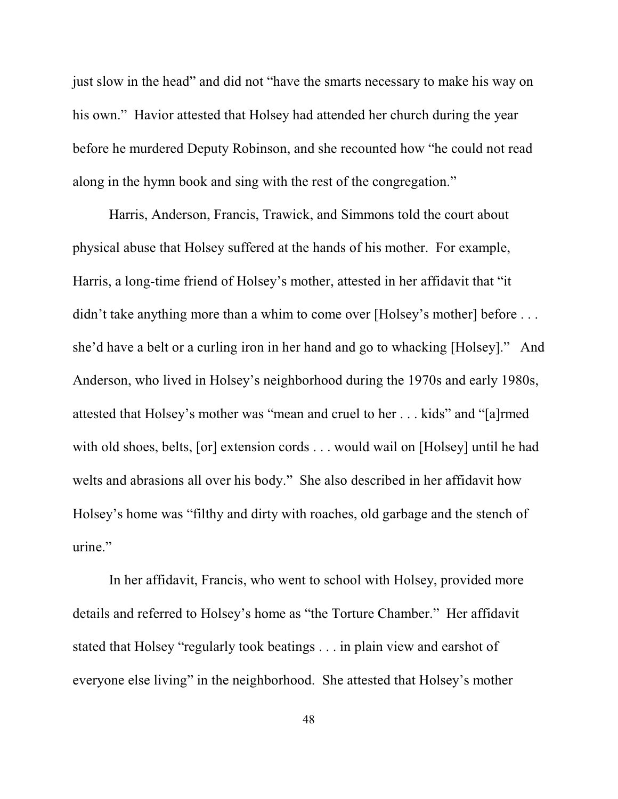just slow in the head" and did not "have the smarts necessary to make his way on his own." Havior attested that Holsey had attended her church during the year before he murdered Deputy Robinson, and she recounted how "he could not read along in the hymn book and sing with the rest of the congregation."

Harris, Anderson, Francis, Trawick, and Simmons told the court about physical abuse that Holsey suffered at the hands of his mother. For example, Harris, a long-time friend of Holsey's mother, attested in her affidavit that "it didn't take anything more than a whim to come over [Holsey's mother] before ... she'd have a belt or a curling iron in her hand and go to whacking [Holsey]." And Anderson, who lived in Holsey's neighborhood during the 1970s and early 1980s, attested that Holsey's mother was "mean and cruel to her . . . kids" and "[a]rmed with old shoes, belts, [or] extension cords . . . would wail on [Holsey] until he had welts and abrasions all over his body." She also described in her affidavit how Holsey's home was "filthy and dirty with roaches, old garbage and the stench of urine."

In her affidavit, Francis, who went to school with Holsey, provided more details and referred to Holsey's home as "the Torture Chamber." Her affidavit stated that Holsey "regularly took beatings . . . in plain view and earshot of everyone else living" in the neighborhood. She attested that Holsey's mother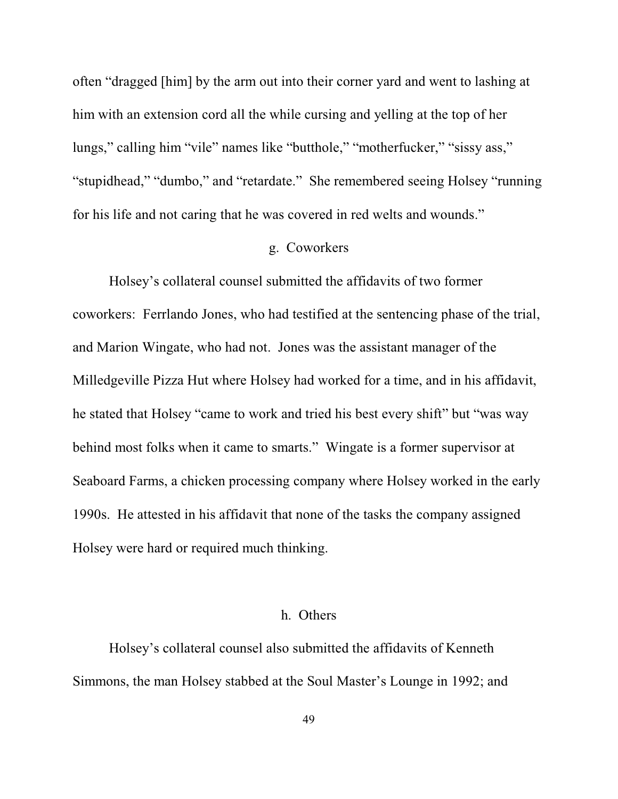often "dragged [him] by the arm out into their corner yard and went to lashing at him with an extension cord all the while cursing and yelling at the top of her lungs," calling him "vile" names like "butthole," "motherfucker," "sissy ass," "stupidhead," "dumbo," and "retardate." She remembered seeing Holsey "running for his life and not caring that he was covered in red welts and wounds."

## g. Coworkers

Holsey's collateral counsel submitted the affidavits of two former coworkers: Ferrlando Jones, who had testified at the sentencing phase of the trial, and Marion Wingate, who had not. Jones was the assistant manager of the Milledgeville Pizza Hut where Holsey had worked for a time, and in his affidavit, he stated that Holsey "came to work and tried his best every shift" but "was way behind most folks when it came to smarts." Wingate is a former supervisor at Seaboard Farms, a chicken processing company where Holsey worked in the early 1990s. He attested in his affidavit that none of the tasks the company assigned Holsey were hard or required much thinking.

## h. Others

Holsey's collateral counsel also submitted the affidavits of Kenneth Simmons, the man Holsey stabbed at the Soul Master's Lounge in 1992; and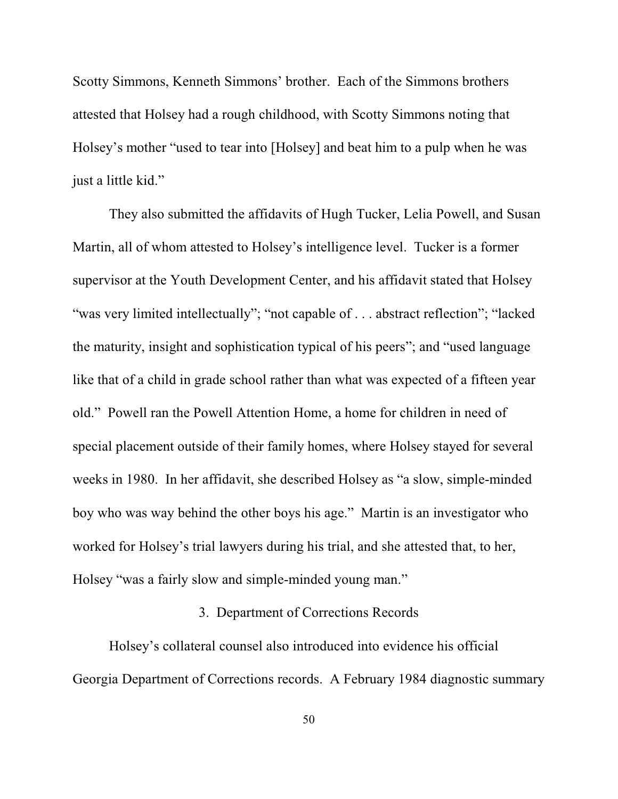Scotty Simmons, Kenneth Simmons' brother. Each of the Simmons brothers attested that Holsey had a rough childhood, with Scotty Simmons noting that Holsey's mother "used to tear into [Holsey] and beat him to a pulp when he was just a little kid."

They also submitted the affidavits of Hugh Tucker, Lelia Powell, and Susan Martin, all of whom attested to Holsey's intelligence level. Tucker is a former supervisor at the Youth Development Center, and his affidavit stated that Holsey "was very limited intellectually"; "not capable of . . . abstract reflection"; "lacked the maturity, insight and sophistication typical of his peers"; and "used language like that of a child in grade school rather than what was expected of a fifteen year old." Powell ran the Powell Attention Home, a home for children in need of special placement outside of their family homes, where Holsey stayed for several weeks in 1980. In her affidavit, she described Holsey as "a slow, simple-minded boy who was way behind the other boys his age." Martin is an investigator who worked for Holsey's trial lawyers during his trial, and she attested that, to her, Holsey "was a fairly slow and simple-minded young man."

## 3. Department of Corrections Records

Holsey's collateral counsel also introduced into evidence his official Georgia Department of Corrections records. A February 1984 diagnostic summary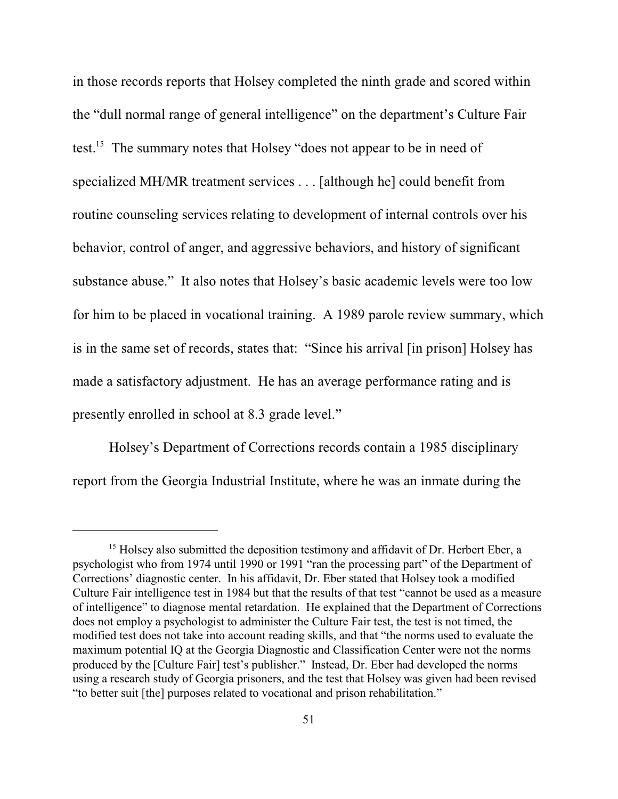in those records reports that Holsey completed the ninth grade and scored within the "dull normal range of general intelligence" on the department's Culture Fair test.<sup>15</sup> The summary notes that Holsey "does not appear to be in need of specialized MH/MR treatment services . . . [although he] could benefit from routine counseling services relating to development of internal controls over his behavior, control of anger, and aggressive behaviors, and history of significant substance abuse." It also notes that Holsey's basic academic levels were too low for him to be placed in vocational training. A 1989 parole review summary, which is in the same set of records, states that: "Since his arrival [in prison] Holsey has made a satisfactory adjustment. He has an average performance rating and is presently enrolled in school at 8.3 grade level."

Holsey's Department of Corrections records contain a 1985 disciplinary report from the Georgia Industrial Institute, where he was an inmate during the

 $15$  Holsey also submitted the deposition testimony and affidavit of Dr. Herbert Eber, a psychologist who from 1974 until 1990 or 1991 "ran the processing part" of the Department of Corrections' diagnostic center. In his affidavit, Dr. Eber stated that Holsey took a modified Culture Fair intelligence test in 1984 but that the results of that test "cannot be used as a measure of intelligence" to diagnose mental retardation. He explained that the Department of Corrections does not employ a psychologist to administer the Culture Fair test, the test is not timed, the modified test does not take into account reading skills, and that "the norms used to evaluate the maximum potential IQ at the Georgia Diagnostic and Classification Center were not the norms produced by the [Culture Fair] test's publisher." Instead, Dr. Eber had developed the norms using a research study of Georgia prisoners, and the test that Holsey was given had been revised "to better suit [the] purposes related to vocational and prison rehabilitation."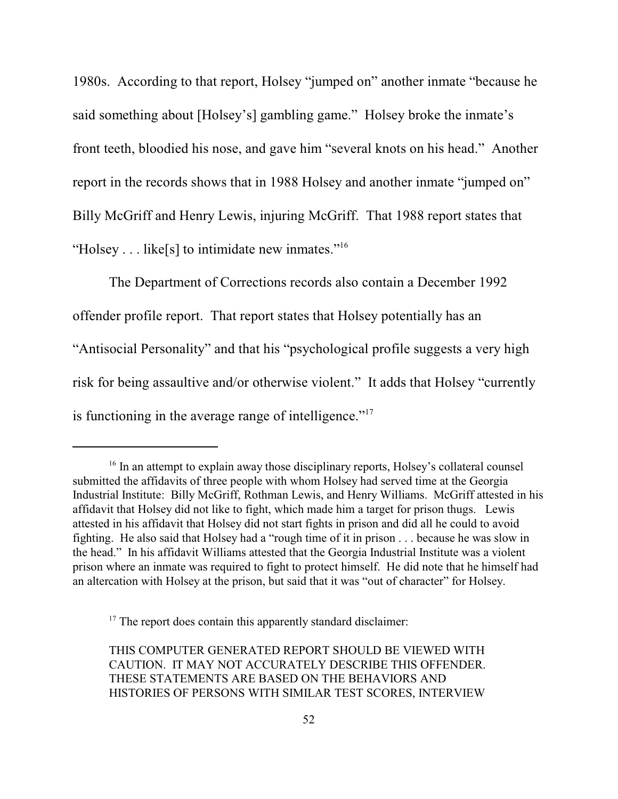1980s. According to that report, Holsey "jumped on" another inmate "because he said something about [Holsey's] gambling game." Holsey broke the inmate's front teeth, bloodied his nose, and gave him "several knots on his head." Another report in the records shows that in 1988 Holsey and another inmate "jumped on" Billy McGriff and Henry Lewis, injuring McGriff. That 1988 report states that "Holsey . . . like[s] to intimidate new inmates."<sup>16</sup>

The Department of Corrections records also contain a December 1992 offender profile report. That report states that Holsey potentially has an "Antisocial Personality" and that his "psychological profile suggests a very high risk for being assaultive and/or otherwise violent." It adds that Holsey "currently is functioning in the average range of intelligence."<sup>17</sup>

 $17$  The report does contain this apparently standard disclaimer:

THIS COMPUTER GENERATED REPORT SHOULD BE VIEWED WITH CAUTION. IT MAY NOT ACCURATELY DESCRIBE THIS OFFENDER. THESE STATEMENTS ARE BASED ON THE BEHAVIORS AND HISTORIES OF PERSONS WITH SIMILAR TEST SCORES, INTERVIEW

<sup>&</sup>lt;sup>16</sup> In an attempt to explain away those disciplinary reports, Holsey's collateral counsel submitted the affidavits of three people with whom Holsey had served time at the Georgia Industrial Institute: Billy McGriff, Rothman Lewis, and Henry Williams. McGriff attested in his affidavit that Holsey did not like to fight, which made him a target for prison thugs. Lewis attested in his affidavit that Holsey did not start fights in prison and did all he could to avoid fighting. He also said that Holsey had a "rough time of it in prison . . . because he was slow in the head." In his affidavit Williams attested that the Georgia Industrial Institute was a violent prison where an inmate was required to fight to protect himself. He did note that he himself had an altercation with Holsey at the prison, but said that it was "out of character" for Holsey.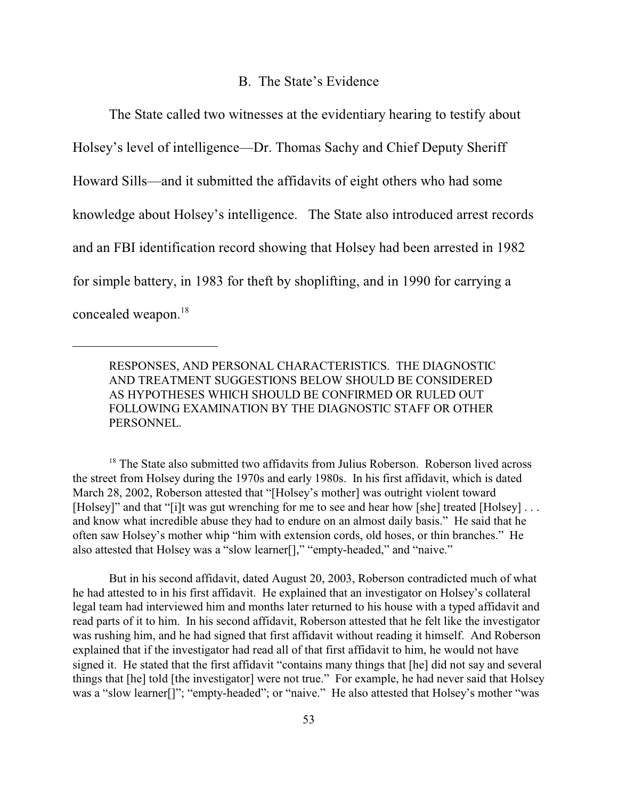#### B. The State's Evidence

The State called two witnesses at the evidentiary hearing to testify about Holsey's level of intelligence—Dr. Thomas Sachy and Chief Deputy Sheriff Howard Sills—and it submitted the affidavits of eight others who had some knowledge about Holsey's intelligence. The State also introduced arrest records and an FBI identification record showing that Holsey had been arrested in 1982 for simple battery, in 1983 for theft by shoplifting, and in 1990 for carrying a concealed weapon. 18

RESPONSES, AND PERSONAL CHARACTERISTICS. THE DIAGNOSTIC AND TREATMENT SUGGESTIONS BELOW SHOULD BE CONSIDERED AS HYPOTHESES WHICH SHOULD BE CONFIRMED OR RULED OUT FOLLOWING EXAMINATION BY THE DIAGNOSTIC STAFF OR OTHER PERSONNEL.

 $18$  The State also submitted two affidavits from Julius Roberson. Roberson lived across the street from Holsey during the 1970s and early 1980s.In his first affidavit, which is dated March 28, 2002, Roberson attested that "[Holsey's mother] was outright violent toward [Holsey]" and that "[i]t was gut wrenching for me to see and hear how [she] treated [Holsey] ... and know what incredible abuse they had to endure on an almost daily basis." He said that he often saw Holsey's mother whip "him with extension cords, old hoses, or thin branches." He also attested that Holsey was a "slow learner[]," "empty-headed," and "naive."

But in his second affidavit, dated August 20, 2003, Roberson contradicted much of what he had attested to in his first affidavit. He explained that an investigator on Holsey's collateral legal team had interviewed him and months later returned to his house with a typed affidavit and read parts of it to him. In his second affidavit, Roberson attested that he felt like the investigator was rushing him, and he had signed that first affidavit without reading it himself.And Roberson explained that if the investigator had read all of that first affidavit to him, he would not have signed it. He stated that the first affidavit "contains many things that [he] did not say and several things that [he] told [the investigator] were not true." For example, he had never said that Holsey was a "slow learner<sup>[]";</sup> "empty-headed"; or "naive." He also attested that Holsey's mother "was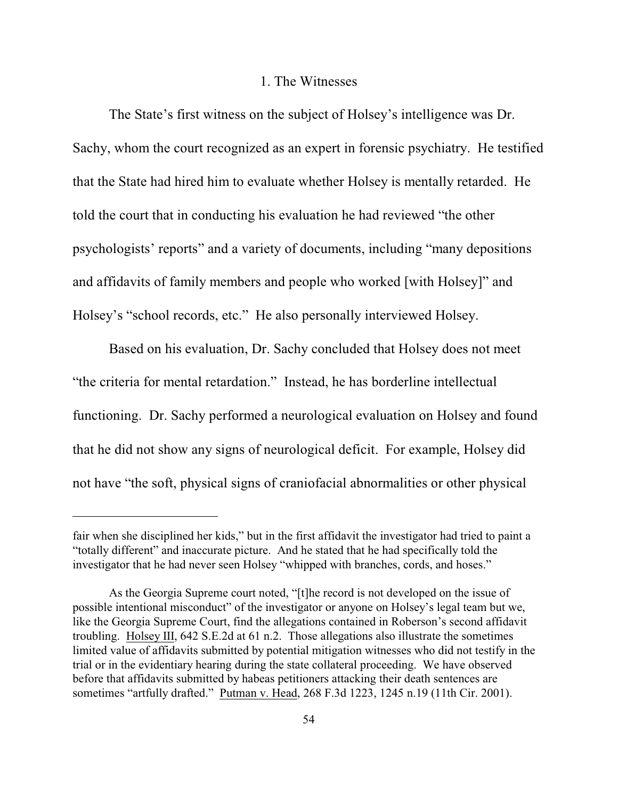#### 1. The Witnesses

The State's first witness on the subject of Holsey's intelligence was Dr. Sachy, whom the court recognized as an expert in forensic psychiatry. He testified that the State had hired him to evaluate whether Holsey is mentally retarded. He told the court that in conducting his evaluation he had reviewed "the other psychologists' reports" and a variety of documents, including "many depositions and affidavits of family members and people who worked [with Holsey]" and Holsey's "school records, etc." He also personally interviewed Holsey.

Based on his evaluation, Dr. Sachy concluded that Holsey does not meet "the criteria for mental retardation." Instead, he has borderline intellectual functioning. Dr. Sachy performed a neurological evaluation on Holsey and found that he did not show any signs of neurological deficit. For example, Holsey did not have "the soft, physical signs of craniofacial abnormalities or other physical

fair when she disciplined her kids," but in the first affidavit the investigator had tried to paint a "totally different" and inaccurate picture. And he stated that he had specifically told the investigator that he had never seen Holsey "whipped with branches, cords, and hoses."

As the Georgia Supreme court noted, "[t]he record is not developed on the issue of possible intentional misconduct" of the investigator or anyone on Holsey's legal team but we, like the Georgia Supreme Court, find the allegations contained in Roberson's second affidavit troubling. Holsey III, 642 S.E.2d at 61 n.2. Those allegations also illustrate the sometimes limited value of affidavits submitted by potential mitigation witnesses who did not testify in the trial or in the evidentiary hearing during the state collateral proceeding. We have observed before that affidavits submitted by habeas petitioners attacking their death sentences are sometimes "artfully drafted." Putman v. Head, 268 F.3d 1223, 1245 n.19 (11th Cir. 2001).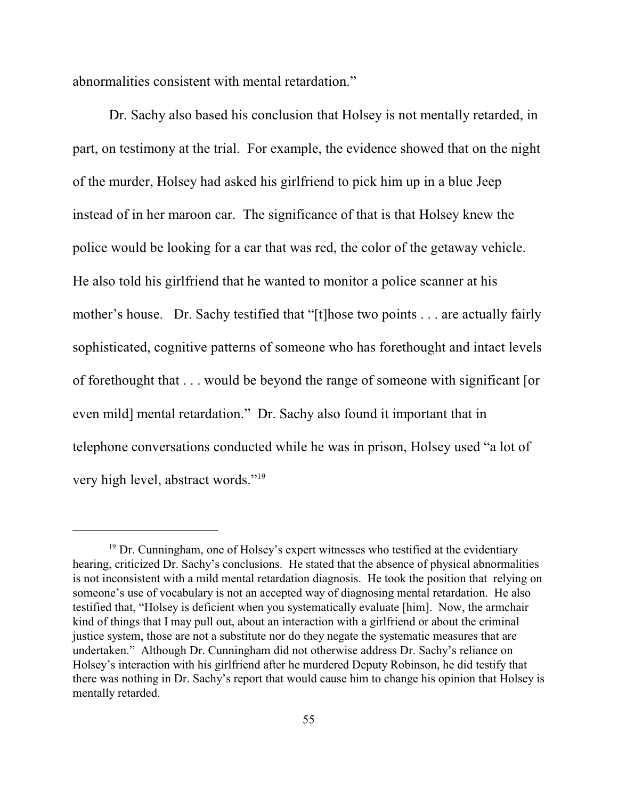abnormalities consistent with mental retardation."

Dr. Sachy also based his conclusion that Holsey is not mentally retarded, in part, on testimony at the trial. For example, the evidence showed that on the night of the murder, Holsey had asked his girlfriend to pick him up in a blue Jeep instead of in her maroon car. The significance of that is that Holsey knew the police would be looking for a car that was red, the color of the getaway vehicle. He also told his girlfriend that he wanted to monitor a police scanner at his mother's house. Dr. Sachy testified that "[t]hose two points . . . are actually fairly sophisticated, cognitive patterns of someone who has forethought and intact levels of forethought that . . . would be beyond the range of someone with significant [or even mild] mental retardation." Dr. Sachy also found it important that in telephone conversations conducted while he was in prison, Holsey used "a lot of very high level, abstract words."<sup>19</sup>

<sup>&</sup>lt;sup>19</sup> Dr. Cunningham, one of Holsey's expert witnesses who testified at the evidentiary hearing, criticized Dr. Sachy's conclusions. He stated that the absence of physical abnormalities is not inconsistent with a mild mental retardation diagnosis. He took the position that relying on someone's use of vocabulary is not an accepted way of diagnosing mental retardation. He also testified that, "Holsey is deficient when you systematically evaluate [him]. Now, the armchair kind of things that I may pull out, about an interaction with a girlfriend or about the criminal justice system, those are not a substitute nor do they negate the systematic measures that are undertaken." Although Dr. Cunningham did not otherwise address Dr. Sachy's reliance on Holsey's interaction with his girlfriend after he murdered Deputy Robinson, he did testify that there was nothing in Dr. Sachy's report that would cause him to change his opinion that Holsey is mentally retarded.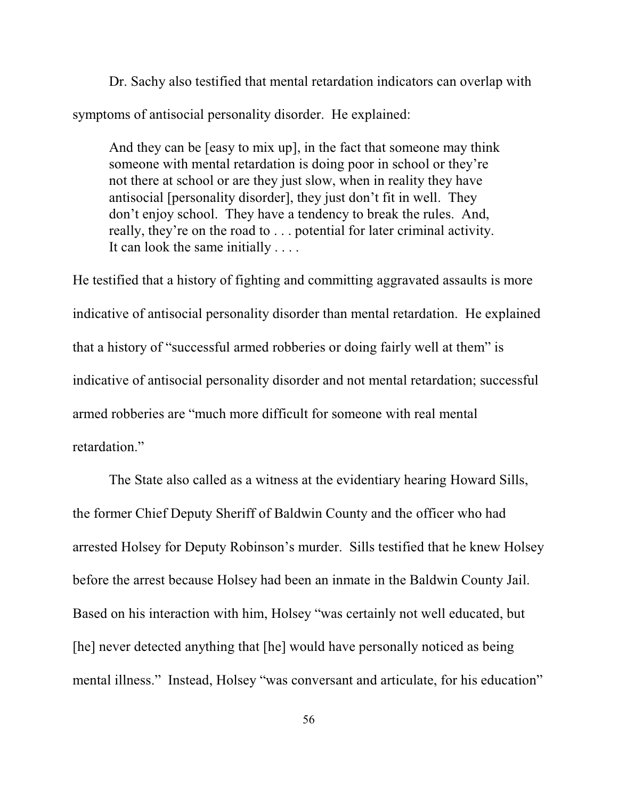Dr. Sachy also testified that mental retardation indicators can overlap with symptoms of antisocial personality disorder. He explained:

And they can be [easy to mix up], in the fact that someone may think someone with mental retardation is doing poor in school or they're not there at school or are they just slow, when in reality they have antisocial [personality disorder], they just don't fit in well. They don't enjoy school. They have a tendency to break the rules. And, really, they're on the road to . . . potential for later criminal activity. It can look the same initially . . . .

He testified that a history of fighting and committing aggravated assaults is more indicative of antisocial personality disorder than mental retardation. He explained that a history of "successful armed robberies or doing fairly well at them" is indicative of antisocial personality disorder and not mental retardation; successful armed robberies are "much more difficult for someone with real mental retardation."

The State also called as a witness at the evidentiary hearing Howard Sills, the former Chief Deputy Sheriff of Baldwin County and the officer who had arrested Holsey for Deputy Robinson's murder. Sills testified that he knew Holsey before the arrest because Holsey had been an inmate in the Baldwin County Jail. Based on his interaction with him, Holsey "was certainly not well educated, but [he] never detected anything that [he] would have personally noticed as being mental illness." Instead, Holsey "was conversant and articulate, for his education"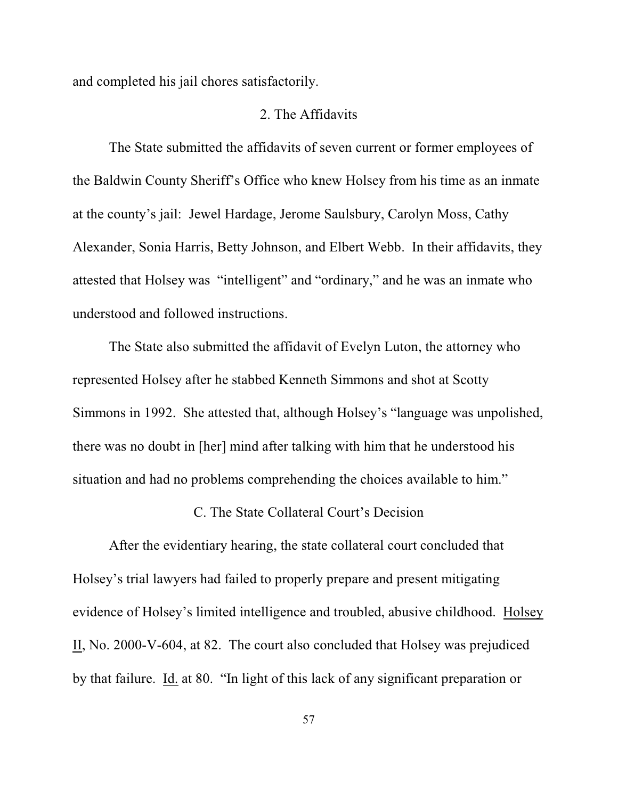and completed his jail chores satisfactorily.

## 2. The Affidavits

The State submitted the affidavits of seven current or former employees of the Baldwin County Sheriff's Office who knew Holsey from his time as an inmate at the county's jail: Jewel Hardage, Jerome Saulsbury, Carolyn Moss, Cathy Alexander, Sonia Harris, Betty Johnson, and Elbert Webb. In their affidavits, they attested that Holsey was "intelligent" and "ordinary," and he was an inmate who understood and followed instructions.

The State also submitted the affidavit of Evelyn Luton, the attorney who represented Holsey after he stabbed Kenneth Simmons and shot at Scotty Simmons in 1992. She attested that, although Holsey's "language was unpolished, there was no doubt in [her] mind after talking with him that he understood his situation and had no problems comprehending the choices available to him."

# C. The State Collateral Court's Decision

After the evidentiary hearing, the state collateral court concluded that Holsey's trial lawyers had failed to properly prepare and present mitigating evidence of Holsey's limited intelligence and troubled, abusive childhood. Holsey II, No. 2000-V-604, at 82. The court also concluded that Holsey was prejudiced by that failure. Id. at 80. "In light of this lack of any significant preparation or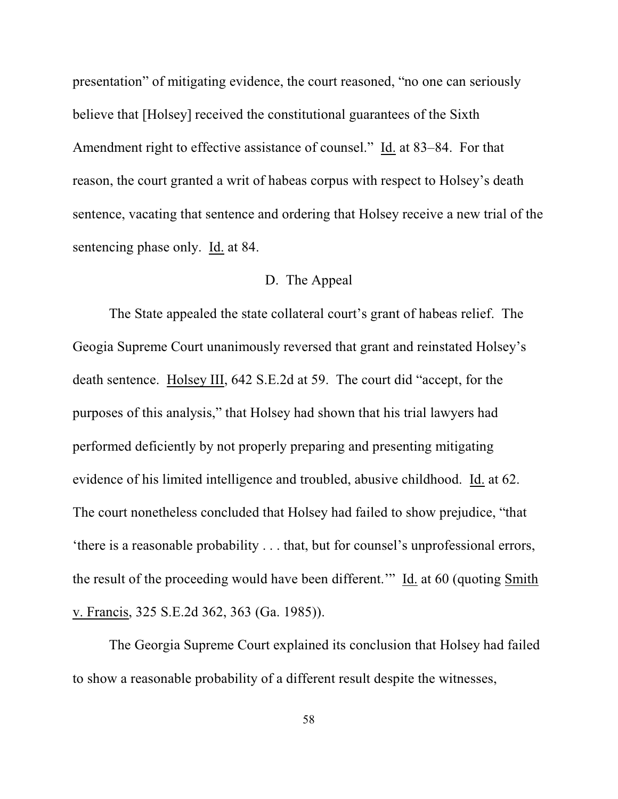presentation" of mitigating evidence, the court reasoned, "no one can seriously believe that [Holsey] received the constitutional guarantees of the Sixth Amendment right to effective assistance of counsel." Id. at 83–84. For that reason, the court granted a writ of habeas corpus with respect to Holsey's death sentence, vacating that sentence and ordering that Holsey receive a new trial of the sentencing phase only. Id. at 84.

## D. The Appeal

The State appealed the state collateral court's grant of habeas relief. The Geogia Supreme Court unanimously reversed that grant and reinstated Holsey's death sentence. Holsey III, 642 S.E.2d at 59. The court did "accept, for the purposes of this analysis," that Holsey had shown that his trial lawyers had performed deficiently by not properly preparing and presenting mitigating evidence of his limited intelligence and troubled, abusive childhood. Id. at 62. The court nonetheless concluded that Holsey had failed to show prejudice, "that 'there is a reasonable probability . . . that, but for counsel's unprofessional errors, the result of the proceeding would have been different.'" Id. at 60 (quoting Smith v. Francis, 325 S.E.2d 362, 363 (Ga. 1985)).

The Georgia Supreme Court explained its conclusion that Holsey had failed to show a reasonable probability of a different result despite the witnesses,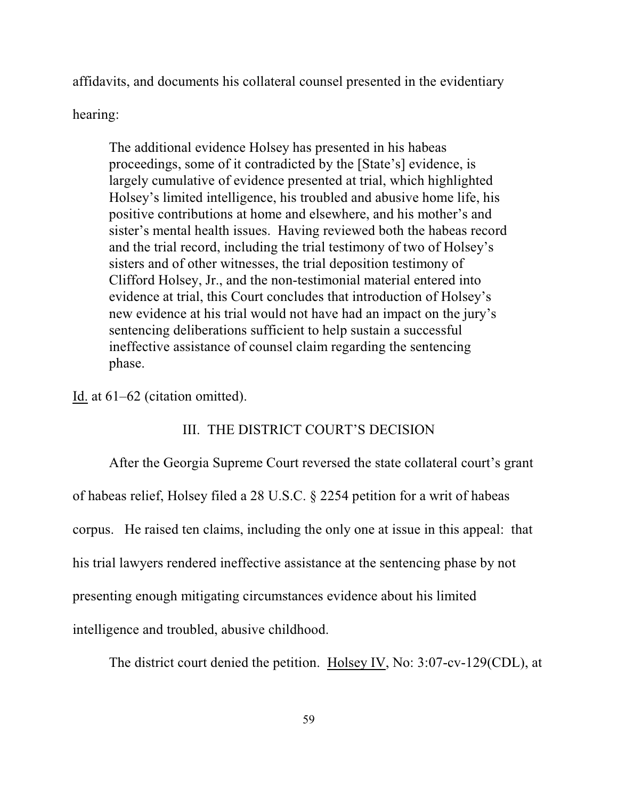affidavits, and documents his collateral counsel presented in the evidentiary

hearing:

The additional evidence Holsey has presented in his habeas proceedings, some of it contradicted by the [State's] evidence, is largely cumulative of evidence presented at trial, which highlighted Holsey's limited intelligence, his troubled and abusive home life, his positive contributions at home and elsewhere, and his mother's and sister's mental health issues. Having reviewed both the habeas record and the trial record, including the trial testimony of two of Holsey's sisters and of other witnesses, the trial deposition testimony of Clifford Holsey, Jr., and the non-testimonial material entered into evidence at trial, this Court concludes that introduction of Holsey's new evidence at his trial would not have had an impact on the jury's sentencing deliberations sufficient to help sustain a successful ineffective assistance of counsel claim regarding the sentencing phase.

Id. at 61–62 (citation omitted).

# III. THE DISTRICT COURT'S DECISION

After the Georgia Supreme Court reversed the state collateral court's grant of habeas relief, Holsey filed a 28 U.S.C. § 2254 petition for a writ of habeas corpus. He raised ten claims, including the only one at issue in this appeal: that his trial lawyers rendered ineffective assistance at the sentencing phase by not presenting enough mitigating circumstances evidence about his limited intelligence and troubled, abusive childhood.

The district court denied the petition. Holsey IV, No: 3:07-cv-129(CDL), at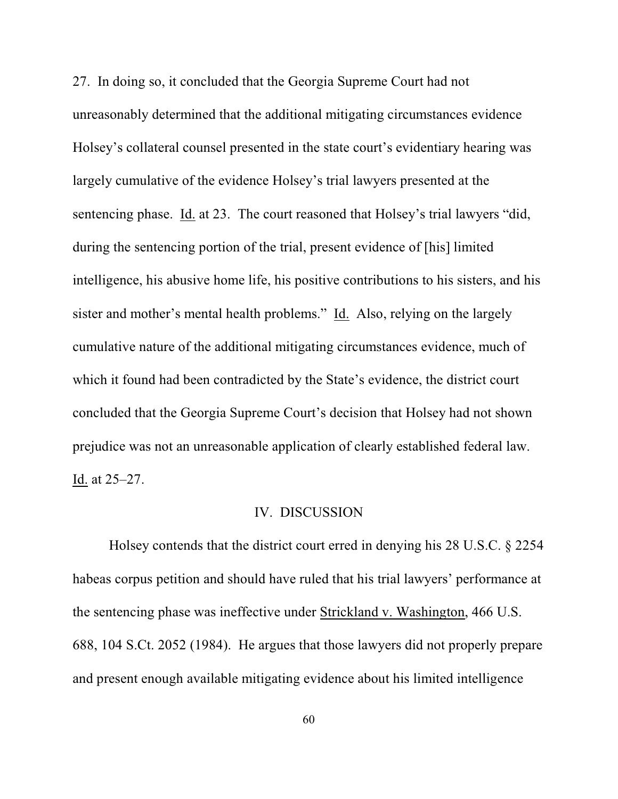27. In doing so, it concluded that the Georgia Supreme Court had not unreasonably determined that the additional mitigating circumstances evidence Holsey's collateral counsel presented in the state court's evidentiary hearing was largely cumulative of the evidence Holsey's trial lawyers presented at the sentencing phase. Id. at 23. The court reasoned that Holsey's trial lawyers "did, during the sentencing portion of the trial, present evidence of [his] limited intelligence, his abusive home life, his positive contributions to his sisters, and his sister and mother's mental health problems." Id. Also, relying on the largely cumulative nature of the additional mitigating circumstances evidence, much of which it found had been contradicted by the State's evidence, the district court concluded that the Georgia Supreme Court's decision that Holsey had not shown prejudice was not an unreasonable application of clearly established federal law. Id. at 25–27.

# IV. DISCUSSION

Holsey contends that the district court erred in denying his 28 U.S.C. § 2254 habeas corpus petition and should have ruled that his trial lawyers' performance at the sentencing phase was ineffective under Strickland v. Washington, 466 U.S. 688, 104 S.Ct. 2052 (1984). He argues that those lawyers did not properly prepare and present enough available mitigating evidence about his limited intelligence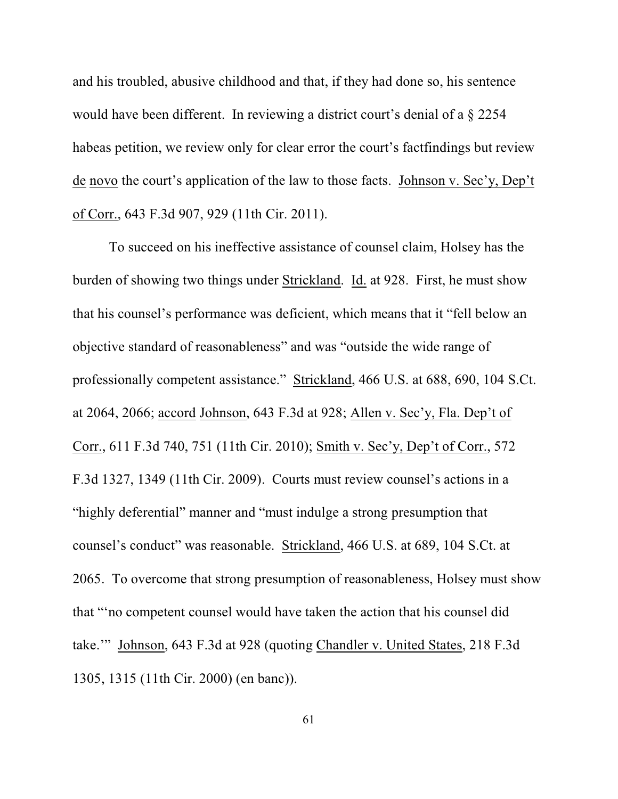and his troubled, abusive childhood and that, if they had done so, his sentence would have been different. In reviewing a district court's denial of a § 2254 habeas petition, we review only for clear error the court's factfindings but review de novo the court's application of the law to those facts. Johnson v. Sec'y, Dep't of Corr., 643 F.3d 907, 929 (11th Cir. 2011).

To succeed on his ineffective assistance of counsel claim, Holsey has the burden of showing two things under Strickland. Id. at 928. First, he must show that his counsel's performance was deficient, which means that it "fell below an objective standard of reasonableness" and was "outside the wide range of professionally competent assistance." Strickland, 466 U.S. at 688, 690, 104 S.Ct. at 2064, 2066; accord Johnson, 643 F.3d at 928; Allen v. Sec'y, Fla. Dep't of Corr., 611 F.3d 740, 751 (11th Cir. 2010); Smith v. Sec'y, Dep't of Corr., 572 F.3d 1327, 1349 (11th Cir. 2009). Courts must review counsel's actions in a "highly deferential" manner and "must indulge a strong presumption that counsel's conduct" was reasonable. Strickland, 466 U.S. at 689, 104 S.Ct. at 2065. To overcome that strong presumption of reasonableness, Holsey must show that "'no competent counsel would have taken the action that his counsel did take.'" Johnson, 643 F.3d at 928 (quoting Chandler v. United States, 218 F.3d 1305, 1315 (11th Cir. 2000) (en banc)).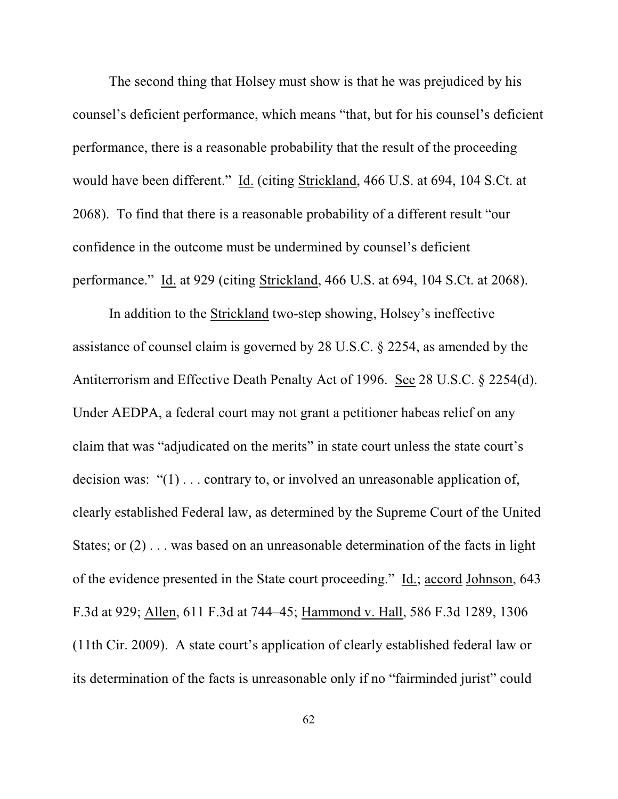The second thing that Holsey must show is that he was prejudiced by his counsel's deficient performance, which means "that, but for his counsel's deficient performance, there is a reasonable probability that the result of the proceeding would have been different." Id. (citing Strickland, 466 U.S. at 694, 104 S.Ct. at 2068). To find that there is a reasonable probability of a different result "our confidence in the outcome must be undermined by counsel's deficient performance." Id. at 929 (citing Strickland, 466 U.S. at 694, 104 S.Ct. at 2068).

In addition to the Strickland two-step showing, Holsey's ineffective assistance of counsel claim is governed by 28 U.S.C. § 2254, as amended by the Antiterrorism and Effective Death Penalty Act of 1996. See 28 U.S.C. § 2254(d). Under AEDPA, a federal court may not grant a petitioner habeas relief on any claim that was "adjudicated on the merits" in state court unless the state court's decision was: "(1) . . . contrary to, or involved an unreasonable application of, clearly established Federal law, as determined by the Supreme Court of the United States; or (2) . . . was based on an unreasonable determination of the facts in light of the evidence presented in the State court proceeding." Id.; accord Johnson, 643 F.3d at 929; Allen, 611 F.3d at 744–45; Hammond v. Hall, 586 F.3d 1289, 1306 (11th Cir. 2009). A state court's application of clearly established federal law or its determination of the facts is unreasonable only if no "fairminded jurist" could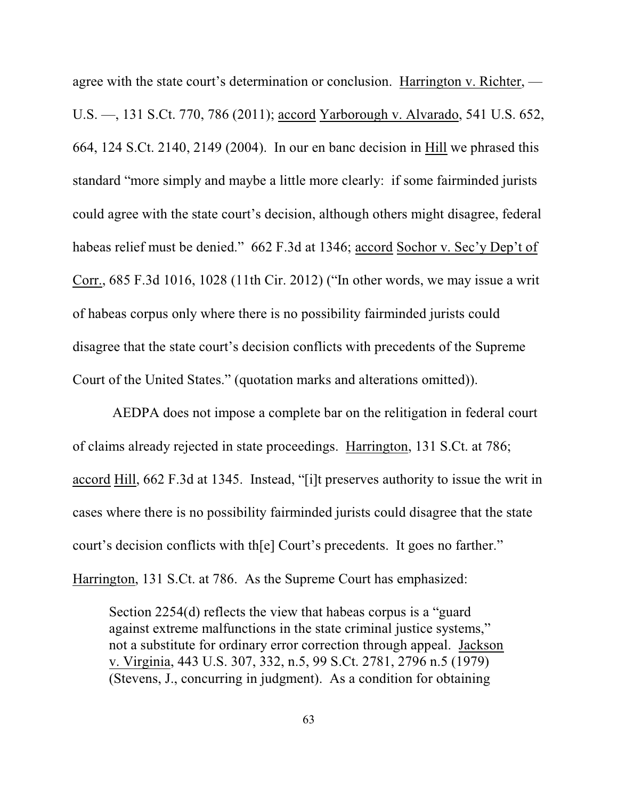agree with the state court's determination or conclusion. Harrington v. Richter, — U.S. —, 131 S.Ct. 770, 786 (2011); accord Yarborough v. Alvarado, 541 U.S. 652, 664, 124 S.Ct. 2140, 2149 (2004). In our en banc decision in Hill we phrased this standard "more simply and maybe a little more clearly: if some fairminded jurists could agree with the state court's decision, although others might disagree, federal habeas relief must be denied." 662 F.3d at 1346; accord Sochor v. Sec'y Dep't of Corr., 685 F.3d 1016, 1028 (11th Cir. 2012) ("In other words, we may issue a writ of habeas corpus only where there is no possibility fairminded jurists could disagree that the state court's decision conflicts with precedents of the Supreme Court of the United States." (quotation marks and alterations omitted)).

 AEDPA does not impose a complete bar on the relitigation in federal court of claims already rejected in state proceedings. Harrington, 131 S.Ct. at 786; accord Hill, 662 F.3d at 1345. Instead, "[i]t preserves authority to issue the writ in cases where there is no possibility fairminded jurists could disagree that the state court's decision conflicts with th[e] Court's precedents. It goes no farther." Harrington, 131 S.Ct. at 786. As the Supreme Court has emphasized:

Section 2254(d) reflects the view that habeas corpus is a "guard against extreme malfunctions in the state criminal justice systems," not a substitute for ordinary error correction through appeal. Jackson v. Virginia, 443 U.S. 307, 332, n.5, 99 S.Ct. 2781, 2796 n.5 (1979) (Stevens, J., concurring in judgment). As a condition for obtaining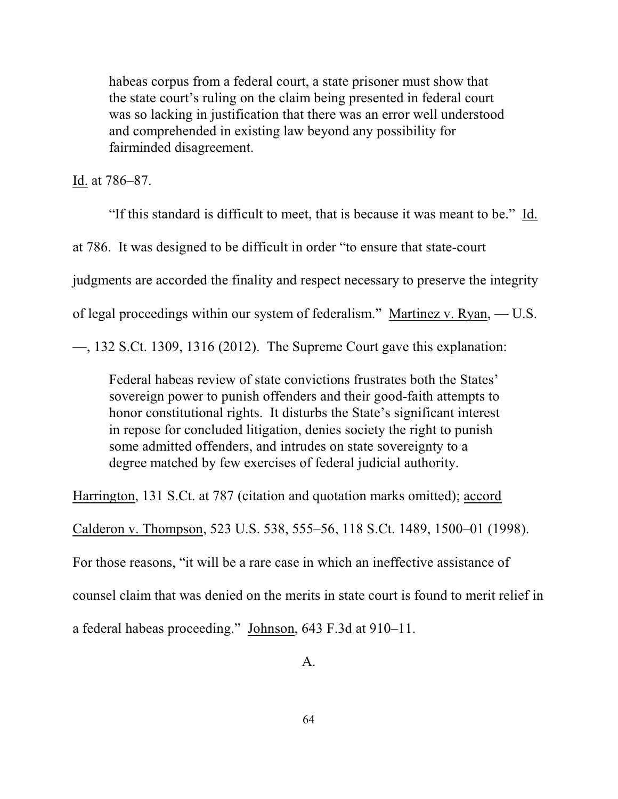habeas corpus from a federal court, a state prisoner must show that the state court's ruling on the claim being presented in federal court was so lacking in justification that there was an error well understood and comprehended in existing law beyond any possibility for fairminded disagreement.

Id. at 786–87.

"If this standard is difficult to meet, that is because it was meant to be." Id. at 786. It was designed to be difficult in order "to ensure that state-court judgments are accorded the finality and respect necessary to preserve the integrity of legal proceedings within our system of federalism." Martinez v. Ryan, — U.S.

—, 132 S.Ct. 1309, 1316 (2012). The Supreme Court gave this explanation:

Federal habeas review of state convictions frustrates both the States' sovereign power to punish offenders and their good-faith attempts to honor constitutional rights. It disturbs the State's significant interest in repose for concluded litigation, denies society the right to punish some admitted offenders, and intrudes on state sovereignty to a degree matched by few exercises of federal judicial authority.

Harrington, 131 S.Ct. at 787 (citation and quotation marks omitted); accord

Calderon v. Thompson, 523 U.S. 538, 555–56, 118 S.Ct. 1489, 1500–01 (1998).

For those reasons, "it will be a rare case in which an ineffective assistance of

counsel claim that was denied on the merits in state court is found to merit relief in

a federal habeas proceeding." Johnson, 643 F.3d at 910–11.

A.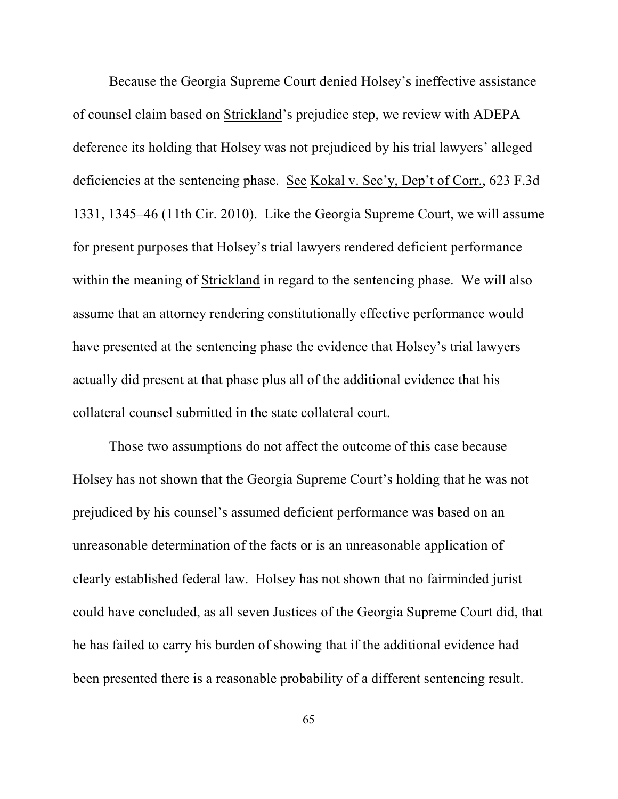Because the Georgia Supreme Court denied Holsey's ineffective assistance of counsel claim based on Strickland's prejudice step, we review with ADEPA deference its holding that Holsey was not prejudiced by his trial lawyers' alleged deficiencies at the sentencing phase. See Kokal v. Sec'y, Dep't of Corr., 623 F.3d 1331, 1345–46 (11th Cir. 2010). Like the Georgia Supreme Court, we will assume for present purposes that Holsey's trial lawyers rendered deficient performance within the meaning of Strickland in regard to the sentencing phase. We will also assume that an attorney rendering constitutionally effective performance would have presented at the sentencing phase the evidence that Holsey's trial lawyers actually did present at that phase plus all of the additional evidence that his collateral counsel submitted in the state collateral court.

Those two assumptions do not affect the outcome of this case because Holsey has not shown that the Georgia Supreme Court's holding that he was not prejudiced by his counsel's assumed deficient performance was based on an unreasonable determination of the facts or is an unreasonable application of clearly established federal law. Holsey has not shown that no fairminded jurist could have concluded, as all seven Justices of the Georgia Supreme Court did, that he has failed to carry his burden of showing that if the additional evidence had been presented there is a reasonable probability of a different sentencing result.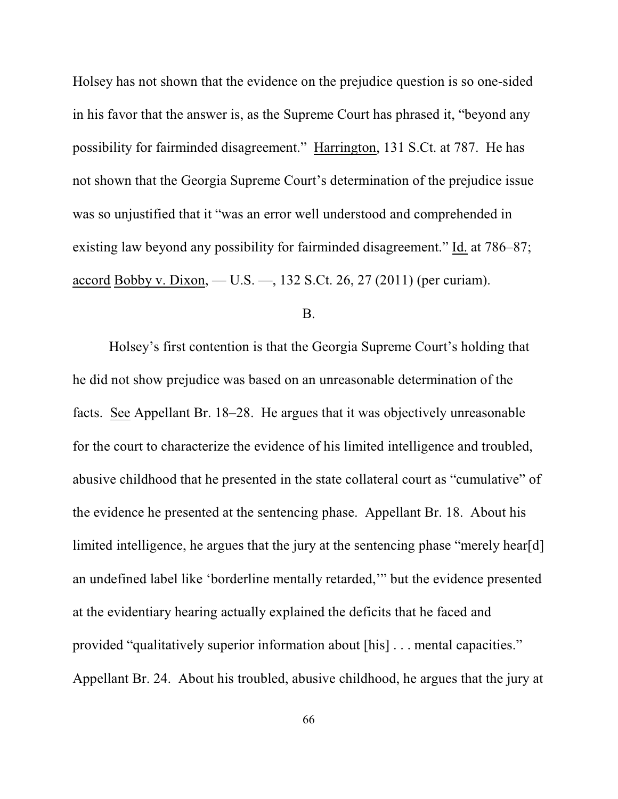Holsey has not shown that the evidence on the prejudice question is so one-sided in his favor that the answer is, as the Supreme Court has phrased it, "beyond any possibility for fairminded disagreement." Harrington, 131 S.Ct. at 787. He has not shown that the Georgia Supreme Court's determination of the prejudice issue was so unjustified that it "was an error well understood and comprehended in existing law beyond any possibility for fairminded disagreement." Id. at 786–87; accord Bobby v. Dixon, — U.S. —, 132 S.Ct. 26, 27 (2011) (per curiam).

#### B.

Holsey's first contention is that the Georgia Supreme Court's holding that he did not show prejudice was based on an unreasonable determination of the facts. See Appellant Br. 18–28. He argues that it was objectively unreasonable for the court to characterize the evidence of his limited intelligence and troubled, abusive childhood that he presented in the state collateral court as "cumulative" of the evidence he presented at the sentencing phase. Appellant Br. 18. About his limited intelligence, he argues that the jury at the sentencing phase "merely hear[d] an undefined label like 'borderline mentally retarded,'" but the evidence presented at the evidentiary hearing actually explained the deficits that he faced and provided "qualitatively superior information about [his] . . . mental capacities." Appellant Br. 24. About his troubled, abusive childhood, he argues that the jury at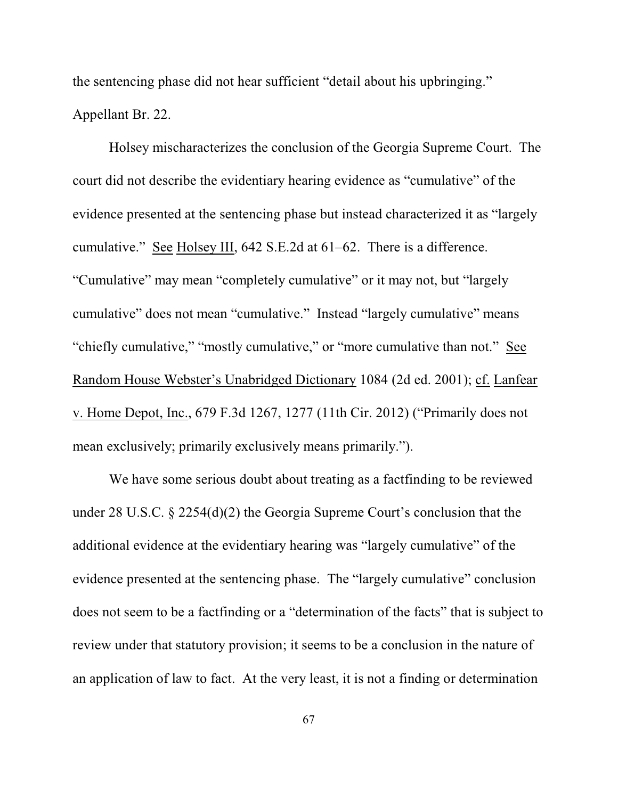the sentencing phase did not hear sufficient "detail about his upbringing." Appellant Br. 22.

Holsey mischaracterizes the conclusion of the Georgia Supreme Court. The court did not describe the evidentiary hearing evidence as "cumulative" of the evidence presented at the sentencing phase but instead characterized it as "largely cumulative." See Holsey III, 642 S.E.2d at 61–62. There is a difference. "Cumulative" may mean "completely cumulative" or it may not, but "largely cumulative" does not mean "cumulative." Instead "largely cumulative" means "chiefly cumulative," "mostly cumulative," or "more cumulative than not." See Random House Webster's Unabridged Dictionary 1084 (2d ed. 2001); cf. Lanfear v. Home Depot, Inc., 679 F.3d 1267, 1277 (11th Cir. 2012) ("Primarily does not mean exclusively; primarily exclusively means primarily.").

We have some serious doubt about treating as a factfinding to be reviewed under 28 U.S.C. § 2254(d)(2) the Georgia Supreme Court's conclusion that the additional evidence at the evidentiary hearing was "largely cumulative" of the evidence presented at the sentencing phase. The "largely cumulative" conclusion does not seem to be a factfinding or a "determination of the facts" that is subject to review under that statutory provision; it seems to be a conclusion in the nature of an application of law to fact. At the very least, it is not a finding or determination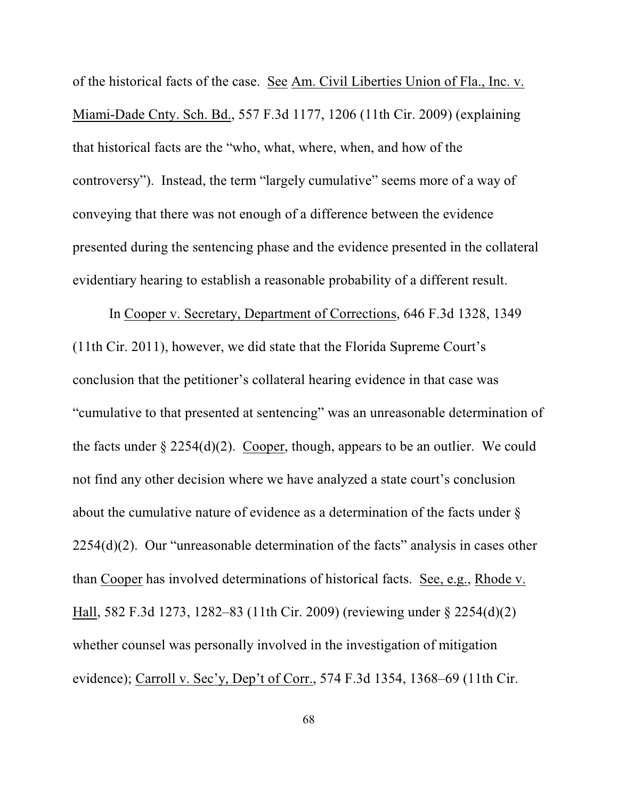of the historical facts of the case. See Am. Civil Liberties Union of Fla., Inc. v. Miami-Dade Cnty. Sch. Bd., 557 F.3d 1177, 1206 (11th Cir. 2009) (explaining that historical facts are the "who, what, where, when, and how of the controversy"). Instead, the term "largely cumulative" seems more of a way of conveying that there was not enough of a difference between the evidence presented during the sentencing phase and the evidence presented in the collateral evidentiary hearing to establish a reasonable probability of a different result.

In Cooper v. Secretary, Department of Corrections, 646 F.3d 1328, 1349 (11th Cir. 2011), however, we did state that the Florida Supreme Court's conclusion that the petitioner's collateral hearing evidence in that case was "cumulative to that presented at sentencing" was an unreasonable determination of the facts under  $\S 2254(d)(2)$ . Cooper, though, appears to be an outlier. We could not find any other decision where we have analyzed a state court's conclusion about the cumulative nature of evidence as a determination of the facts under § 2254(d)(2). Our "unreasonable determination of the facts" analysis in cases other than Cooper has involved determinations of historical facts. See, e.g., Rhode v. Hall, 582 F.3d 1273, 1282–83 (11th Cir. 2009) (reviewing under § 2254(d)(2) whether counsel was personally involved in the investigation of mitigation evidence); Carroll v. Sec'y, Dep't of Corr., 574 F.3d 1354, 1368–69 (11th Cir.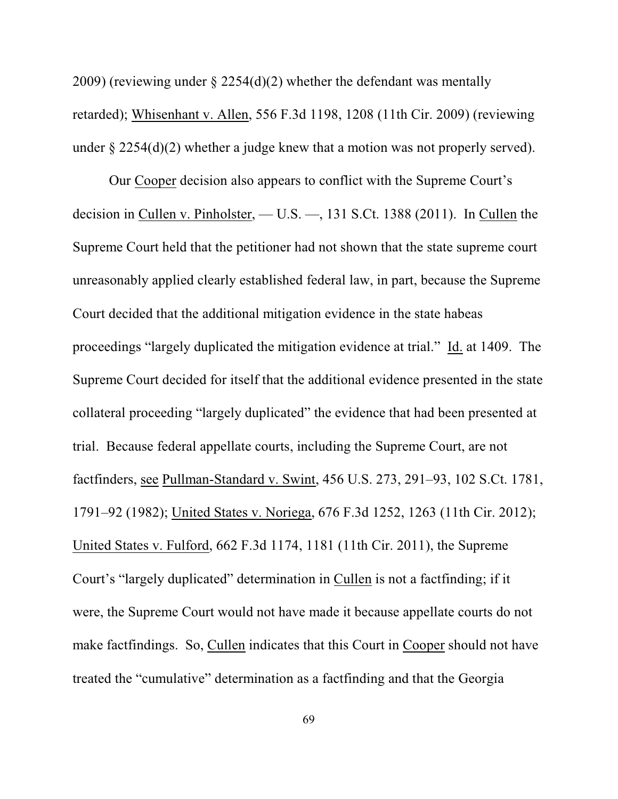2009) (reviewing under § 2254(d)(2) whether the defendant was mentally retarded); Whisenhant v. Allen, 556 F.3d 1198, 1208 (11th Cir. 2009) (reviewing under  $\S 2254(d)(2)$  whether a judge knew that a motion was not properly served).

Our Cooper decision also appears to conflict with the Supreme Court's decision in Cullen v. Pinholster, — U.S. —, 131 S.Ct. 1388 (2011). In Cullen the Supreme Court held that the petitioner had not shown that the state supreme court unreasonably applied clearly established federal law, in part, because the Supreme Court decided that the additional mitigation evidence in the state habeas proceedings "largely duplicated the mitigation evidence at trial." Id. at 1409. The Supreme Court decided for itself that the additional evidence presented in the state collateral proceeding "largely duplicated" the evidence that had been presented at trial. Because federal appellate courts, including the Supreme Court, are not factfinders, see Pullman-Standard v. Swint, 456 U.S. 273, 291–93, 102 S.Ct. 1781, 1791–92 (1982); United States v. Noriega, 676 F.3d 1252, 1263 (11th Cir. 2012); United States v. Fulford, 662 F.3d 1174, 1181 (11th Cir. 2011), the Supreme Court's "largely duplicated" determination in Cullen is not a factfinding; if it were, the Supreme Court would not have made it because appellate courts do not make factfindings. So, Cullen indicates that this Court in Cooper should not have treated the "cumulative" determination as a factfinding and that the Georgia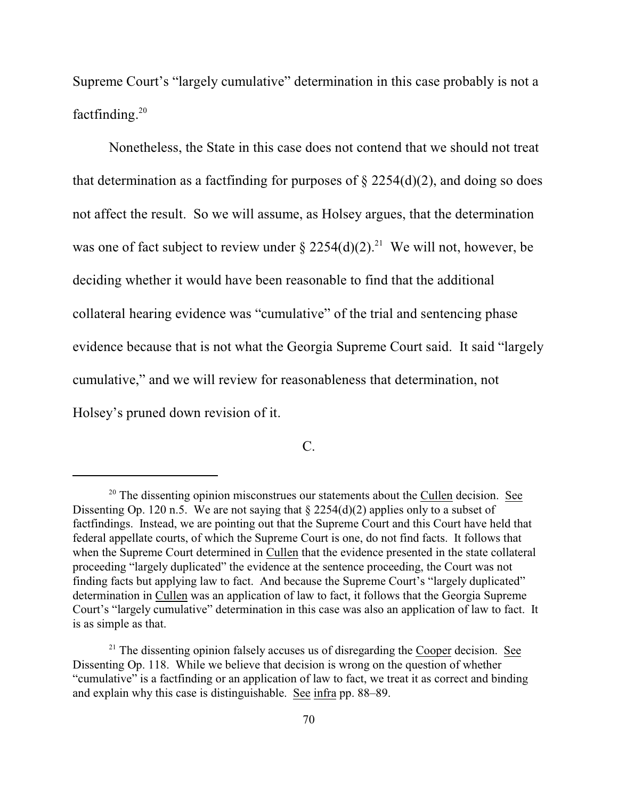Supreme Court's "largely cumulative" determination in this case probably is not a factfinding. 20

Nonetheless, the State in this case does not contend that we should not treat that determination as a factfinding for purposes of  $\S 2254(d)(2)$ , and doing so does not affect the result. So we will assume, as Holsey argues, that the determination was one of fact subject to review under  $\S 2254(d)(2).$ <sup>21</sup> We will not, however, be deciding whether it would have been reasonable to find that the additional collateral hearing evidence was "cumulative" of the trial and sentencing phase evidence because that is not what the Georgia Supreme Court said. It said "largely cumulative," and we will review for reasonableness that determination, not Holsey's pruned down revision of it.

# C.

 $20$  The dissenting opinion misconstrues our statements about the Cullen decision. See Dissenting Op. 120 n.5. We are not saying that § 2254(d)(2) applies only to a subset of factfindings. Instead, we are pointing out that the Supreme Court and this Court have held that federal appellate courts, of which the Supreme Court is one, do not find facts. It follows that when the Supreme Court determined in Cullen that the evidence presented in the state collateral proceeding "largely duplicated" the evidence at the sentence proceeding, the Court was not finding facts but applying law to fact. And because the Supreme Court's "largely duplicated" determination in Cullen was an application of law to fact, it follows that the Georgia Supreme Court's "largely cumulative" determination in this case was also an application of law to fact. It is as simple as that.

 $21$  The dissenting opinion falsely accuses us of disregarding the Cooper decision. See Dissenting Op. 118. While we believe that decision is wrong on the question of whether "cumulative" is a factfinding or an application of law to fact, we treat it as correct and binding and explain why this case is distinguishable. See infra pp. 88–89.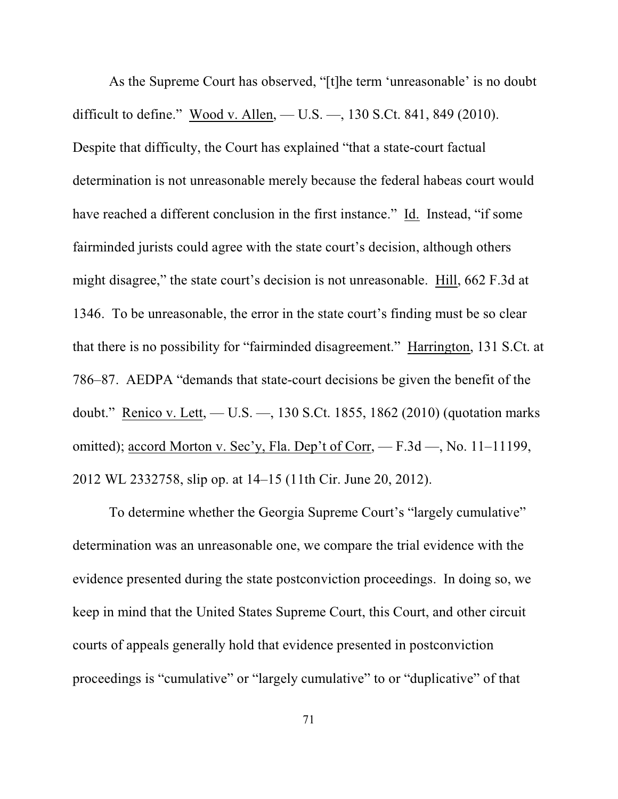As the Supreme Court has observed, "[t]he term 'unreasonable' is no doubt difficult to define." Wood v. Allen, — U.S. —, 130 S.Ct. 841, 849 (2010). Despite that difficulty, the Court has explained "that a state-court factual determination is not unreasonable merely because the federal habeas court would have reached a different conclusion in the first instance." Id. Instead, "if some fairminded jurists could agree with the state court's decision, although others might disagree," the state court's decision is not unreasonable. Hill, 662 F.3d at 1346. To be unreasonable, the error in the state court's finding must be so clear that there is no possibility for "fairminded disagreement." Harrington, 131 S.Ct. at 786–87. AEDPA "demands that state-court decisions be given the benefit of the doubt." Renico v. Lett, — U.S. —, 130 S.Ct. 1855, 1862 (2010) (quotation marks omitted); accord Morton v. Sec'y, Fla. Dep't of Corr, — F.3d —, No. 11–11199, 2012 WL 2332758, slip op. at 14–15 (11th Cir. June 20, 2012).

To determine whether the Georgia Supreme Court's "largely cumulative" determination was an unreasonable one, we compare the trial evidence with the evidence presented during the state postconviction proceedings. In doing so, we keep in mind that the United States Supreme Court, this Court, and other circuit courts of appeals generally hold that evidence presented in postconviction proceedings is "cumulative" or "largely cumulative" to or "duplicative" of that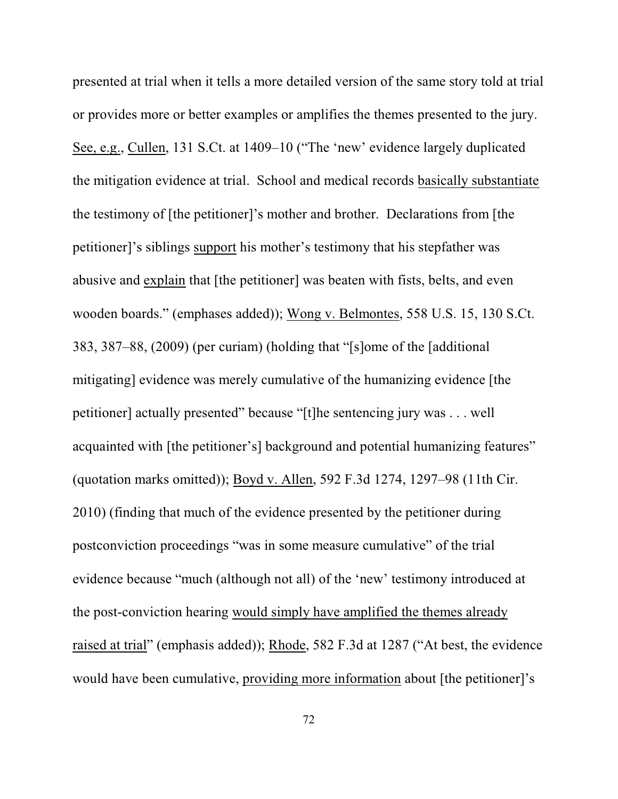presented at trial when it tells a more detailed version of the same story told at trial or provides more or better examples or amplifies the themes presented to the jury. See, e.g., Cullen, 131 S.Ct. at 1409–10 ("The 'new' evidence largely duplicated the mitigation evidence at trial. School and medical records basically substantiate the testimony of [the petitioner]'s mother and brother. Declarations from [the petitioner]'s siblings support his mother's testimony that his stepfather was abusive and explain that [the petitioner] was beaten with fists, belts, and even wooden boards." (emphases added)); Wong v. Belmontes, 558 U.S. 15, 130 S.Ct. 383, 387–88, (2009) (per curiam) (holding that "[s]ome of the [additional mitigating] evidence was merely cumulative of the humanizing evidence [the petitioner] actually presented" because "[t]he sentencing jury was . . . well acquainted with [the petitioner's] background and potential humanizing features" (quotation marks omitted)); Boyd v. Allen, 592 F.3d 1274, 1297–98 (11th Cir. 2010) (finding that much of the evidence presented by the petitioner during postconviction proceedings "was in some measure cumulative" of the trial evidence because "much (although not all) of the 'new' testimony introduced at the post-conviction hearing would simply have amplified the themes already raised at trial" (emphasis added)); Rhode, 582 F.3d at 1287 ("At best, the evidence would have been cumulative, providing more information about [the petitioner]'s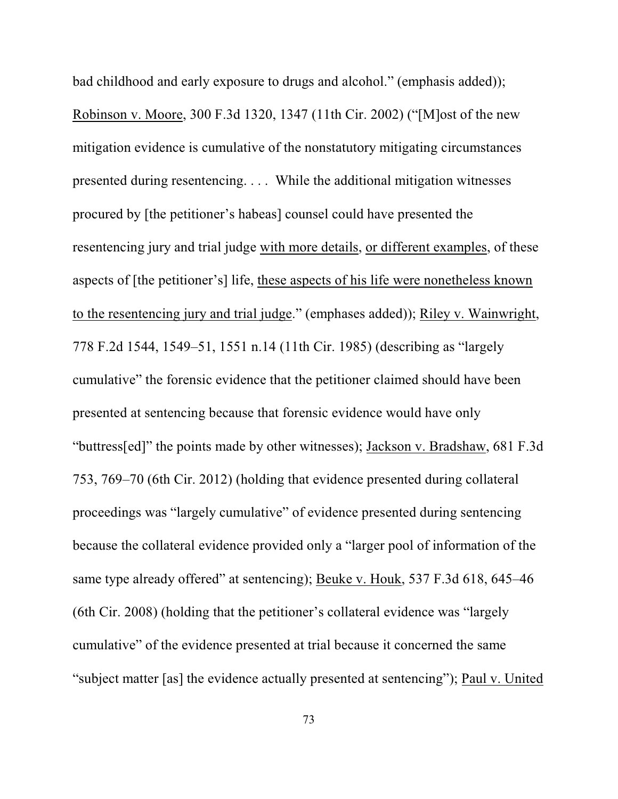bad childhood and early exposure to drugs and alcohol." (emphasis added)); Robinson v. Moore, 300 F.3d 1320, 1347 (11th Cir. 2002) ("[M]ost of the new mitigation evidence is cumulative of the nonstatutory mitigating circumstances presented during resentencing. . . . While the additional mitigation witnesses procured by [the petitioner's habeas] counsel could have presented the resentencing jury and trial judge with more details, or different examples, of these aspects of [the petitioner's] life, these aspects of his life were nonetheless known to the resentencing jury and trial judge." (emphases added)); Riley v. Wainwright, 778 F.2d 1544, 1549–51, 1551 n.14 (11th Cir. 1985) (describing as "largely cumulative" the forensic evidence that the petitioner claimed should have been presented at sentencing because that forensic evidence would have only "buttress[ed]" the points made by other witnesses); Jackson v. Bradshaw, 681 F.3d 753, 769–70 (6th Cir. 2012) (holding that evidence presented during collateral proceedings was "largely cumulative" of evidence presented during sentencing because the collateral evidence provided only a "larger pool of information of the same type already offered" at sentencing); Beuke v. Houk, 537 F.3d 618, 645–46 (6th Cir. 2008) (holding that the petitioner's collateral evidence was "largely cumulative" of the evidence presented at trial because it concerned the same "subject matter [as] the evidence actually presented at sentencing"); Paul v. United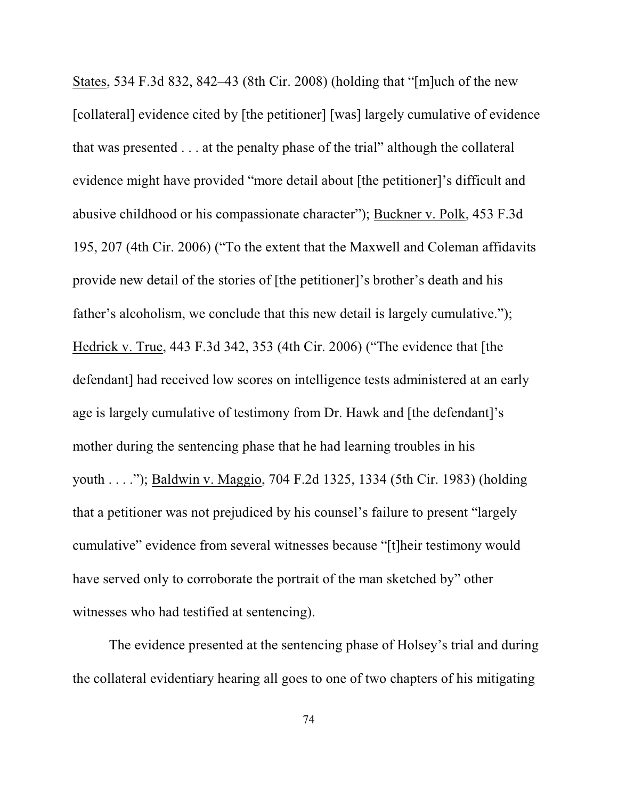States, 534 F.3d 832, 842–43 (8th Cir. 2008) (holding that "[m]uch of the new [collateral] evidence cited by [the petitioner] [was] largely cumulative of evidence that was presented . . . at the penalty phase of the trial" although the collateral evidence might have provided "more detail about [the petitioner]'s difficult and abusive childhood or his compassionate character"); Buckner v. Polk, 453 F.3d 195, 207 (4th Cir. 2006) ("To the extent that the Maxwell and Coleman affidavits provide new detail of the stories of [the petitioner]'s brother's death and his father's alcoholism, we conclude that this new detail is largely cumulative."); Hedrick v. True, 443 F.3d 342, 353 (4th Cir. 2006) ("The evidence that [the defendant] had received low scores on intelligence tests administered at an early age is largely cumulative of testimony from Dr. Hawk and [the defendant]'s mother during the sentencing phase that he had learning troubles in his youth . . . ."); Baldwin v. Maggio, 704 F.2d 1325, 1334 (5th Cir. 1983) (holding that a petitioner was not prejudiced by his counsel's failure to present "largely cumulative" evidence from several witnesses because "[t]heir testimony would have served only to corroborate the portrait of the man sketched by" other witnesses who had testified at sentencing).

The evidence presented at the sentencing phase of Holsey's trial and during the collateral evidentiary hearing all goes to one of two chapters of his mitigating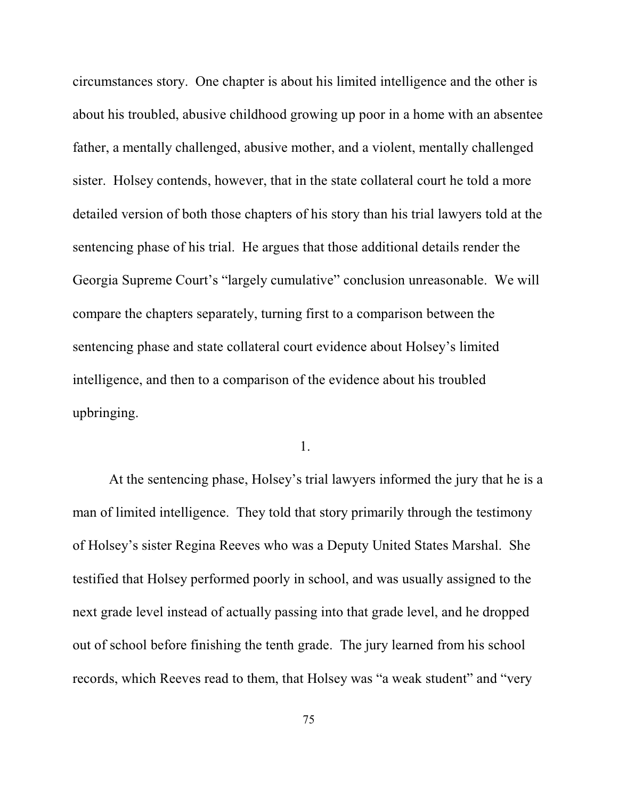circumstances story. One chapter is about his limited intelligence and the other is about his troubled, abusive childhood growing up poor in a home with an absentee father, a mentally challenged, abusive mother, and a violent, mentally challenged sister. Holsey contends, however, that in the state collateral court he told a more detailed version of both those chapters of his story than his trial lawyers told at the sentencing phase of his trial. He argues that those additional details render the Georgia Supreme Court's "largely cumulative" conclusion unreasonable. We will compare the chapters separately, turning first to a comparison between the sentencing phase and state collateral court evidence about Holsey's limited intelligence, and then to a comparison of the evidence about his troubled upbringing.

1.

At the sentencing phase, Holsey's trial lawyers informed the jury that he is a man of limited intelligence. They told that story primarily through the testimony of Holsey's sister Regina Reeves who was a Deputy United States Marshal. She testified that Holsey performed poorly in school, and was usually assigned to the next grade level instead of actually passing into that grade level, and he dropped out of school before finishing the tenth grade. The jury learned from his school records, which Reeves read to them, that Holsey was "a weak student" and "very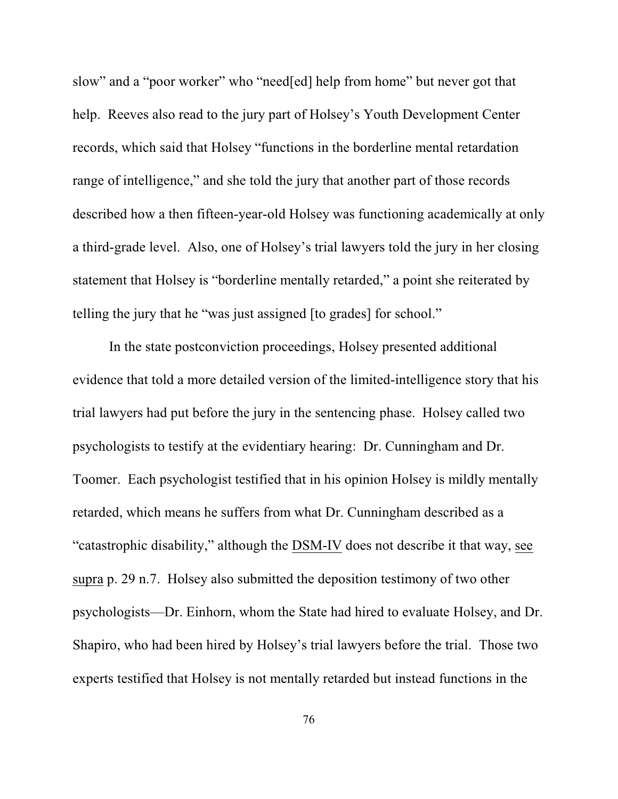slow" and a "poor worker" who "need[ed] help from home" but never got that help. Reeves also read to the jury part of Holsey's Youth Development Center records, which said that Holsey "functions in the borderline mental retardation range of intelligence," and she told the jury that another part of those records described how a then fifteen-year-old Holsey was functioning academically at only a third-grade level. Also, one of Holsey's trial lawyers told the jury in her closing statement that Holsey is "borderline mentally retarded," a point she reiterated by telling the jury that he "was just assigned [to grades] for school."

In the state postconviction proceedings, Holsey presented additional evidence that told a more detailed version of the limited-intelligence story that his trial lawyers had put before the jury in the sentencing phase. Holsey called two psychologists to testify at the evidentiary hearing: Dr. Cunningham and Dr. Toomer. Each psychologist testified that in his opinion Holsey is mildly mentally retarded, which means he suffers from what Dr. Cunningham described as a "catastrophic disability," although the DSM-IV does not describe it that way, see supra p. 29 n.7. Holsey also submitted the deposition testimony of two other psychologists—Dr. Einhorn, whom the State had hired to evaluate Holsey, and Dr. Shapiro, who had been hired by Holsey's trial lawyers before the trial. Those two experts testified that Holsey is not mentally retarded but instead functions in the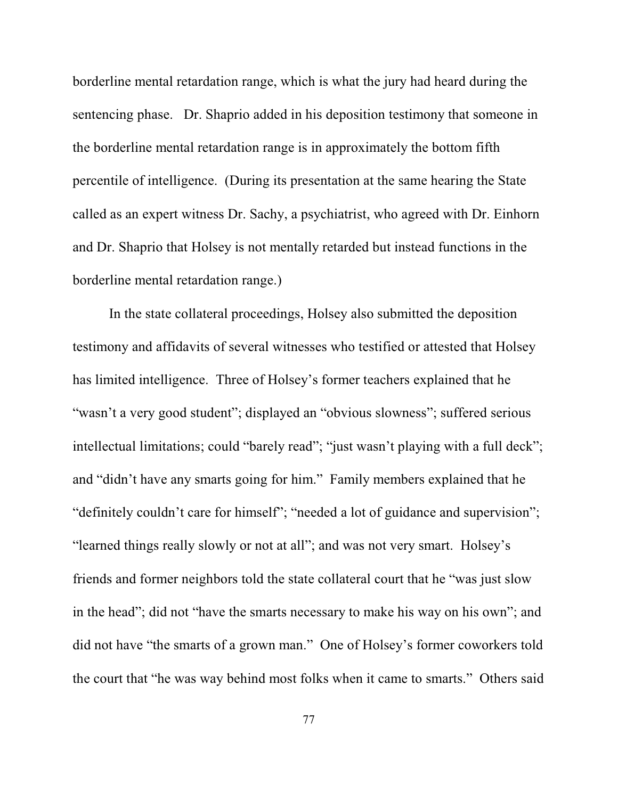borderline mental retardation range, which is what the jury had heard during the sentencing phase. Dr. Shaprio added in his deposition testimony that someone in the borderline mental retardation range is in approximately the bottom fifth percentile of intelligence. (During its presentation at the same hearing the State called as an expert witness Dr. Sachy, a psychiatrist, who agreed with Dr. Einhorn and Dr. Shaprio that Holsey is not mentally retarded but instead functions in the borderline mental retardation range.)

In the state collateral proceedings, Holsey also submitted the deposition testimony and affidavits of several witnesses who testified or attested that Holsey has limited intelligence. Three of Holsey's former teachers explained that he "wasn't a very good student"; displayed an "obvious slowness"; suffered serious intellectual limitations; could "barely read"; "just wasn't playing with a full deck"; and "didn't have any smarts going for him." Family members explained that he "definitely couldn't care for himself"; "needed a lot of guidance and supervision"; "learned things really slowly or not at all"; and was not very smart. Holsey's friends and former neighbors told the state collateral court that he "was just slow in the head"; did not "have the smarts necessary to make his way on his own"; and did not have "the smarts of a grown man." One of Holsey's former coworkers told the court that "he was way behind most folks when it came to smarts." Others said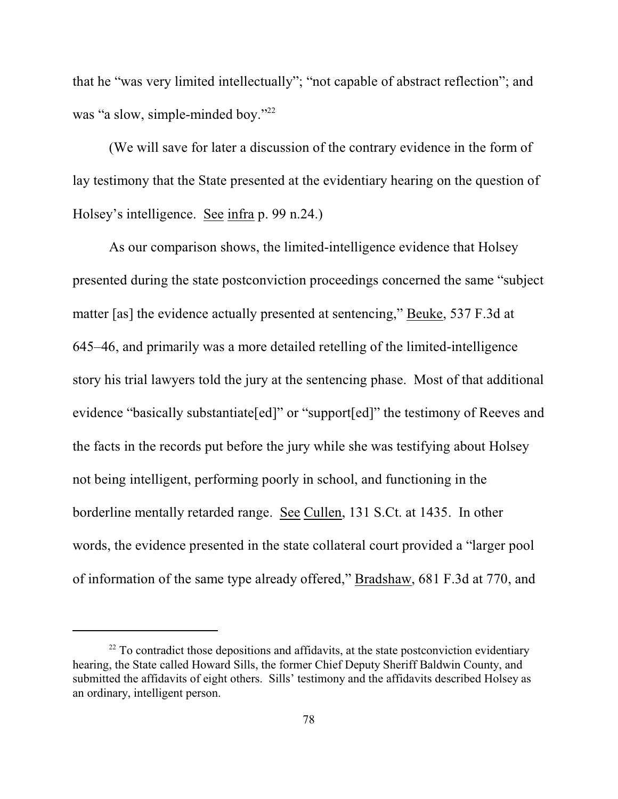that he "was very limited intellectually"; "not capable of abstract reflection"; and was "a slow, simple-minded boy."<sup>22</sup>

(We will save for later a discussion of the contrary evidence in the form of lay testimony that the State presented at the evidentiary hearing on the question of Holsey's intelligence. See infra p. 99 n.24.)

As our comparison shows, the limited-intelligence evidence that Holsey presented during the state postconviction proceedings concerned the same "subject matter [as] the evidence actually presented at sentencing," Beuke, 537 F.3d at 645–46, and primarily was a more detailed retelling of the limited-intelligence story his trial lawyers told the jury at the sentencing phase. Most of that additional evidence "basically substantiate[ed]" or "support[ed]" the testimony of Reeves and the facts in the records put before the jury while she was testifying about Holsey not being intelligent, performing poorly in school, and functioning in the borderline mentally retarded range. See Cullen, 131 S.Ct. at 1435. In other words, the evidence presented in the state collateral court provided a "larger pool of information of the same type already offered," Bradshaw, 681 F.3d at 770, and

 $22$  To contradict those depositions and affidavits, at the state postconviction evidentiary hearing, the State called Howard Sills, the former Chief Deputy Sheriff Baldwin County, and submitted the affidavits of eight others. Sills' testimony and the affidavits described Holsey as an ordinary, intelligent person.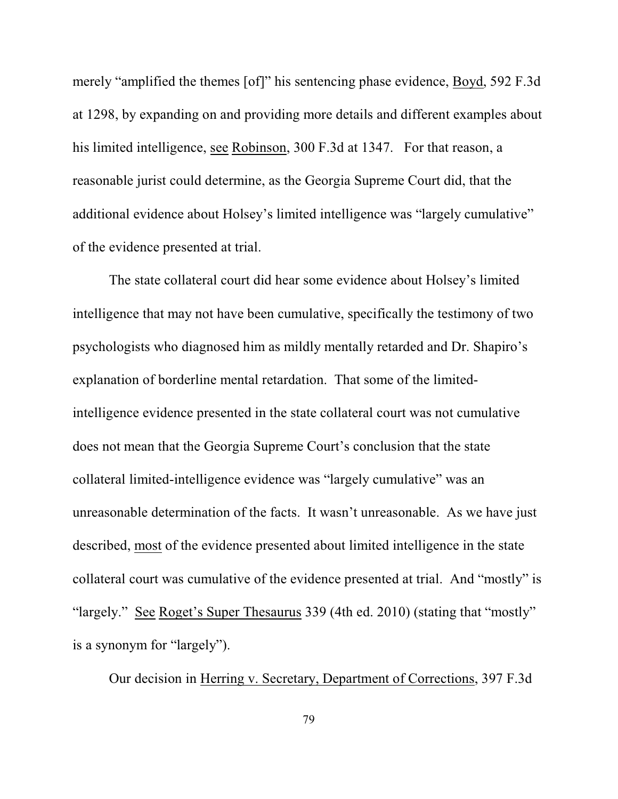merely "amplified the themes [of]" his sentencing phase evidence, Boyd, 592 F.3d at 1298, by expanding on and providing more details and different examples about his limited intelligence, see Robinson, 300 F.3d at 1347. For that reason, a reasonable jurist could determine, as the Georgia Supreme Court did, that the additional evidence about Holsey's limited intelligence was "largely cumulative" of the evidence presented at trial.

The state collateral court did hear some evidence about Holsey's limited intelligence that may not have been cumulative, specifically the testimony of two psychologists who diagnosed him as mildly mentally retarded and Dr. Shapiro's explanation of borderline mental retardation. That some of the limitedintelligence evidence presented in the state collateral court was not cumulative does not mean that the Georgia Supreme Court's conclusion that the state collateral limited-intelligence evidence was "largely cumulative" was an unreasonable determination of the facts. It wasn't unreasonable. As we have just described, most of the evidence presented about limited intelligence in the state collateral court was cumulative of the evidence presented at trial. And "mostly" is "largely." See Roget's Super Thesaurus 339 (4th ed. 2010) (stating that "mostly" is a synonym for "largely").

Our decision in Herring v. Secretary, Department of Corrections, 397 F.3d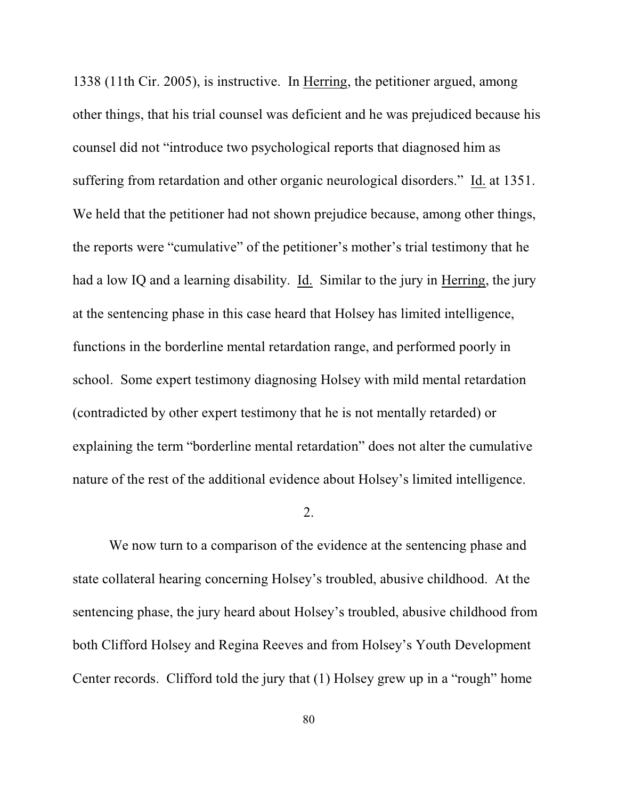1338 (11th Cir. 2005), is instructive. In Herring, the petitioner argued, among other things, that his trial counsel was deficient and he was prejudiced because his counsel did not "introduce two psychological reports that diagnosed him as suffering from retardation and other organic neurological disorders." Id. at 1351. We held that the petitioner had not shown prejudice because, among other things, the reports were "cumulative" of the petitioner's mother's trial testimony that he had a low IQ and a learning disability. Id. Similar to the jury in Herring, the jury at the sentencing phase in this case heard that Holsey has limited intelligence, functions in the borderline mental retardation range, and performed poorly in school. Some expert testimony diagnosing Holsey with mild mental retardation (contradicted by other expert testimony that he is not mentally retarded) or explaining the term "borderline mental retardation" does not alter the cumulative nature of the rest of the additional evidence about Holsey's limited intelligence.

## 2.

We now turn to a comparison of the evidence at the sentencing phase and state collateral hearing concerning Holsey's troubled, abusive childhood. At the sentencing phase, the jury heard about Holsey's troubled, abusive childhood from both Clifford Holsey and Regina Reeves and from Holsey's Youth Development Center records. Clifford told the jury that (1) Holsey grew up in a "rough" home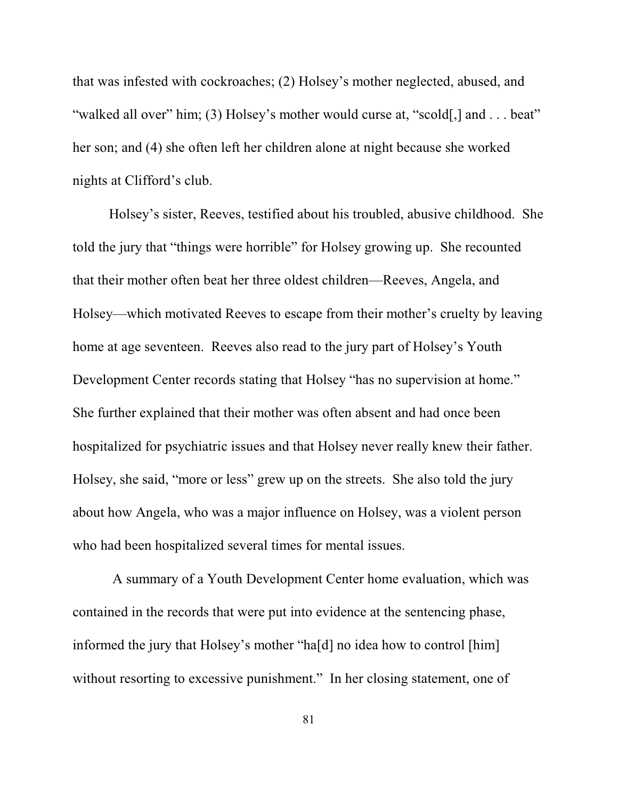that was infested with cockroaches; (2) Holsey's mother neglected, abused, and "walked all over" him; (3) Holsey's mother would curse at, "scold[,] and . . . beat" her son; and (4) she often left her children alone at night because she worked nights at Clifford's club.

Holsey's sister, Reeves, testified about his troubled, abusive childhood. She told the jury that "things were horrible" for Holsey growing up. She recounted that their mother often beat her three oldest children—Reeves, Angela, and Holsey—which motivated Reeves to escape from their mother's cruelty by leaving home at age seventeen. Reeves also read to the jury part of Holsey's Youth Development Center records stating that Holsey "has no supervision at home." She further explained that their mother was often absent and had once been hospitalized for psychiatric issues and that Holsey never really knew their father. Holsey, she said, "more or less" grew up on the streets. She also told the jury about how Angela, who was a major influence on Holsey, was a violent person who had been hospitalized several times for mental issues.

 A summary of a Youth Development Center home evaluation, which was contained in the records that were put into evidence at the sentencing phase, informed the jury that Holsey's mother "ha[d] no idea how to control [him] without resorting to excessive punishment." In her closing statement, one of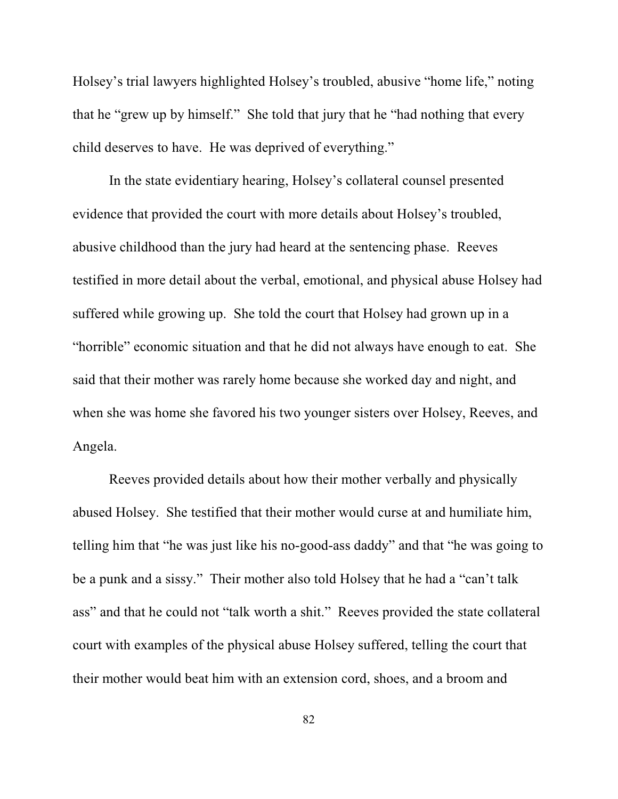Holsey's trial lawyers highlighted Holsey's troubled, abusive "home life," noting that he "grew up by himself." She told that jury that he "had nothing that every child deserves to have. He was deprived of everything."

In the state evidentiary hearing, Holsey's collateral counsel presented evidence that provided the court with more details about Holsey's troubled, abusive childhood than the jury had heard at the sentencing phase. Reeves testified in more detail about the verbal, emotional, and physical abuse Holsey had suffered while growing up. She told the court that Holsey had grown up in a "horrible" economic situation and that he did not always have enough to eat. She said that their mother was rarely home because she worked day and night, and when she was home she favored his two younger sisters over Holsey, Reeves, and Angela.

Reeves provided details about how their mother verbally and physically abused Holsey. She testified that their mother would curse at and humiliate him, telling him that "he was just like his no-good-ass daddy" and that "he was going to be a punk and a sissy." Their mother also told Holsey that he had a "can't talk ass" and that he could not "talk worth a shit." Reeves provided the state collateral court with examples of the physical abuse Holsey suffered, telling the court that their mother would beat him with an extension cord, shoes, and a broom and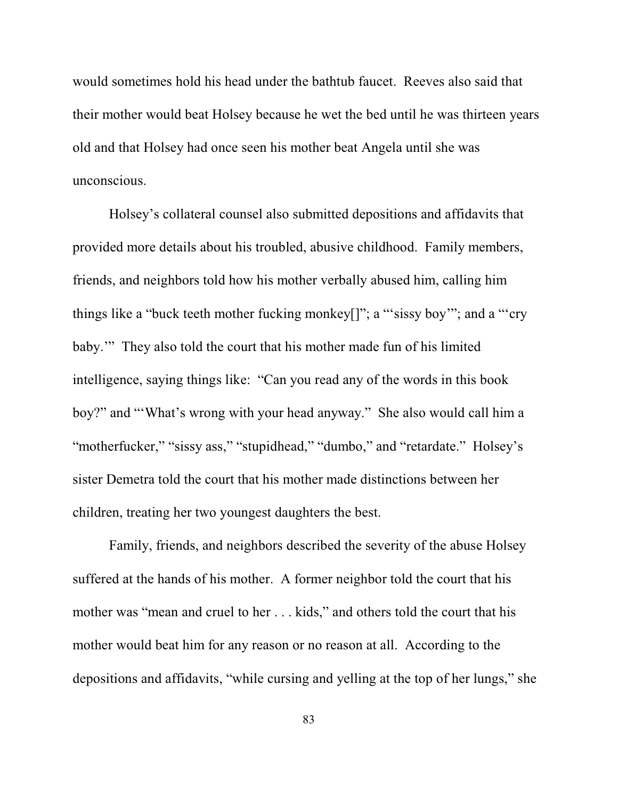would sometimes hold his head under the bathtub faucet. Reeves also said that their mother would beat Holsey because he wet the bed until he was thirteen years old and that Holsey had once seen his mother beat Angela until she was unconscious.

Holsey's collateral counsel also submitted depositions and affidavits that provided more details about his troubled, abusive childhood. Family members, friends, and neighbors told how his mother verbally abused him, calling him things like a "buck teeth mother fucking monkey[]"; a "'sissy boy'"; and a "'cry baby.'" They also told the court that his mother made fun of his limited intelligence, saying things like: "Can you read any of the words in this book boy?" and "'What's wrong with your head anyway." She also would call him a "motherfucker," "sissy ass," "stupidhead," "dumbo," and "retardate." Holsey's sister Demetra told the court that his mother made distinctions between her children, treating her two youngest daughters the best.

Family, friends, and neighbors described the severity of the abuse Holsey suffered at the hands of his mother. A former neighbor told the court that his mother was "mean and cruel to her . . . kids," and others told the court that his mother would beat him for any reason or no reason at all. According to the depositions and affidavits, "while cursing and yelling at the top of her lungs," she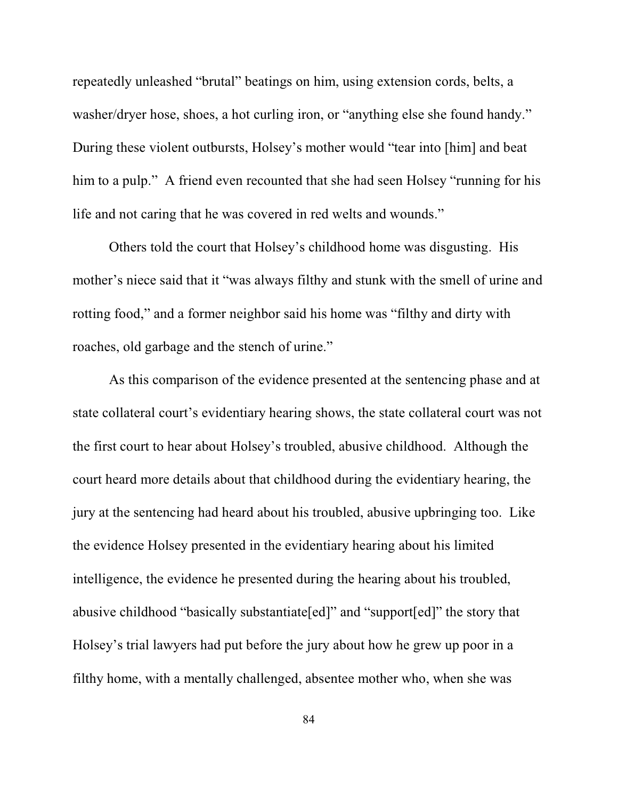repeatedly unleashed "brutal" beatings on him, using extension cords, belts, a washer/dryer hose, shoes, a hot curling iron, or "anything else she found handy." During these violent outbursts, Holsey's mother would "tear into [him] and beat him to a pulp." A friend even recounted that she had seen Holsey "running for his life and not caring that he was covered in red welts and wounds."

Others told the court that Holsey's childhood home was disgusting. His mother's niece said that it "was always filthy and stunk with the smell of urine and rotting food," and a former neighbor said his home was "filthy and dirty with roaches, old garbage and the stench of urine."

As this comparison of the evidence presented at the sentencing phase and at state collateral court's evidentiary hearing shows, the state collateral court was not the first court to hear about Holsey's troubled, abusive childhood. Although the court heard more details about that childhood during the evidentiary hearing, the jury at the sentencing had heard about his troubled, abusive upbringing too. Like the evidence Holsey presented in the evidentiary hearing about his limited intelligence, the evidence he presented during the hearing about his troubled, abusive childhood "basically substantiate[ed]" and "support[ed]" the story that Holsey's trial lawyers had put before the jury about how he grew up poor in a filthy home, with a mentally challenged, absentee mother who, when she was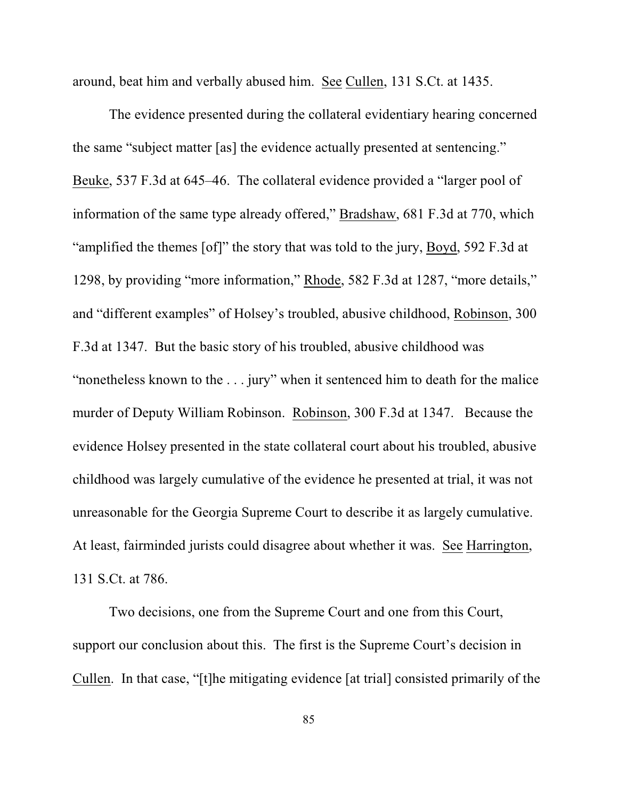around, beat him and verbally abused him. See Cullen, 131 S.Ct. at 1435.

The evidence presented during the collateral evidentiary hearing concerned the same "subject matter [as] the evidence actually presented at sentencing." Beuke, 537 F.3d at 645–46. The collateral evidence provided a "larger pool of information of the same type already offered," Bradshaw, 681 F.3d at 770, which "amplified the themes [of]" the story that was told to the jury, Boyd, 592 F.3d at 1298, by providing "more information," Rhode, 582 F.3d at 1287, "more details," and "different examples" of Holsey's troubled, abusive childhood, Robinson, 300 F.3d at 1347. But the basic story of his troubled, abusive childhood was "nonetheless known to the . . . jury" when it sentenced him to death for the malice murder of Deputy William Robinson. Robinson, 300 F.3d at 1347. Because the evidence Holsey presented in the state collateral court about his troubled, abusive childhood was largely cumulative of the evidence he presented at trial, it was not unreasonable for the Georgia Supreme Court to describe it as largely cumulative. At least, fairminded jurists could disagree about whether it was. See Harrington, 131 S.Ct. at 786.

Two decisions, one from the Supreme Court and one from this Court, support our conclusion about this. The first is the Supreme Court's decision in Cullen. In that case, "[t]he mitigating evidence [at trial] consisted primarily of the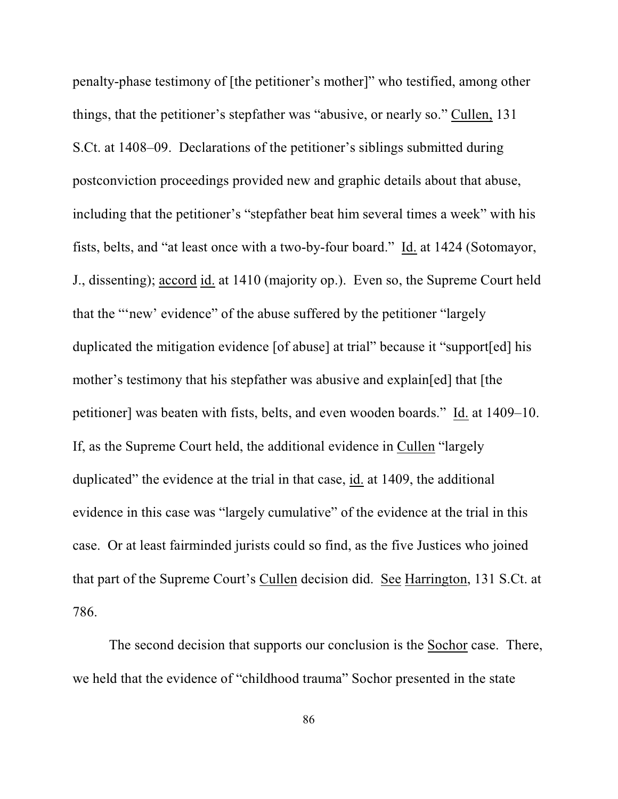penalty-phase testimony of [the petitioner's mother]" who testified, among other things, that the petitioner's stepfather was "abusive, or nearly so." Cullen, 131 S.Ct. at 1408–09. Declarations of the petitioner's siblings submitted during postconviction proceedings provided new and graphic details about that abuse, including that the petitioner's "stepfather beat him several times a week" with his fists, belts, and "at least once with a two-by-four board." Id. at 1424 (Sotomayor, J., dissenting); accord id. at 1410 (majority op.). Even so, the Supreme Court held that the "'new' evidence" of the abuse suffered by the petitioner "largely duplicated the mitigation evidence [of abuse] at trial" because it "support[ed] his mother's testimony that his stepfather was abusive and explain[ed] that [the petitioner] was beaten with fists, belts, and even wooden boards." Id. at 1409–10. If, as the Supreme Court held, the additional evidence in Cullen "largely duplicated" the evidence at the trial in that case, id. at 1409, the additional evidence in this case was "largely cumulative" of the evidence at the trial in this case. Or at least fairminded jurists could so find, as the five Justices who joined that part of the Supreme Court's Cullen decision did. See Harrington, 131 S.Ct. at 786.

The second decision that supports our conclusion is the Sochor case. There, we held that the evidence of "childhood trauma" Sochor presented in the state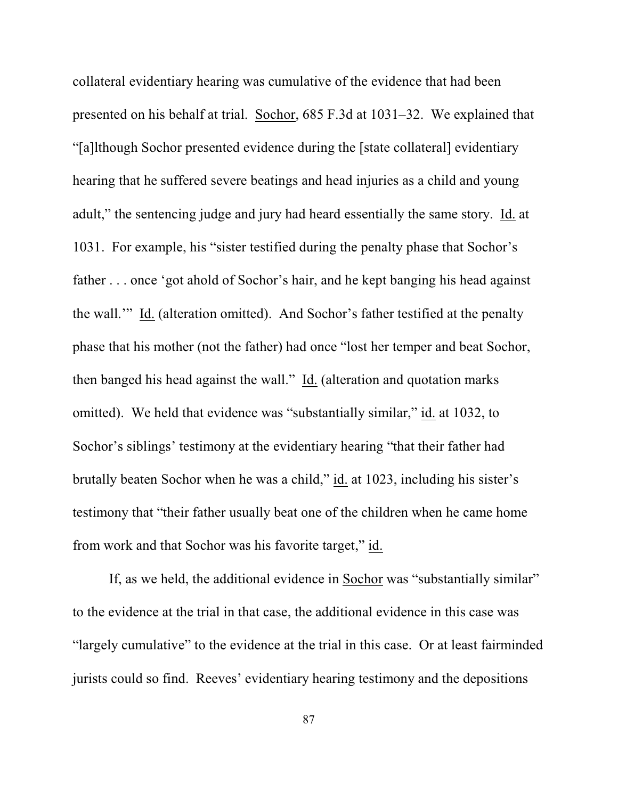collateral evidentiary hearing was cumulative of the evidence that had been presented on his behalf at trial. Sochor, 685 F.3d at 1031–32. We explained that "[a]lthough Sochor presented evidence during the [state collateral] evidentiary hearing that he suffered severe beatings and head injuries as a child and young adult," the sentencing judge and jury had heard essentially the same story. Id. at 1031. For example, his "sister testified during the penalty phase that Sochor's father . . . once 'got ahold of Sochor's hair, and he kept banging his head against the wall.'" Id. (alteration omitted). And Sochor's father testified at the penalty phase that his mother (not the father) had once "lost her temper and beat Sochor, then banged his head against the wall." Id. (alteration and quotation marks omitted). We held that evidence was "substantially similar," id. at 1032, to Sochor's siblings' testimony at the evidentiary hearing "that their father had brutally beaten Sochor when he was a child," id. at 1023, including his sister's testimony that "their father usually beat one of the children when he came home from work and that Sochor was his favorite target," id.

If, as we held, the additional evidence in Sochor was "substantially similar" to the evidence at the trial in that case, the additional evidence in this case was "largely cumulative" to the evidence at the trial in this case. Or at least fairminded jurists could so find. Reeves' evidentiary hearing testimony and the depositions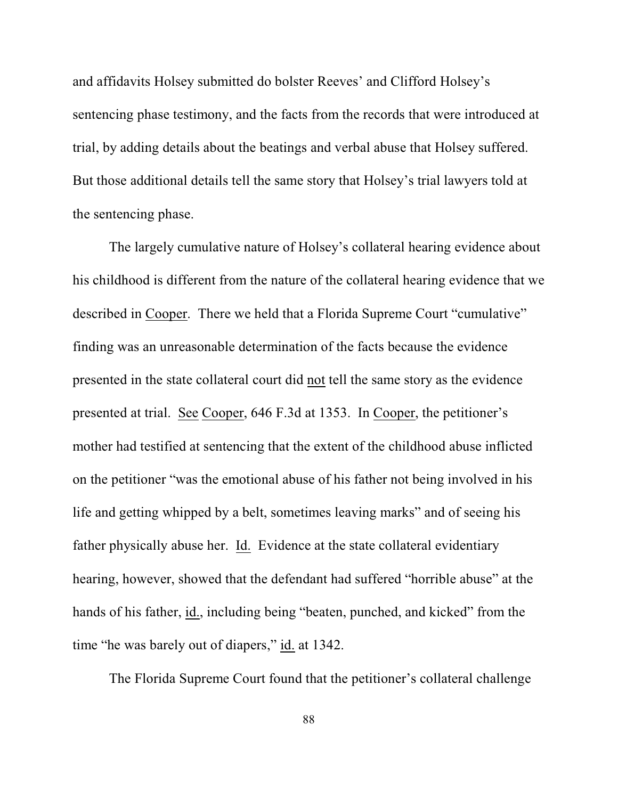and affidavits Holsey submitted do bolster Reeves' and Clifford Holsey's sentencing phase testimony, and the facts from the records that were introduced at trial, by adding details about the beatings and verbal abuse that Holsey suffered. But those additional details tell the same story that Holsey's trial lawyers told at the sentencing phase.

The largely cumulative nature of Holsey's collateral hearing evidence about his childhood is different from the nature of the collateral hearing evidence that we described in Cooper. There we held that a Florida Supreme Court "cumulative" finding was an unreasonable determination of the facts because the evidence presented in the state collateral court did not tell the same story as the evidence presented at trial. See Cooper, 646 F.3d at 1353. In Cooper, the petitioner's mother had testified at sentencing that the extent of the childhood abuse inflicted on the petitioner "was the emotional abuse of his father not being involved in his life and getting whipped by a belt, sometimes leaving marks" and of seeing his father physically abuse her. Id. Evidence at the state collateral evidentiary hearing, however, showed that the defendant had suffered "horrible abuse" at the hands of his father, id., including being "beaten, punched, and kicked" from the time "he was barely out of diapers," id. at 1342.

The Florida Supreme Court found that the petitioner's collateral challenge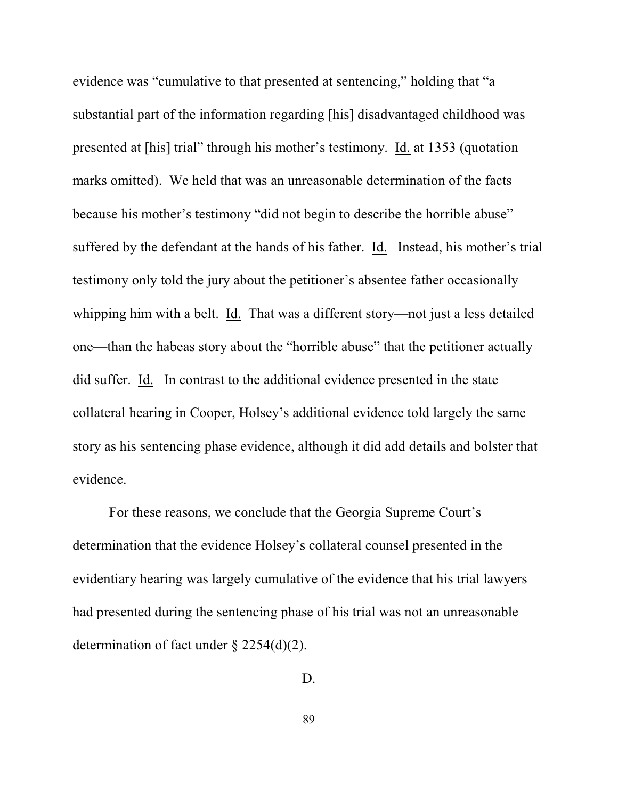evidence was "cumulative to that presented at sentencing," holding that "a substantial part of the information regarding [his] disadvantaged childhood was presented at [his] trial" through his mother's testimony. Id. at 1353 (quotation marks omitted). We held that was an unreasonable determination of the facts because his mother's testimony "did not begin to describe the horrible abuse" suffered by the defendant at the hands of his father. Id. Instead, his mother's trial testimony only told the jury about the petitioner's absentee father occasionally whipping him with a belt. Id. That was a different story—not just a less detailed one—than the habeas story about the "horrible abuse" that the petitioner actually did suffer. Id. In contrast to the additional evidence presented in the state collateral hearing in Cooper, Holsey's additional evidence told largely the same story as his sentencing phase evidence, although it did add details and bolster that evidence.

For these reasons, we conclude that the Georgia Supreme Court's determination that the evidence Holsey's collateral counsel presented in the evidentiary hearing was largely cumulative of the evidence that his trial lawyers had presented during the sentencing phase of his trial was not an unreasonable determination of fact under § 2254(d)(2).

D.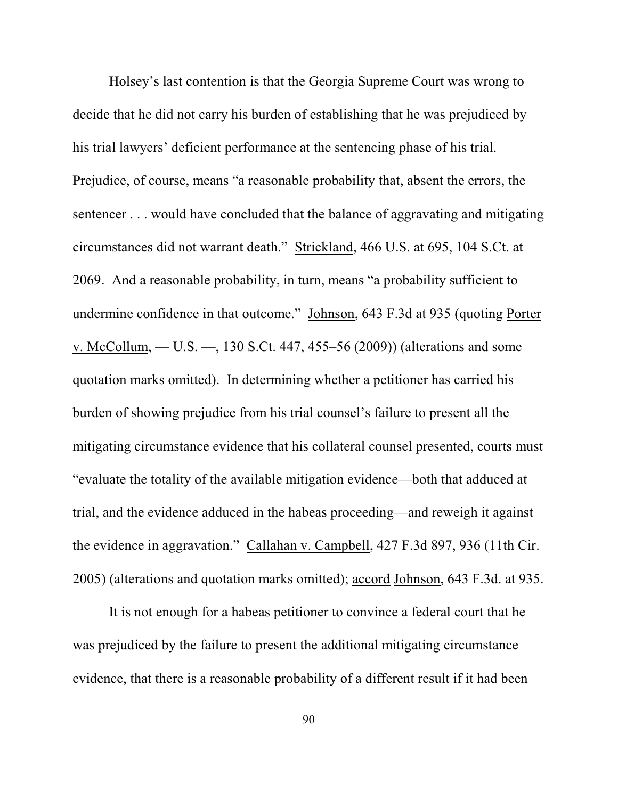Holsey's last contention is that the Georgia Supreme Court was wrong to decide that he did not carry his burden of establishing that he was prejudiced by his trial lawyers' deficient performance at the sentencing phase of his trial. Prejudice, of course, means "a reasonable probability that, absent the errors, the sentencer . . . would have concluded that the balance of aggravating and mitigating circumstances did not warrant death." Strickland, 466 U.S. at 695, 104 S.Ct. at 2069. And a reasonable probability, in turn, means "a probability sufficient to undermine confidence in that outcome." Johnson, 643 F.3d at 935 (quoting Porter v. McCollum, — U.S. —, 130 S.Ct. 447, 455–56 (2009)) (alterations and some quotation marks omitted). In determining whether a petitioner has carried his burden of showing prejudice from his trial counsel's failure to present all the mitigating circumstance evidence that his collateral counsel presented, courts must "evaluate the totality of the available mitigation evidence—both that adduced at trial, and the evidence adduced in the habeas proceeding—and reweigh it against the evidence in aggravation." Callahan v. Campbell, 427 F.3d 897, 936 (11th Cir. 2005) (alterations and quotation marks omitted); accord Johnson, 643 F.3d. at 935.

It is not enough for a habeas petitioner to convince a federal court that he was prejudiced by the failure to present the additional mitigating circumstance evidence, that there is a reasonable probability of a different result if it had been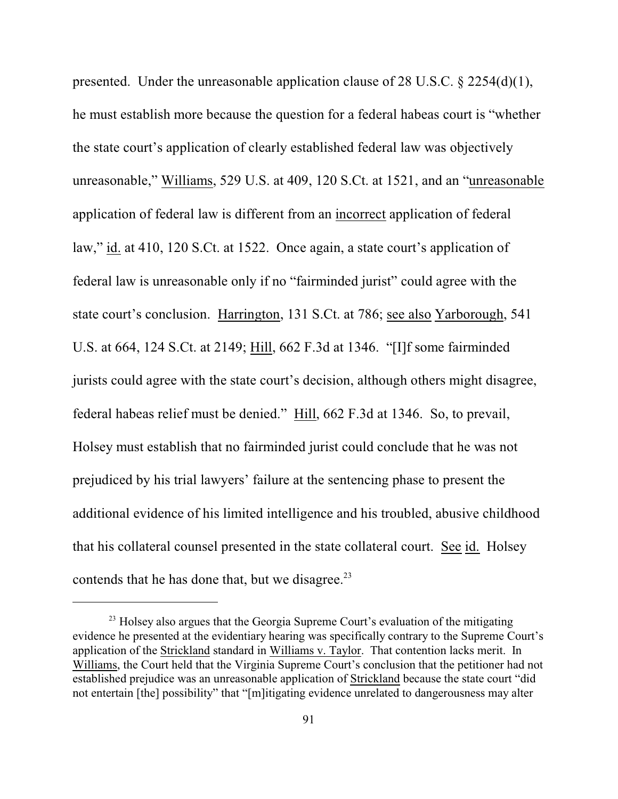presented. Under the unreasonable application clause of 28 U.S.C. § 2254(d)(1), he must establish more because the question for a federal habeas court is "whether the state court's application of clearly established federal law was objectively unreasonable," Williams, 529 U.S. at 409, 120 S.Ct. at 1521, and an "unreasonable application of federal law is different from an incorrect application of federal law," id. at 410, 120 S.Ct. at 1522. Once again, a state court's application of federal law is unreasonable only if no "fairminded jurist" could agree with the state court's conclusion. Harrington, 131 S.Ct. at 786; see also Yarborough, 541 U.S. at 664, 124 S.Ct. at 2149; Hill, 662 F.3d at 1346. "[I]f some fairminded jurists could agree with the state court's decision, although others might disagree, federal habeas relief must be denied." Hill, 662 F.3d at 1346. So, to prevail, Holsey must establish that no fairminded jurist could conclude that he was not prejudiced by his trial lawyers' failure at the sentencing phase to present the additional evidence of his limited intelligence and his troubled, abusive childhood that his collateral counsel presented in the state collateral court. See id. Holsey contends that he has done that, but we disagree.<sup>23</sup>

<sup>&</sup>lt;sup>23</sup> Holsey also argues that the Georgia Supreme Court's evaluation of the mitigating evidence he presented at the evidentiary hearing was specifically contrary to the Supreme Court's application of the Strickland standard in Williams v. Taylor. That contention lacks merit. In Williams, the Court held that the Virginia Supreme Court's conclusion that the petitioner had not established prejudice was an unreasonable application of Strickland because the state court "did not entertain [the] possibility" that "[m]itigating evidence unrelated to dangerousness may alter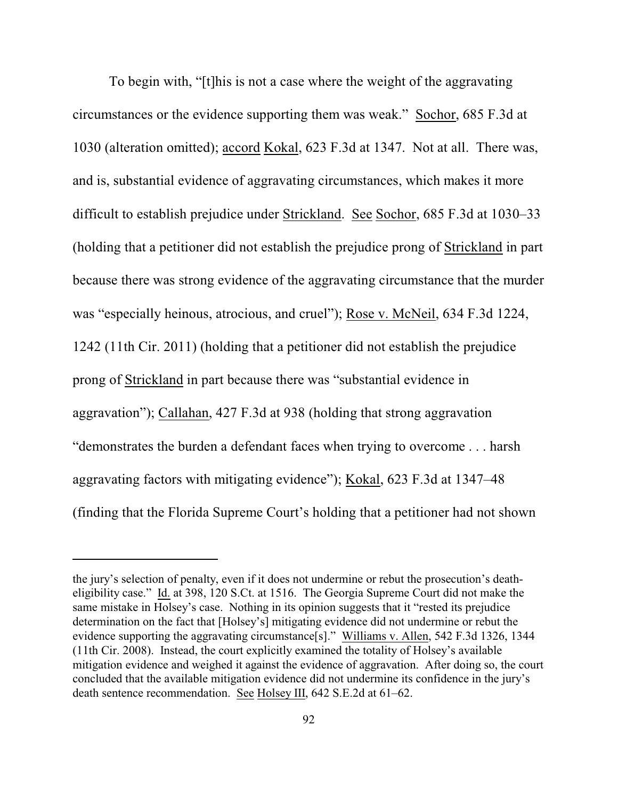To begin with, "[t]his is not a case where the weight of the aggravating circumstances or the evidence supporting them was weak." Sochor, 685 F.3d at 1030 (alteration omitted); accord Kokal, 623 F.3d at 1347. Not at all. There was, and is, substantial evidence of aggravating circumstances, which makes it more difficult to establish prejudice under Strickland. See Sochor, 685 F.3d at 1030–33 (holding that a petitioner did not establish the prejudice prong of Strickland in part because there was strong evidence of the aggravating circumstance that the murder was "especially heinous, atrocious, and cruel"); Rose v. McNeil, 634 F.3d 1224, 1242 (11th Cir. 2011) (holding that a petitioner did not establish the prejudice prong of Strickland in part because there was "substantial evidence in aggravation"); Callahan, 427 F.3d at 938 (holding that strong aggravation "demonstrates the burden a defendant faces when trying to overcome . . . harsh aggravating factors with mitigating evidence"); Kokal, 623 F.3d at 1347–48 (finding that the Florida Supreme Court's holding that a petitioner had not shown

the jury's selection of penalty, even if it does not undermine or rebut the prosecution's deatheligibility case." Id. at 398, 120 S.Ct. at 1516. The Georgia Supreme Court did not make the same mistake in Holsey's case. Nothing in its opinion suggests that it "rested its prejudice determination on the fact that [Holsey's] mitigating evidence did not undermine or rebut the evidence supporting the aggravating circumstance[s]." Williams v. Allen, 542 F.3d 1326, 1344 (11th Cir. 2008). Instead, the court explicitly examined the totality of Holsey's available mitigation evidence and weighed it against the evidence of aggravation. After doing so, the court concluded that the available mitigation evidence did not undermine its confidence in the jury's death sentence recommendation. See Holsey III, 642 S.E.2d at 61–62.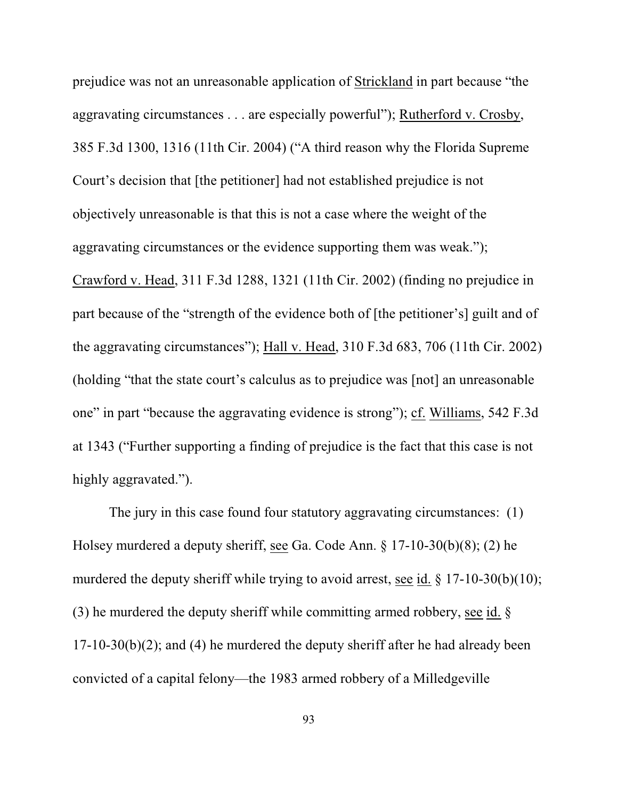prejudice was not an unreasonable application of Strickland in part because "the aggravating circumstances . . . are especially powerful"); Rutherford v. Crosby, 385 F.3d 1300, 1316 (11th Cir. 2004) ("A third reason why the Florida Supreme Court's decision that [the petitioner] had not established prejudice is not objectively unreasonable is that this is not a case where the weight of the aggravating circumstances or the evidence supporting them was weak."); Crawford v. Head, 311 F.3d 1288, 1321 (11th Cir. 2002) (finding no prejudice in part because of the "strength of the evidence both of [the petitioner's] guilt and of the aggravating circumstances"); Hall v. Head, 310 F.3d 683, 706 (11th Cir. 2002) (holding "that the state court's calculus as to prejudice was [not] an unreasonable one" in part "because the aggravating evidence is strong"); cf. Williams, 542 F.3d at 1343 ("Further supporting a finding of prejudice is the fact that this case is not highly aggravated.").

The jury in this case found four statutory aggravating circumstances: (1) Holsey murdered a deputy sheriff, see Ga. Code Ann. § 17-10-30(b)(8); (2) he murdered the deputy sheriff while trying to avoid arrest, see id. § 17-10-30(b)(10); (3) he murdered the deputy sheriff while committing armed robbery, see id. § 17-10-30(b)(2); and (4) he murdered the deputy sheriff after he had already been convicted of a capital felony—the 1983 armed robbery of a Milledgeville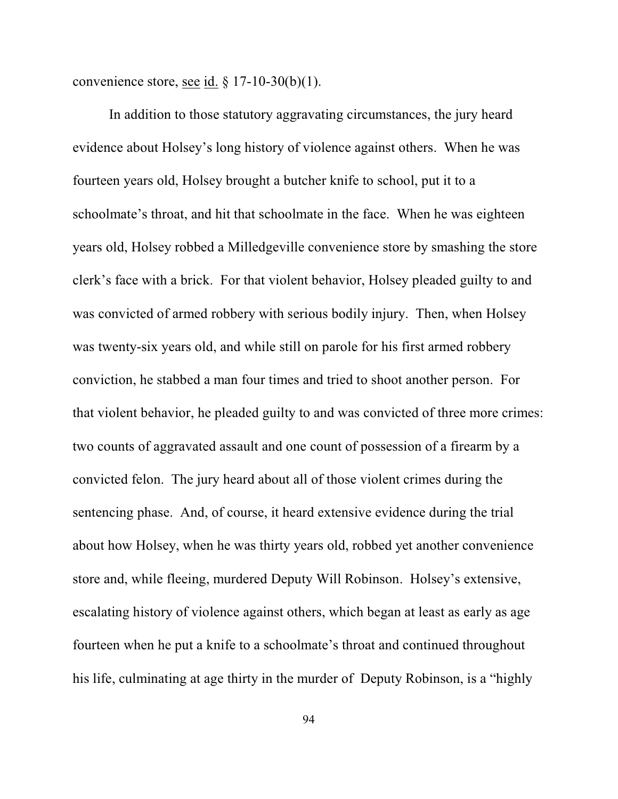convenience store, see id.  $\S 17-10-30(b)(1)$ .

In addition to those statutory aggravating circumstances, the jury heard evidence about Holsey's long history of violence against others. When he was fourteen years old, Holsey brought a butcher knife to school, put it to a schoolmate's throat, and hit that schoolmate in the face. When he was eighteen years old, Holsey robbed a Milledgeville convenience store by smashing the store clerk's face with a brick. For that violent behavior, Holsey pleaded guilty to and was convicted of armed robbery with serious bodily injury. Then, when Holsey was twenty-six years old, and while still on parole for his first armed robbery conviction, he stabbed a man four times and tried to shoot another person. For that violent behavior, he pleaded guilty to and was convicted of three more crimes: two counts of aggravated assault and one count of possession of a firearm by a convicted felon. The jury heard about all of those violent crimes during the sentencing phase. And, of course, it heard extensive evidence during the trial about how Holsey, when he was thirty years old, robbed yet another convenience store and, while fleeing, murdered Deputy Will Robinson. Holsey's extensive, escalating history of violence against others, which began at least as early as age fourteen when he put a knife to a schoolmate's throat and continued throughout his life, culminating at age thirty in the murder of Deputy Robinson, is a "highly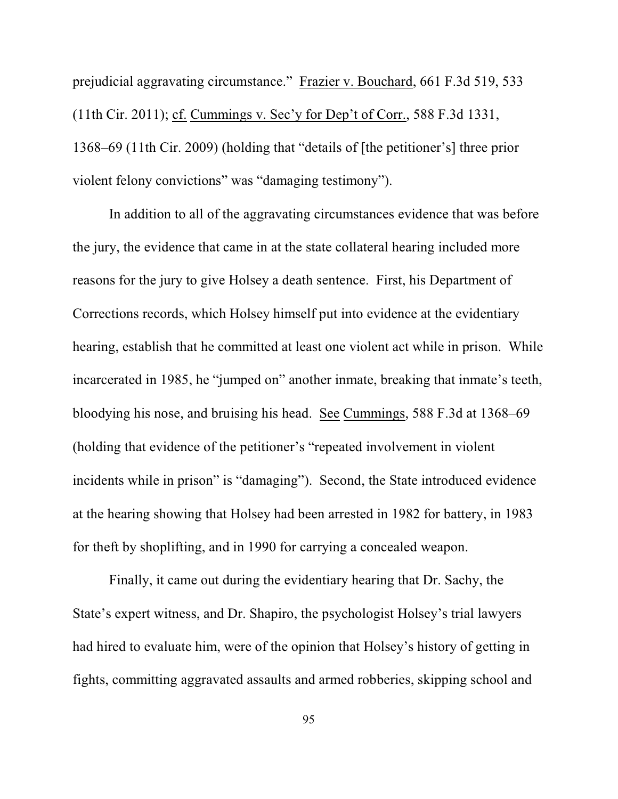prejudicial aggravating circumstance." Frazier v. Bouchard, 661 F.3d 519, 533 (11th Cir. 2011); cf. Cummings v. Sec'y for Dep't of Corr., 588 F.3d 1331, 1368–69 (11th Cir. 2009) (holding that "details of [the petitioner's] three prior violent felony convictions" was "damaging testimony").

In addition to all of the aggravating circumstances evidence that was before the jury, the evidence that came in at the state collateral hearing included more reasons for the jury to give Holsey a death sentence. First, his Department of Corrections records, which Holsey himself put into evidence at the evidentiary hearing, establish that he committed at least one violent act while in prison. While incarcerated in 1985, he "jumped on" another inmate, breaking that inmate's teeth, bloodying his nose, and bruising his head. See Cummings, 588 F.3d at 1368–69 (holding that evidence of the petitioner's "repeated involvement in violent incidents while in prison" is "damaging"). Second, the State introduced evidence at the hearing showing that Holsey had been arrested in 1982 for battery, in 1983 for theft by shoplifting, and in 1990 for carrying a concealed weapon.

Finally, it came out during the evidentiary hearing that Dr. Sachy, the State's expert witness, and Dr. Shapiro, the psychologist Holsey's trial lawyers had hired to evaluate him, were of the opinion that Holsey's history of getting in fights, committing aggravated assaults and armed robberies, skipping school and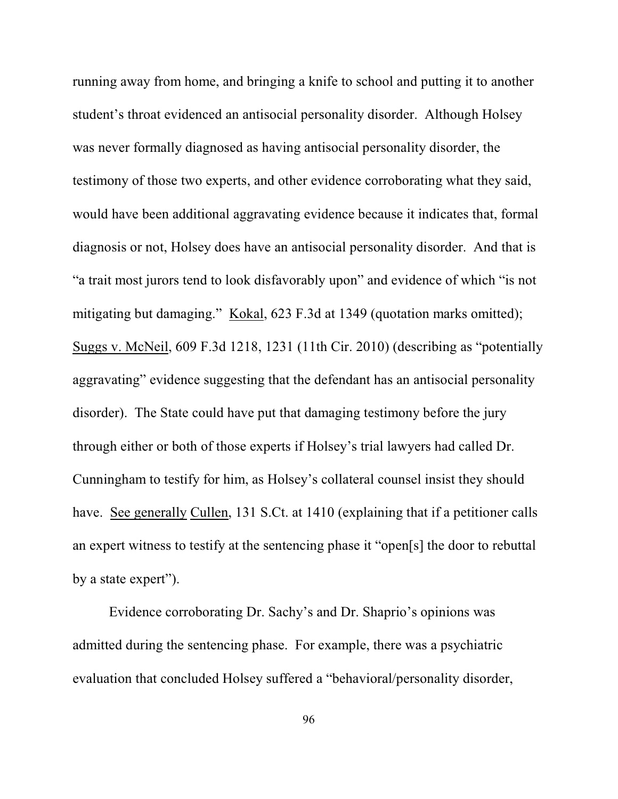running away from home, and bringing a knife to school and putting it to another student's throat evidenced an antisocial personality disorder. Although Holsey was never formally diagnosed as having antisocial personality disorder, the testimony of those two experts, and other evidence corroborating what they said, would have been additional aggravating evidence because it indicates that, formal diagnosis or not, Holsey does have an antisocial personality disorder. And that is "a trait most jurors tend to look disfavorably upon" and evidence of which "is not mitigating but damaging." Kokal, 623 F.3d at 1349 (quotation marks omitted); Suggs v. McNeil, 609 F.3d 1218, 1231 (11th Cir. 2010) (describing as "potentially aggravating" evidence suggesting that the defendant has an antisocial personality disorder). The State could have put that damaging testimony before the jury through either or both of those experts if Holsey's trial lawyers had called Dr. Cunningham to testify for him, as Holsey's collateral counsel insist they should have. See generally Cullen, 131 S.Ct. at 1410 (explaining that if a petitioner calls an expert witness to testify at the sentencing phase it "open[s] the door to rebuttal by a state expert").

Evidence corroborating Dr. Sachy's and Dr. Shaprio's opinions was admitted during the sentencing phase. For example, there was a psychiatric evaluation that concluded Holsey suffered a "behavioral/personality disorder,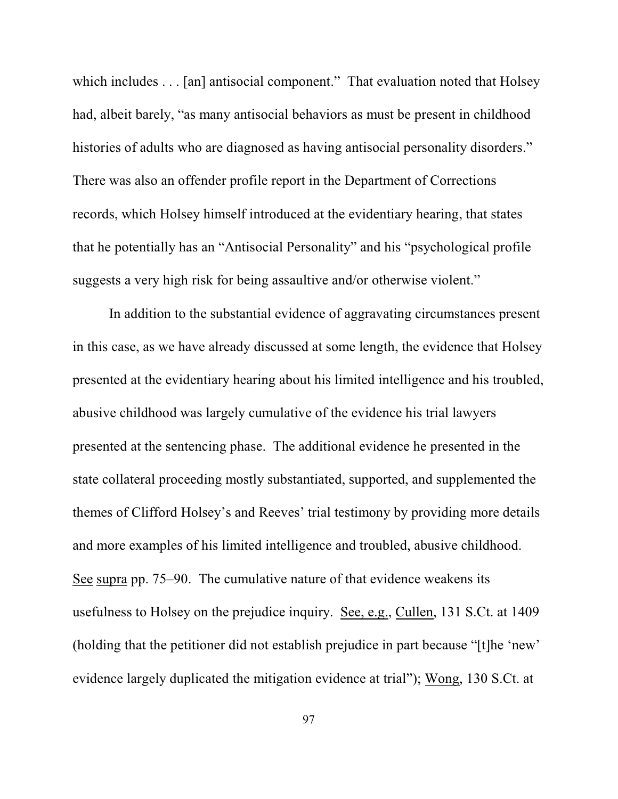which includes . . . [an] antisocial component." That evaluation noted that Holsey had, albeit barely, "as many antisocial behaviors as must be present in childhood histories of adults who are diagnosed as having antisocial personality disorders." There was also an offender profile report in the Department of Corrections records, which Holsey himself introduced at the evidentiary hearing, that states that he potentially has an "Antisocial Personality" and his "psychological profile suggests a very high risk for being assaultive and/or otherwise violent."

In addition to the substantial evidence of aggravating circumstances present in this case, as we have already discussed at some length, the evidence that Holsey presented at the evidentiary hearing about his limited intelligence and his troubled, abusive childhood was largely cumulative of the evidence his trial lawyers presented at the sentencing phase. The additional evidence he presented in the state collateral proceeding mostly substantiated, supported, and supplemented the themes of Clifford Holsey's and Reeves' trial testimony by providing more details and more examples of his limited intelligence and troubled, abusive childhood. See supra pp. 75–90. The cumulative nature of that evidence weakens its usefulness to Holsey on the prejudice inquiry. See, e.g., Cullen, 131 S.Ct. at 1409 (holding that the petitioner did not establish prejudice in part because "[t]he 'new' evidence largely duplicated the mitigation evidence at trial"); Wong, 130 S.Ct. at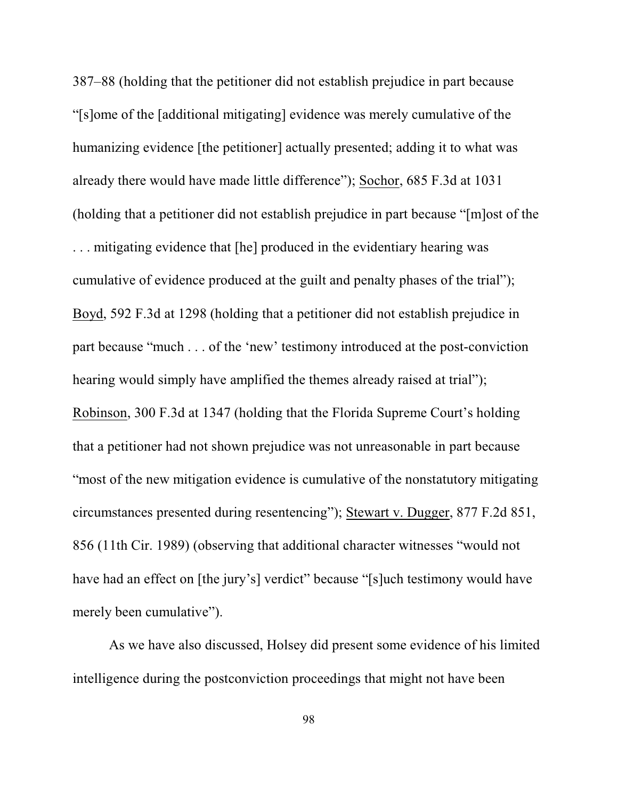387–88 (holding that the petitioner did not establish prejudice in part because "[s]ome of the [additional mitigating] evidence was merely cumulative of the humanizing evidence [the petitioner] actually presented; adding it to what was already there would have made little difference"); Sochor, 685 F.3d at 1031 (holding that a petitioner did not establish prejudice in part because "[m]ost of the . . . mitigating evidence that [he] produced in the evidentiary hearing was cumulative of evidence produced at the guilt and penalty phases of the trial"); Boyd, 592 F.3d at 1298 (holding that a petitioner did not establish prejudice in part because "much . . . of the 'new' testimony introduced at the post-conviction hearing would simply have amplified the themes already raised at trial"); Robinson, 300 F.3d at 1347 (holding that the Florida Supreme Court's holding that a petitioner had not shown prejudice was not unreasonable in part because "most of the new mitigation evidence is cumulative of the nonstatutory mitigating circumstances presented during resentencing"); Stewart v. Dugger, 877 F.2d 851, 856 (11th Cir. 1989) (observing that additional character witnesses "would not have had an effect on [the jury's] verdict" because "[s]uch testimony would have merely been cumulative").

As we have also discussed, Holsey did present some evidence of his limited intelligence during the postconviction proceedings that might not have been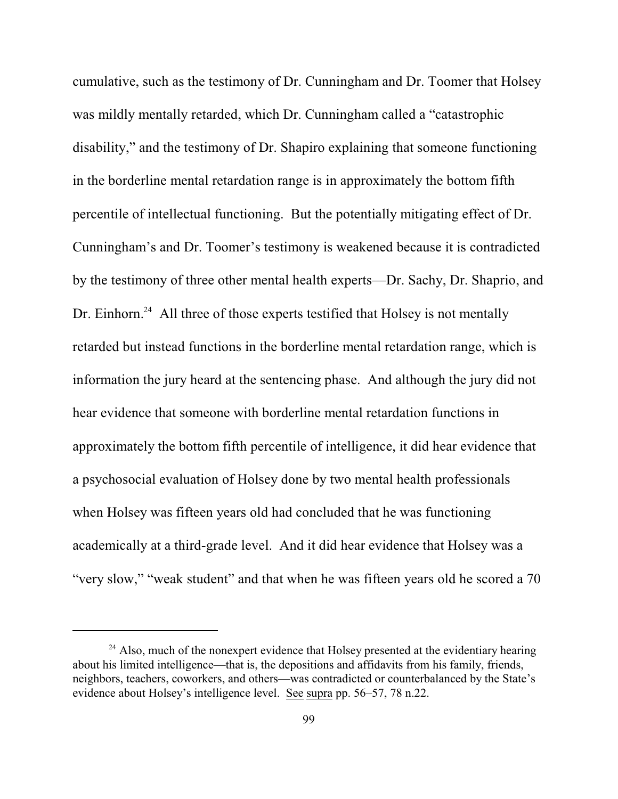cumulative, such as the testimony of Dr. Cunningham and Dr. Toomer that Holsey was mildly mentally retarded, which Dr. Cunningham called a "catastrophic disability," and the testimony of Dr. Shapiro explaining that someone functioning in the borderline mental retardation range is in approximately the bottom fifth percentile of intellectual functioning. But the potentially mitigating effect of Dr. Cunningham's and Dr. Toomer's testimony is weakened because it is contradicted by the testimony of three other mental health experts—Dr. Sachy, Dr. Shaprio, and Dr. Einhorn.<sup>24</sup> All three of those experts testified that Holsey is not mentally retarded but instead functions in the borderline mental retardation range, which is information the jury heard at the sentencing phase. And although the jury did not hear evidence that someone with borderline mental retardation functions in approximately the bottom fifth percentile of intelligence, it did hear evidence that a psychosocial evaluation of Holsey done by two mental health professionals when Holsey was fifteen years old had concluded that he was functioning academically at a third-grade level. And it did hear evidence that Holsey was a "very slow," "weak student" and that when he was fifteen years old he scored a 70

 $24$  Also, much of the nonexpert evidence that Holsey presented at the evidentiary hearing about his limited intelligence—that is, the depositions and affidavits from his family, friends, neighbors, teachers, coworkers, and others—was contradicted or counterbalanced by the State's evidence about Holsey's intelligence level. See supra pp. 56–57, 78 n.22.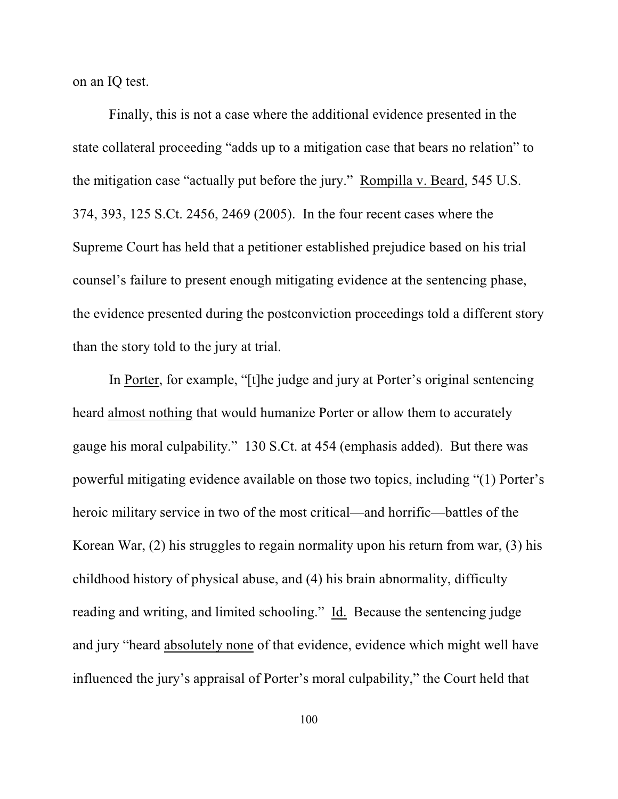on an IQ test.

Finally, this is not a case where the additional evidence presented in the state collateral proceeding "adds up to a mitigation case that bears no relation" to the mitigation case "actually put before the jury." Rompilla v. Beard, 545 U.S. 374, 393, 125 S.Ct. 2456, 2469 (2005). In the four recent cases where the Supreme Court has held that a petitioner established prejudice based on his trial counsel's failure to present enough mitigating evidence at the sentencing phase, the evidence presented during the postconviction proceedings told a different story than the story told to the jury at trial.

In Porter, for example, "[t]he judge and jury at Porter's original sentencing heard almost nothing that would humanize Porter or allow them to accurately gauge his moral culpability." 130 S.Ct. at 454 (emphasis added). But there was powerful mitigating evidence available on those two topics, including "(1) Porter's heroic military service in two of the most critical—and horrific—battles of the Korean War, (2) his struggles to regain normality upon his return from war, (3) his childhood history of physical abuse, and (4) his brain abnormality, difficulty reading and writing, and limited schooling." Id. Because the sentencing judge and jury "heard absolutely none of that evidence, evidence which might well have influenced the jury's appraisal of Porter's moral culpability," the Court held that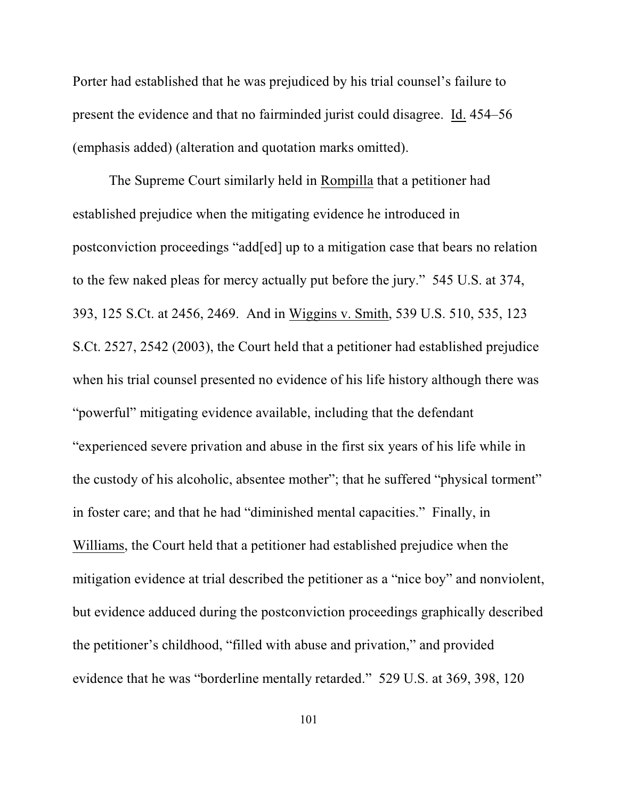Porter had established that he was prejudiced by his trial counsel's failure to present the evidence and that no fairminded jurist could disagree. Id. 454–56 (emphasis added) (alteration and quotation marks omitted).

The Supreme Court similarly held in Rompilla that a petitioner had established prejudice when the mitigating evidence he introduced in postconviction proceedings "add[ed] up to a mitigation case that bears no relation to the few naked pleas for mercy actually put before the jury." 545 U.S. at 374, 393, 125 S.Ct. at 2456, 2469. And in Wiggins v. Smith, 539 U.S. 510, 535, 123 S.Ct. 2527, 2542 (2003), the Court held that a petitioner had established prejudice when his trial counsel presented no evidence of his life history although there was "powerful" mitigating evidence available, including that the defendant "experienced severe privation and abuse in the first six years of his life while in the custody of his alcoholic, absentee mother"; that he suffered "physical torment" in foster care; and that he had "diminished mental capacities." Finally, in Williams, the Court held that a petitioner had established prejudice when the mitigation evidence at trial described the petitioner as a "nice boy" and nonviolent, but evidence adduced during the postconviction proceedings graphically described the petitioner's childhood, "filled with abuse and privation," and provided evidence that he was "borderline mentally retarded." 529 U.S. at 369, 398, 120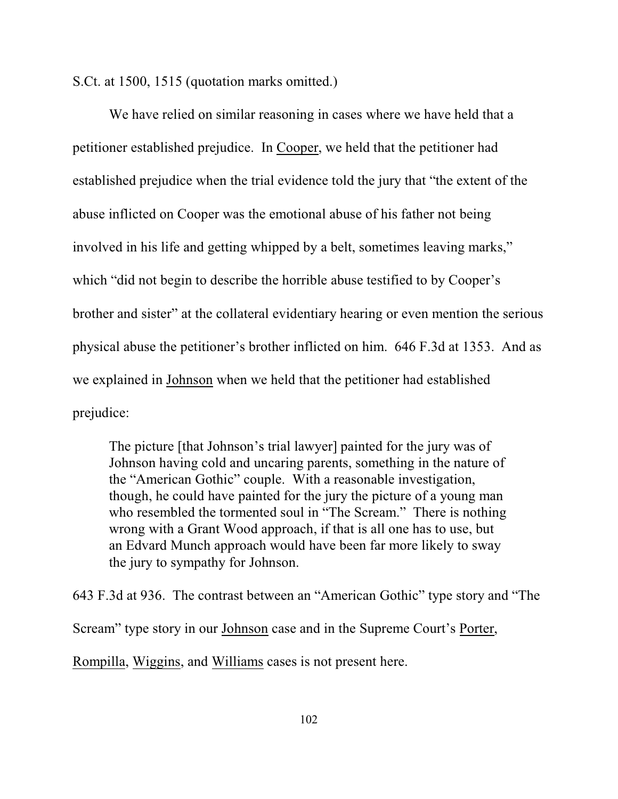S.Ct. at 1500, 1515 (quotation marks omitted.)

We have relied on similar reasoning in cases where we have held that a petitioner established prejudice. In Cooper, we held that the petitioner had established prejudice when the trial evidence told the jury that "the extent of the abuse inflicted on Cooper was the emotional abuse of his father not being involved in his life and getting whipped by a belt, sometimes leaving marks," which "did not begin to describe the horrible abuse testified to by Cooper's brother and sister" at the collateral evidentiary hearing or even mention the serious physical abuse the petitioner's brother inflicted on him. 646 F.3d at 1353. And as we explained in Johnson when we held that the petitioner had established prejudice:

The picture [that Johnson's trial lawyer] painted for the jury was of Johnson having cold and uncaring parents, something in the nature of the "American Gothic" couple. With a reasonable investigation, though, he could have painted for the jury the picture of a young man who resembled the tormented soul in "The Scream." There is nothing wrong with a Grant Wood approach, if that is all one has to use, but an Edvard Munch approach would have been far more likely to sway the jury to sympathy for Johnson.

643 F.3d at 936. The contrast between an "American Gothic" type story and "The Scream" type story in our Johnson case and in the Supreme Court's Porter, Rompilla, Wiggins, and Williams cases is not present here.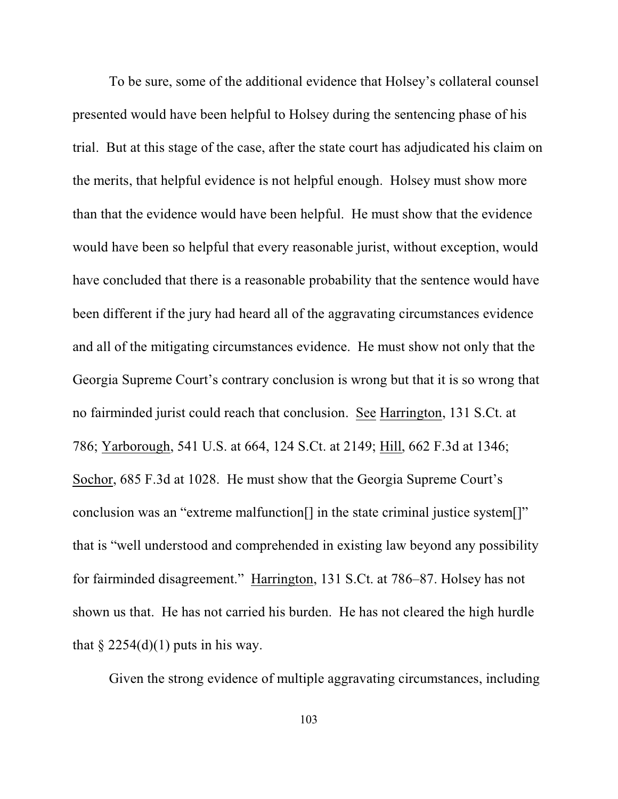To be sure, some of the additional evidence that Holsey's collateral counsel presented would have been helpful to Holsey during the sentencing phase of his trial. But at this stage of the case, after the state court has adjudicated his claim on the merits, that helpful evidence is not helpful enough. Holsey must show more than that the evidence would have been helpful. He must show that the evidence would have been so helpful that every reasonable jurist, without exception, would have concluded that there is a reasonable probability that the sentence would have been different if the jury had heard all of the aggravating circumstances evidence and all of the mitigating circumstances evidence. He must show not only that the Georgia Supreme Court's contrary conclusion is wrong but that it is so wrong that no fairminded jurist could reach that conclusion. See Harrington, 131 S.Ct. at 786; Yarborough, 541 U.S. at 664, 124 S.Ct. at 2149; Hill, 662 F.3d at 1346; Sochor, 685 F.3d at 1028. He must show that the Georgia Supreme Court's conclusion was an "extreme malfunction[] in the state criminal justice system[]" that is "well understood and comprehended in existing law beyond any possibility for fairminded disagreement." Harrington, 131 S.Ct. at 786–87. Holsey has not shown us that. He has not carried his burden. He has not cleared the high hurdle that  $\S 2254(d)(1)$  puts in his way.

Given the strong evidence of multiple aggravating circumstances, including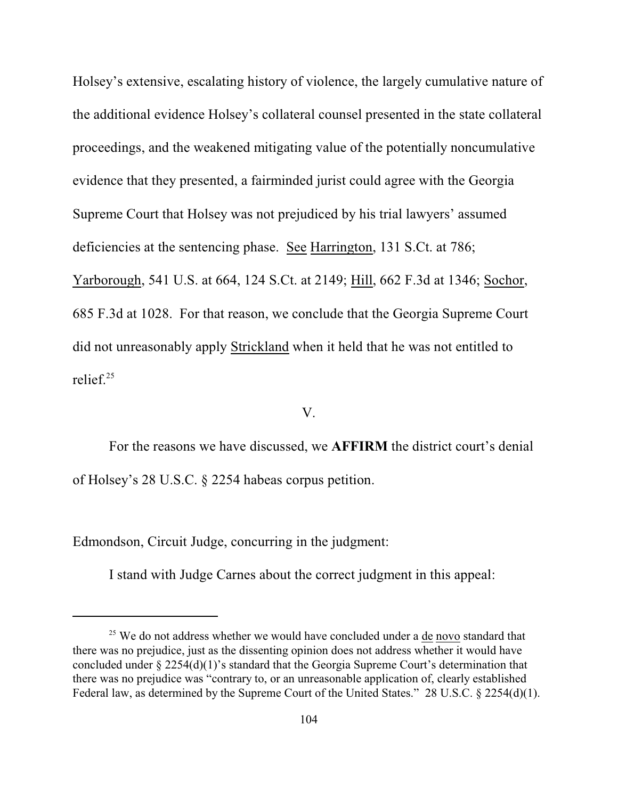Holsey's extensive, escalating history of violence, the largely cumulative nature of the additional evidence Holsey's collateral counsel presented in the state collateral proceedings, and the weakened mitigating value of the potentially noncumulative evidence that they presented, a fairminded jurist could agree with the Georgia Supreme Court that Holsey was not prejudiced by his trial lawyers' assumed deficiencies at the sentencing phase. See Harrington, 131 S.Ct. at 786; Yarborough, 541 U.S. at 664, 124 S.Ct. at 2149; Hill, 662 F.3d at 1346; Sochor, 685 F.3d at 1028. For that reason, we conclude that the Georgia Supreme Court did not unreasonably apply Strickland when it held that he was not entitled to relief.<sup>25</sup>

## V.

For the reasons we have discussed, we **AFFIRM** the district court's denial of Holsey's 28 U.S.C. § 2254 habeas corpus petition.

Edmondson, Circuit Judge, concurring in the judgment:

I stand with Judge Carnes about the correct judgment in this appeal:

 $25$  We do not address whether we would have concluded under a  $de$  novo standard that there was no prejudice, just as the dissenting opinion does not address whether it would have concluded under § 2254(d)(1)'s standard that the Georgia Supreme Court's determination that there was no prejudice was "contrary to, or an unreasonable application of, clearly established Federal law, as determined by the Supreme Court of the United States." 28 U.S.C. § 2254(d)(1).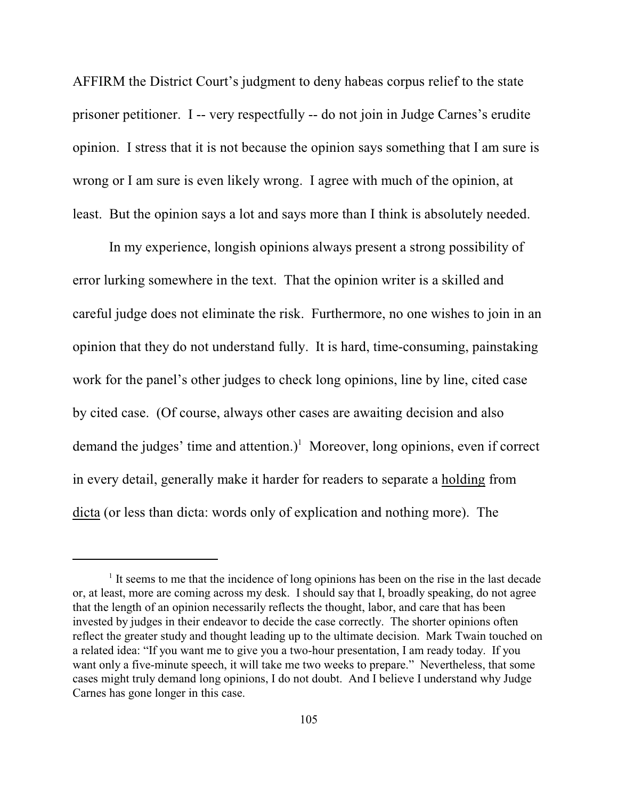AFFIRM the District Court's judgment to deny habeas corpus relief to the state prisoner petitioner. I -- very respectfully -- do not join in Judge Carnes's erudite opinion. I stress that it is not because the opinion says something that I am sure is wrong or I am sure is even likely wrong. I agree with much of the opinion, at least. But the opinion says a lot and says more than I think is absolutely needed.

In my experience, longish opinions always present a strong possibility of error lurking somewhere in the text. That the opinion writer is a skilled and careful judge does not eliminate the risk. Furthermore, no one wishes to join in an opinion that they do not understand fully. It is hard, time-consuming, painstaking work for the panel's other judges to check long opinions, line by line, cited case by cited case. (Of course, always other cases are awaiting decision and also demand the judges' time and attention.)<sup>1</sup> Moreover, long opinions, even if correct in every detail, generally make it harder for readers to separate a holding from dicta (or less than dicta: words only of explication and nothing more). The

 $<sup>1</sup>$  It seems to me that the incidence of long opinions has been on the rise in the last decade</sup> or, at least, more are coming across my desk. I should say that I, broadly speaking, do not agree that the length of an opinion necessarily reflects the thought, labor, and care that has been invested by judges in their endeavor to decide the case correctly. The shorter opinions often reflect the greater study and thought leading up to the ultimate decision. Mark Twain touched on a related idea: "If you want me to give you a two-hour presentation, I am ready today. If you want only a five-minute speech, it will take me two weeks to prepare." Nevertheless, that some cases might truly demand long opinions, I do not doubt. And I believe I understand why Judge Carnes has gone longer in this case.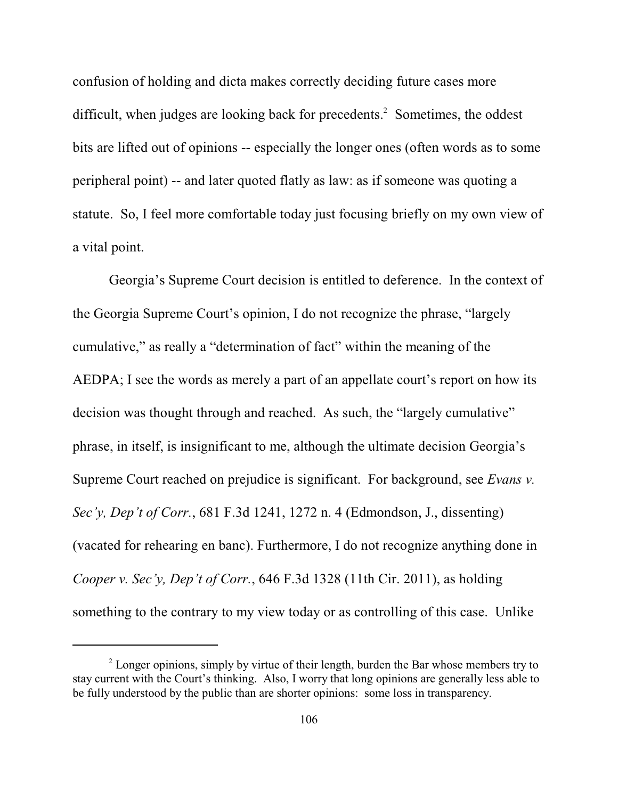confusion of holding and dicta makes correctly deciding future cases more difficult, when judges are looking back for precedents.<sup>2</sup> Sometimes, the oddest bits are lifted out of opinions -- especially the longer ones (often words as to some peripheral point) -- and later quoted flatly as law: as if someone was quoting a statute. So, I feel more comfortable today just focusing briefly on my own view of a vital point.

Georgia's Supreme Court decision is entitled to deference. In the context of the Georgia Supreme Court's opinion, I do not recognize the phrase, "largely cumulative," as really a "determination of fact" within the meaning of the AEDPA; I see the words as merely a part of an appellate court's report on how its decision was thought through and reached. As such, the "largely cumulative" phrase, in itself, is insignificant to me, although the ultimate decision Georgia's Supreme Court reached on prejudice is significant. For background, see *Evans v. Sec'y, Dep't of Corr.*, 681 F.3d 1241, 1272 n. 4 (Edmondson, J., dissenting) (vacated for rehearing en banc). Furthermore, I do not recognize anything done in *Cooper v. Sec'y, Dep't of Corr.*, 646 F.3d 1328 (11th Cir. 2011), as holding something to the contrary to my view today or as controlling of this case. Unlike

 $2$  Longer opinions, simply by virtue of their length, burden the Bar whose members try to stay current with the Court's thinking. Also, I worry that long opinions are generally less able to be fully understood by the public than are shorter opinions: some loss in transparency.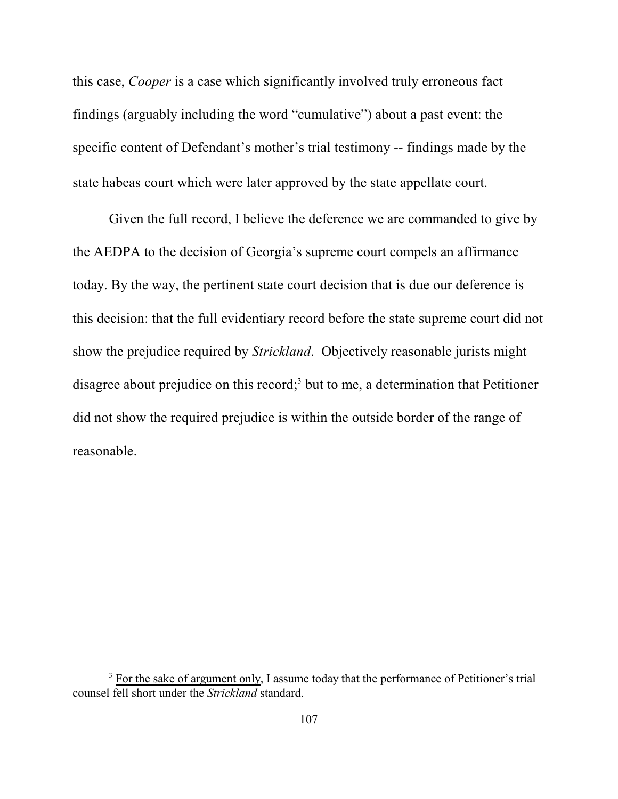this case, *Cooper* is a case which significantly involved truly erroneous fact findings (arguably including the word "cumulative") about a past event: the specific content of Defendant's mother's trial testimony -- findings made by the state habeas court which were later approved by the state appellate court.

Given the full record, I believe the deference we are commanded to give by the AEDPA to the decision of Georgia's supreme court compels an affirmance today. By the way, the pertinent state court decision that is due our deference is this decision: that the full evidentiary record before the state supreme court did not show the prejudice required by *Strickland*. Objectively reasonable jurists might disagree about prejudice on this record;<sup>3</sup> but to me, a determination that Petitioner did not show the required prejudice is within the outside border of the range of reasonable.

<sup>&</sup>lt;sup>3</sup> For the sake of argument only, I assume today that the performance of Petitioner's trial counsel fell short under the *Strickland* standard.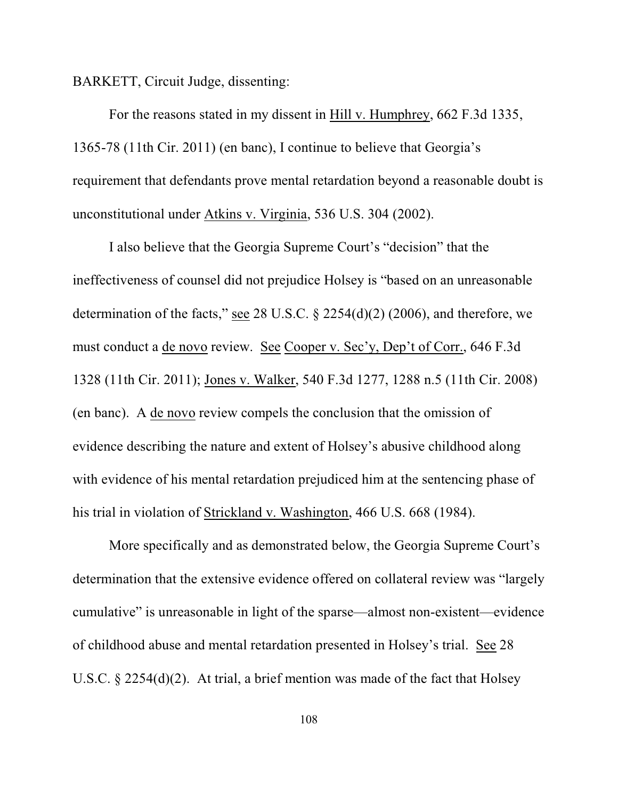BARKETT, Circuit Judge, dissenting:

For the reasons stated in my dissent in Hill v. Humphrey, 662 F.3d 1335, 1365-78 (11th Cir. 2011) (en banc), I continue to believe that Georgia's requirement that defendants prove mental retardation beyond a reasonable doubt is unconstitutional under Atkins v. Virginia, 536 U.S. 304 (2002).

I also believe that the Georgia Supreme Court's "decision" that the ineffectiveness of counsel did not prejudice Holsey is "based on an unreasonable determination of the facts," see 28 U.S.C.  $\S$  2254(d)(2) (2006), and therefore, we must conduct a de novo review. See Cooper v. Sec'y, Dep't of Corr., 646 F.3d 1328 (11th Cir. 2011); Jones v. Walker, 540 F.3d 1277, 1288 n.5 (11th Cir. 2008) (en banc). A de novo review compels the conclusion that the omission of evidence describing the nature and extent of Holsey's abusive childhood along with evidence of his mental retardation prejudiced him at the sentencing phase of his trial in violation of Strickland v. Washington, 466 U.S. 668 (1984).

More specifically and as demonstrated below, the Georgia Supreme Court's determination that the extensive evidence offered on collateral review was "largely cumulative" is unreasonable in light of the sparse—almost non-existent—evidence of childhood abuse and mental retardation presented in Holsey's trial. See 28 U.S.C. § 2254(d)(2). At trial, a brief mention was made of the fact that Holsey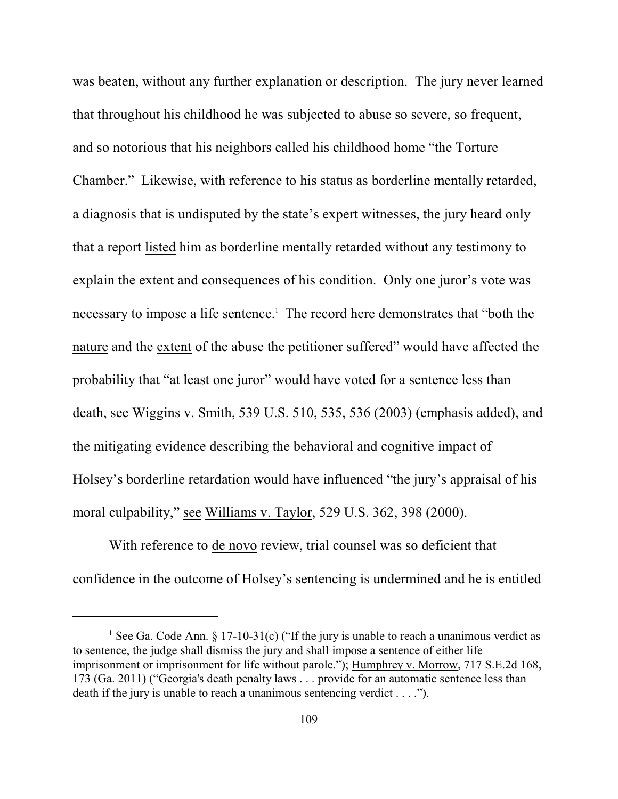was beaten, without any further explanation or description. The jury never learned that throughout his childhood he was subjected to abuse so severe, so frequent, and so notorious that his neighbors called his childhood home "the Torture Chamber." Likewise, with reference to his status as borderline mentally retarded, a diagnosis that is undisputed by the state's expert witnesses, the jury heard only that a report listed him as borderline mentally retarded without any testimony to explain the extent and consequences of his condition. Only one juror's vote was necessary to impose a life sentence.<sup>1</sup> The record here demonstrates that "both the nature and the extent of the abuse the petitioner suffered" would have affected the probability that "at least one juror" would have voted for a sentence less than death, see Wiggins v. Smith, 539 U.S. 510, 535, 536 (2003) (emphasis added), and the mitigating evidence describing the behavioral and cognitive impact of Holsey's borderline retardation would have influenced "the jury's appraisal of his moral culpability," see Williams v. Taylor, 529 U.S. 362, 398 (2000).

With reference to de novo review, trial counsel was so deficient that confidence in the outcome of Holsey's sentencing is undermined and he is entitled

<sup>&</sup>lt;sup>1</sup> See Ga. Code Ann. § 17-10-31(c) ("If the jury is unable to reach a unanimous verdict as to sentence, the judge shall dismiss the jury and shall impose a sentence of either life imprisonment or imprisonment for life without parole."); Humphrey v. Morrow, 717 S.E.2d 168, 173 (Ga. 2011) ("Georgia's death penalty laws . . . provide for an automatic sentence less than death if the jury is unable to reach a unanimous sentencing verdict . . . .").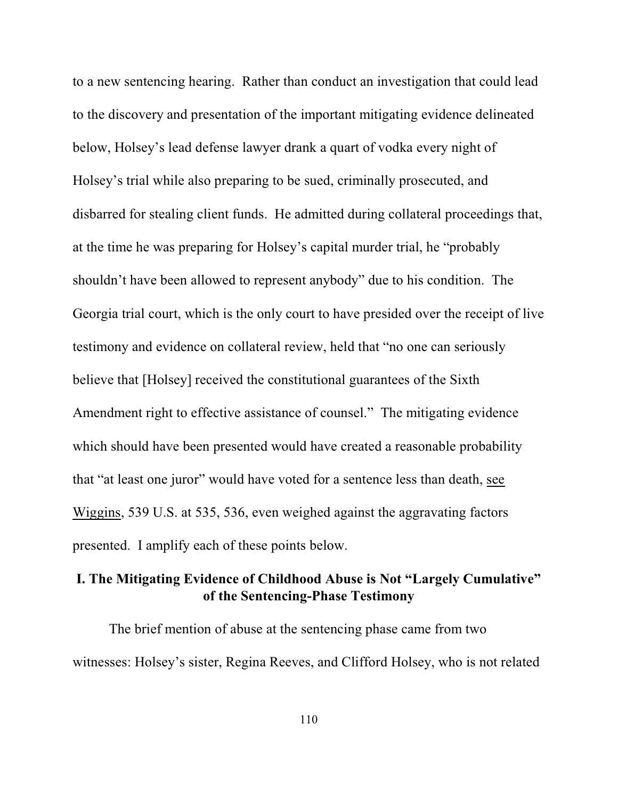to a new sentencing hearing. Rather than conduct an investigation that could lead to the discovery and presentation of the important mitigating evidence delineated below, Holsey's lead defense lawyer drank a quart of vodka every night of Holsey's trial while also preparing to be sued, criminally prosecuted, and disbarred for stealing client funds. He admitted during collateral proceedings that, at the time he was preparing for Holsey's capital murder trial, he "probably shouldn't have been allowed to represent anybody" due to his condition. The Georgia trial court, which is the only court to have presided over the receipt of live testimony and evidence on collateral review, held that "no one can seriously believe that [Holsey] received the constitutional guarantees of the Sixth Amendment right to effective assistance of counsel." The mitigating evidence which should have been presented would have created a reasonable probability that "at least one juror" would have voted for a sentence less than death, see Wiggins, 539 U.S. at 535, 536, even weighed against the aggravating factors presented. I amplify each of these points below.

# **I. The Mitigating Evidence of Childhood Abuse is Not "Largely Cumulative" of the Sentencing-Phase Testimony**

The brief mention of abuse at the sentencing phase came from two witnesses: Holsey's sister, Regina Reeves, and Clifford Holsey, who is not related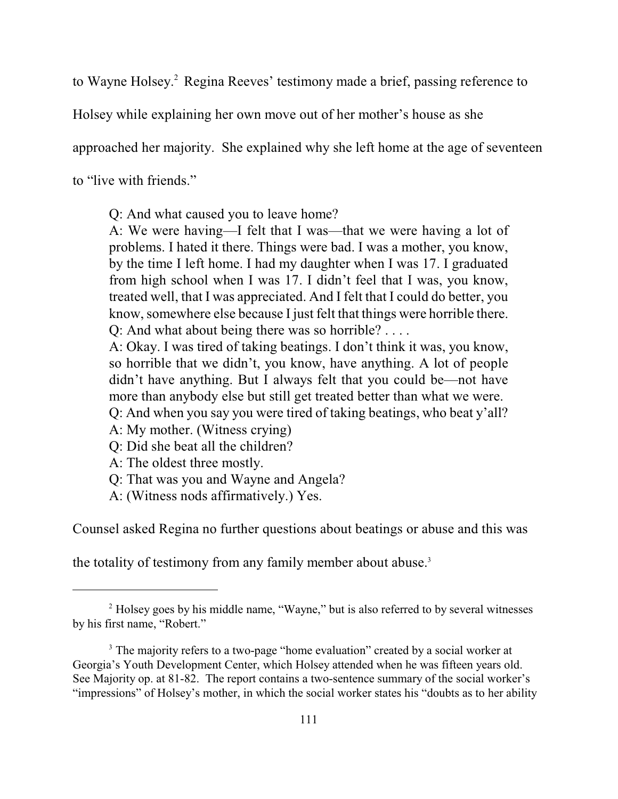to Wayne Holsey.<sup>2</sup> Regina Reeves' testimony made a brief, passing reference to

Holsey while explaining her own move out of her mother's house as she

approached her majority. She explained why she left home at the age of seventeen

to "live with friends."

Q: And what caused you to leave home?

A: We were having—I felt that I was—that we were having a lot of problems. I hated it there. Things were bad. I was a mother, you know, by the time I left home. I had my daughter when I was 17. I graduated from high school when I was 17. I didn't feel that I was, you know, treated well, that I was appreciated. And I felt that I could do better, you know, somewhere else because I just felt that things were horrible there. Q: And what about being there was so horrible? . . . .

A: Okay. I was tired of taking beatings. I don't think it was, you know, so horrible that we didn't, you know, have anything. A lot of people didn't have anything. But I always felt that you could be—not have more than anybody else but still get treated better than what we were. Q: And when you say you were tired of taking beatings, who beat y'all?

A: My mother. (Witness crying)

Q: Did she beat all the children?

A: The oldest three mostly.

Q: That was you and Wayne and Angela?

A: (Witness nods affirmatively.) Yes.

Counsel asked Regina no further questions about beatings or abuse and this was

the totality of testimony from any family member about abuse.<sup>3</sup>

<sup>&</sup>lt;sup>2</sup> Holsey goes by his middle name, "Wayne," but is also referred to by several witnesses by his first name, "Robert."

<sup>&</sup>lt;sup>3</sup> The majority refers to a two-page "home evaluation" created by a social worker at Georgia's Youth Development Center, which Holsey attended when he was fifteen years old. See Majority op. at 81-82. The report contains a two-sentence summary of the social worker's "impressions" of Holsey's mother, in which the social worker states his "doubts as to her ability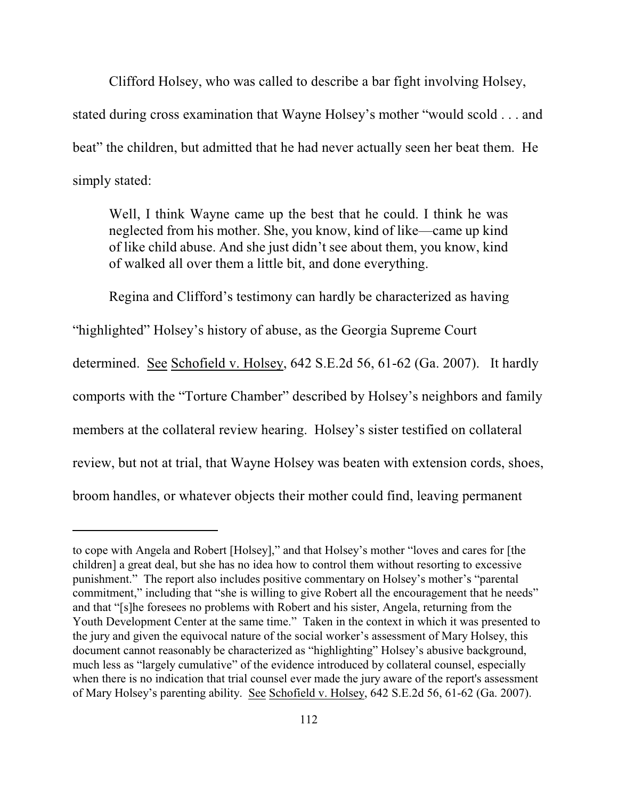Clifford Holsey, who was called to describe a bar fight involving Holsey, stated during cross examination that Wayne Holsey's mother "would scold . . . and beat" the children, but admitted that he had never actually seen her beat them. He simply stated:

Well, I think Wayne came up the best that he could. I think he was neglected from his mother. She, you know, kind of like—came up kind of like child abuse. And she just didn't see about them, you know, kind of walked all over them a little bit, and done everything.

Regina and Clifford's testimony can hardly be characterized as having

"highlighted" Holsey's history of abuse, as the Georgia Supreme Court

determined. See Schofield v. Holsey, 642 S.E.2d 56, 61-62 (Ga. 2007). It hardly comports with the "Torture Chamber" described by Holsey's neighbors and family members at the collateral review hearing. Holsey's sister testified on collateral review, but not at trial, that Wayne Holsey was beaten with extension cords, shoes, broom handles, or whatever objects their mother could find, leaving permanent

to cope with Angela and Robert [Holsey]," and that Holsey's mother "loves and cares for [the children] a great deal, but she has no idea how to control them without resorting to excessive punishment." The report also includes positive commentary on Holsey's mother's "parental commitment," including that "she is willing to give Robert all the encouragement that he needs" and that "[s]he foresees no problems with Robert and his sister, Angela, returning from the Youth Development Center at the same time." Taken in the context in which it was presented to the jury and given the equivocal nature of the social worker's assessment of Mary Holsey, this document cannot reasonably be characterized as "highlighting" Holsey's abusive background, much less as "largely cumulative" of the evidence introduced by collateral counsel, especially when there is no indication that trial counsel ever made the jury aware of the report's assessment of Mary Holsey's parenting ability. See Schofield v. Holsey, 642 S.E.2d 56, 61-62 (Ga. 2007).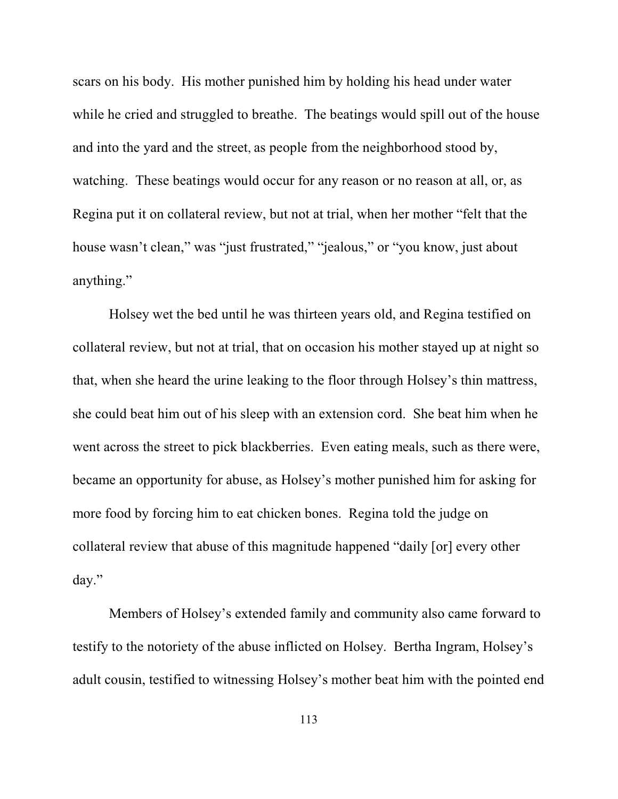scars on his body. His mother punished him by holding his head under water while he cried and struggled to breathe. The beatings would spill out of the house and into the yard and the street, as people from the neighborhood stood by, watching. These beatings would occur for any reason or no reason at all, or, as Regina put it on collateral review, but not at trial, when her mother "felt that the house wasn't clean," was "just frustrated," "jealous," or "you know, just about anything."

Holsey wet the bed until he was thirteen years old, and Regina testified on collateral review, but not at trial, that on occasion his mother stayed up at night so that, when she heard the urine leaking to the floor through Holsey's thin mattress, she could beat him out of his sleep with an extension cord. She beat him when he went across the street to pick blackberries. Even eating meals, such as there were, became an opportunity for abuse, as Holsey's mother punished him for asking for more food by forcing him to eat chicken bones. Regina told the judge on collateral review that abuse of this magnitude happened "daily [or] every other day."

Members of Holsey's extended family and community also came forward to testify to the notoriety of the abuse inflicted on Holsey. Bertha Ingram, Holsey's adult cousin, testified to witnessing Holsey's mother beat him with the pointed end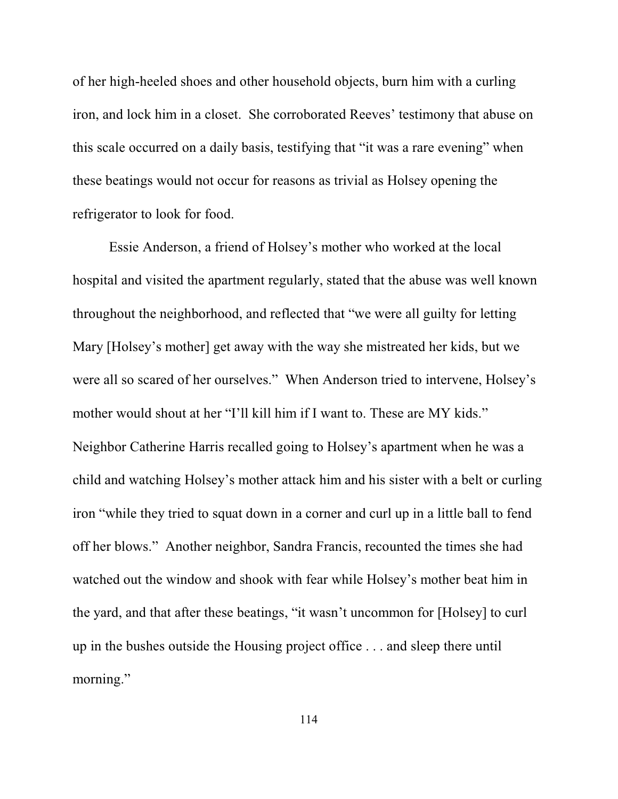of her high-heeled shoes and other household objects, burn him with a curling iron, and lock him in a closet. She corroborated Reeves' testimony that abuse on this scale occurred on a daily basis, testifying that "it was a rare evening" when these beatings would not occur for reasons as trivial as Holsey opening the refrigerator to look for food.

Essie Anderson, a friend of Holsey's mother who worked at the local hospital and visited the apartment regularly, stated that the abuse was well known throughout the neighborhood, and reflected that "we were all guilty for letting Mary [Holsey's mother] get away with the way she mistreated her kids, but we were all so scared of her ourselves." When Anderson tried to intervene, Holsey's mother would shout at her "I'll kill him if I want to. These are MY kids." Neighbor Catherine Harris recalled going to Holsey's apartment when he was a child and watching Holsey's mother attack him and his sister with a belt or curling iron "while they tried to squat down in a corner and curl up in a little ball to fend off her blows." Another neighbor, Sandra Francis, recounted the times she had watched out the window and shook with fear while Holsey's mother beat him in the yard, and that after these beatings, "it wasn't uncommon for [Holsey] to curl up in the bushes outside the Housing project office . . . and sleep there until morning."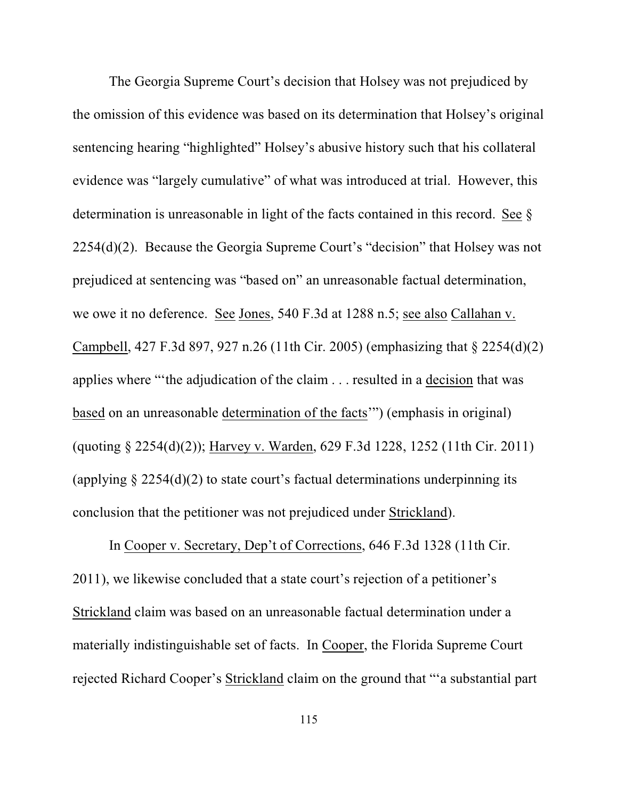The Georgia Supreme Court's decision that Holsey was not prejudiced by the omission of this evidence was based on its determination that Holsey's original sentencing hearing "highlighted" Holsey's abusive history such that his collateral evidence was "largely cumulative" of what was introduced at trial. However, this determination is unreasonable in light of the facts contained in this record. See § 2254(d)(2). Because the Georgia Supreme Court's "decision" that Holsey was not prejudiced at sentencing was "based on" an unreasonable factual determination, we owe it no deference. See Jones, 540 F.3d at 1288 n.5; see also Callahan v. Campbell, 427 F.3d 897, 927 n.26 (11th Cir. 2005) (emphasizing that § 2254(d)(2) applies where "'the adjudication of the claim . . . resulted in a decision that was based on an unreasonable determination of the facts'") (emphasis in original) (quoting § 2254(d)(2)); Harvey v. Warden, 629 F.3d 1228, 1252 (11th Cir. 2011) (applying  $\S 2254(d)(2)$  to state court's factual determinations underpinning its conclusion that the petitioner was not prejudiced under Strickland).

In Cooper v. Secretary, Dep't of Corrections, 646 F.3d 1328 (11th Cir. 2011), we likewise concluded that a state court's rejection of a petitioner's Strickland claim was based on an unreasonable factual determination under a materially indistinguishable set of facts. In Cooper, the Florida Supreme Court rejected Richard Cooper's Strickland claim on the ground that "'a substantial part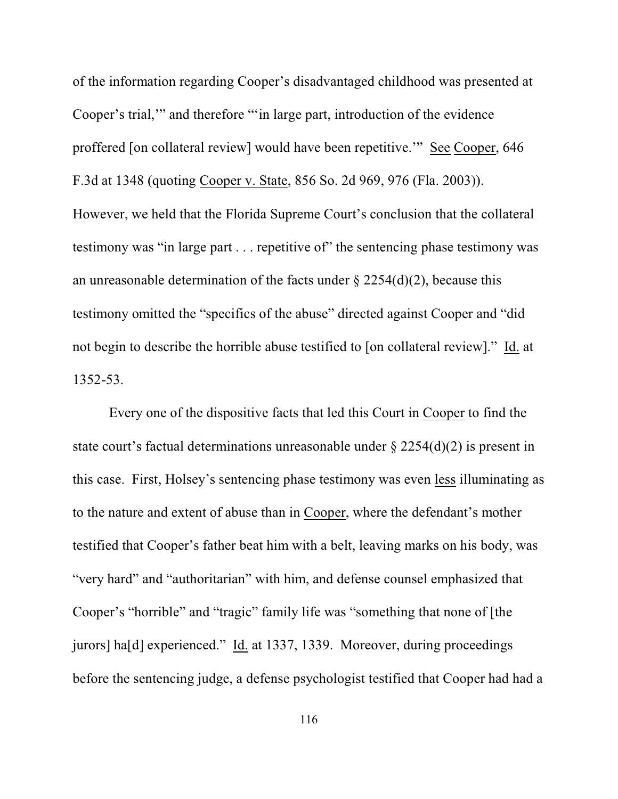of the information regarding Cooper's disadvantaged childhood was presented at Cooper's trial,'" and therefore "'in large part, introduction of the evidence proffered [on collateral review] would have been repetitive.'" See Cooper, 646 F.3d at 1348 (quoting Cooper v. State, 856 So. 2d 969, 976 (Fla. 2003)). However, we held that the Florida Supreme Court's conclusion that the collateral testimony was "in large part . . . repetitive of" the sentencing phase testimony was an unreasonable determination of the facts under  $\S$  2254(d)(2), because this testimony omitted the "specifics of the abuse" directed against Cooper and "did not begin to describe the horrible abuse testified to [on collateral review]." Id. at 1352-53.

Every one of the dispositive facts that led this Court in Cooper to find the state court's factual determinations unreasonable under  $\S 2254(d)(2)$  is present in this case. First, Holsey's sentencing phase testimony was even less illuminating as to the nature and extent of abuse than in Cooper, where the defendant's mother testified that Cooper's father beat him with a belt, leaving marks on his body, was "very hard" and "authoritarian" with him, and defense counsel emphasized that Cooper's "horrible" and "tragic" family life was "something that none of [the jurors] ha[d] experienced." Id. at 1337, 1339. Moreover, during proceedings before the sentencing judge, a defense psychologist testified that Cooper had had a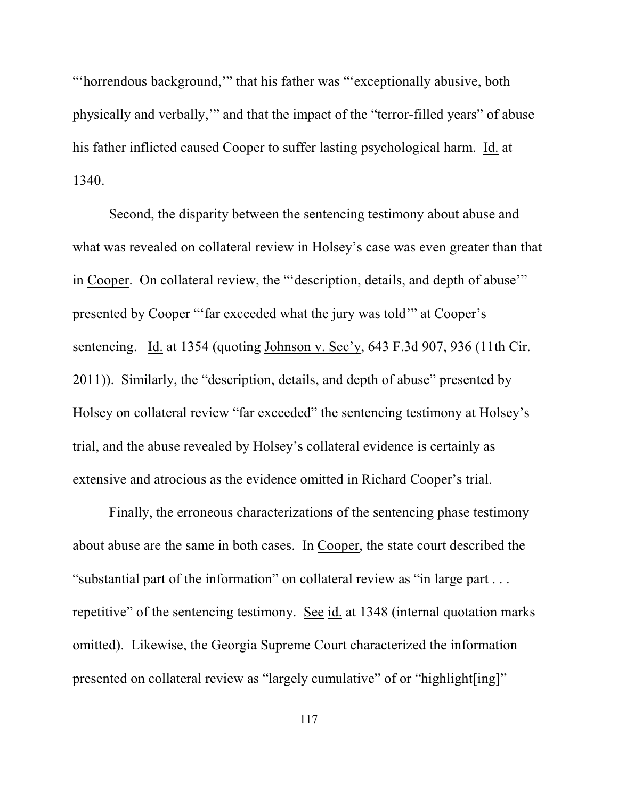"'horrendous background,'" that his father was "'exceptionally abusive, both physically and verbally,'" and that the impact of the "terror-filled years" of abuse his father inflicted caused Cooper to suffer lasting psychological harm. Id. at 1340.

Second, the disparity between the sentencing testimony about abuse and what was revealed on collateral review in Holsey's case was even greater than that in Cooper. On collateral review, the "'description, details, and depth of abuse'" presented by Cooper "'far exceeded what the jury was told'" at Cooper's sentencing. Id. at 1354 (quoting Johnson v. Sec'y, 643 F.3d 907, 936 (11th Cir. 2011)). Similarly, the "description, details, and depth of abuse" presented by Holsey on collateral review "far exceeded" the sentencing testimony at Holsey's trial, and the abuse revealed by Holsey's collateral evidence is certainly as extensive and atrocious as the evidence omitted in Richard Cooper's trial.

Finally, the erroneous characterizations of the sentencing phase testimony about abuse are the same in both cases. In Cooper, the state court described the "substantial part of the information" on collateral review as "in large part . . . repetitive" of the sentencing testimony. See id. at 1348 (internal quotation marks omitted). Likewise, the Georgia Supreme Court characterized the information presented on collateral review as "largely cumulative" of or "highlight[ing]"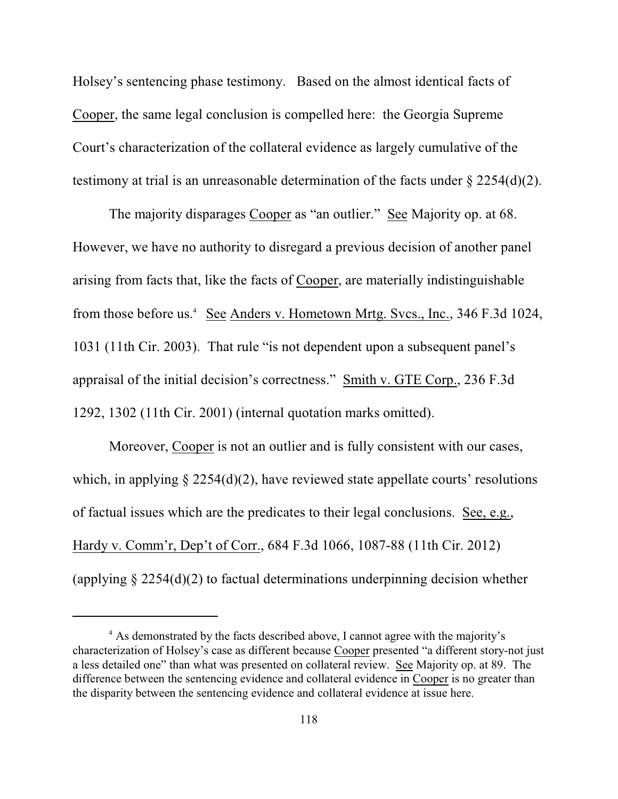Holsey's sentencing phase testimony. Based on the almost identical facts of Cooper, the same legal conclusion is compelled here: the Georgia Supreme Court's characterization of the collateral evidence as largely cumulative of the testimony at trial is an unreasonable determination of the facts under  $\S 2254(d)(2)$ .

The majority disparages Cooper as "an outlier." See Majority op. at 68. However, we have no authority to disregard a previous decision of another panel arising from facts that, like the facts of Cooper, are materially indistinguishable from those before us.<sup>4</sup> See Anders v. Hometown Mrtg. Svcs., Inc., 346 F.3d 1024, 1031 (11th Cir. 2003). That rule "is not dependent upon a subsequent panel's appraisal of the initial decision's correctness." Smith v. GTE Corp., 236 F.3d 1292, 1302 (11th Cir. 2001) (internal quotation marks omitted).

Moreover, Cooper is not an outlier and is fully consistent with our cases, which, in applying  $\S 2254(d)(2)$ , have reviewed state appellate courts' resolutions of factual issues which are the predicates to their legal conclusions. See, e.g., Hardy v. Comm'r, Dep't of Corr., 684 F.3d 1066, 1087-88 (11th Cir. 2012) (applying  $\S 2254(d)(2)$  to factual determinations underpinning decision whether

<sup>&</sup>lt;sup>4</sup> As demonstrated by the facts described above, I cannot agree with the majority's characterization of Holsey's case as different because Cooper presented "a different story-not just a less detailed one" than what was presented on collateral review. See Majority op. at 89. The difference between the sentencing evidence and collateral evidence in Cooper is no greater than the disparity between the sentencing evidence and collateral evidence at issue here.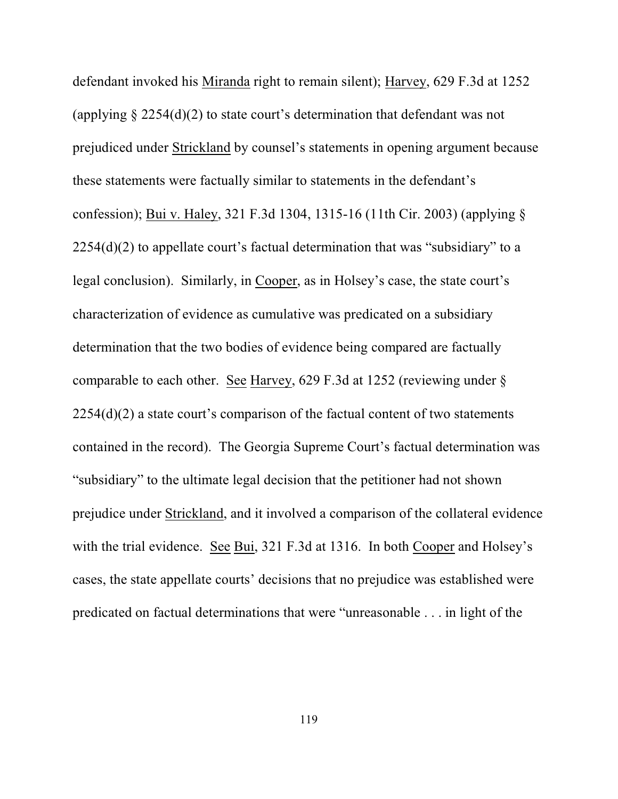defendant invoked his Miranda right to remain silent); Harvey, 629 F.3d at 1252 (applying  $\S 2254(d)(2)$  to state court's determination that defendant was not prejudiced under Strickland by counsel's statements in opening argument because these statements were factually similar to statements in the defendant's confession); Bui v. Haley, 321 F.3d 1304, 1315-16 (11th Cir. 2003) (applying §  $2254(d)(2)$  to appellate court's factual determination that was "subsidiary" to a legal conclusion).Similarly, in Cooper, as in Holsey's case, the state court's characterization of evidence as cumulative was predicated on a subsidiary determination that the two bodies of evidence being compared are factually comparable to each other. See Harvey, 629 F.3d at 1252 (reviewing under § 2254(d)(2) a state court's comparison of the factual content of two statements contained in the record). The Georgia Supreme Court's factual determination was "subsidiary" to the ultimate legal decision that the petitioner had not shown prejudice under Strickland, and it involved a comparison of the collateral evidence with the trial evidence. See Bui, 321 F.3d at 1316. In both Cooper and Holsey's cases, the state appellate courts' decisions that no prejudice was established were predicated on factual determinations that were "unreasonable . . . in light of the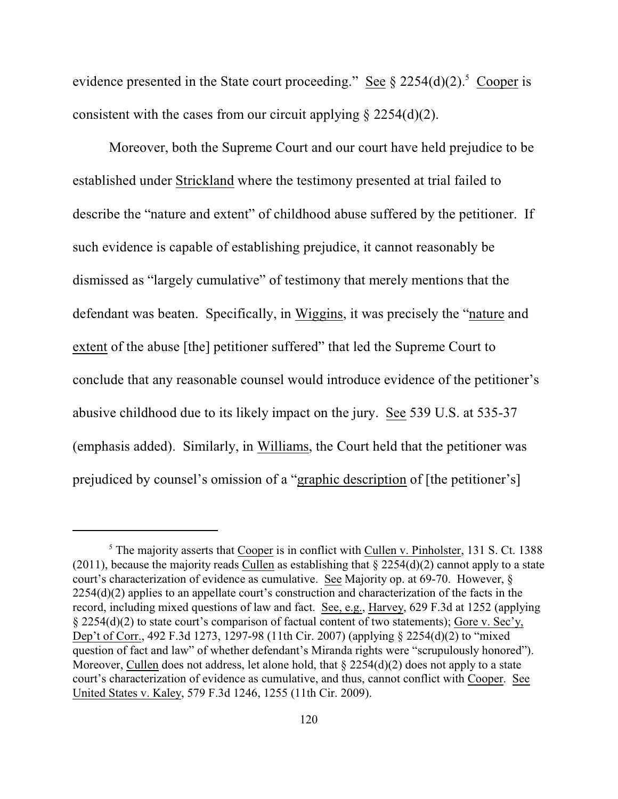evidence presented in the State court proceeding." See  $\S 2254(d)(2)$ .<sup>5</sup> Cooper is consistent with the cases from our circuit applying  $\S$  2254(d)(2).

Moreover, both the Supreme Court and our court have held prejudice to be established under Strickland where the testimony presented at trial failed to describe the "nature and extent" of childhood abuse suffered by the petitioner. If such evidence is capable of establishing prejudice, it cannot reasonably be dismissed as "largely cumulative" of testimony that merely mentions that the defendant was beaten. Specifically, in Wiggins, it was precisely the "nature and extent of the abuse [the] petitioner suffered" that led the Supreme Court to conclude that any reasonable counsel would introduce evidence of the petitioner's abusive childhood due to its likely impact on the jury. See 539 U.S. at 535-37 (emphasis added). Similarly, in Williams, the Court held that the petitioner was prejudiced by counsel's omission of a "graphic description of [the petitioner's]

 $5$  The majority asserts that Cooper is in conflict with Cullen v. Pinholster, 131 S. Ct. 1388 (2011), because the majority reads Cullen as establishing that  $\S 2254(d)(2)$  cannot apply to a state court's characterization of evidence as cumulative. See Majority op. at 69-70. However, § 2254(d)(2) applies to an appellate court's construction and characterization of the facts in the record, including mixed questions of law and fact. See, e.g., Harvey, 629 F.3d at 1252 (applying § 2254(d)(2) to state court's comparison of factual content of two statements); Gore v. Sec'y, Dep't of Corr., 492 F.3d 1273, 1297-98 (11th Cir. 2007) (applying § 2254(d)(2) to "mixed question of fact and law" of whether defendant's Miranda rights were "scrupulously honored"). Moreover, Cullen does not address, let alone hold, that  $\S 2254(d)(2)$  does not apply to a state court's characterization of evidence as cumulative, and thus, cannot conflict with Cooper. See United States v. Kaley, 579 F.3d 1246, 1255 (11th Cir. 2009).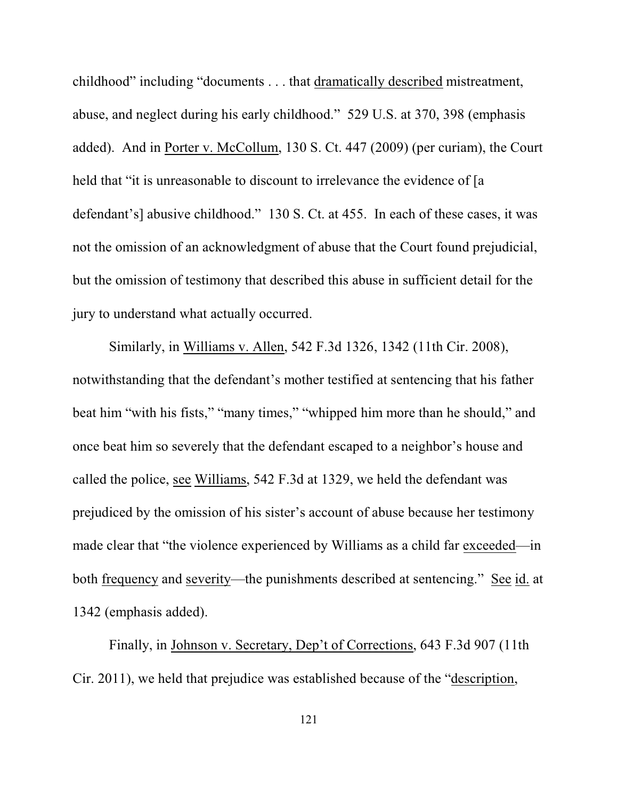childhood" including "documents . . . that dramatically described mistreatment, abuse, and neglect during his early childhood." 529 U.S. at 370, 398 (emphasis added). And in Porter v. McCollum, 130 S. Ct. 447 (2009) (per curiam), the Court held that "it is unreasonable to discount to irrelevance the evidence of [a defendant's] abusive childhood." 130 S. Ct. at 455. In each of these cases, it was not the omission of an acknowledgment of abuse that the Court found prejudicial, but the omission of testimony that described this abuse in sufficient detail for the jury to understand what actually occurred.

Similarly, in Williams v. Allen, 542 F.3d 1326, 1342 (11th Cir. 2008), notwithstanding that the defendant's mother testified at sentencing that his father beat him "with his fists," "many times," "whipped him more than he should," and once beat him so severely that the defendant escaped to a neighbor's house and called the police, see Williams, 542 F.3d at 1329, we held the defendant was prejudiced by the omission of his sister's account of abuse because her testimony made clear that "the violence experienced by Williams as a child far exceeded—in both frequency and severity—the punishments described at sentencing." See id. at 1342 (emphasis added).

Finally, in Johnson v. Secretary, Dep't of Corrections, 643 F.3d 907 (11th Cir. 2011), we held that prejudice was established because of the "description,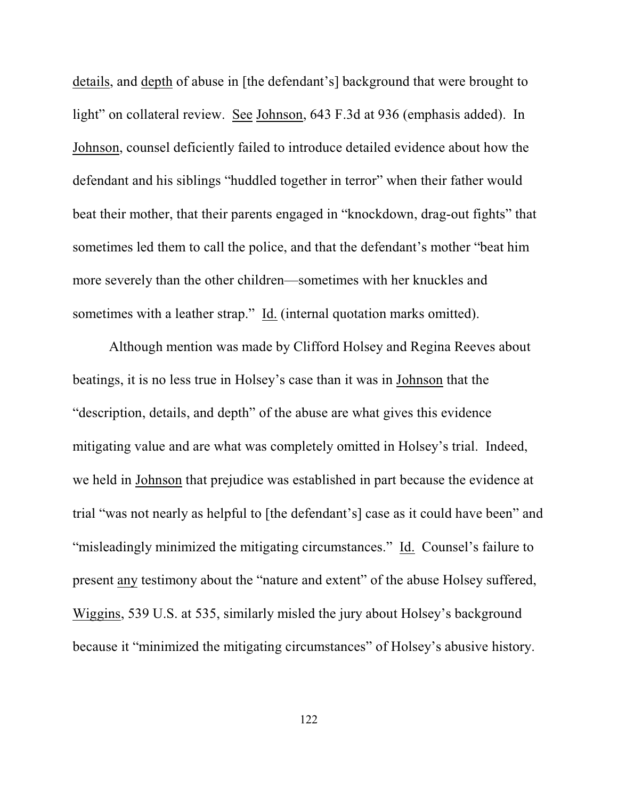details, and depth of abuse in [the defendant's] background that were brought to light" on collateral review. See Johnson, 643 F.3d at 936 (emphasis added). In Johnson, counsel deficiently failed to introduce detailed evidence about how the defendant and his siblings "huddled together in terror" when their father would beat their mother, that their parents engaged in "knockdown, drag-out fights" that sometimes led them to call the police, and that the defendant's mother "beat him more severely than the other children—sometimes with her knuckles and sometimes with a leather strap." Id. (internal quotation marks omitted).

Although mention was made by Clifford Holsey and Regina Reeves about beatings, it is no less true in Holsey's case than it was in Johnson that the "description, details, and depth" of the abuse are what gives this evidence mitigating value and are what was completely omitted in Holsey's trial.Indeed, we held in Johnson that prejudice was established in part because the evidence at trial "was not nearly as helpful to [the defendant's] case as it could have been" and "misleadingly minimized the mitigating circumstances."Id. Counsel's failure to present any testimony about the "nature and extent" of the abuse Holsey suffered, Wiggins, 539 U.S. at 535, similarly misled the jury about Holsey's background because it "minimized the mitigating circumstances" of Holsey's abusive history.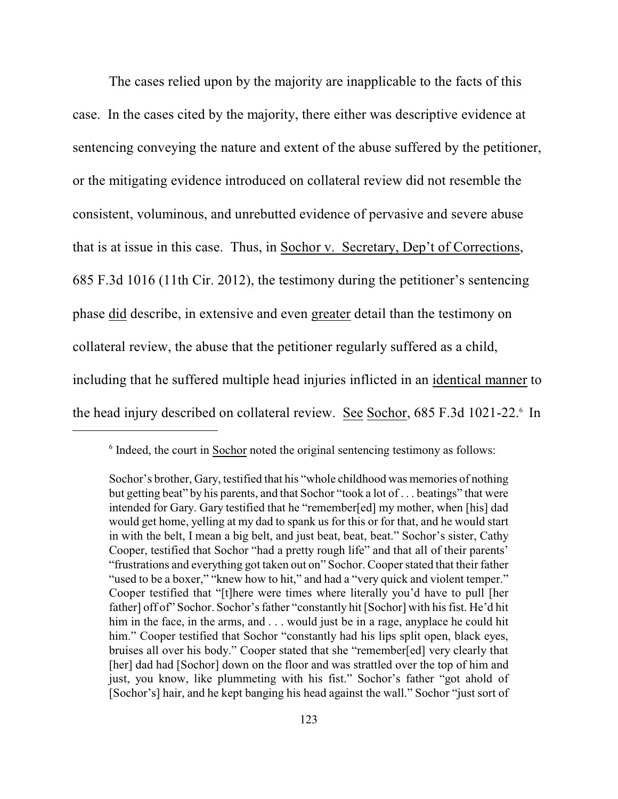The cases relied upon by the majority are inapplicable to the facts of this case. In the cases cited by the majority, there either was descriptive evidence at sentencing conveying the nature and extent of the abuse suffered by the petitioner, or the mitigating evidence introduced on collateral review did not resemble the consistent, voluminous, and unrebutted evidence of pervasive and severe abuse that is at issue in this case. Thus, in Sochor v. Secretary, Dep't of Corrections, 685 F.3d 1016 (11th Cir. 2012), the testimony during the petitioner's sentencing phase did describe, in extensive and even greater detail than the testimony on collateral review, the abuse that the petitioner regularly suffered as a child, including that he suffered multiple head injuries inflicted in an identical manner to the head injury described on collateral review. See Sochor, 685 F.3d 1021-22.<sup>6</sup> In

 $\delta$  Indeed, the court in Sochor noted the original sentencing testimony as follows:

Sochor's brother, Gary, testified that his "whole childhood was memories of nothing but getting beat" by his parents, and that Sochor "took a lot of . . . beatings" that were intended for Gary. Gary testified that he "remember[ed] my mother, when [his] dad would get home, yelling at my dad to spank us for this or for that, and he would start in with the belt, I mean a big belt, and just beat, beat, beat." Sochor's sister, Cathy Cooper, testified that Sochor "had a pretty rough life" and that all of their parents' "frustrations and everything got taken out on" Sochor. Cooper stated that their father "used to be a boxer," "knew how to hit," and had a "very quick and violent temper." Cooper testified that "[t]here were times where literally you'd have to pull [her father] off of" Sochor. Sochor's father "constantly hit [Sochor] with his fist. He'd hit him in the face, in the arms, and . . . would just be in a rage, any place he could hit him." Cooper testified that Sochor "constantly had his lips split open, black eyes, bruises all over his body." Cooper stated that she "remember[ed] very clearly that [her] dad had [Sochor] down on the floor and was strattled over the top of him and just, you know, like plummeting with his fist." Sochor's father "got ahold of [Sochor's] hair, and he kept banging his head against the wall." Sochor "just sort of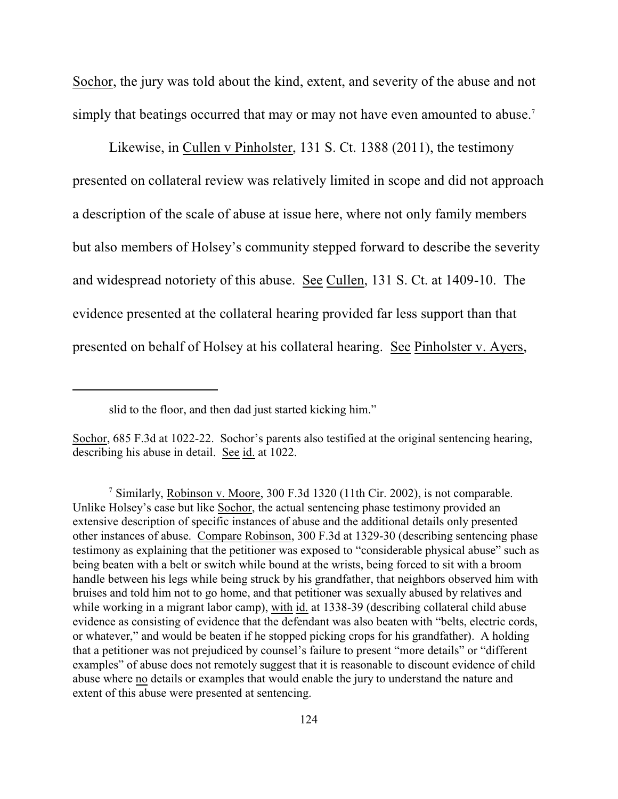Sochor, the jury was told about the kind, extent, and severity of the abuse and not simply that beatings occurred that may or may not have even amounted to abuse.<sup>7</sup>

Likewise, in Cullen v Pinholster, 131 S. Ct. 1388 (2011), the testimony presented on collateral review was relatively limited in scope and did not approach a description of the scale of abuse at issue here, where not only family members but also members of Holsey's community stepped forward to describe the severity and widespread notoriety of this abuse. See Cullen, 131 S. Ct. at 1409-10. The evidence presented at the collateral hearing provided far less support than that presented on behalf of Holsey at his collateral hearing. See Pinholster v. Ayers,

slid to the floor, and then dad just started kicking him."

Sochor, 685 F.3d at 1022-22. Sochor's parents also testified at the original sentencing hearing, describing his abuse in detail. See id. at 1022.

<sup>&</sup>lt;sup>7</sup> Similarly, Robinson v. Moore, 300 F.3d 1320 (11th Cir. 2002), is not comparable. Unlike Holsey's case but like Sochor, the actual sentencing phase testimony provided an extensive description of specific instances of abuse and the additional details only presented other instances of abuse. Compare Robinson, 300 F.3d at 1329-30 (describing sentencing phase testimony as explaining that the petitioner was exposed to "considerable physical abuse" such as being beaten with a belt or switch while bound at the wrists, being forced to sit with a broom handle between his legs while being struck by his grandfather, that neighbors observed him with bruises and told him not to go home, and that petitioner was sexually abused by relatives and while working in a migrant labor camp), with id. at 1338-39 (describing collateral child abuse evidence as consisting of evidence that the defendant was also beaten with "belts, electric cords, or whatever," and would be beaten if he stopped picking crops for his grandfather). A holding that a petitioner was not prejudiced by counsel's failure to present "more details" or "different examples" of abuse does not remotely suggest that it is reasonable to discount evidence of child abuse where no details or examples that would enable the jury to understand the nature and extent of this abuse were presented at sentencing.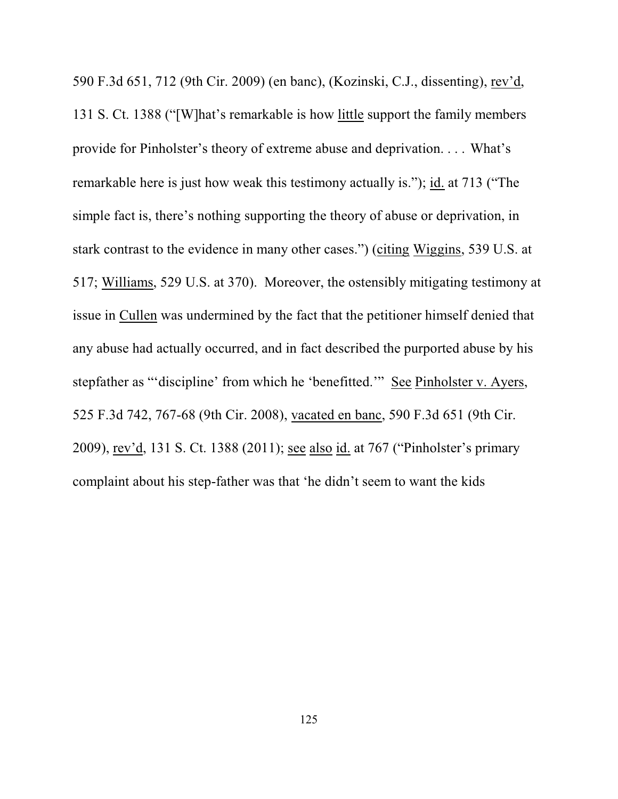590 F.3d 651, 712 (9th Cir. 2009) (en banc), (Kozinski, C.J., dissenting), rev'd, 131 S. Ct. 1388 ("[W]hat's remarkable is how little support the family members provide for Pinholster's theory of extreme abuse and deprivation. . . . What's remarkable here is just how weak this testimony actually is."); id. at 713 ("The simple fact is, there's nothing supporting the theory of abuse or deprivation, in stark contrast to the evidence in many other cases.") (citing Wiggins, 539 U.S. at 517; Williams, 529 U.S. at 370). Moreover, the ostensibly mitigating testimony at issue in Cullen was undermined by the fact that the petitioner himself denied that any abuse had actually occurred, and in fact described the purported abuse by his stepfather as "'discipline' from which he 'benefitted.'" See Pinholster v. Ayers, 525 F.3d 742, 767-68 (9th Cir. 2008), vacated en banc, 590 F.3d 651 (9th Cir. 2009), rev'd, 131 S. Ct. 1388 (2011); see also id. at 767 ("Pinholster's primary complaint about his step-father was that 'he didn't seem to want the kids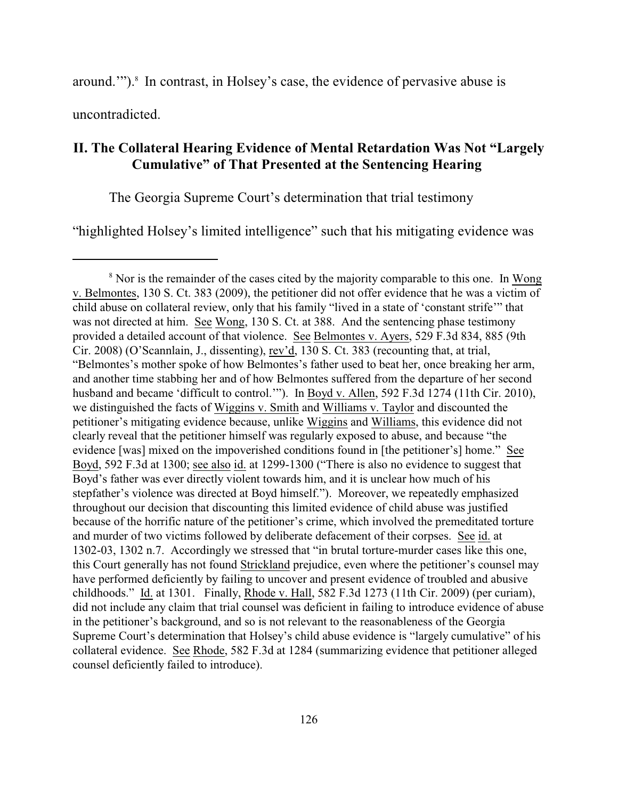around.""). $\delta$  In contrast, in Holsey's case, the evidence of pervasive abuse is

uncontradicted.

### **II. The Collateral Hearing Evidence of Mental Retardation Was Not "Largely Cumulative" of That Presented at the Sentencing Hearing**

The Georgia Supreme Court's determination that trial testimony

"highlighted Holsey's limited intelligence" such that his mitigating evidence was

 $8$  Nor is the remainder of the cases cited by the majority comparable to this one. In Wong v. Belmontes, 130 S. Ct. 383 (2009), the petitioner did not offer evidence that he was a victim of child abuse on collateral review, only that his family "lived in a state of 'constant strife'" that was not directed at him. See Wong, 130 S. Ct. at 388. And the sentencing phase testimony provided a detailed account of that violence. See Belmontes v. Ayers, 529 F.3d 834, 885 (9th Cir. 2008) (O'Scannlain, J., dissenting), rev'd, 130 S. Ct. 383 (recounting that, at trial, "Belmontes's mother spoke of how Belmontes's father used to beat her, once breaking her arm, and another time stabbing her and of how Belmontes suffered from the departure of her second husband and became 'difficult to control.'"). In Boyd v. Allen, 592 F.3d 1274 (11th Cir. 2010), we distinguished the facts of Wiggins v. Smith and Williams v. Taylor and discounted the petitioner's mitigating evidence because, unlike Wiggins and Williams, this evidence did not clearly reveal that the petitioner himself was regularly exposed to abuse, and because "the evidence [was] mixed on the impoverished conditions found in [the petitioner's] home." See Boyd, 592 F.3d at 1300; see also id. at 1299-1300 ("There is also no evidence to suggest that Boyd's father was ever directly violent towards him, and it is unclear how much of his stepfather's violence was directed at Boyd himself."). Moreover, we repeatedly emphasized throughout our decision that discounting this limited evidence of child abuse was justified because of the horrific nature of the petitioner's crime, which involved the premeditated torture and murder of two victims followed by deliberate defacement of their corpses. See id. at 1302-03, 1302 n.7. Accordingly we stressed that "in brutal torture-murder cases like this one, this Court generally has not found Strickland prejudice, even where the petitioner's counsel may have performed deficiently by failing to uncover and present evidence of troubled and abusive childhoods." Id. at 1301. Finally, Rhode v. Hall, 582 F.3d 1273 (11th Cir. 2009) (per curiam), did not include any claim that trial counsel was deficient in failing to introduce evidence of abuse in the petitioner's background, and so is not relevant to the reasonableness of the Georgia Supreme Court's determination that Holsey's child abuse evidence is "largely cumulative" of his collateral evidence. See Rhode, 582 F.3d at 1284 (summarizing evidence that petitioner alleged counsel deficiently failed to introduce).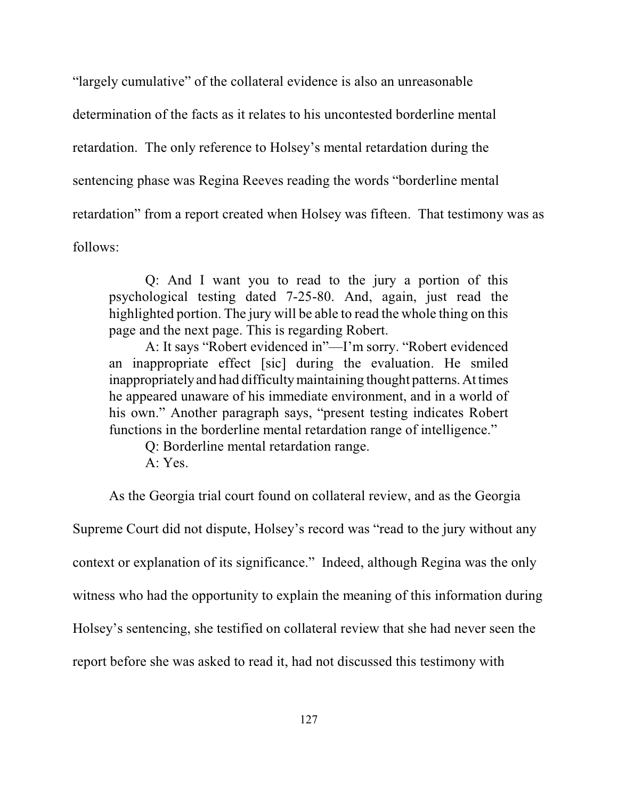"largely cumulative" of the collateral evidence is also an unreasonable determination of the facts as it relates to his uncontested borderline mental retardation. The only reference to Holsey's mental retardation during the sentencing phase was Regina Reeves reading the words "borderline mental retardation" from a report created when Holsey was fifteen. That testimony was as follows:

Q: And I want you to read to the jury a portion of this psychological testing dated 7-25-80. And, again, just read the highlighted portion. The jury will be able to read the whole thing on this page and the next page. This is regarding Robert.

A: It says "Robert evidenced in"—I'm sorry. "Robert evidenced an inappropriate effect [sic] during the evaluation. He smiled inappropriately and had difficulty maintaining thought patterns. At times he appeared unaware of his immediate environment, and in a world of his own." Another paragraph says, "present testing indicates Robert functions in the borderline mental retardation range of intelligence."

Q: Borderline mental retardation range.

A: Yes.

As the Georgia trial court found on collateral review, and as the Georgia Supreme Court did not dispute, Holsey's record was "read to the jury without any context or explanation of its significance." Indeed, although Regina was the only witness who had the opportunity to explain the meaning of this information during Holsey's sentencing, she testified on collateral review that she had never seen the report before she was asked to read it, had not discussed this testimony with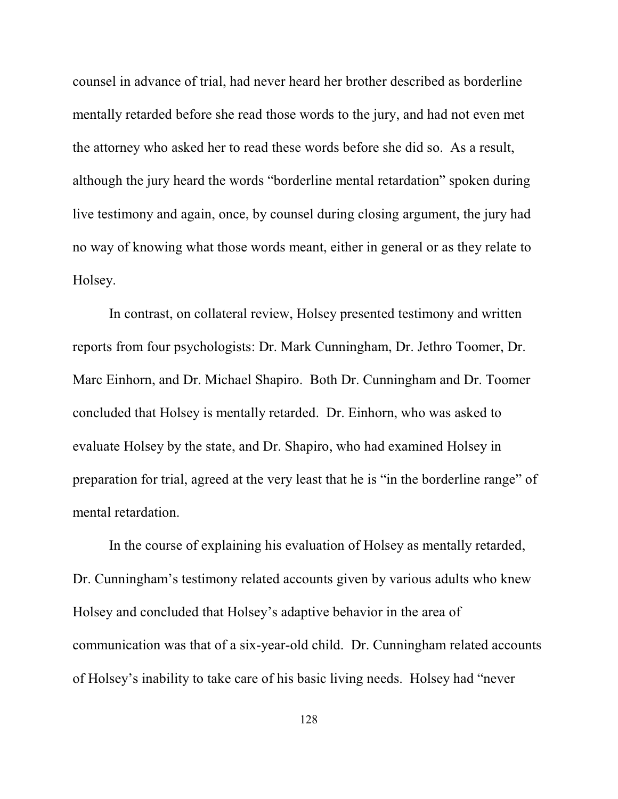counsel in advance of trial, had never heard her brother described as borderline mentally retarded before she read those words to the jury, and had not even met the attorney who asked her to read these words before she did so. As a result, although the jury heard the words "borderline mental retardation" spoken during live testimony and again, once, by counsel during closing argument, the jury had no way of knowing what those words meant, either in general or as they relate to Holsey.

In contrast, on collateral review, Holsey presented testimony and written reports from four psychologists: Dr. Mark Cunningham, Dr. Jethro Toomer, Dr. Marc Einhorn, and Dr. Michael Shapiro. Both Dr. Cunningham and Dr. Toomer concluded that Holsey is mentally retarded. Dr. Einhorn, who was asked to evaluate Holsey by the state, and Dr. Shapiro, who had examined Holsey in preparation for trial, agreed at the very least that he is "in the borderline range" of mental retardation.

In the course of explaining his evaluation of Holsey as mentally retarded, Dr. Cunningham's testimony related accounts given by various adults who knew Holsey and concluded that Holsey's adaptive behavior in the area of communication was that of a six-year-old child. Dr. Cunningham related accounts of Holsey's inability to take care of his basic living needs. Holsey had "never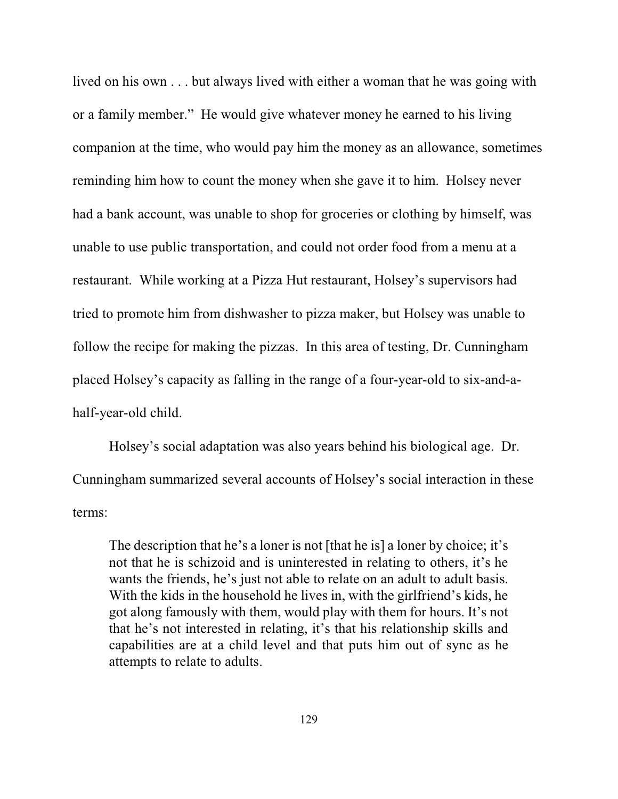lived on his own . . . but always lived with either a woman that he was going with or a family member." He would give whatever money he earned to his living companion at the time, who would pay him the money as an allowance, sometimes reminding him how to count the money when she gave it to him. Holsey never had a bank account, was unable to shop for groceries or clothing by himself, was unable to use public transportation, and could not order food from a menu at a restaurant. While working at a Pizza Hut restaurant, Holsey's supervisors had tried to promote him from dishwasher to pizza maker, but Holsey was unable to follow the recipe for making the pizzas. In this area of testing, Dr. Cunningham placed Holsey's capacity as falling in the range of a four-year-old to six-and-ahalf-year-old child.

Holsey's social adaptation was also years behind his biological age. Dr. Cunningham summarized several accounts of Holsey's social interaction in these terms:

The description that he's a loner is not [that he is] a loner by choice; it's not that he is schizoid and is uninterested in relating to others, it's he wants the friends, he's just not able to relate on an adult to adult basis. With the kids in the household he lives in, with the girlfriend's kids, he got along famously with them, would play with them for hours. It's not that he's not interested in relating, it's that his relationship skills and capabilities are at a child level and that puts him out of sync as he attempts to relate to adults.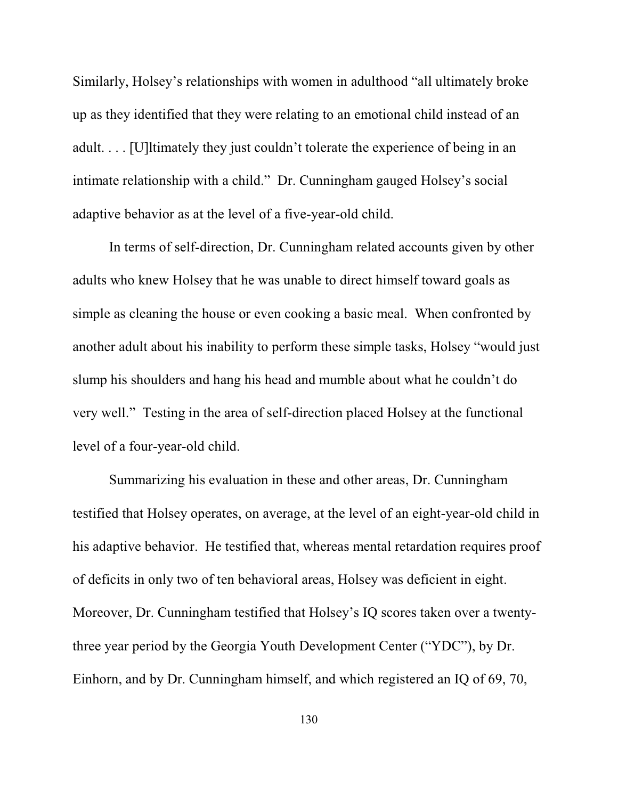Similarly, Holsey's relationships with women in adulthood "all ultimately broke up as they identified that they were relating to an emotional child instead of an adult. . . . [U]ltimately they just couldn't tolerate the experience of being in an intimate relationship with a child." Dr. Cunningham gauged Holsey's social adaptive behavior as at the level of a five-year-old child.

In terms of self-direction, Dr. Cunningham related accounts given by other adults who knew Holsey that he was unable to direct himself toward goals as simple as cleaning the house or even cooking a basic meal. When confronted by another adult about his inability to perform these simple tasks, Holsey "would just slump his shoulders and hang his head and mumble about what he couldn't do very well." Testing in the area of self-direction placed Holsey at the functional level of a four-year-old child.

Summarizing his evaluation in these and other areas, Dr. Cunningham testified that Holsey operates, on average, at the level of an eight-year-old child in his adaptive behavior. He testified that, whereas mental retardation requires proof of deficits in only two of ten behavioral areas, Holsey was deficient in eight. Moreover, Dr. Cunningham testified that Holsey's IQ scores taken over a twentythree year period by the Georgia Youth Development Center ("YDC"), by Dr. Einhorn, and by Dr. Cunningham himself, and which registered an IQ of 69, 70,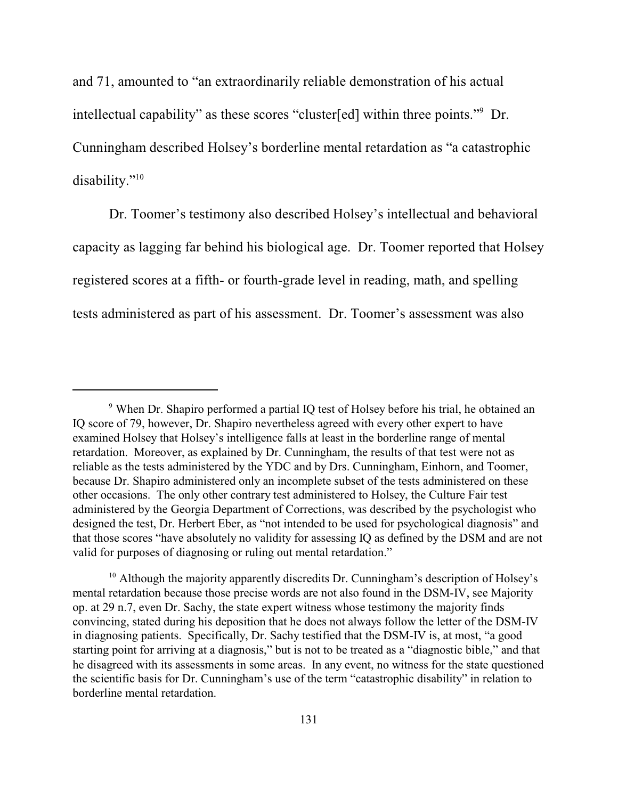and 71, amounted to "an extraordinarily reliable demonstration of his actual intellectual capability" as these scores "cluster[ed] within three points."<sup>9</sup> Dr. Cunningham described Holsey's borderline mental retardation as "a catastrophic disability."<sup>10</sup>

Dr. Toomer's testimony also described Holsey's intellectual and behavioral capacity as lagging far behind his biological age. Dr. Toomer reported that Holsey registered scores at a fifth- or fourth-grade level in reading, math, and spelling tests administered as part of his assessment. Dr. Toomer's assessment was also

<sup>&</sup>lt;sup>9</sup> When Dr. Shapiro performed a partial IQ test of Holsey before his trial, he obtained an IQ score of 79, however, Dr. Shapiro nevertheless agreed with every other expert to have examined Holsey that Holsey's intelligence falls at least in the borderline range of mental retardation. Moreover, as explained by Dr. Cunningham, the results of that test were not as reliable as the tests administered by the YDC and by Drs. Cunningham, Einhorn, and Toomer, because Dr. Shapiro administered only an incomplete subset of the tests administered on these other occasions. The only other contrary test administered to Holsey, the Culture Fair test administered by the Georgia Department of Corrections, was described by the psychologist who designed the test, Dr. Herbert Eber, as "not intended to be used for psychological diagnosis" and that those scores "have absolutely no validity for assessing IQ as defined by the DSM and are not valid for purposes of diagnosing or ruling out mental retardation."

 $10$  Although the majority apparently discredits Dr. Cunningham's description of Holsey's mental retardation because those precise words are not also found in the DSM-IV, see Majority op. at 29 n.7, even Dr. Sachy, the state expert witness whose testimony the majority finds convincing, stated during his deposition that he does not always follow the letter of the DSM-IV in diagnosing patients. Specifically, Dr. Sachy testified that the DSM-IV is, at most, "a good starting point for arriving at a diagnosis," but is not to be treated as a "diagnostic bible," and that he disagreed with its assessments in some areas. In any event, no witness for the state questioned the scientific basis for Dr. Cunningham's use of the term "catastrophic disability" in relation to borderline mental retardation.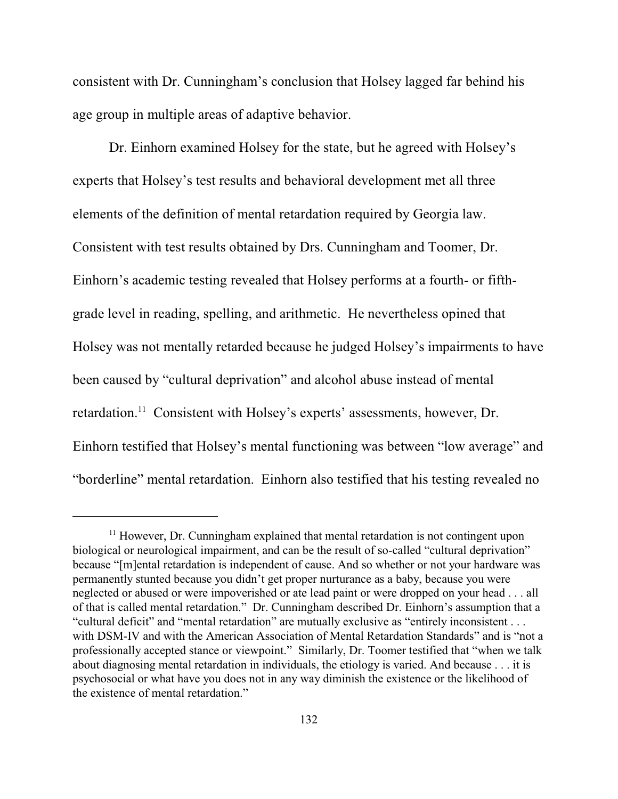consistent with Dr. Cunningham's conclusion that Holsey lagged far behind his age group in multiple areas of adaptive behavior.

Dr. Einhorn examined Holsey for the state, but he agreed with Holsey's experts that Holsey's test results and behavioral development met all three elements of the definition of mental retardation required by Georgia law. Consistent with test results obtained by Drs. Cunningham and Toomer, Dr. Einhorn's academic testing revealed that Holsey performs at a fourth- or fifthgrade level in reading, spelling, and arithmetic. He nevertheless opined that Holsey was not mentally retarded because he judged Holsey's impairments to have been caused by "cultural deprivation" and alcohol abuse instead of mental retardation.<sup>11</sup> Consistent with Holsey's experts' assessments, however, Dr. Einhorn testified that Holsey's mental functioning was between "low average" and "borderline" mental retardation. Einhorn also testified that his testing revealed no

 $<sup>11</sup>$  However, Dr. Cunningham explained that mental retardation is not contingent upon</sup> biological or neurological impairment, and can be the result of so-called "cultural deprivation" because "[m]ental retardation is independent of cause. And so whether or not your hardware was permanently stunted because you didn't get proper nurturance as a baby, because you were neglected or abused or were impoverished or ate lead paint or were dropped on your head . . . all of that is called mental retardation." Dr. Cunningham described Dr. Einhorn's assumption that a "cultural deficit" and "mental retardation" are mutually exclusive as "entirely inconsistent . . . with DSM-IV and with the American Association of Mental Retardation Standards" and is "not a professionally accepted stance or viewpoint." Similarly, Dr. Toomer testified that "when we talk about diagnosing mental retardation in individuals, the etiology is varied. And because . . . it is psychosocial or what have you does not in any way diminish the existence or the likelihood of the existence of mental retardation."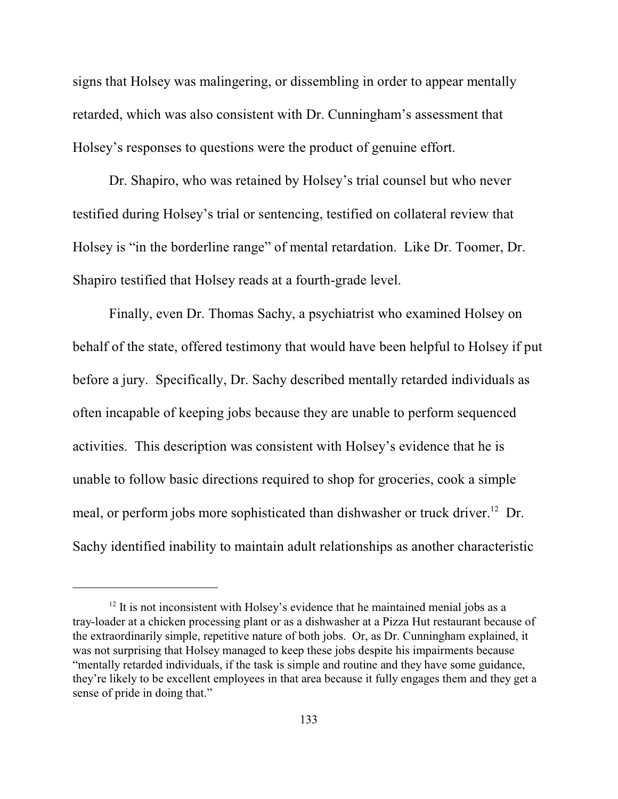signs that Holsey was malingering, or dissembling in order to appear mentally retarded, which was also consistent with Dr. Cunningham's assessment that Holsey's responses to questions were the product of genuine effort.

Dr. Shapiro, who was retained by Holsey's trial counsel but who never testified during Holsey's trial or sentencing, testified on collateral review that Holsey is "in the borderline range" of mental retardation. Like Dr. Toomer, Dr. Shapiro testified that Holsey reads at a fourth-grade level.

Finally, even Dr. Thomas Sachy, a psychiatrist who examined Holsey on behalf of the state, offered testimony that would have been helpful to Holsey if put before a jury. Specifically, Dr. Sachy described mentally retarded individuals as often incapable of keeping jobs because they are unable to perform sequenced activities. This description was consistent with Holsey's evidence that he is unable to follow basic directions required to shop for groceries, cook a simple meal, or perform jobs more sophisticated than dishwasher or truck driver.<sup>12</sup> Dr. Sachy identified inability to maintain adult relationships as another characteristic

 $12$  It is not inconsistent with Holsey's evidence that he maintained menial jobs as a tray-loader at a chicken processing plant or as a dishwasher at a Pizza Hut restaurant because of the extraordinarily simple, repetitive nature of both jobs. Or, as Dr. Cunningham explained, it was not surprising that Holsey managed to keep these jobs despite his impairments because "mentally retarded individuals, if the task is simple and routine and they have some guidance, they're likely to be excellent employees in that area because it fully engages them and they get a sense of pride in doing that."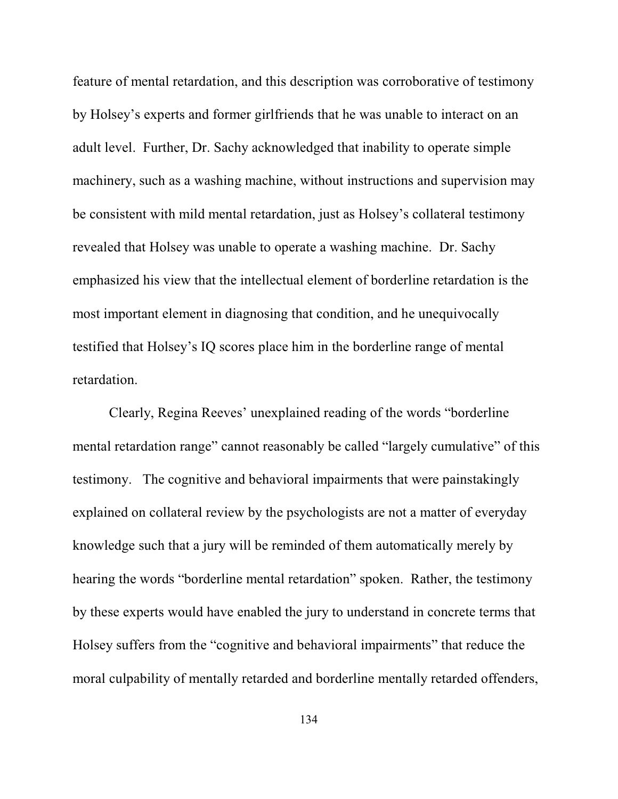feature of mental retardation, and this description was corroborative of testimony by Holsey's experts and former girlfriends that he was unable to interact on an adult level. Further, Dr. Sachy acknowledged that inability to operate simple machinery, such as a washing machine, without instructions and supervision may be consistent with mild mental retardation, just as Holsey's collateral testimony revealed that Holsey was unable to operate a washing machine. Dr. Sachy emphasized his view that the intellectual element of borderline retardation is the most important element in diagnosing that condition, and he unequivocally testified that Holsey's IQ scores place him in the borderline range of mental retardation.

Clearly, Regina Reeves' unexplained reading of the words "borderline mental retardation range" cannot reasonably be called "largely cumulative" of this testimony. The cognitive and behavioral impairments that were painstakingly explained on collateral review by the psychologists are not a matter of everyday knowledge such that a jury will be reminded of them automatically merely by hearing the words "borderline mental retardation" spoken. Rather, the testimony by these experts would have enabled the jury to understand in concrete terms that Holsey suffers from the "cognitive and behavioral impairments" that reduce the moral culpability of mentally retarded and borderline mentally retarded offenders,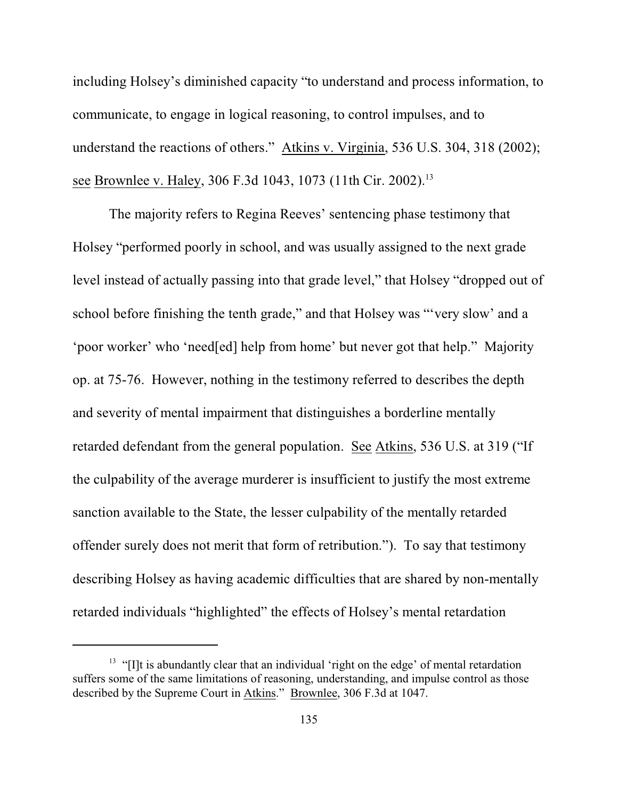including Holsey's diminished capacity "to understand and process information, to communicate, to engage in logical reasoning, to control impulses, and to understand the reactions of others." Atkins v. Virginia, 536 U.S. 304, 318 (2002); see Brownlee v. Haley, 306 F.3d 1043, 1073 (11th Cir. 2002).<sup>13</sup>

The majority refers to Regina Reeves' sentencing phase testimony that Holsey "performed poorly in school, and was usually assigned to the next grade level instead of actually passing into that grade level," that Holsey "dropped out of school before finishing the tenth grade," and that Holsey was "'very slow' and a 'poor worker' who 'need[ed] help from home' but never got that help." Majority op. at 75-76. However, nothing in the testimony referred to describes the depth and severity of mental impairment that distinguishes a borderline mentally retarded defendant from the general population. See Atkins, 536 U.S. at 319 ("If the culpability of the average murderer is insufficient to justify the most extreme sanction available to the State, the lesser culpability of the mentally retarded offender surely does not merit that form of retribution."). To say that testimony describing Holsey as having academic difficulties that are shared by non-mentally retarded individuals "highlighted" the effects of Holsey's mental retardation

 $<sup>13</sup>$  "[I]t is abundantly clear that an individual 'right on the edge' of mental retardation</sup> suffers some of the same limitations of reasoning, understanding, and impulse control as those described by the Supreme Court in Atkins." Brownlee, 306 F.3d at 1047.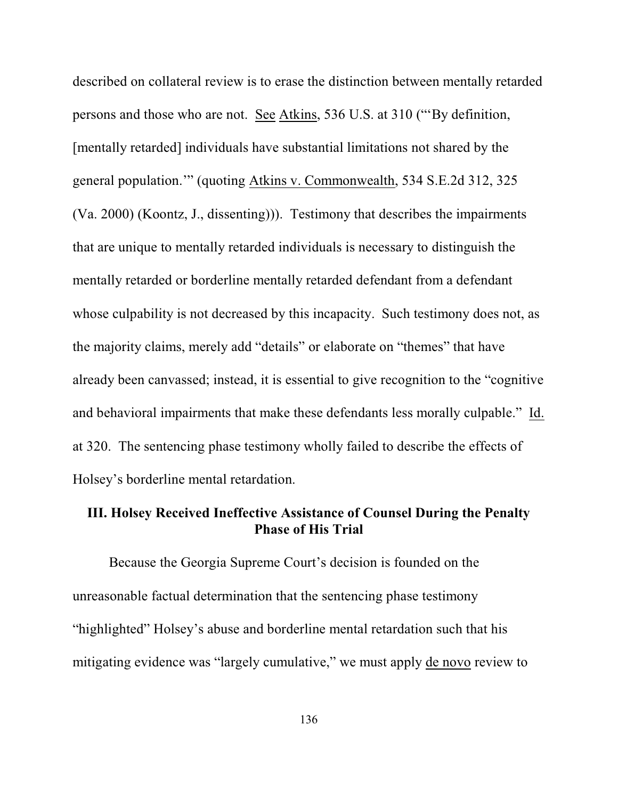described on collateral review is to erase the distinction between mentally retarded persons and those who are not. See Atkins, 536 U.S. at 310 ("'By definition, [mentally retarded] individuals have substantial limitations not shared by the general population.'" (quoting Atkins v. Commonwealth, 534 S.E.2d 312, 325 (Va. 2000) (Koontz, J., dissenting))). Testimony that describes the impairments that are unique to mentally retarded individuals is necessary to distinguish the mentally retarded or borderline mentally retarded defendant from a defendant whose culpability is not decreased by this incapacity. Such testimony does not, as the majority claims, merely add "details" or elaborate on "themes" that have already been canvassed; instead, it is essential to give recognition to the "cognitive and behavioral impairments that make these defendants less morally culpable." Id. at 320. The sentencing phase testimony wholly failed to describe the effects of Holsey's borderline mental retardation.

# **III. Holsey Received Ineffective Assistance of Counsel During the Penalty Phase of His Trial**

Because the Georgia Supreme Court's decision is founded on the unreasonable factual determination that the sentencing phase testimony "highlighted" Holsey's abuse and borderline mental retardation such that his mitigating evidence was "largely cumulative," we must apply de novo review to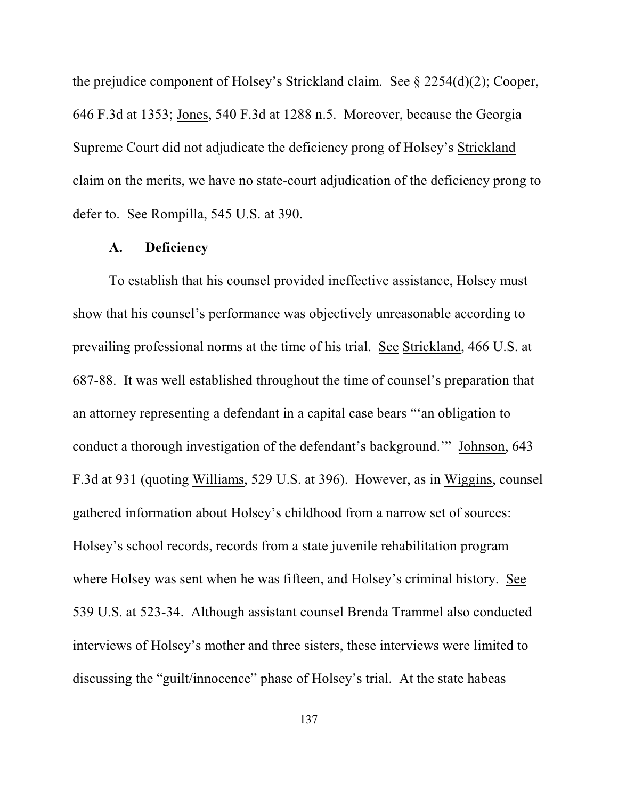the prejudice component of Holsey's Strickland claim. See § 2254(d)(2); Cooper, 646 F.3d at 1353; Jones, 540 F.3d at 1288 n.5. Moreover, because the Georgia Supreme Court did not adjudicate the deficiency prong of Holsey's Strickland claim on the merits, we have no state-court adjudication of the deficiency prong to defer to. See Rompilla, 545 U.S. at 390.

#### **A. Deficiency**

To establish that his counsel provided ineffective assistance, Holsey must show that his counsel's performance was objectively unreasonable according to prevailing professional norms at the time of his trial. See Strickland, 466 U.S. at 687-88. It was well established throughout the time of counsel's preparation that an attorney representing a defendant in a capital case bears "'an obligation to conduct a thorough investigation of the defendant's background.'" Johnson, 643 F.3d at 931 (quoting Williams, 529 U.S. at 396). However, as in Wiggins, counsel gathered information about Holsey's childhood from a narrow set of sources: Holsey's school records, records from a state juvenile rehabilitation program where Holsey was sent when he was fifteen, and Holsey's criminal history. See 539 U.S. at 523-34. Although assistant counsel Brenda Trammel also conducted interviews of Holsey's mother and three sisters, these interviews were limited to discussing the "guilt/innocence" phase of Holsey's trial. At the state habeas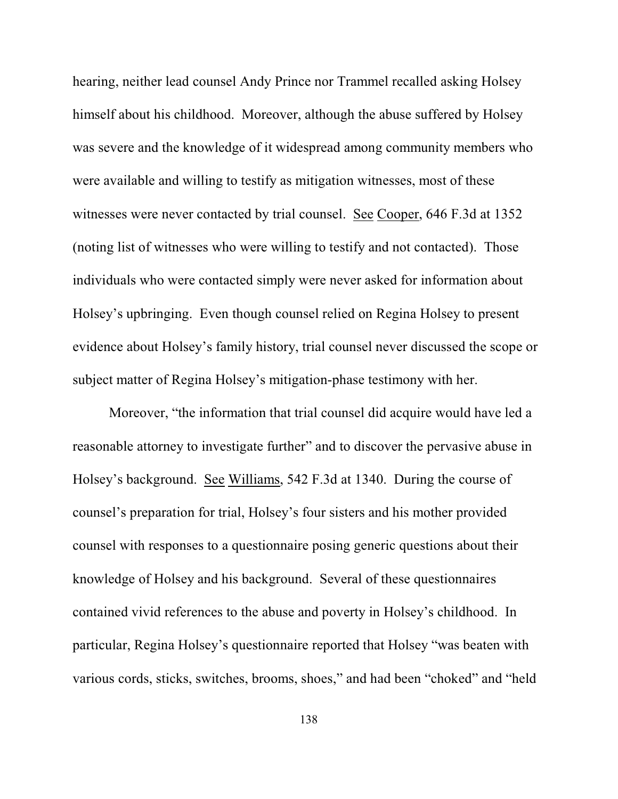hearing, neither lead counsel Andy Prince nor Trammel recalled asking Holsey himself about his childhood. Moreover, although the abuse suffered by Holsey was severe and the knowledge of it widespread among community members who were available and willing to testify as mitigation witnesses, most of these witnesses were never contacted by trial counsel. See Cooper, 646 F.3d at 1352 (noting list of witnesses who were willing to testify and not contacted). Those individuals who were contacted simply were never asked for information about Holsey's upbringing. Even though counsel relied on Regina Holsey to present evidence about Holsey's family history, trial counsel never discussed the scope or subject matter of Regina Holsey's mitigation-phase testimony with her.

Moreover, "the information that trial counsel did acquire would have led a reasonable attorney to investigate further" and to discover the pervasive abuse in Holsey's background. See Williams, 542 F.3d at 1340. During the course of counsel's preparation for trial, Holsey's four sisters and his mother provided counsel with responses to a questionnaire posing generic questions about their knowledge of Holsey and his background. Several of these questionnaires contained vivid references to the abuse and poverty in Holsey's childhood. In particular, Regina Holsey's questionnaire reported that Holsey "was beaten with various cords, sticks, switches, brooms, shoes," and had been "choked" and "held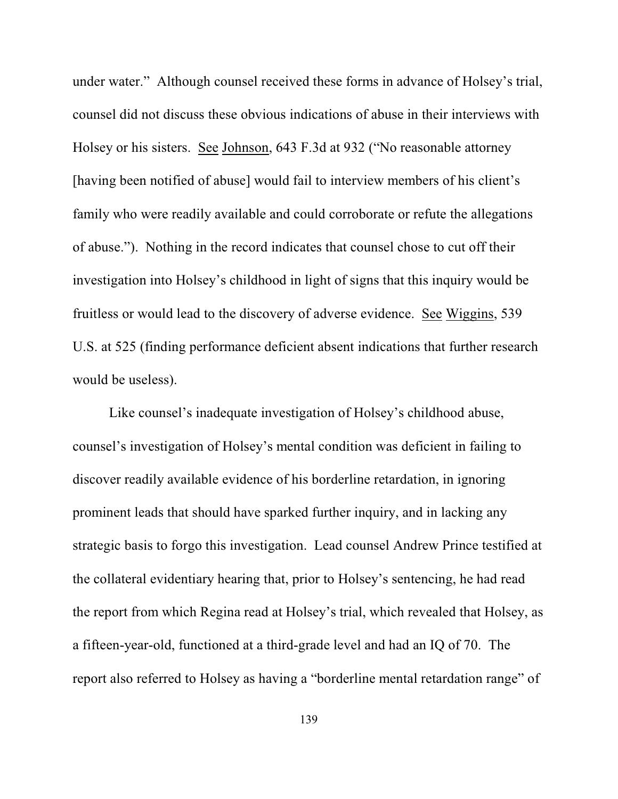under water." Although counsel received these forms in advance of Holsey's trial, counsel did not discuss these obvious indications of abuse in their interviews with Holsey or his sisters. See Johnson, 643 F.3d at 932 ("No reasonable attorney [having been notified of abuse] would fail to interview members of his client's family who were readily available and could corroborate or refute the allegations of abuse."). Nothing in the record indicates that counsel chose to cut off their investigation into Holsey's childhood in light of signs that this inquiry would be fruitless or would lead to the discovery of adverse evidence. See Wiggins, 539 U.S. at 525 (finding performance deficient absent indications that further research would be useless).

Like counsel's inadequate investigation of Holsey's childhood abuse, counsel's investigation of Holsey's mental condition was deficient in failing to discover readily available evidence of his borderline retardation, in ignoring prominent leads that should have sparked further inquiry, and in lacking any strategic basis to forgo this investigation. Lead counsel Andrew Prince testified at the collateral evidentiary hearing that, prior to Holsey's sentencing, he had read the report from which Regina read at Holsey's trial, which revealed that Holsey, as a fifteen-year-old, functioned at a third-grade level and had an IQ of 70. The report also referred to Holsey as having a "borderline mental retardation range" of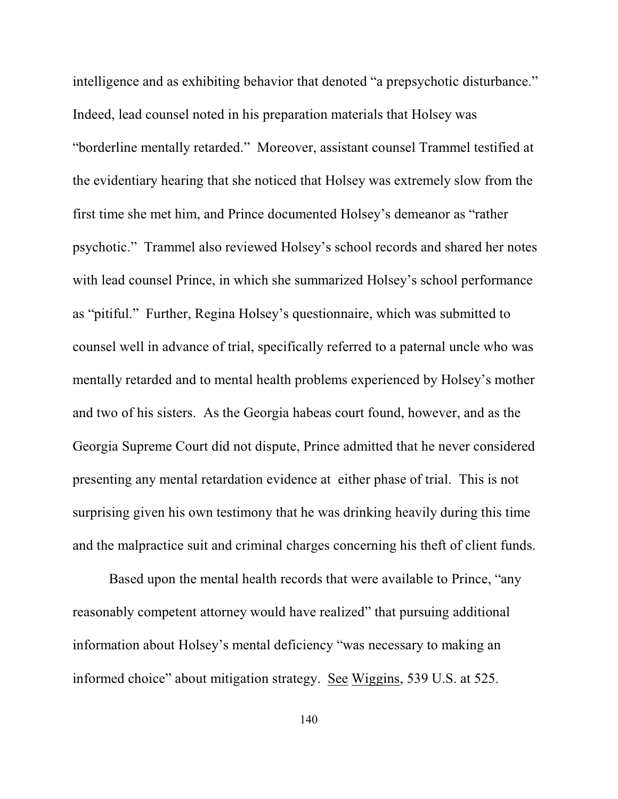intelligence and as exhibiting behavior that denoted "a prepsychotic disturbance." Indeed, lead counsel noted in his preparation materials that Holsey was "borderline mentally retarded." Moreover, assistant counsel Trammel testified at the evidentiary hearing that she noticed that Holsey was extremely slow from the first time she met him, and Prince documented Holsey's demeanor as "rather psychotic." Trammel also reviewed Holsey's school records and shared her notes with lead counsel Prince, in which she summarized Holsey's school performance as "pitiful." Further, Regina Holsey's questionnaire, which was submitted to counsel well in advance of trial, specifically referred to a paternal uncle who was mentally retarded and to mental health problems experienced by Holsey's mother and two of his sisters. As the Georgia habeas court found, however, and as the Georgia Supreme Court did not dispute, Prince admitted that he never considered presenting any mental retardation evidence at either phase of trial. This is not surprising given his own testimony that he was drinking heavily during this time and the malpractice suit and criminal charges concerning his theft of client funds.

Based upon the mental health records that were available to Prince, "any reasonably competent attorney would have realized" that pursuing additional information about Holsey's mental deficiency "was necessary to making an informed choice" about mitigation strategy. See Wiggins, 539 U.S. at 525.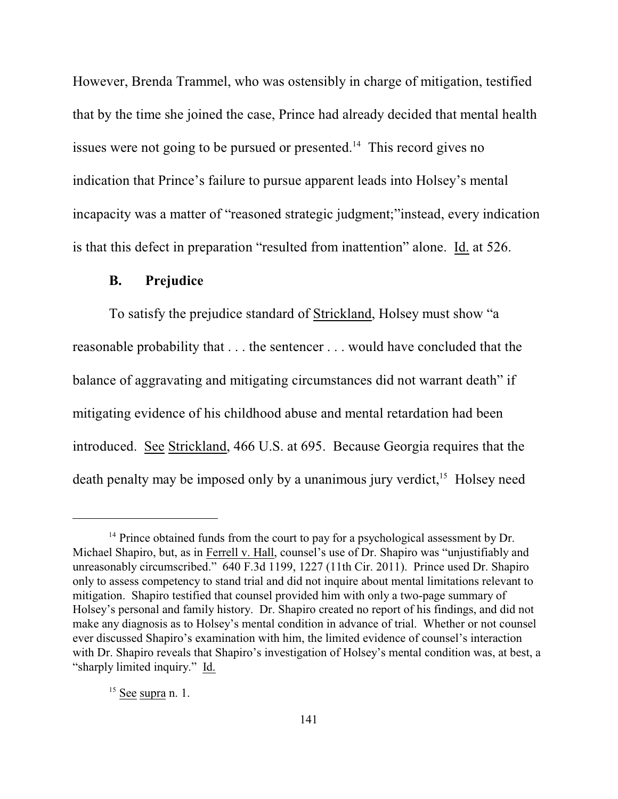However, Brenda Trammel, who was ostensibly in charge of mitigation, testified that by the time she joined the case, Prince had already decided that mental health issues were not going to be pursued or presented. $14$  This record gives no indication that Prince's failure to pursue apparent leads into Holsey's mental incapacity was a matter of "reasoned strategic judgment;"instead, every indication is that this defect in preparation "resulted from inattention" alone. Id. at 526.

## **B. Prejudice**

To satisfy the prejudice standard of Strickland, Holsey must show "a reasonable probability that . . . the sentencer . . . would have concluded that the balance of aggravating and mitigating circumstances did not warrant death" if mitigating evidence of his childhood abuse and mental retardation had been introduced. See Strickland, 466 U.S. at 695. Because Georgia requires that the death penalty may be imposed only by a unanimous jury verdict,  $15$  Holsey need

 $14$  Prince obtained funds from the court to pay for a psychological assessment by Dr. Michael Shapiro, but, as in Ferrell v. Hall, counsel's use of Dr. Shapiro was "unjustifiably and unreasonably circumscribed." 640 F.3d 1199, 1227 (11th Cir. 2011). Prince used Dr. Shapiro only to assess competency to stand trial and did not inquire about mental limitations relevant to mitigation. Shapiro testified that counsel provided him with only a two-page summary of Holsey's personal and family history. Dr. Shapiro created no report of his findings, and did not make any diagnosis as to Holsey's mental condition in advance of trial. Whether or not counsel ever discussed Shapiro's examination with him, the limited evidence of counsel's interaction with Dr. Shapiro reveals that Shapiro's investigation of Holsey's mental condition was, at best, a "sharply limited inquiry." Id.

 $15$  See supra n. 1.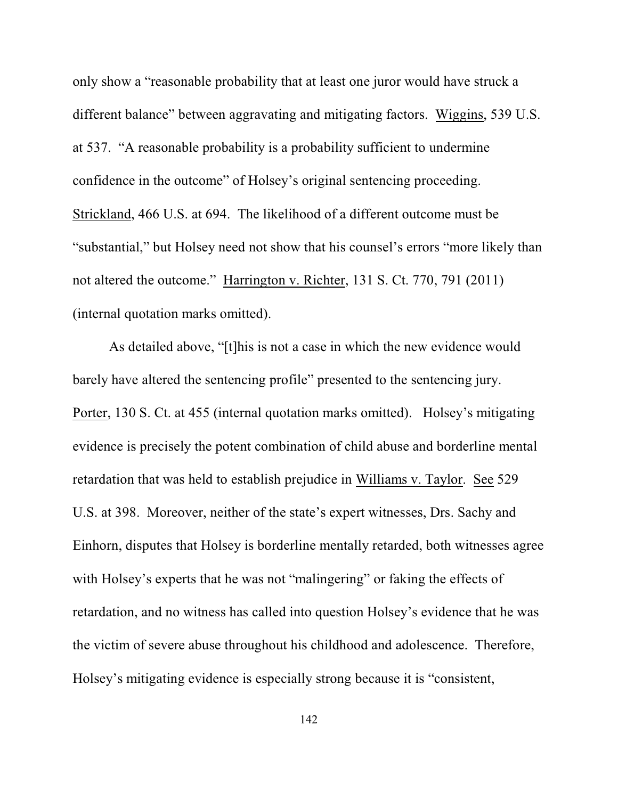only show a "reasonable probability that at least one juror would have struck a different balance" between aggravating and mitigating factors. Wiggins, 539 U.S. at 537. "A reasonable probability is a probability sufficient to undermine confidence in the outcome" of Holsey's original sentencing proceeding. Strickland, 466 U.S. at 694. The likelihood of a different outcome must be "substantial," but Holsey need not show that his counsel's errors "more likely than not altered the outcome." Harrington v. Richter, 131 S. Ct. 770, 791 (2011) (internal quotation marks omitted).

As detailed above, "[t]his is not a case in which the new evidence would barely have altered the sentencing profile" presented to the sentencing jury. Porter, 130 S. Ct. at 455 (internal quotation marks omitted). Holsey's mitigating evidence is precisely the potent combination of child abuse and borderline mental retardation that was held to establish prejudice in Williams v. Taylor. See 529 U.S. at 398. Moreover, neither of the state's expert witnesses, Drs. Sachy and Einhorn, disputes that Holsey is borderline mentally retarded, both witnesses agree with Holsey's experts that he was not "malingering" or faking the effects of retardation, and no witness has called into question Holsey's evidence that he was the victim of severe abuse throughout his childhood and adolescence. Therefore, Holsey's mitigating evidence is especially strong because it is "consistent,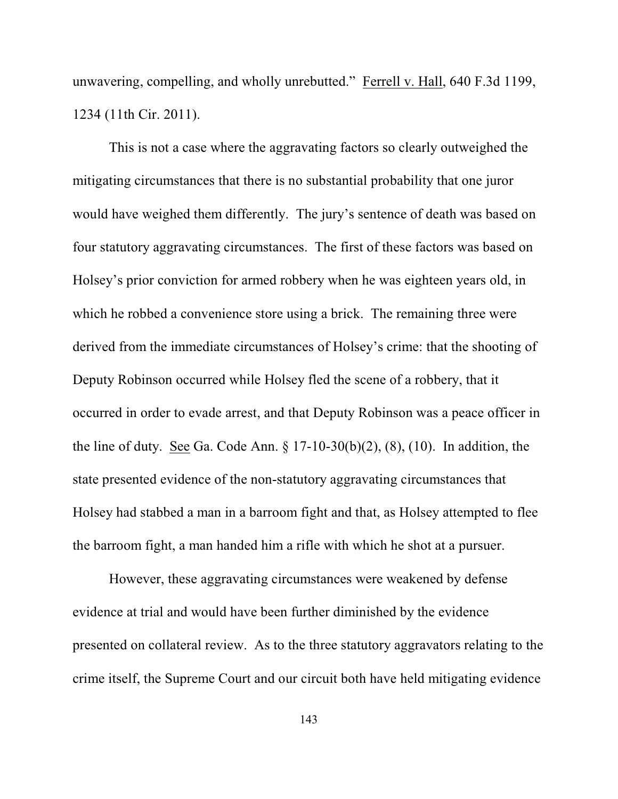unwavering, compelling, and wholly unrebutted." Ferrell v. Hall, 640 F.3d 1199, 1234 (11th Cir. 2011).

This is not a case where the aggravating factors so clearly outweighed the mitigating circumstances that there is no substantial probability that one juror would have weighed them differently. The jury's sentence of death was based on four statutory aggravating circumstances. The first of these factors was based on Holsey's prior conviction for armed robbery when he was eighteen years old, in which he robbed a convenience store using a brick. The remaining three were derived from the immediate circumstances of Holsey's crime: that the shooting of Deputy Robinson occurred while Holsey fled the scene of a robbery, that it occurred in order to evade arrest, and that Deputy Robinson was a peace officer in the line of duty. See Ga. Code Ann. § 17-10-30(b)(2), (8), (10). In addition, the state presented evidence of the non-statutory aggravating circumstances that Holsey had stabbed a man in a barroom fight and that, as Holsey attempted to flee the barroom fight, a man handed him a rifle with which he shot at a pursuer.

However, these aggravating circumstances were weakened by defense evidence at trial and would have been further diminished by the evidence presented on collateral review. As to the three statutory aggravators relating to the crime itself, the Supreme Court and our circuit both have held mitigating evidence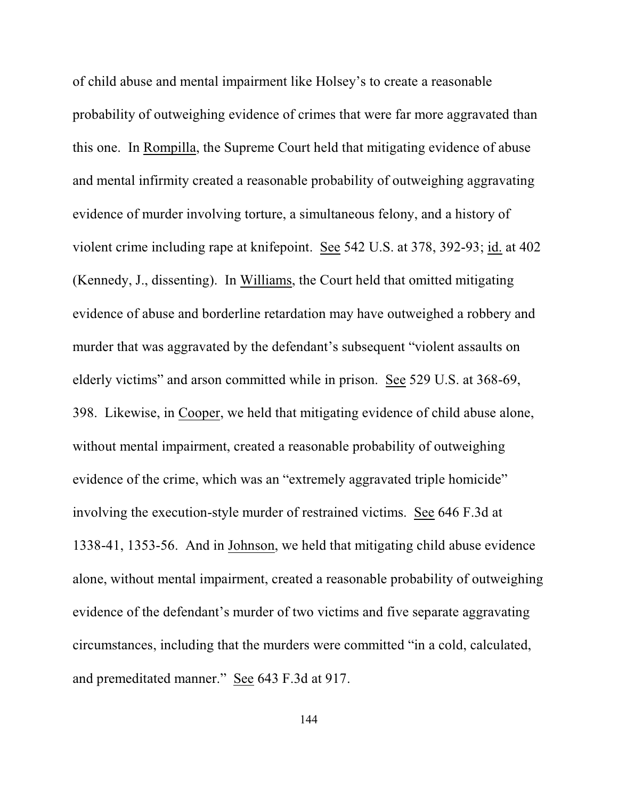of child abuse and mental impairment like Holsey's to create a reasonable probability of outweighing evidence of crimes that were far more aggravated than this one. In Rompilla, the Supreme Court held that mitigating evidence of abuse and mental infirmity created a reasonable probability of outweighing aggravating evidence of murder involving torture, a simultaneous felony, and a history of violent crime including rape at knifepoint. See 542 U.S. at 378, 392-93; id. at 402 (Kennedy, J., dissenting). In Williams, the Court held that omitted mitigating evidence of abuse and borderline retardation may have outweighed a robbery and murder that was aggravated by the defendant's subsequent "violent assaults on elderly victims" and arson committed while in prison. See 529 U.S. at 368-69, 398. Likewise, in Cooper, we held that mitigating evidence of child abuse alone, without mental impairment, created a reasonable probability of outweighing evidence of the crime, which was an "extremely aggravated triple homicide" involving the execution-style murder of restrained victims. See 646 F.3d at 1338-41, 1353-56. And in Johnson, we held that mitigating child abuse evidence alone, without mental impairment, created a reasonable probability of outweighing evidence of the defendant's murder of two victims and five separate aggravating circumstances, including that the murders were committed "in a cold, calculated, and premeditated manner." See 643 F.3d at 917.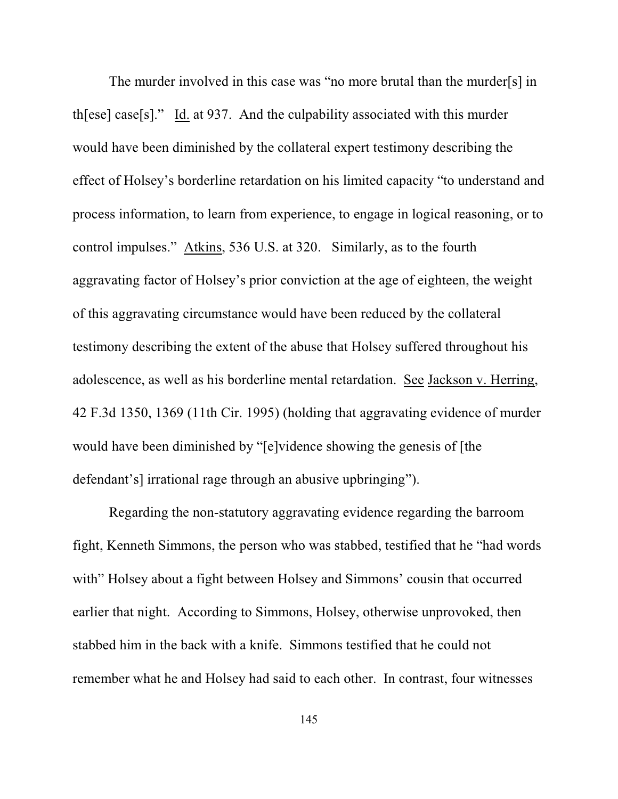The murder involved in this case was "no more brutal than the murder[s] in th[ese] case[s]." Id. at 937. And the culpability associated with this murder would have been diminished by the collateral expert testimony describing the effect of Holsey's borderline retardation on his limited capacity "to understand and process information, to learn from experience, to engage in logical reasoning, or to control impulses." Atkins, 536 U.S. at 320. Similarly, as to the fourth aggravating factor of Holsey's prior conviction at the age of eighteen, the weight of this aggravating circumstance would have been reduced by the collateral testimony describing the extent of the abuse that Holsey suffered throughout his adolescence, as well as his borderline mental retardation. See Jackson v. Herring, 42 F.3d 1350, 1369 (11th Cir. 1995) (holding that aggravating evidence of murder would have been diminished by "[e]vidence showing the genesis of [the defendant's] irrational rage through an abusive upbringing").

Regarding the non-statutory aggravating evidence regarding the barroom fight, Kenneth Simmons, the person who was stabbed, testified that he "had words with" Holsey about a fight between Holsey and Simmons' cousin that occurred earlier that night. According to Simmons, Holsey, otherwise unprovoked, then stabbed him in the back with a knife. Simmons testified that he could not remember what he and Holsey had said to each other. In contrast, four witnesses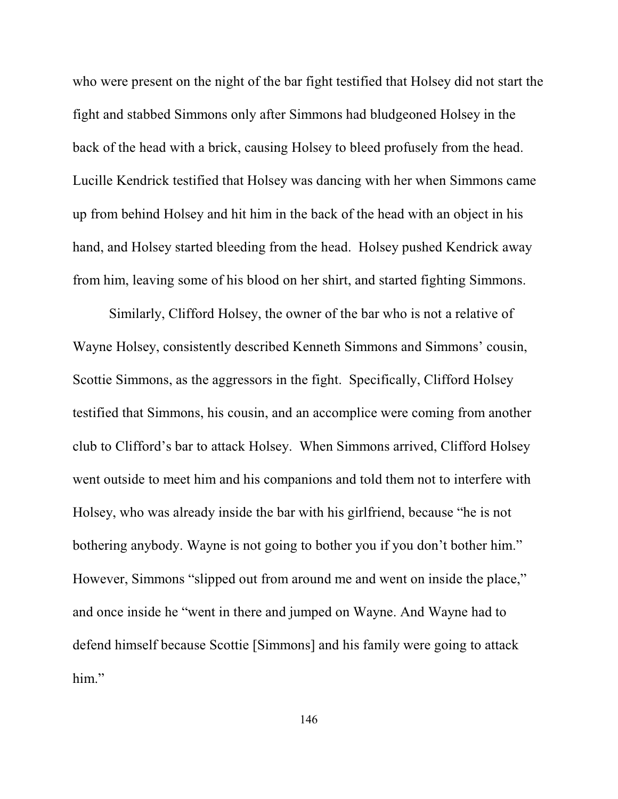who were present on the night of the bar fight testified that Holsey did not start the fight and stabbed Simmons only after Simmons had bludgeoned Holsey in the back of the head with a brick, causing Holsey to bleed profusely from the head. Lucille Kendrick testified that Holsey was dancing with her when Simmons came up from behind Holsey and hit him in the back of the head with an object in his hand, and Holsey started bleeding from the head. Holsey pushed Kendrick away from him, leaving some of his blood on her shirt, and started fighting Simmons.

Similarly, Clifford Holsey, the owner of the bar who is not a relative of Wayne Holsey, consistently described Kenneth Simmons and Simmons' cousin, Scottie Simmons, as the aggressors in the fight. Specifically, Clifford Holsey testified that Simmons, his cousin, and an accomplice were coming from another club to Clifford's bar to attack Holsey. When Simmons arrived, Clifford Holsey went outside to meet him and his companions and told them not to interfere with Holsey, who was already inside the bar with his girlfriend, because "he is not bothering anybody. Wayne is not going to bother you if you don't bother him." However, Simmons "slipped out from around me and went on inside the place," and once inside he "went in there and jumped on Wayne. And Wayne had to defend himself because Scottie [Simmons] and his family were going to attack him."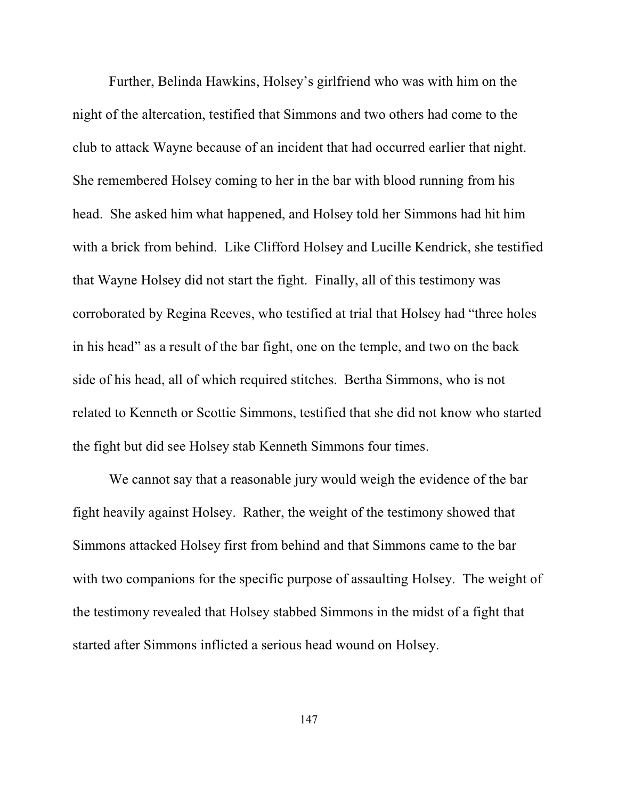Further, Belinda Hawkins, Holsey's girlfriend who was with him on the night of the altercation, testified that Simmons and two others had come to the club to attack Wayne because of an incident that had occurred earlier that night. She remembered Holsey coming to her in the bar with blood running from his head. She asked him what happened, and Holsey told her Simmons had hit him with a brick from behind. Like Clifford Holsey and Lucille Kendrick, she testified that Wayne Holsey did not start the fight. Finally, all of this testimony was corroborated by Regina Reeves, who testified at trial that Holsey had "three holes in his head" as a result of the bar fight, one on the temple, and two on the back side of his head, all of which required stitches. Bertha Simmons, who is not related to Kenneth or Scottie Simmons, testified that she did not know who started the fight but did see Holsey stab Kenneth Simmons four times.

We cannot say that a reasonable jury would weigh the evidence of the bar fight heavily against Holsey. Rather, the weight of the testimony showed that Simmons attacked Holsey first from behind and that Simmons came to the bar with two companions for the specific purpose of assaulting Holsey. The weight of the testimony revealed that Holsey stabbed Simmons in the midst of a fight that started after Simmons inflicted a serious head wound on Holsey.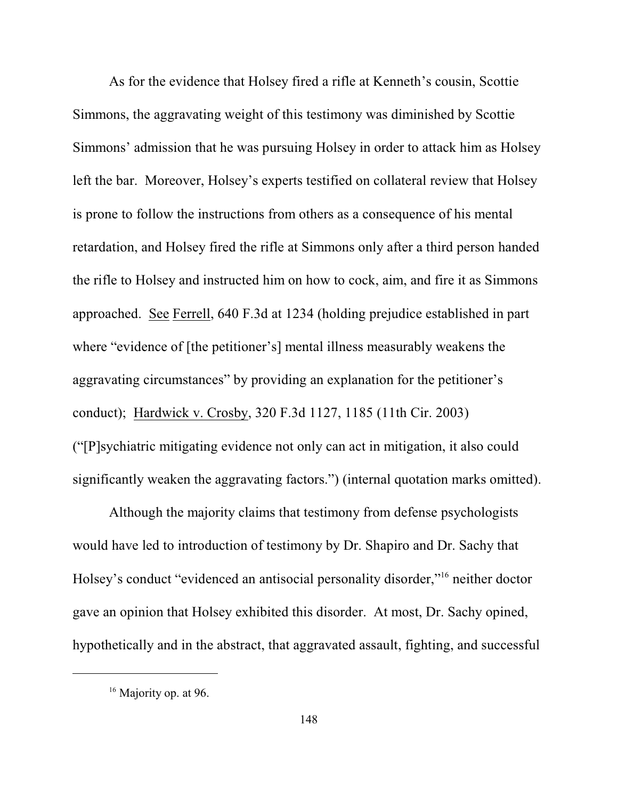As for the evidence that Holsey fired a rifle at Kenneth's cousin, Scottie Simmons, the aggravating weight of this testimony was diminished by Scottie Simmons' admission that he was pursuing Holsey in order to attack him as Holsey left the bar. Moreover, Holsey's experts testified on collateral review that Holsey is prone to follow the instructions from others as a consequence of his mental retardation, and Holsey fired the rifle at Simmons only after a third person handed the rifle to Holsey and instructed him on how to cock, aim, and fire it as Simmons approached. See Ferrell, 640 F.3d at 1234 (holding prejudice established in part where "evidence of [the petitioner's] mental illness measurably weakens the aggravating circumstances" by providing an explanation for the petitioner's conduct); Hardwick v. Crosby, 320 F.3d 1127, 1185 (11th Cir. 2003) ("[P]sychiatric mitigating evidence not only can act in mitigation, it also could significantly weaken the aggravating factors.") (internal quotation marks omitted).

Although the majority claims that testimony from defense psychologists would have led to introduction of testimony by Dr. Shapiro and Dr. Sachy that Holsey's conduct "evidenced an antisocial personality disorder,"<sup>16</sup> neither doctor gave an opinion that Holsey exhibited this disorder. At most, Dr. Sachy opined, hypothetically and in the abstract, that aggravated assault, fighting, and successful

 $16$  Majority op. at 96.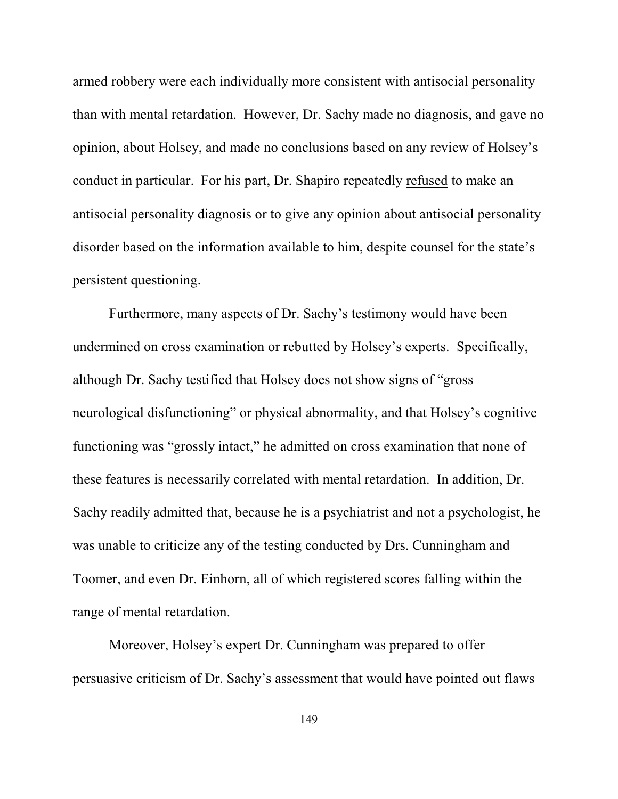armed robbery were each individually more consistent with antisocial personality than with mental retardation. However, Dr. Sachy made no diagnosis, and gave no opinion, about Holsey, and made no conclusions based on any review of Holsey's conduct in particular. For his part, Dr. Shapiro repeatedly refused to make an antisocial personality diagnosis or to give any opinion about antisocial personality disorder based on the information available to him, despite counsel for the state's persistent questioning.

Furthermore, many aspects of Dr. Sachy's testimony would have been undermined on cross examination or rebutted by Holsey's experts. Specifically, although Dr. Sachy testified that Holsey does not show signs of "gross neurological disfunctioning" or physical abnormality, and that Holsey's cognitive functioning was "grossly intact," he admitted on cross examination that none of these features is necessarily correlated with mental retardation. In addition, Dr. Sachy readily admitted that, because he is a psychiatrist and not a psychologist, he was unable to criticize any of the testing conducted by Drs. Cunningham and Toomer, and even Dr. Einhorn, all of which registered scores falling within the range of mental retardation.

Moreover, Holsey's expert Dr. Cunningham was prepared to offer persuasive criticism of Dr. Sachy's assessment that would have pointed out flaws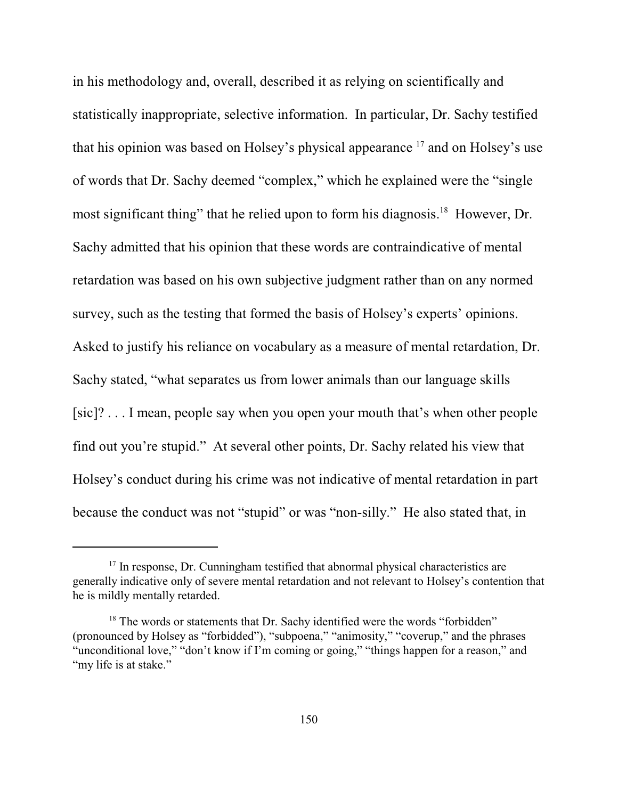in his methodology and, overall, described it as relying on scientifically and statistically inappropriate, selective information. In particular, Dr. Sachy testified that his opinion was based on Holsey's physical appearance  $17$  and on Holsey's use of words that Dr. Sachy deemed "complex," which he explained were the "single most significant thing" that he relied upon to form his diagnosis. $^{18}$  However, Dr. Sachy admitted that his opinion that these words are contraindicative of mental retardation was based on his own subjective judgment rather than on any normed survey, such as the testing that formed the basis of Holsey's experts' opinions. Asked to justify his reliance on vocabulary as a measure of mental retardation, Dr. Sachy stated, "what separates us from lower animals than our language skills [sic]? . . . I mean, people say when you open your mouth that's when other people find out you're stupid." At several other points, Dr. Sachy related his view that Holsey's conduct during his crime was not indicative of mental retardation in part because the conduct was not "stupid" or was "non-silly." He also stated that, in

 $17$  In response, Dr. Cunningham testified that abnormal physical characteristics are generally indicative only of severe mental retardation and not relevant to Holsey's contention that he is mildly mentally retarded.

 $18$  The words or statements that Dr. Sachy identified were the words "forbidden" (pronounced by Holsey as "forbidded"), "subpoena," "animosity," "coverup," and the phrases "unconditional love," "don't know if I'm coming or going," "things happen for a reason," and "my life is at stake."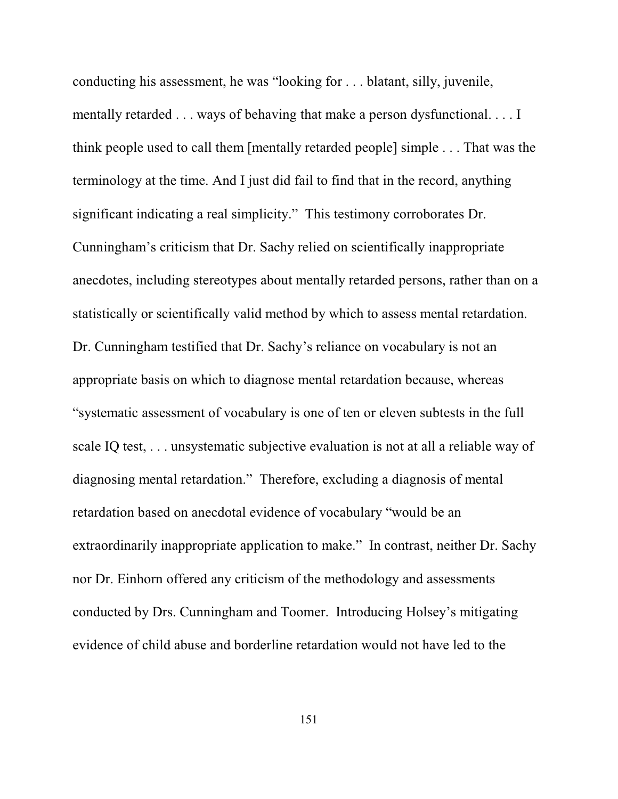conducting his assessment, he was "looking for . . . blatant, silly, juvenile, mentally retarded . . . ways of behaving that make a person dysfunctional. . . . I think people used to call them [mentally retarded people] simple . . . That was the terminology at the time. And I just did fail to find that in the record, anything significant indicating a real simplicity." This testimony corroborates Dr. Cunningham's criticism that Dr. Sachy relied on scientifically inappropriate anecdotes, including stereotypes about mentally retarded persons, rather than on a statistically or scientifically valid method by which to assess mental retardation. Dr. Cunningham testified that Dr. Sachy's reliance on vocabulary is not an appropriate basis on which to diagnose mental retardation because, whereas "systematic assessment of vocabulary is one of ten or eleven subtests in the full scale IQ test, . . . unsystematic subjective evaluation is not at all a reliable way of diagnosing mental retardation." Therefore, excluding a diagnosis of mental retardation based on anecdotal evidence of vocabulary "would be an extraordinarily inappropriate application to make." In contrast, neither Dr. Sachy nor Dr. Einhorn offered any criticism of the methodology and assessments conducted by Drs. Cunningham and Toomer. Introducing Holsey's mitigating evidence of child abuse and borderline retardation would not have led to the